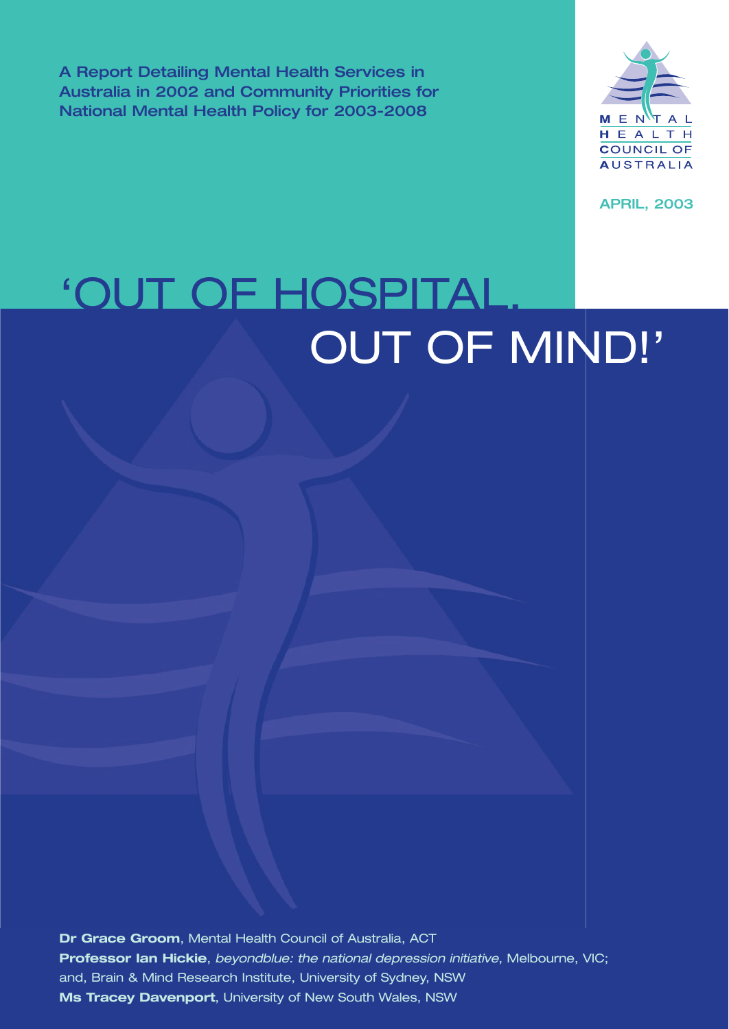A Report Detailing Mental Health Services in Australia in 2002 and Community Priorities for National Mental Health Policy for 2003-2008



APRIL, 2003

# 'OUT OF HOSPITAL OUT OF MIND!'

**Dr Grace Groom**, Mental Health Council of Australia, ACT **Professor Ian Hickie**, *beyondblue: the national depression initiative*, Melbourne, VIC; and, Brain & Mind Research Institute, University of Sydney, NSW **Ms Tracey Davenport**, University of New South Wales, NSW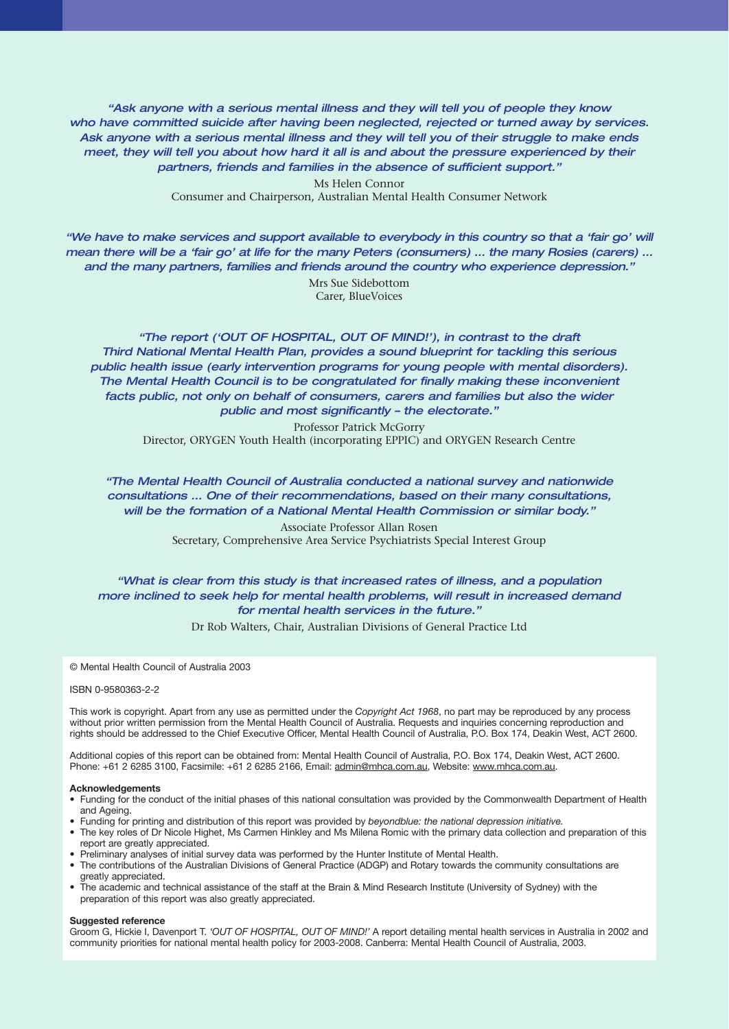*"Ask anyone with a serious mental illness and they will tell you of people they know who have committed suicide after having been neglected, rejected or turned away by services. Ask anyone with a serious mental illness and they will tell you of their struggle to make ends meet, they will tell you about how hard it all is and about the pressure experienced by their partners, friends and families in the absence of sufficient support."*

> Ms Helen Connor Consumer and Chairperson, Australian Mental Health Consumer Network

*"We have to make services and support available to everybody in this country so that a 'fair go' will mean there will be a 'fair go' at life for the many Peters (consumers) … the many Rosies (carers) … and the many partners, families and friends around the country who experience depression."*

Mrs Sue Sidebottom Carer, BlueVoices

*"The report ('OUT OF HOSPITAL, OUT OF MIND!'), in contrast to the draft Third National Mental Health Plan, provides a sound blueprint for tackling this serious public health issue (early intervention programs for young people with mental disorders). The Mental Health Council is to be congratulated for finally making these inconvenient*  facts public, not only on behalf of consumers, carers and families but also the wider *public and most significantly – the electorate."*

Professor Patrick McGorry Director, ORYGEN Youth Health (incorporating EPPIC) and ORYGEN Research Centre

*"The Mental Health Council of Australia conducted a national survey and nationwide consultations … One of their recommendations, based on their many consultations, will be the formation of a National Mental Health Commission or similar body."*

> Associate Professor Allan Rosen Secretary, Comprehensive Area Service Psychiatrists Special Interest Group

# *"What is clear from this study is that increased rates of illness, and a population more inclined to seek help for mental health problems, will result in increased demand for mental health services in the future."*

Dr Rob Walters, Chair, Australian Divisions of General Practice Ltd

© Mental Health Council of Australia 2003

#### ISBN 0-9580363-2-2

This work is copyright. Apart from any use as permitted under the *Copyright Act 1968*, no part may be reproduced by any process without prior written permission from the Mental Health Council of Australia. Requests and inquiries concerning reproduction and rights should be addressed to the Chief Executive Officer, Mental Health Council of Australia, P.O. Box 174, Deakin West, ACT 2600.

Additional copies of this report can be obtained from: Mental Health Council of Australia, P.O. Box 174, Deakin West, ACT 2600. Phone: +61 2 6285 3100, Facsimile: +61 2 6285 2166, Email: admin@mhca.com.au, Website: www.mhca.com.au.

#### **Acknowledgements**

- Funding for the conduct of the initial phases of this national consultation was provided by the Commonwealth Department of Health and Ageing.
- Funding for printing and distribution of this report was provided by *beyondblue: the national depression initiative.*
- The key roles of Dr Nicole Highet, Ms Carmen Hinkley and Ms Milena Romic with the primary data collection and preparation of this report are greatly appreciated.
- Preliminary analyses of initial survey data was performed by the Hunter Institute of Mental Health.
- The contributions of the Australian Divisions of General Practice (ADGP) and Rotary towards the community consultations are greatly appreciated.
- The academic and technical assistance of the staff at the Brain & Mind Research Institute (University of Sydney) with the preparation of this report was also greatly appreciated.

#### **Suggested reference**

Groom G, Hickie I, Davenport T. *'OUT OF HOSPITAL, OUT OF MIND!'* A report detailing mental health services in Australia in 2002 and community priorities for national mental health policy for 2003-2008. Canberra: Mental Health Council of Australia, 2003.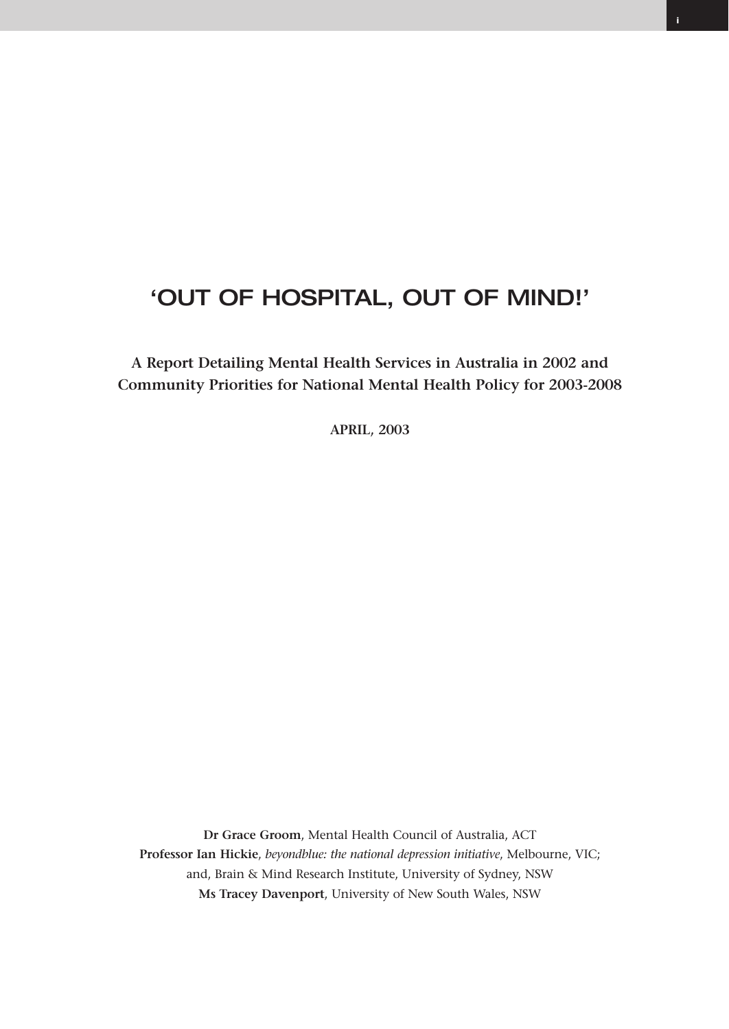# 'OUT OF HOSPITAL, OUT OF MIND!'

**A Report Detailing Mental Health Services in Australia in 2002 and Community Priorities for National Mental Health Policy for 2003-2008**

**APRIL, 2003**

**Dr Grace Groom**, Mental Health Council of Australia, ACT **Professor Ian Hickie**, *beyondblue: the national depression initiative*, Melbourne, VIC; and, Brain & Mind Research Institute, University of Sydney, NSW **Ms Tracey Davenport**, University of New South Wales, NSW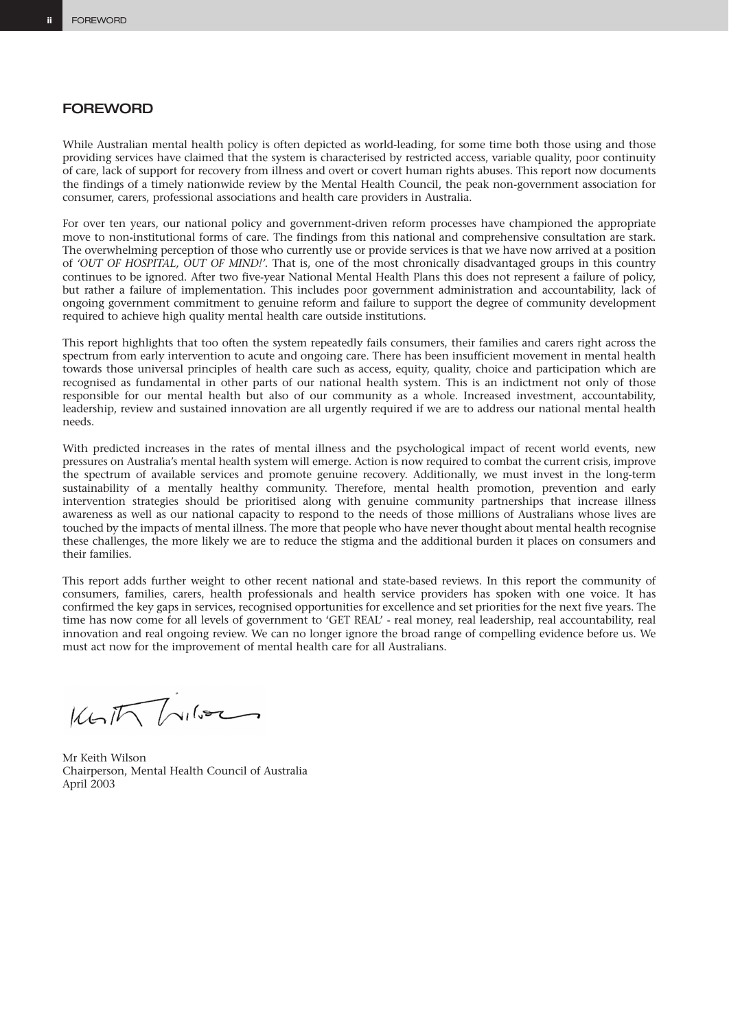#### **FOREWORD**

While Australian mental health policy is often depicted as world-leading, for some time both those using and those providing services have claimed that the system is characterised by restricted access, variable quality, poor continuity of care, lack of support for recovery from illness and overt or covert human rights abuses. This report now documents the findings of a timely nationwide review by the Mental Health Council, the peak non-government association for consumer, carers, professional associations and health care providers in Australia.

For over ten years, our national policy and government-driven reform processes have championed the appropriate move to non-institutional forms of care. The findings from this national and comprehensive consultation are stark. The overwhelming perception of those who currently use or provide services is that we have now arrived at a position of *'OUT OF HOSPITAL, OUT OF MIND!'.* That is, one of the most chronically disadvantaged groups in this country continues to be ignored. After two five-year National Mental Health Plans this does not represent a failure of policy, but rather a failure of implementation. This includes poor government administration and accountability, lack of ongoing government commitment to genuine reform and failure to support the degree of community development required to achieve high quality mental health care outside institutions.

This report highlights that too often the system repeatedly fails consumers, their families and carers right across the spectrum from early intervention to acute and ongoing care. There has been insufficient movement in mental health towards those universal principles of health care such as access, equity, quality, choice and participation which are recognised as fundamental in other parts of our national health system. This is an indictment not only of those responsible for our mental health but also of our community as a whole. Increased investment, accountability, leadership, review and sustained innovation are all urgently required if we are to address our national mental health needs.

With predicted increases in the rates of mental illness and the psychological impact of recent world events, new pressures on Australia's mental health system will emerge. Action is now required to combat the current crisis, improve the spectrum of available services and promote genuine recovery. Additionally, we must invest in the long-term sustainability of a mentally healthy community. Therefore, mental health promotion, prevention and early intervention strategies should be prioritised along with genuine community partnerships that increase illness awareness as well as our national capacity to respond to the needs of those millions of Australians whose lives are touched by the impacts of mental illness. The more that people who have never thought about mental health recognise these challenges, the more likely we are to reduce the stigma and the additional burden it places on consumers and their families.

This report adds further weight to other recent national and state-based reviews. In this report the community of consumers, families, carers, health professionals and health service providers has spoken with one voice. It has confirmed the key gaps in services, recognised opportunities for excellence and set priorities for the next five years. The time has now come for all levels of government to 'GET REAL' - real money, real leadership, real accountability, real innovation and real ongoing review. We can no longer ignore the broad range of compelling evidence before us. We must act now for the improvement of mental health care for all Australians.

 $K \sim \sqrt{\frac{1}{\sqrt{1-\frac{1}{1-\frac{1}{1-\frac{1}{1-\frac{1}{1-\frac{1}{1-\frac{1}{1-\frac{1}{1-\frac{1}{1-\frac{1}{1-\frac{1}{1-\frac{1}{1-\frac{1}{1-\frac{1}{1-\frac{1}{1-\frac{1}{1-\frac{1}{1-\frac{1}{1-\frac{1}{1-\frac{1}{1-\frac{1}{1-\frac{1}{1-\frac{1}{1-\frac{1}{1-\frac{1}{1-\frac{1}{1-\frac{1}{1-\frac{1}{1-\frac{1}{1-\frac{1}{1-\frac{1}{1-\frac{1}{1-\frac{1}{1-\frac{1}{1-\frac{1}{1-\frac$ 

Mr Keith Wilson Chairperson, Mental Health Council of Australia April 2003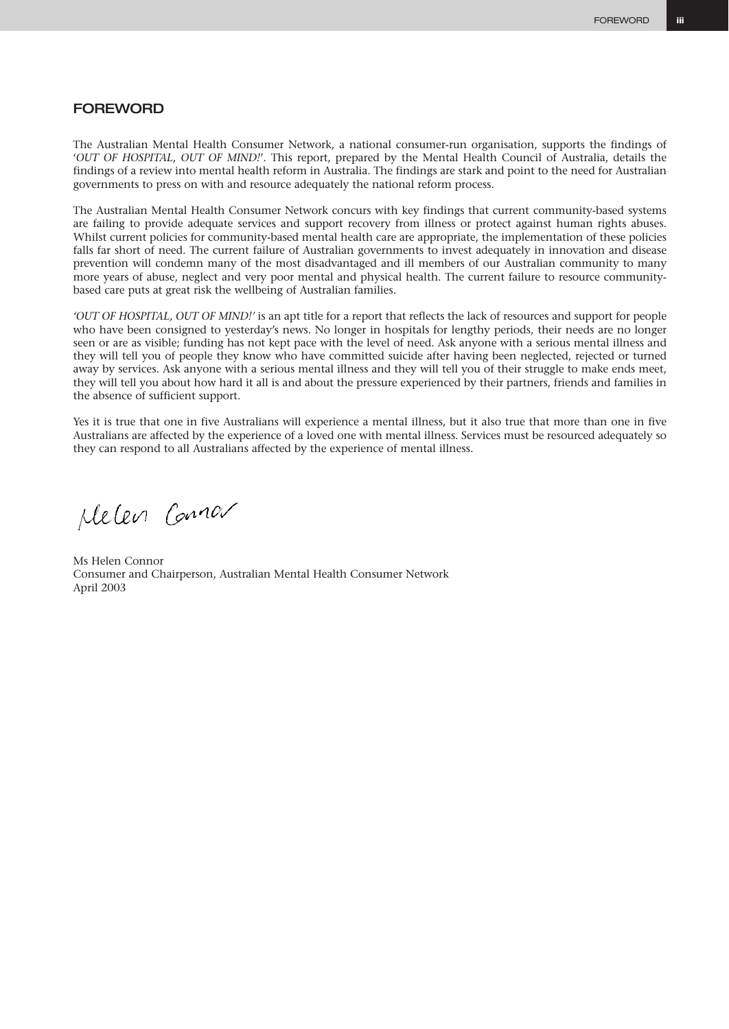# **FOREWORD**

The Australian Mental Health Consumer Network, a national consumer-run organisation, supports the findings of '*OUT OF HOSPITAL, OUT OF MIND!*'. This report, prepared by the Mental Health Council of Australia, details the findings of a review into mental health reform in Australia. The findings are stark and point to the need for Australian governments to press on with and resource adequately the national reform process.

The Australian Mental Health Consumer Network concurs with key findings that current community-based systems are failing to provide adequate services and support recovery from illness or protect against human rights abuses. Whilst current policies for community-based mental health care are appropriate, the implementation of these policies falls far short of need. The current failure of Australian governments to invest adequately in innovation and disease prevention will condemn many of the most disadvantaged and ill members of our Australian community to many more years of abuse, neglect and very poor mental and physical health. The current failure to resource communitybased care puts at great risk the wellbeing of Australian families.

*'OUT OF HOSPITAL, OUT OF MIND!'* is an apt title for a report that reflects the lack of resources and support for people who have been consigned to yesterday's news. No longer in hospitals for lengthy periods, their needs are no longer seen or are as visible; funding has not kept pace with the level of need. Ask anyone with a serious mental illness and they will tell you of people they know who have committed suicide after having been neglected, rejected or turned away by services. Ask anyone with a serious mental illness and they will tell you of their struggle to make ends meet, they will tell you about how hard it all is and about the pressure experienced by their partners, friends and families in the absence of sufficient support.

Yes it is true that one in five Australians will experience a mental illness, but it also true that more than one in five Australians are affected by the experience of a loved one with mental illness. Services must be resourced adequately so they can respond to all Australians affected by the experience of mental illness.

Melen Conner

Ms Helen Connor Consumer and Chairperson, Australian Mental Health Consumer Network April 2003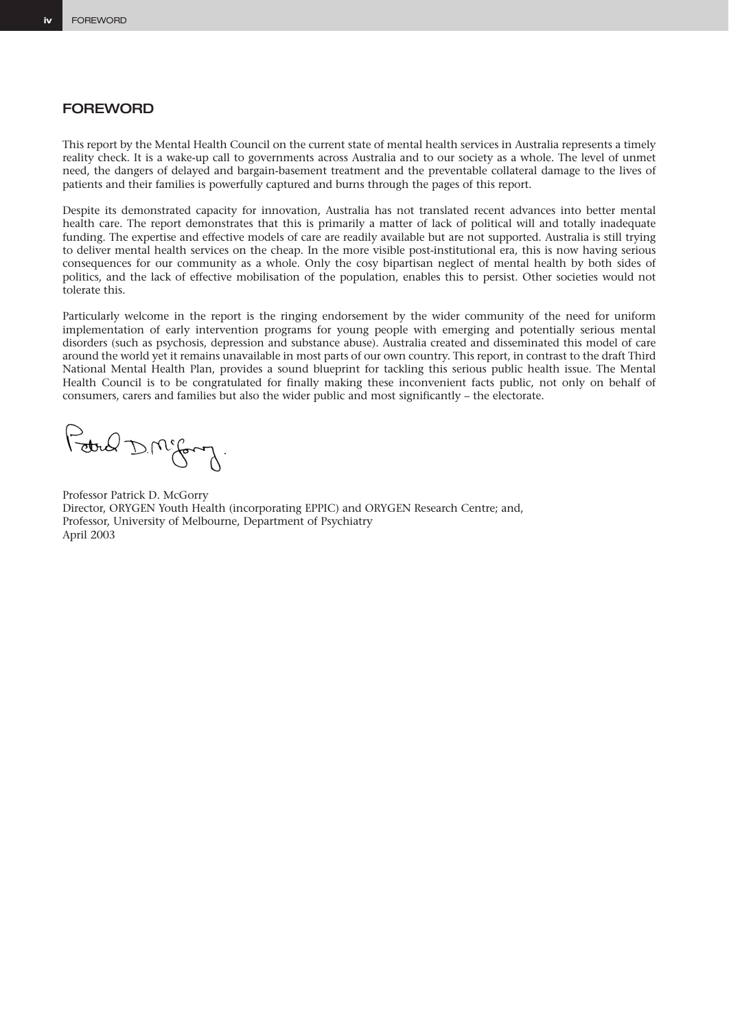# **FOREWORD**

This report by the Mental Health Council on the current state of mental health services in Australia represents a timely reality check. It is a wake-up call to governments across Australia and to our society as a whole. The level of unmet need, the dangers of delayed and bargain-basement treatment and the preventable collateral damage to the lives of patients and their families is powerfully captured and burns through the pages of this report.

Despite its demonstrated capacity for innovation, Australia has not translated recent advances into better mental health care. The report demonstrates that this is primarily a matter of lack of political will and totally inadequate funding. The expertise and effective models of care are readily available but are not supported. Australia is still trying to deliver mental health services on the cheap. In the more visible post-institutional era, this is now having serious consequences for our community as a whole. Only the cosy bipartisan neglect of mental health by both sides of politics, and the lack of effective mobilisation of the population, enables this to persist. Other societies would not tolerate this.

Particularly welcome in the report is the ringing endorsement by the wider community of the need for uniform implementation of early intervention programs for young people with emerging and potentially serious mental disorders (such as psychosis, depression and substance abuse). Australia created and disseminated this model of care around the world yet it remains unavailable in most parts of our own country. This report, in contrast to the draft Third National Mental Health Plan, provides a sound blueprint for tackling this serious public health issue. The Mental Health Council is to be congratulated for finally making these inconvenient facts public, not only on behalf of consumers, carers and families but also the wider public and most significantly – the electorate.

Poted D.M. Comp.

Professor Patrick D. McGorry Director, ORYGEN Youth Health (incorporating EPPIC) and ORYGEN Research Centre; and, Professor, University of Melbourne, Department of Psychiatry April 2003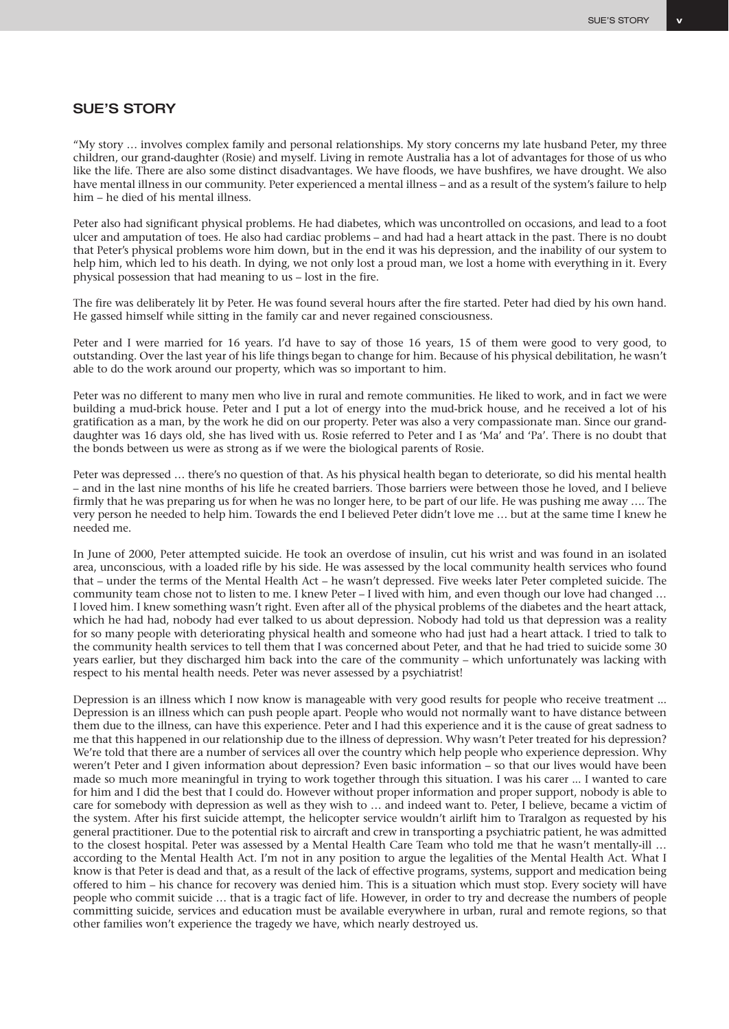## SUE'S STORY

"My story … involves complex family and personal relationships. My story concerns my late husband Peter, my three children, our grand-daughter (Rosie) and myself. Living in remote Australia has a lot of advantages for those of us who like the life. There are also some distinct disadvantages. We have floods, we have bushfires, we have drought. We also have mental illness in our community. Peter experienced a mental illness – and as a result of the system's failure to help him – he died of his mental illness.

Peter also had significant physical problems. He had diabetes, which was uncontrolled on occasions, and lead to a foot ulcer and amputation of toes. He also had cardiac problems – and had had a heart attack in the past. There is no doubt that Peter's physical problems wore him down, but in the end it was his depression, and the inability of our system to help him, which led to his death. In dying, we not only lost a proud man, we lost a home with everything in it. Every physical possession that had meaning to us – lost in the fire.

The fire was deliberately lit by Peter. He was found several hours after the fire started. Peter had died by his own hand. He gassed himself while sitting in the family car and never regained consciousness.

Peter and I were married for 16 years. I'd have to say of those 16 years, 15 of them were good to very good, to outstanding. Over the last year of his life things began to change for him. Because of his physical debilitation, he wasn't able to do the work around our property, which was so important to him.

Peter was no different to many men who live in rural and remote communities. He liked to work, and in fact we were building a mud-brick house. Peter and I put a lot of energy into the mud-brick house, and he received a lot of his gratification as a man, by the work he did on our property. Peter was also a very compassionate man. Since our granddaughter was 16 days old, she has lived with us. Rosie referred to Peter and I as 'Ma' and 'Pa'. There is no doubt that the bonds between us were as strong as if we were the biological parents of Rosie.

Peter was depressed … there's no question of that. As his physical health began to deteriorate, so did his mental health – and in the last nine months of his life he created barriers. Those barriers were between those he loved, and I believe firmly that he was preparing us for when he was no longer here, to be part of our life. He was pushing me away …. The very person he needed to help him. Towards the end I believed Peter didn't love me … but at the same time I knew he needed me.

In June of 2000, Peter attempted suicide. He took an overdose of insulin, cut his wrist and was found in an isolated area, unconscious, with a loaded rifle by his side. He was assessed by the local community health services who found that – under the terms of the Mental Health Act – he wasn't depressed. Five weeks later Peter completed suicide. The community team chose not to listen to me. I knew Peter – I lived with him, and even though our love had changed … I loved him. I knew something wasn't right. Even after all of the physical problems of the diabetes and the heart attack, which he had had, nobody had ever talked to us about depression. Nobody had told us that depression was a reality for so many people with deteriorating physical health and someone who had just had a heart attack. I tried to talk to the community health services to tell them that I was concerned about Peter, and that he had tried to suicide some 30 years earlier, but they discharged him back into the care of the community – which unfortunately was lacking with respect to his mental health needs. Peter was never assessed by a psychiatrist!

Depression is an illness which I now know is manageable with very good results for people who receive treatment ... Depression is an illness which can push people apart. People who would not normally want to have distance between them due to the illness, can have this experience. Peter and I had this experience and it is the cause of great sadness to me that this happened in our relationship due to the illness of depression. Why wasn't Peter treated for his depression? We're told that there are a number of services all over the country which help people who experience depression. Why weren't Peter and I given information about depression? Even basic information – so that our lives would have been made so much more meaningful in trying to work together through this situation. I was his carer ... I wanted to care for him and I did the best that I could do. However without proper information and proper support, nobody is able to care for somebody with depression as well as they wish to … and indeed want to. Peter, I believe, became a victim of the system. After his first suicide attempt, the helicopter service wouldn't airlift him to Traralgon as requested by his general practitioner. Due to the potential risk to aircraft and crew in transporting a psychiatric patient, he was admitted to the closest hospital. Peter was assessed by a Mental Health Care Team who told me that he wasn't mentally-ill … according to the Mental Health Act. I'm not in any position to argue the legalities of the Mental Health Act. What I know is that Peter is dead and that, as a result of the lack of effective programs, systems, support and medication being offered to him – his chance for recovery was denied him. This is a situation which must stop. Every society will have people who commit suicide … that is a tragic fact of life. However, in order to try and decrease the numbers of people committing suicide, services and education must be available everywhere in urban, rural and remote regions, so that other families won't experience the tragedy we have, which nearly destroyed us.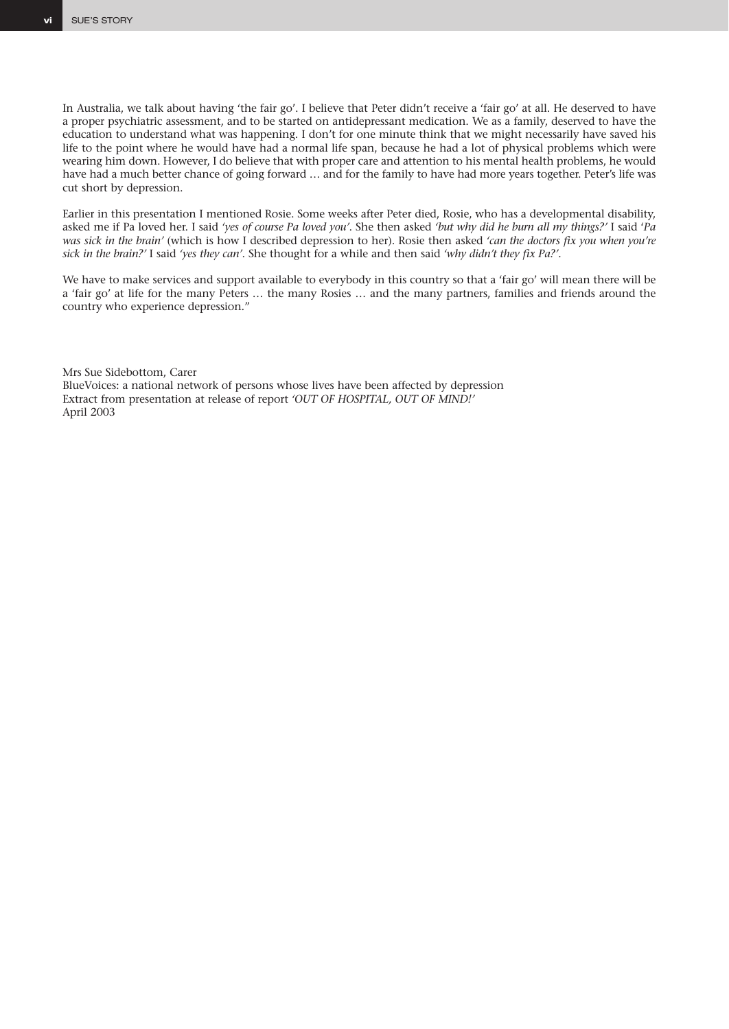In Australia, we talk about having 'the fair go'. I believe that Peter didn't receive a 'fair go' at all. He deserved to have a proper psychiatric assessment, and to be started on antidepressant medication. We as a family, deserved to have the education to understand what was happening. I don't for one minute think that we might necessarily have saved his life to the point where he would have had a normal life span, because he had a lot of physical problems which were wearing him down. However, I do believe that with proper care and attention to his mental health problems, he would have had a much better chance of going forward … and for the family to have had more years together. Peter's life was cut short by depression.

Earlier in this presentation I mentioned Rosie. Some weeks after Peter died, Rosie, who has a developmental disability, asked me if Pa loved her. I said *'yes of course Pa loved you'*. She then asked *'but why did he burn all my things?'* I said '*Pa was sick in the brain'* (which is how I described depression to her). Rosie then asked *'can the doctors fix you when you're sick in the brain?'* I said *'yes they can'*. She thought for a while and then said *'why didn't they fix Pa?'.*

We have to make services and support available to everybody in this country so that a 'fair go' will mean there will be a 'fair go' at life for the many Peters … the many Rosies … and the many partners, families and friends around the country who experience depression."

Mrs Sue Sidebottom, Carer BlueVoices: a national network of persons whose lives have been affected by depression Extract from presentation at release of report *'OUT OF HOSPITAL, OUT OF MIND!'* April 2003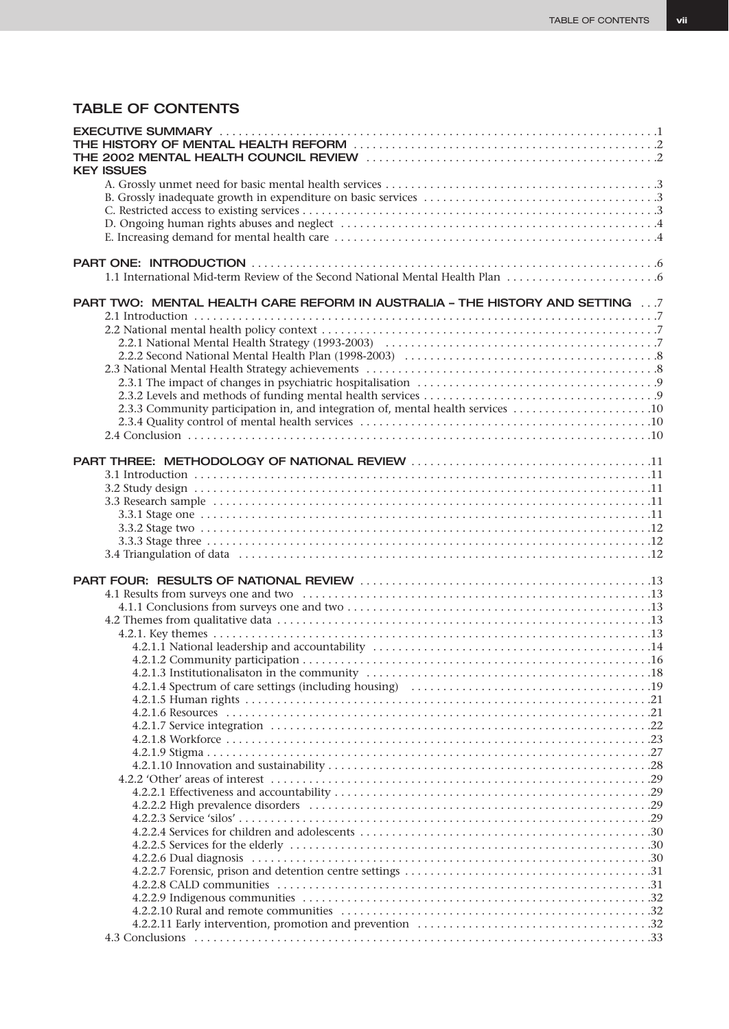# TABLE OF CONTENTS

| <b>KEY ISSUES</b>                                                               |  |
|---------------------------------------------------------------------------------|--|
|                                                                                 |  |
|                                                                                 |  |
|                                                                                 |  |
|                                                                                 |  |
|                                                                                 |  |
|                                                                                 |  |
| 1.1 International Mid-term Review of the Second National Mental Health Plan     |  |
| PART TWO: MENTAL HEALTH CARE REFORM IN AUSTRALIA - THE HISTORY AND SETTING  7   |  |
|                                                                                 |  |
|                                                                                 |  |
|                                                                                 |  |
|                                                                                 |  |
|                                                                                 |  |
|                                                                                 |  |
| 2.3.3 Community participation in, and integration of, mental health services 10 |  |
|                                                                                 |  |
|                                                                                 |  |
|                                                                                 |  |
|                                                                                 |  |
|                                                                                 |  |
|                                                                                 |  |
|                                                                                 |  |
|                                                                                 |  |
|                                                                                 |  |
|                                                                                 |  |
|                                                                                 |  |
|                                                                                 |  |
|                                                                                 |  |
|                                                                                 |  |
|                                                                                 |  |
|                                                                                 |  |
|                                                                                 |  |
|                                                                                 |  |
|                                                                                 |  |
|                                                                                 |  |
|                                                                                 |  |
|                                                                                 |  |
|                                                                                 |  |
|                                                                                 |  |
|                                                                                 |  |
|                                                                                 |  |
|                                                                                 |  |
|                                                                                 |  |
|                                                                                 |  |
|                                                                                 |  |
|                                                                                 |  |
|                                                                                 |  |
|                                                                                 |  |
|                                                                                 |  |
|                                                                                 |  |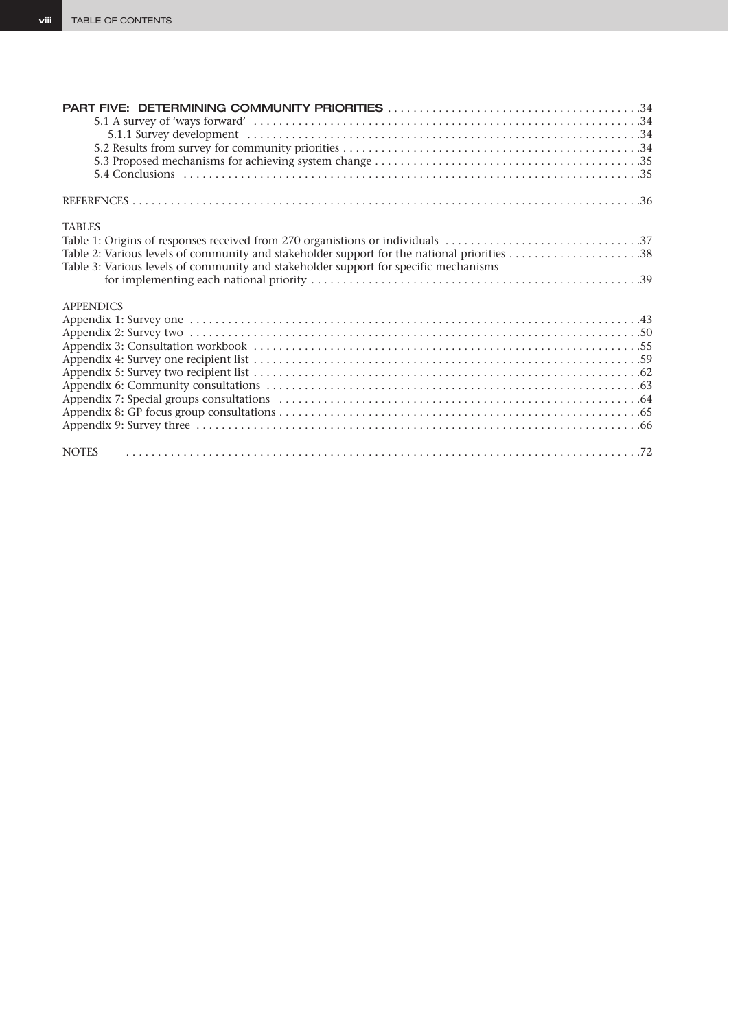| <b>TABLES</b>                                                                        |  |
|--------------------------------------------------------------------------------------|--|
|                                                                                      |  |
|                                                                                      |  |
| Table 3: Various levels of community and stakeholder support for specific mechanisms |  |
|                                                                                      |  |
|                                                                                      |  |
| <b>APPENDICS</b>                                                                     |  |
|                                                                                      |  |
|                                                                                      |  |
|                                                                                      |  |
|                                                                                      |  |
|                                                                                      |  |
|                                                                                      |  |
|                                                                                      |  |
|                                                                                      |  |
|                                                                                      |  |
|                                                                                      |  |
| <b>NOTES</b>                                                                         |  |
|                                                                                      |  |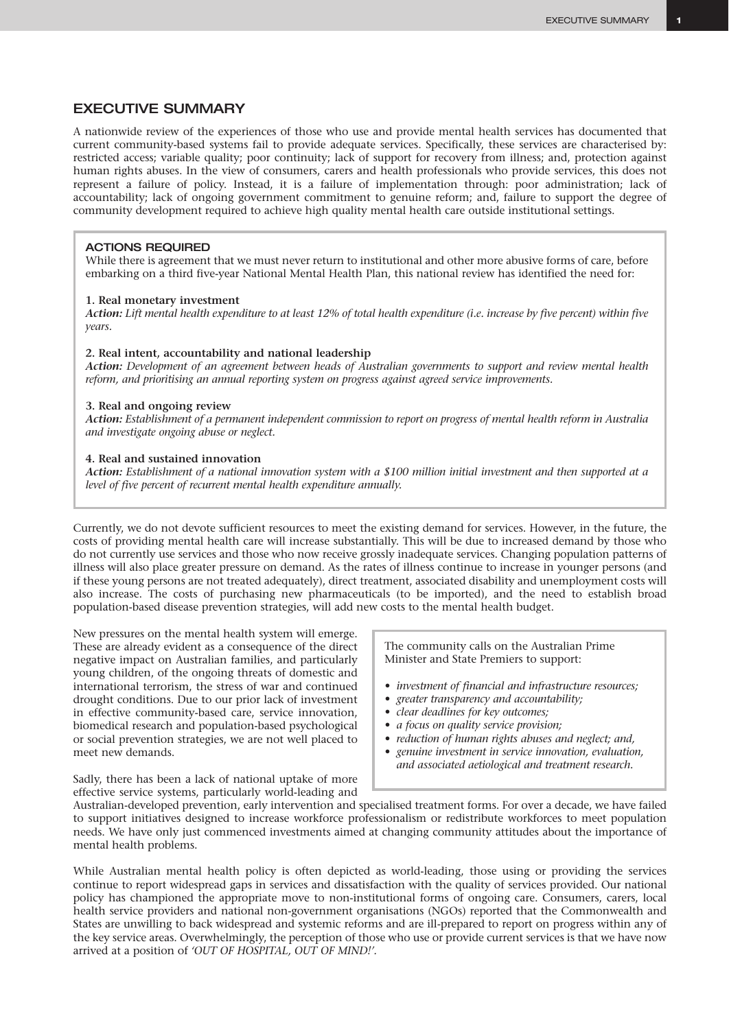# EXECUTIVE SUMMARY

A nationwide review of the experiences of those who use and provide mental health services has documented that current community-based systems fail to provide adequate services. Specifically, these services are characterised by: restricted access; variable quality; poor continuity; lack of support for recovery from illness; and, protection against human rights abuses. In the view of consumers, carers and health professionals who provide services, this does not represent a failure of policy. Instead, it is a failure of implementation through: poor administration; lack of accountability; lack of ongoing government commitment to genuine reform; and, failure to support the degree of community development required to achieve high quality mental health care outside institutional settings.

#### ACTIONS REQUIRED

While there is agreement that we must never return to institutional and other more abusive forms of care, before embarking on a third five-year National Mental Health Plan, this national review has identified the need for:

#### **1. Real monetary investment**

*Action: Lift mental health expenditure to at least 12% of total health expenditure (i.e. increase by five percent) within five years.*

#### **2. Real intent, accountability and national leadership**

*Action: Development of an agreement between heads of Australian governments to support and review mental health reform, and prioritising an annual reporting system on progress against agreed service improvements.*

#### **3. Real and ongoing review**

*Action: Establishment of a permanent independent commission to report on progress of mental health reform in Australia and investigate ongoing abuse or neglect.*

#### **4. Real and sustained innovation**

*Action: Establishment of a national innovation system with a \$100 million initial investment and then supported at a level of five percent of recurrent mental health expenditure annually.*

Currently, we do not devote sufficient resources to meet the existing demand for services. However, in the future, the costs of providing mental health care will increase substantially. This will be due to increased demand by those who do not currently use services and those who now receive grossly inadequate services. Changing population patterns of illness will also place greater pressure on demand. As the rates of illness continue to increase in younger persons (and if these young persons are not treated adequately), direct treatment, associated disability and unemployment costs will also increase. The costs of purchasing new pharmaceuticals (to be imported), and the need to establish broad population-based disease prevention strategies, will add new costs to the mental health budget.

New pressures on the mental health system will emerge. These are already evident as a consequence of the direct negative impact on Australian families, and particularly young children, of the ongoing threats of domestic and international terrorism, the stress of war and continued drought conditions. Due to our prior lack of investment in effective community-based care, service innovation, biomedical research and population-based psychological or social prevention strategies, we are not well placed to meet new demands.

The community calls on the Australian Prime Minister and State Premiers to support:

- *investment of financial and infrastructure resources;*
- *greater transparency and accountability;*
- *clear deadlines for key outcomes;*
- *a focus on quality service provision;*
- *reduction of human rights abuses and neglect; and,*
- *genuine investment in service innovation, evaluation, and associated aetiological and treatment research.*

Sadly, there has been a lack of national uptake of more effective service systems, particularly world-leading and

Australian-developed prevention, early intervention and specialised treatment forms. For over a decade, we have failed to support initiatives designed to increase workforce professionalism or redistribute workforces to meet population needs. We have only just commenced investments aimed at changing community attitudes about the importance of mental health problems.

While Australian mental health policy is often depicted as world-leading, those using or providing the services continue to report widespread gaps in services and dissatisfaction with the quality of services provided. Our national policy has championed the appropriate move to non-institutional forms of ongoing care. Consumers, carers, local health service providers and national non-government organisations (NGOs) reported that the Commonwealth and States are unwilling to back widespread and systemic reforms and are ill-prepared to report on progress within any of the key service areas. Overwhelmingly, the perception of those who use or provide current services is that we have now arrived at a position of *'OUT OF HOSPITAL, OUT OF MIND!'.*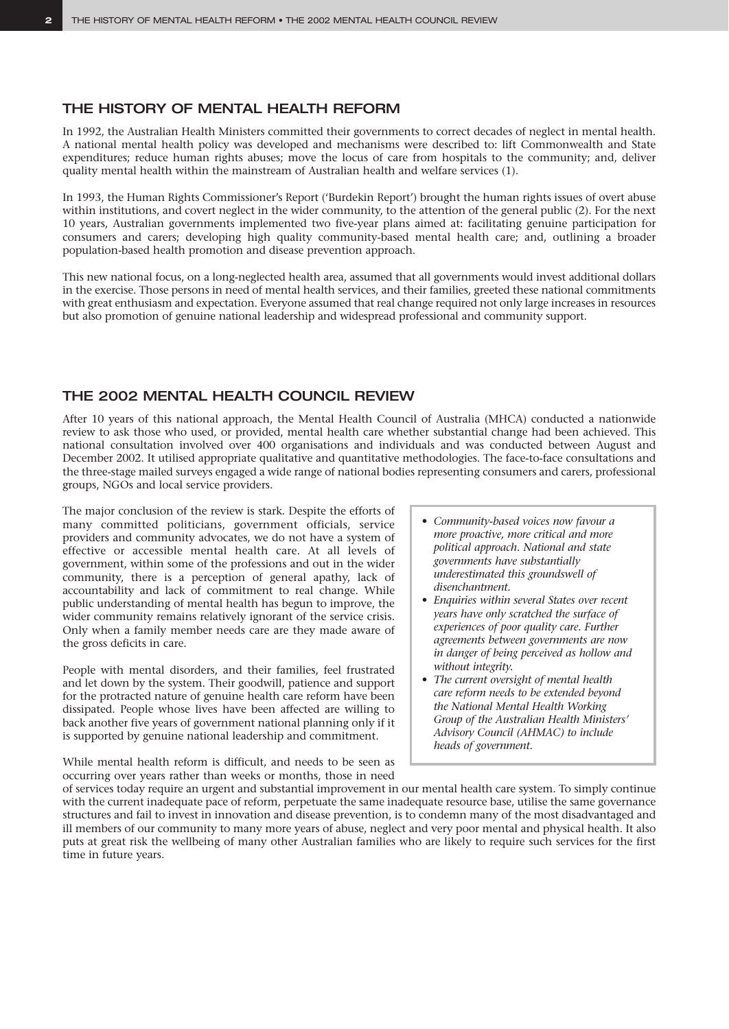# THE HISTORY OF MENTAL HEALTH REFORM

In 1992, the Australian Health Ministers committed their governments to correct decades of neglect in mental health. A national mental health policy was developed and mechanisms were described to: lift Commonwealth and State expenditures; reduce human rights abuses; move the locus of care from hospitals to the community; and, deliver quality mental health within the mainstream of Australian health and welfare services (1).

In 1993, the Human Rights Commissioner's Report ('Burdekin Report') brought the human rights issues of overt abuse within institutions, and covert neglect in the wider community, to the attention of the general public (2). For the next 10 years, Australian governments implemented two five-year plans aimed at: facilitating genuine participation for consumers and carers; developing high quality community-based mental health care; and, outlining a broader population-based health promotion and disease prevention approach.

This new national focus, on a long-neglected health area, assumed that all governments would invest additional dollars in the exercise. Those persons in need of mental health services, and their families, greeted these national commitments with great enthusiasm and expectation. Everyone assumed that real change required not only large increases in resources but also promotion of genuine national leadership and widespread professional and community support.

# THE 2002 MENTAL HEALTH COUNCIL REVIEW

After 10 years of this national approach, the Mental Health Council of Australia (MHCA) conducted a nationwide review to ask those who used, or provided, mental health care whether substantial change had been achieved. This national consultation involved over 400 organisations and individuals and was conducted between August and December 2002. It utilised appropriate qualitative and quantitative methodologies. The face-to-face consultations and the three-stage mailed surveys engaged a wide range of national bodies representing consumers and carers, professional groups, NGOs and local service providers.

The major conclusion of the review is stark. Despite the efforts of many committed politicians, government officials, service providers and community advocates, we do not have a system of effective or accessible mental health care. At all levels of government, within some of the professions and out in the wider community, there is a perception of general apathy, lack of accountability and lack of commitment to real change. While public understanding of mental health has begun to improve, the wider community remains relatively ignorant of the service crisis. Only when a family member needs care are they made aware of the gross deficits in care.

People with mental disorders, and their families, feel frustrated and let down by the system. Their goodwill, patience and support for the protracted nature of genuine health care reform have been dissipated. People whose lives have been affected are willing to back another five years of government national planning only if it is supported by genuine national leadership and commitment.

While mental health reform is difficult, and needs to be seen as occurring over years rather than weeks or months, those in need

- *Community-based voices now favour a more proactive, more critical and more political approach. National and state governments have substantially underestimated this groundswell of disenchantment.*
- *Enquiries within several States over recent years have only scratched the surface of experiences of poor quality care. Further agreements between governments are now in danger of being perceived as hollow and without integrity.*
- *The current oversight of mental health care reform needs to be extended beyond the National Mental Health Working Group of the Australian Health Ministers' Advisory Council (AHMAC) to include heads of government.*

of services today require an urgent and substantial improvement in our mental health care system. To simply continue with the current inadequate pace of reform, perpetuate the same inadequate resource base, utilise the same governance structures and fail to invest in innovation and disease prevention, is to condemn many of the most disadvantaged and ill members of our community to many more years of abuse, neglect and very poor mental and physical health. It also puts at great risk the wellbeing of many other Australian families who are likely to require such services for the first time in future years.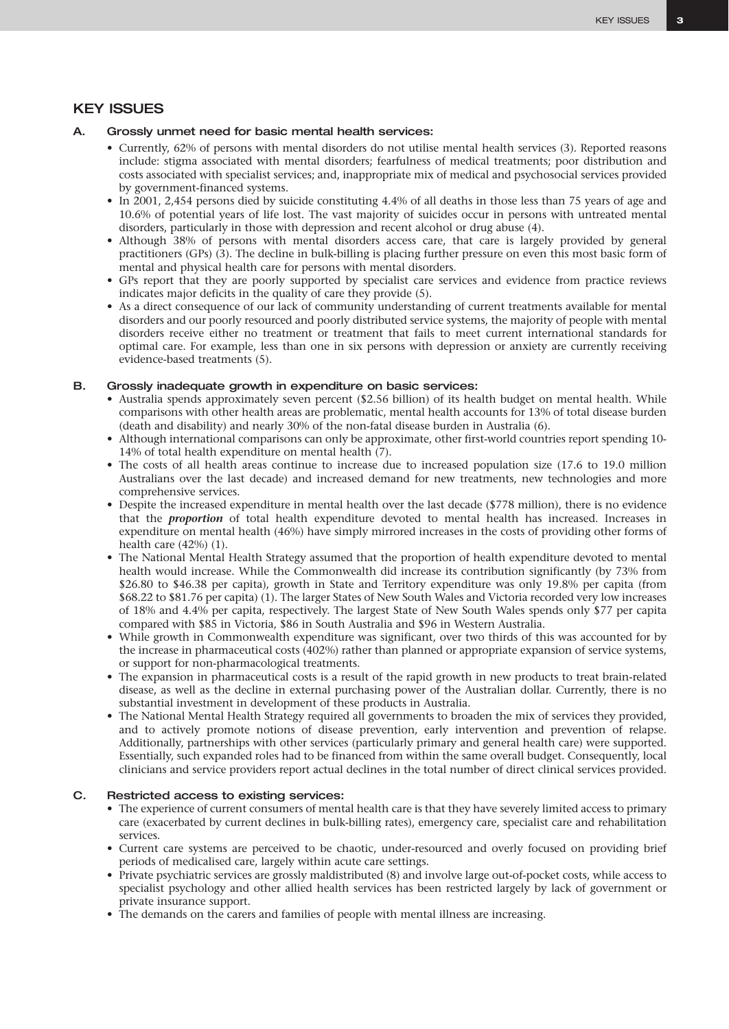# KEY ISSUES

#### A. Grossly unmet need for basic mental health services:

- Currently, 62% of persons with mental disorders do not utilise mental health services (3). Reported reasons include: stigma associated with mental disorders; fearfulness of medical treatments; poor distribution and costs associated with specialist services; and, inappropriate mix of medical and psychosocial services provided by government-financed systems.
- In 2001, 2,454 persons died by suicide constituting 4.4% of all deaths in those less than 75 years of age and 10.6% of potential years of life lost. The vast majority of suicides occur in persons with untreated mental disorders, particularly in those with depression and recent alcohol or drug abuse (4).
- Although 38% of persons with mental disorders access care, that care is largely provided by general practitioners (GPs) (3). The decline in bulk-billing is placing further pressure on even this most basic form of mental and physical health care for persons with mental disorders.
- GPs report that they are poorly supported by specialist care services and evidence from practice reviews indicates major deficits in the quality of care they provide (5).
- As a direct consequence of our lack of community understanding of current treatments available for mental disorders and our poorly resourced and poorly distributed service systems, the majority of people with mental disorders receive either no treatment or treatment that fails to meet current international standards for optimal care. For example, less than one in six persons with depression or anxiety are currently receiving evidence-based treatments (5).

#### B. Grossly inadequate growth in expenditure on basic services:

- Australia spends approximately seven percent (\$2.56 billion) of its health budget on mental health. While comparisons with other health areas are problematic, mental health accounts for 13% of total disease burden (death and disability) and nearly 30% of the non-fatal disease burden in Australia (6).
- Although international comparisons can only be approximate, other first-world countries report spending 10- 14% of total health expenditure on mental health (7).
- The costs of all health areas continue to increase due to increased population size (17.6 to 19.0 million Australians over the last decade) and increased demand for new treatments, new technologies and more comprehensive services.
- Despite the increased expenditure in mental health over the last decade (\$778 million), there is no evidence that the *proportion* of total health expenditure devoted to mental health has increased. Increases in expenditure on mental health (46%) have simply mirrored increases in the costs of providing other forms of health care (42%) (1).
- The National Mental Health Strategy assumed that the proportion of health expenditure devoted to mental health would increase. While the Commonwealth did increase its contribution significantly (by 73% from \$26.80 to \$46.38 per capita), growth in State and Territory expenditure was only 19.8% per capita (from \$68.22 to \$81.76 per capita) (1). The larger States of New South Wales and Victoria recorded very low increases of 18% and 4.4% per capita, respectively. The largest State of New South Wales spends only \$77 per capita compared with \$85 in Victoria, \$86 in South Australia and \$96 in Western Australia.
- While growth in Commonwealth expenditure was significant, over two thirds of this was accounted for by the increase in pharmaceutical costs (402%) rather than planned or appropriate expansion of service systems, or support for non-pharmacological treatments.
- The expansion in pharmaceutical costs is a result of the rapid growth in new products to treat brain-related disease, as well as the decline in external purchasing power of the Australian dollar. Currently, there is no substantial investment in development of these products in Australia.
- The National Mental Health Strategy required all governments to broaden the mix of services they provided, and to actively promote notions of disease prevention, early intervention and prevention of relapse. Additionally, partnerships with other services (particularly primary and general health care) were supported. Essentially, such expanded roles had to be financed from within the same overall budget. Consequently, local clinicians and service providers report actual declines in the total number of direct clinical services provided.

#### C. Restricted access to existing services:

- The experience of current consumers of mental health care is that they have severely limited access to primary care (exacerbated by current declines in bulk-billing rates), emergency care, specialist care and rehabilitation services.
- Current care systems are perceived to be chaotic, under-resourced and overly focused on providing brief periods of medicalised care, largely within acute care settings.
- Private psychiatric services are grossly maldistributed (8) and involve large out-of-pocket costs, while access to specialist psychology and other allied health services has been restricted largely by lack of government or private insurance support.
- The demands on the carers and families of people with mental illness are increasing.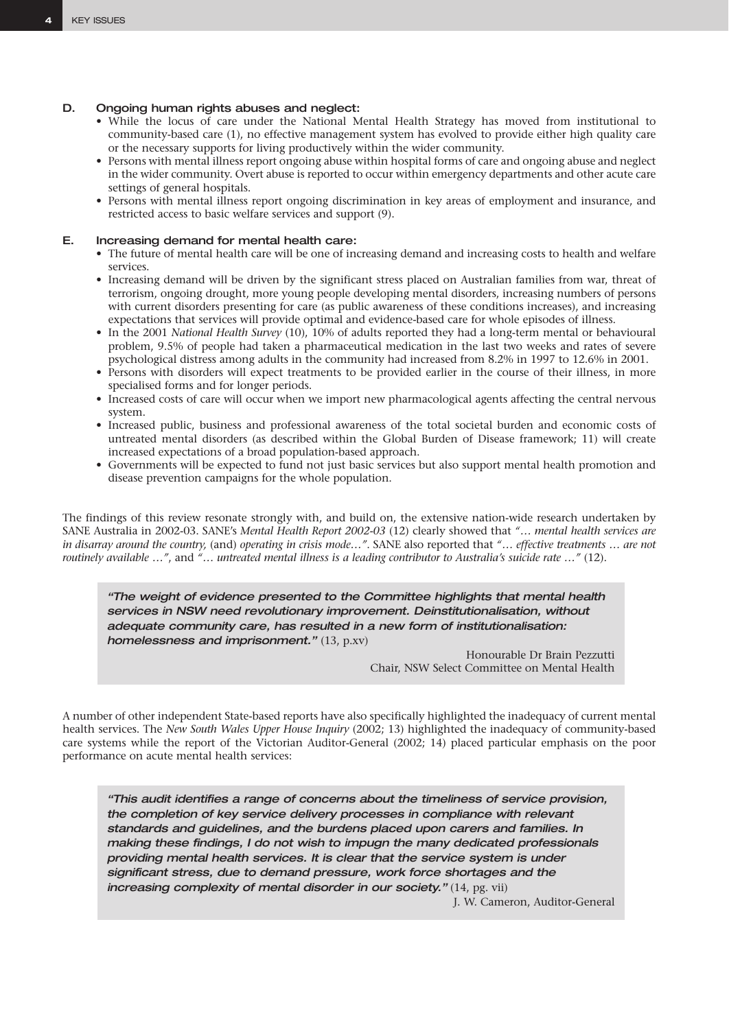#### D. Ongoing human rights abuses and neglect:

- While the locus of care under the National Mental Health Strategy has moved from institutional to community-based care (1), no effective management system has evolved to provide either high quality care or the necessary supports for living productively within the wider community.
- Persons with mental illness report ongoing abuse within hospital forms of care and ongoing abuse and neglect in the wider community. Overt abuse is reported to occur within emergency departments and other acute care settings of general hospitals.
- Persons with mental illness report ongoing discrimination in key areas of employment and insurance, and restricted access to basic welfare services and support (9).

#### E. Increasing demand for mental health care:

- The future of mental health care will be one of increasing demand and increasing costs to health and welfare services.
- Increasing demand will be driven by the significant stress placed on Australian families from war, threat of terrorism, ongoing drought, more young people developing mental disorders, increasing numbers of persons with current disorders presenting for care (as public awareness of these conditions increases), and increasing expectations that services will provide optimal and evidence-based care for whole episodes of illness.
- In the 2001 *National Health Survey* (10), 10% of adults reported they had a long-term mental or behavioural problem, 9.5% of people had taken a pharmaceutical medication in the last two weeks and rates of severe psychological distress among adults in the community had increased from 8.2% in 1997 to 12.6% in 2001.
- Persons with disorders will expect treatments to be provided earlier in the course of their illness, in more specialised forms and for longer periods.
- Increased costs of care will occur when we import new pharmacological agents affecting the central nervous system.
- Increased public, business and professional awareness of the total societal burden and economic costs of untreated mental disorders (as described within the Global Burden of Disease framework; 11) will create increased expectations of a broad population-based approach.
- Governments will be expected to fund not just basic services but also support mental health promotion and disease prevention campaigns for the whole population.

The findings of this review resonate strongly with, and build on, the extensive nation-wide research undertaken by SANE Australia in 2002-03. SANE's *Mental Health Report 2002-03* (12) clearly showed that *"… mental health services are in disarray around the country,* (and) *operating in crisis mode…"*. SANE also reported that *"… effective treatments … are not routinely available …"*, and *"… untreated mental illness is a leading contributor to Australia's suicide rate …"* (12).

*"The weight of evidence presented to the Committee highlights that mental health services in NSW need revolutionary improvement. Deinstitutionalisation, without adequate community care, has resulted in a new form of institutionalisation: homelessness and imprisonment."* (13, p.xv)

> Honourable Dr Brain Pezzutti Chair, NSW Select Committee on Mental Health

A number of other independent State-based reports have also specifically highlighted the inadequacy of current mental health services. The *New South Wales Upper House Inquiry* (2002; 13) highlighted the inadequacy of community-based care systems while the report of the Victorian Auditor-General (2002; 14) placed particular emphasis on the poor performance on acute mental health services:

*"This audit identifies a range of concerns about the timeliness of service provision, the completion of key service delivery processes in compliance with relevant standards and guidelines, and the burdens placed upon carers and families. In making these findings, I do not wish to impugn the many dedicated professionals providing mental health services. It is clear that the service system is under significant stress, due to demand pressure, work force shortages and the increasing complexity of mental disorder in our society."* (14, pg. vii)

J. W. Cameron, Auditor-General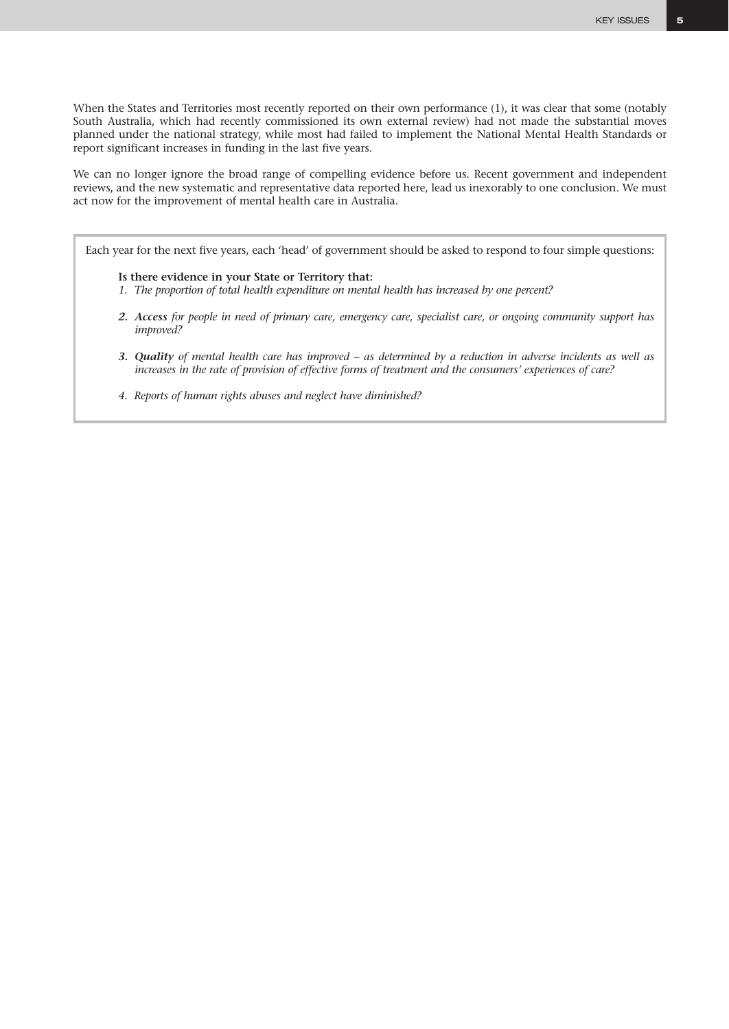When the States and Territories most recently reported on their own performance (1), it was clear that some (notably South Australia, which had recently commissioned its own external review) had not made the substantial moves planned under the national strategy, while most had failed to implement the National Mental Health Standards or report significant increases in funding in the last five years.

We can no longer ignore the broad range of compelling evidence before us. Recent government and independent reviews, and the new systematic and representative data reported here, lead us inexorably to one conclusion. We must act now for the improvement of mental health care in Australia.

Each year for the next five years, each 'head' of government should be asked to respond to four simple questions:

**Is there evidence in your State or Territory that:**

- *1. The proportion of total health expenditure on mental health has increased by one percent?*
- *2. Access for people in need of primary care, emergency care, specialist care, or ongoing community support has improved?*
- *3. Quality of mental health care has improved as determined by a reduction in adverse incidents as well as increases in the rate of provision of effective forms of treatment and the consumers' experiences of care?*
- *4. Reports of human rights abuses and neglect have diminished?*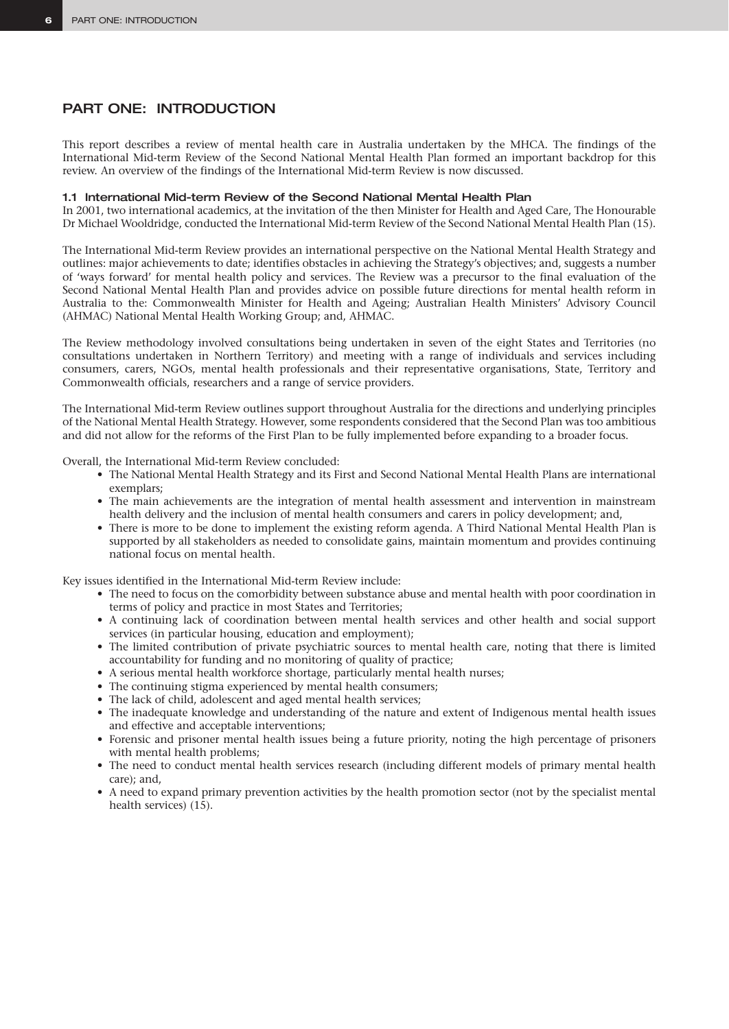# PART ONE: INTRODUCTION

This report describes a review of mental health care in Australia undertaken by the MHCA. The findings of the International Mid-term Review of the Second National Mental Health Plan formed an important backdrop for this review. An overview of the findings of the International Mid-term Review is now discussed.

#### 1.1 International Mid-term Review of the Second National Mental Health Plan

In 2001, two international academics, at the invitation of the then Minister for Health and Aged Care, The Honourable Dr Michael Wooldridge, conducted the International Mid-term Review of the Second National Mental Health Plan (15).

The International Mid-term Review provides an international perspective on the National Mental Health Strategy and outlines: major achievements to date; identifies obstacles in achieving the Strategy's objectives; and, suggests a number of 'ways forward' for mental health policy and services. The Review was a precursor to the final evaluation of the Second National Mental Health Plan and provides advice on possible future directions for mental health reform in Australia to the: Commonwealth Minister for Health and Ageing; Australian Health Ministers' Advisory Council (AHMAC) National Mental Health Working Group; and, AHMAC.

The Review methodology involved consultations being undertaken in seven of the eight States and Territories (no consultations undertaken in Northern Territory) and meeting with a range of individuals and services including consumers, carers, NGOs, mental health professionals and their representative organisations, State, Territory and Commonwealth officials, researchers and a range of service providers.

The International Mid-term Review outlines support throughout Australia for the directions and underlying principles of the National Mental Health Strategy. However, some respondents considered that the Second Plan was too ambitious and did not allow for the reforms of the First Plan to be fully implemented before expanding to a broader focus.

Overall, the International Mid-term Review concluded:

- The National Mental Health Strategy and its First and Second National Mental Health Plans are international exemplars;
- The main achievements are the integration of mental health assessment and intervention in mainstream health delivery and the inclusion of mental health consumers and carers in policy development; and,
- There is more to be done to implement the existing reform agenda. A Third National Mental Health Plan is supported by all stakeholders as needed to consolidate gains, maintain momentum and provides continuing national focus on mental health.

Key issues identified in the International Mid-term Review include:

- The need to focus on the comorbidity between substance abuse and mental health with poor coordination in terms of policy and practice in most States and Territories;
- A continuing lack of coordination between mental health services and other health and social support services (in particular housing, education and employment);
- The limited contribution of private psychiatric sources to mental health care, noting that there is limited accountability for funding and no monitoring of quality of practice;
- A serious mental health workforce shortage, particularly mental health nurses;
- The continuing stigma experienced by mental health consumers;
- The lack of child, adolescent and aged mental health services;
- The inadequate knowledge and understanding of the nature and extent of Indigenous mental health issues and effective and acceptable interventions;
- Forensic and prisoner mental health issues being a future priority, noting the high percentage of prisoners with mental health problems;
- The need to conduct mental health services research (including different models of primary mental health care); and,
- A need to expand primary prevention activities by the health promotion sector (not by the specialist mental health services) (15).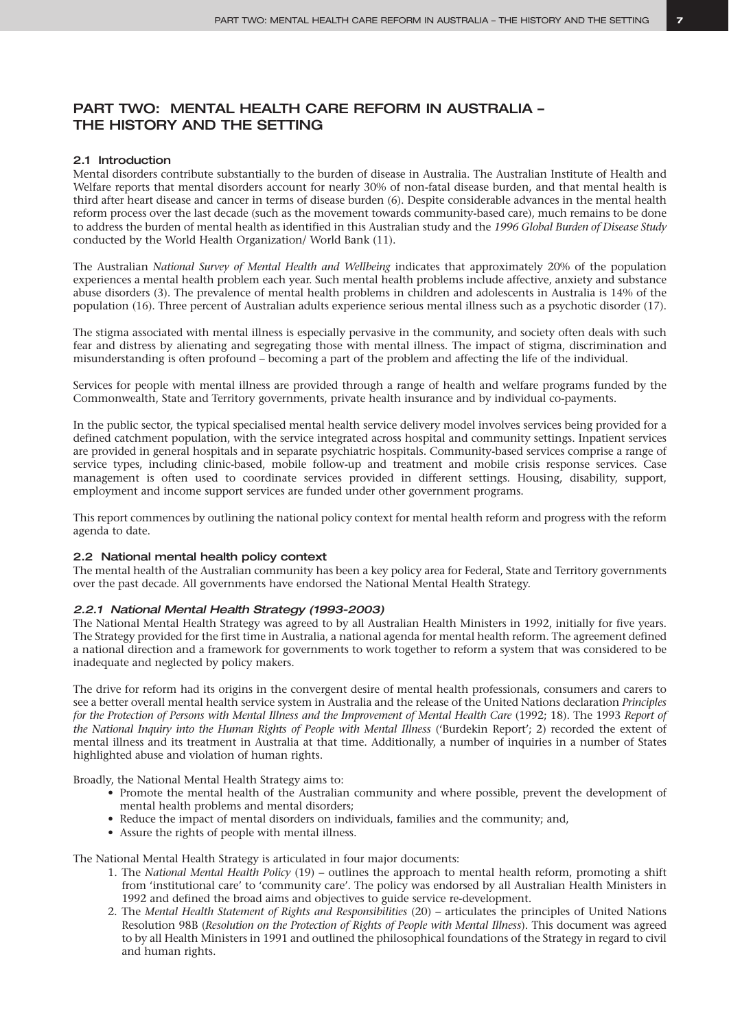# PART TWO: MENTAL HEALTH CARE REFORM IN AUSTRALIA – THE HISTORY AND THE SETTING

#### 2.1 Introduction

Mental disorders contribute substantially to the burden of disease in Australia. The Australian Institute of Health and Welfare reports that mental disorders account for nearly 30% of non-fatal disease burden, and that mental health is third after heart disease and cancer in terms of disease burden (6). Despite considerable advances in the mental health reform process over the last decade (such as the movement towards community-based care), much remains to be done to address the burden of mental health as identified in this Australian study and the *1996 Global Burden of Disease Study* conducted by the World Health Organization/ World Bank (11).

The Australian *National Survey of Mental Health and Wellbeing* indicates that approximately 20% of the population experiences a mental health problem each year. Such mental health problems include affective, anxiety and substance abuse disorders (3). The prevalence of mental health problems in children and adolescents in Australia is 14% of the population (16). Three percent of Australian adults experience serious mental illness such as a psychotic disorder (17).

The stigma associated with mental illness is especially pervasive in the community, and society often deals with such fear and distress by alienating and segregating those with mental illness. The impact of stigma, discrimination and misunderstanding is often profound – becoming a part of the problem and affecting the life of the individual.

Services for people with mental illness are provided through a range of health and welfare programs funded by the Commonwealth, State and Territory governments, private health insurance and by individual co-payments.

In the public sector, the typical specialised mental health service delivery model involves services being provided for a defined catchment population, with the service integrated across hospital and community settings. Inpatient services are provided in general hospitals and in separate psychiatric hospitals. Community-based services comprise a range of service types, including clinic-based, mobile follow-up and treatment and mobile crisis response services. Case management is often used to coordinate services provided in different settings. Housing, disability, support, employment and income support services are funded under other government programs.

This report commences by outlining the national policy context for mental health reform and progress with the reform agenda to date.

#### 2.2 National mental health policy context

The mental health of the Australian community has been a key policy area for Federal, State and Territory governments over the past decade. All governments have endorsed the National Mental Health Strategy.

#### *2.2.1 National Mental Health Strategy (1993-2003)*

The National Mental Health Strategy was agreed to by all Australian Health Ministers in 1992, initially for five years. The Strategy provided for the first time in Australia, a national agenda for mental health reform. The agreement defined a national direction and a framework for governments to work together to reform a system that was considered to be inadequate and neglected by policy makers.

The drive for reform had its origins in the convergent desire of mental health professionals, consumers and carers to see a better overall mental health service system in Australia and the release of the United Nations declaration *Principles for the Protection of Persons with Mental Illness and the Improvement of Mental Health Care (1992; 18). The 1993 Report of the National Inquiry into the Human Rights of People with Mental Illness* ('Burdekin Report'; 2) recorded the extent of mental illness and its treatment in Australia at that time. Additionally, a number of inquiries in a number of States highlighted abuse and violation of human rights.

Broadly, the National Mental Health Strategy aims to:

- Promote the mental health of the Australian community and where possible, prevent the development of mental health problems and mental disorders;
- Reduce the impact of mental disorders on individuals, families and the community; and,
- Assure the rights of people with mental illness.

The National Mental Health Strategy is articulated in four major documents:

- 1. The *National Mental Health Policy* (19) outlines the approach to mental health reform, promoting a shift from 'institutional care' to 'community care'. The policy was endorsed by all Australian Health Ministers in 1992 and defined the broad aims and objectives to guide service re-development.
- 2. The *Mental Health Statement of Rights and Responsibilities* (20) articulates the principles of United Nations Resolution 98B (*Resolution on the Protection of Rights of People with Mental Illness*). This document was agreed to by all Health Ministers in 1991 and outlined the philosophical foundations of the Strategy in regard to civil and human rights.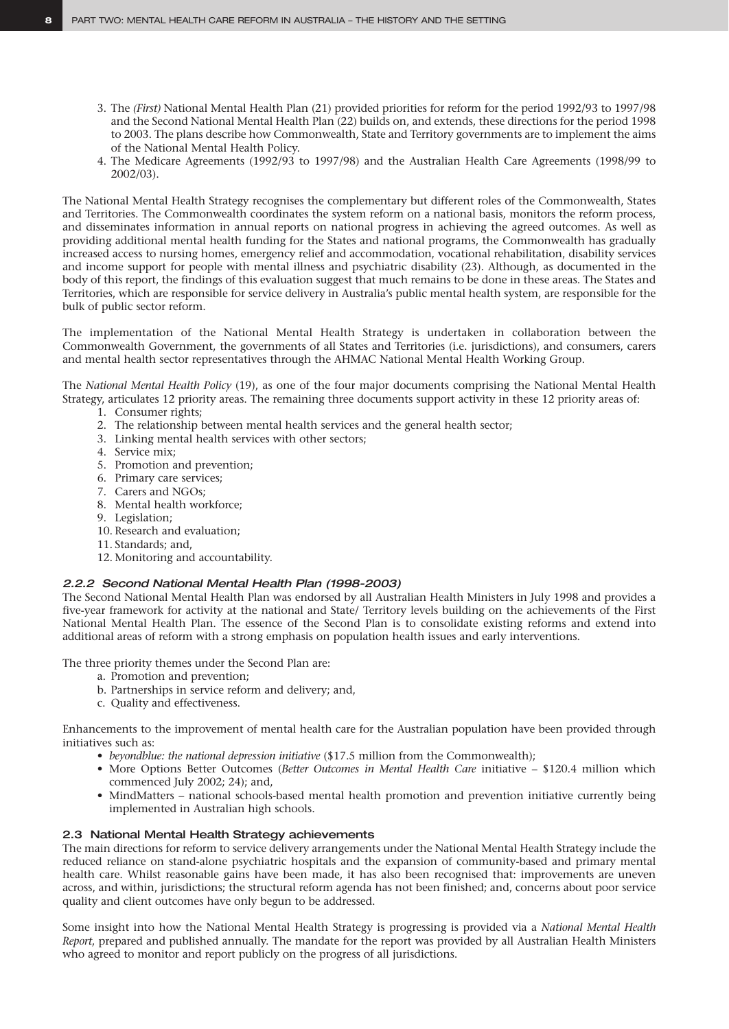- 3. The *(First)* National Mental Health Plan (21) provided priorities for reform for the period 1992/93 to 1997/98 and the Second National Mental Health Plan (22) builds on, and extends, these directions for the period 1998 to 2003. The plans describe how Commonwealth, State and Territory governments are to implement the aims of the National Mental Health Policy.
- 4. The Medicare Agreements (1992/93 to 1997/98) and the Australian Health Care Agreements (1998/99 to 2002/03).

The National Mental Health Strategy recognises the complementary but different roles of the Commonwealth, States and Territories. The Commonwealth coordinates the system reform on a national basis, monitors the reform process, and disseminates information in annual reports on national progress in achieving the agreed outcomes. As well as providing additional mental health funding for the States and national programs, the Commonwealth has gradually increased access to nursing homes, emergency relief and accommodation, vocational rehabilitation, disability services and income support for people with mental illness and psychiatric disability (23). Although, as documented in the body of this report, the findings of this evaluation suggest that much remains to be done in these areas. The States and Territories, which are responsible for service delivery in Australia's public mental health system, are responsible for the bulk of public sector reform.

The implementation of the National Mental Health Strategy is undertaken in collaboration between the Commonwealth Government, the governments of all States and Territories (i.e. jurisdictions), and consumers, carers and mental health sector representatives through the AHMAC National Mental Health Working Group.

The *National Mental Health Policy* (19), as one of the four major documents comprising the National Mental Health Strategy, articulates 12 priority areas. The remaining three documents support activity in these 12 priority areas of:

- 1. Consumer rights;
- 2. The relationship between mental health services and the general health sector;
- 3. Linking mental health services with other sectors;
- 4. Service mix;
- 5. Promotion and prevention;
- 6. Primary care services;
- 7. Carers and NGOs;
- 8. Mental health workforce;
- 9. Legislation;
- 10. Research and evaluation;
- 11. Standards; and,
- 12. Monitoring and accountability.

#### *2.2.2 Second National Mental Health Plan (1998-2003)*

The Second National Mental Health Plan was endorsed by all Australian Health Ministers in July 1998 and provides a five-year framework for activity at the national and State/ Territory levels building on the achievements of the First National Mental Health Plan. The essence of the Second Plan is to consolidate existing reforms and extend into additional areas of reform with a strong emphasis on population health issues and early interventions.

The three priority themes under the Second Plan are:

- a. Promotion and prevention;
- b. Partnerships in service reform and delivery; and,
- c. Quality and effectiveness.

Enhancements to the improvement of mental health care for the Australian population have been provided through initiatives such as:

- *beyondblue: the national depression initiative* (\$17.5 million from the Commonwealth);
- More Options Better Outcomes (*Better Outcomes in Mental Health Care* initiative \$120.4 million which commenced July 2002; 24); and,
- MindMatters national schools-based mental health promotion and prevention initiative currently being implemented in Australian high schools.

#### 2.3 National Mental Health Strategy achievements

The main directions for reform to service delivery arrangements under the National Mental Health Strategy include the reduced reliance on stand-alone psychiatric hospitals and the expansion of community-based and primary mental health care. Whilst reasonable gains have been made, it has also been recognised that: improvements are uneven across, and within, jurisdictions; the structural reform agenda has not been finished; and, concerns about poor service quality and client outcomes have only begun to be addressed.

Some insight into how the National Mental Health Strategy is progressing is provided via a *National Mental Health Report*, prepared and published annually. The mandate for the report was provided by all Australian Health Ministers who agreed to monitor and report publicly on the progress of all jurisdictions.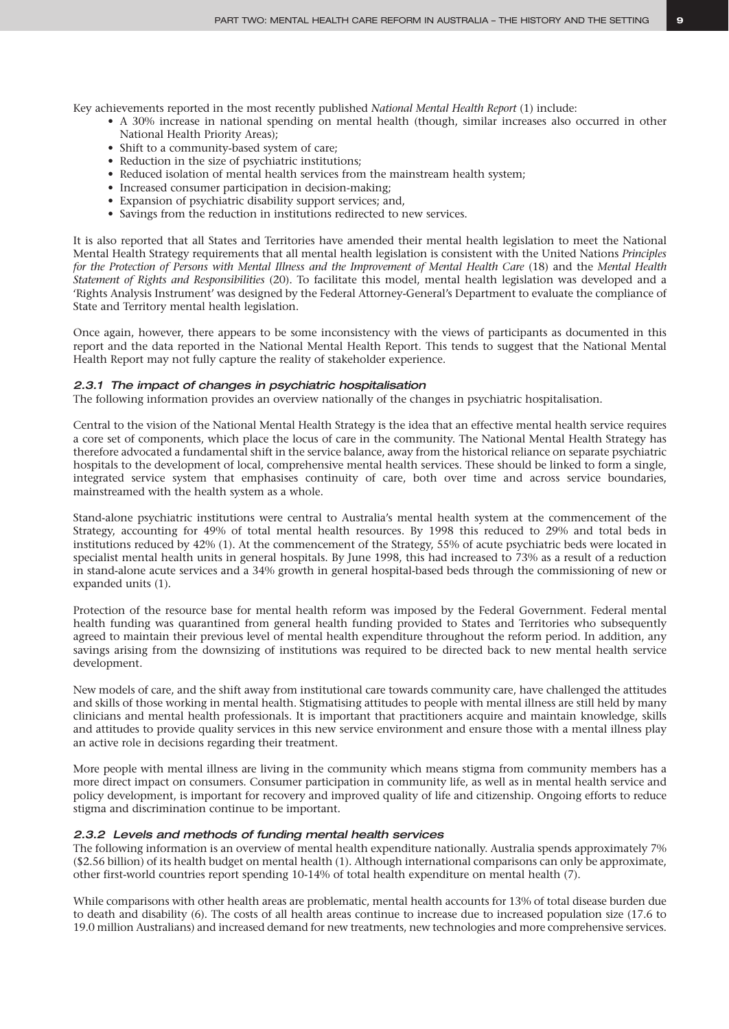Key achievements reported in the most recently published *National Mental Health Report* (1) include:

- A 30% increase in national spending on mental health (though, similar increases also occurred in other National Health Priority Areas);
- Shift to a community-based system of care;
- Reduction in the size of psychiatric institutions;
- Reduced isolation of mental health services from the mainstream health system;
- Increased consumer participation in decision-making;
- Expansion of psychiatric disability support services; and,
- Savings from the reduction in institutions redirected to new services.

It is also reported that all States and Territories have amended their mental health legislation to meet the National Mental Health Strategy requirements that all mental health legislation is consistent with the United Nations *Principles for the Protection of Persons with Mental Illness and the Improvement of Mental Health Care* (18) and the *Mental Health Statement of Rights and Responsibilities* (20). To facilitate this model, mental health legislation was developed and a 'Rights Analysis Instrument' was designed by the Federal Attorney-General's Department to evaluate the compliance of State and Territory mental health legislation.

Once again, however, there appears to be some inconsistency with the views of participants as documented in this report and the data reported in the National Mental Health Report. This tends to suggest that the National Mental Health Report may not fully capture the reality of stakeholder experience.

#### *2.3.1 The impact of changes in psychiatric hospitalisation*

The following information provides an overview nationally of the changes in psychiatric hospitalisation.

Central to the vision of the National Mental Health Strategy is the idea that an effective mental health service requires a core set of components, which place the locus of care in the community. The National Mental Health Strategy has therefore advocated a fundamental shift in the service balance, away from the historical reliance on separate psychiatric hospitals to the development of local, comprehensive mental health services. These should be linked to form a single, integrated service system that emphasises continuity of care, both over time and across service boundaries, mainstreamed with the health system as a whole.

Stand-alone psychiatric institutions were central to Australia's mental health system at the commencement of the Strategy, accounting for 49% of total mental health resources. By 1998 this reduced to 29% and total beds in institutions reduced by 42% (1). At the commencement of the Strategy, 55% of acute psychiatric beds were located in specialist mental health units in general hospitals. By June 1998, this had increased to 73% as a result of a reduction in stand-alone acute services and a 34% growth in general hospital-based beds through the commissioning of new or expanded units (1).

Protection of the resource base for mental health reform was imposed by the Federal Government. Federal mental health funding was quarantined from general health funding provided to States and Territories who subsequently agreed to maintain their previous level of mental health expenditure throughout the reform period. In addition, any savings arising from the downsizing of institutions was required to be directed back to new mental health service development.

New models of care, and the shift away from institutional care towards community care, have challenged the attitudes and skills of those working in mental health. Stigmatising attitudes to people with mental illness are still held by many clinicians and mental health professionals. It is important that practitioners acquire and maintain knowledge, skills and attitudes to provide quality services in this new service environment and ensure those with a mental illness play an active role in decisions regarding their treatment.

More people with mental illness are living in the community which means stigma from community members has a more direct impact on consumers. Consumer participation in community life, as well as in mental health service and policy development, is important for recovery and improved quality of life and citizenship. Ongoing efforts to reduce stigma and discrimination continue to be important.

#### *2.3.2 Levels and methods of funding mental health services*

The following information is an overview of mental health expenditure nationally. Australia spends approximately 7% (\$2.56 billion) of its health budget on mental health (1). Although international comparisons can only be approximate, other first-world countries report spending 10-14% of total health expenditure on mental health (7).

While comparisons with other health areas are problematic, mental health accounts for 13% of total disease burden due to death and disability (6). The costs of all health areas continue to increase due to increased population size (17.6 to 19.0 million Australians) and increased demand for new treatments, new technologies and more comprehensive services.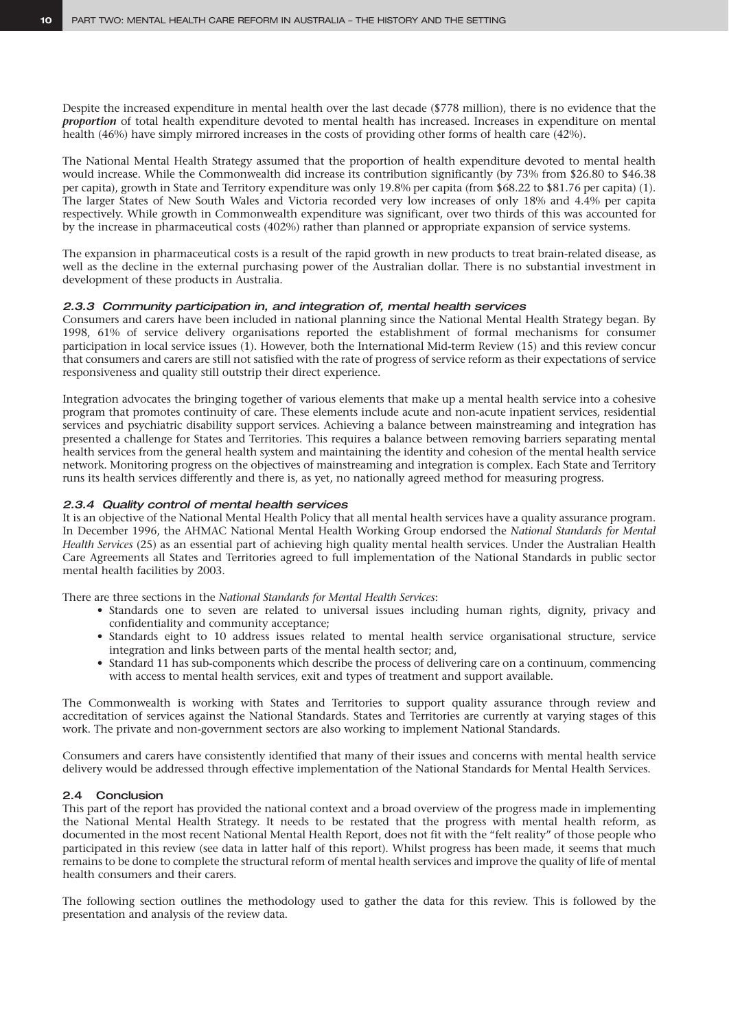Despite the increased expenditure in mental health over the last decade (\$778 million), there is no evidence that the *proportion* of total health expenditure devoted to mental health has increased. Increases in expenditure on mental health (46%) have simply mirrored increases in the costs of providing other forms of health care (42%).

The National Mental Health Strategy assumed that the proportion of health expenditure devoted to mental health would increase. While the Commonwealth did increase its contribution significantly (by 73% from \$26.80 to \$46.38 per capita), growth in State and Territory expenditure was only 19.8% per capita (from \$68.22 to \$81.76 per capita) (1). The larger States of New South Wales and Victoria recorded very low increases of only 18% and 4.4% per capita respectively. While growth in Commonwealth expenditure was significant, over two thirds of this was accounted for by the increase in pharmaceutical costs (402%) rather than planned or appropriate expansion of service systems.

The expansion in pharmaceutical costs is a result of the rapid growth in new products to treat brain-related disease, as well as the decline in the external purchasing power of the Australian dollar. There is no substantial investment in development of these products in Australia.

#### *2.3.3 Community participation in, and integration of, mental health services*

Consumers and carers have been included in national planning since the National Mental Health Strategy began. By 1998, 61% of service delivery organisations reported the establishment of formal mechanisms for consumer participation in local service issues (1). However, both the International Mid-term Review (15) and this review concur that consumers and carers are still not satisfied with the rate of progress of service reform as their expectations of service responsiveness and quality still outstrip their direct experience.

Integration advocates the bringing together of various elements that make up a mental health service into a cohesive program that promotes continuity of care. These elements include acute and non-acute inpatient services, residential services and psychiatric disability support services. Achieving a balance between mainstreaming and integration has presented a challenge for States and Territories. This requires a balance between removing barriers separating mental health services from the general health system and maintaining the identity and cohesion of the mental health service network. Monitoring progress on the objectives of mainstreaming and integration is complex. Each State and Territory runs its health services differently and there is, as yet, no nationally agreed method for measuring progress.

#### *2.3.4 Quality control of mental health services*

It is an objective of the National Mental Health Policy that all mental health services have a quality assurance program. In December 1996, the AHMAC National Mental Health Working Group endorsed the *National Standards for Mental Health Services* (25) as an essential part of achieving high quality mental health services. Under the Australian Health Care Agreements all States and Territories agreed to full implementation of the National Standards in public sector mental health facilities by 2003.

There are three sections in the *National Standards for Mental Health Services*:

- Standards one to seven are related to universal issues including human rights, dignity, privacy and confidentiality and community acceptance;
- Standards eight to 10 address issues related to mental health service organisational structure, service integration and links between parts of the mental health sector; and,
- Standard 11 has sub-components which describe the process of delivering care on a continuum, commencing with access to mental health services, exit and types of treatment and support available.

The Commonwealth is working with States and Territories to support quality assurance through review and accreditation of services against the National Standards. States and Territories are currently at varying stages of this work. The private and non-government sectors are also working to implement National Standards.

Consumers and carers have consistently identified that many of their issues and concerns with mental health service delivery would be addressed through effective implementation of the National Standards for Mental Health Services.

#### 2.4 Conclusion

This part of the report has provided the national context and a broad overview of the progress made in implementing the National Mental Health Strategy. It needs to be restated that the progress with mental health reform, as documented in the most recent National Mental Health Report, does not fit with the "felt reality" of those people who participated in this review (see data in latter half of this report). Whilst progress has been made, it seems that much remains to be done to complete the structural reform of mental health services and improve the quality of life of mental health consumers and their carers.

The following section outlines the methodology used to gather the data for this review. This is followed by the presentation and analysis of the review data.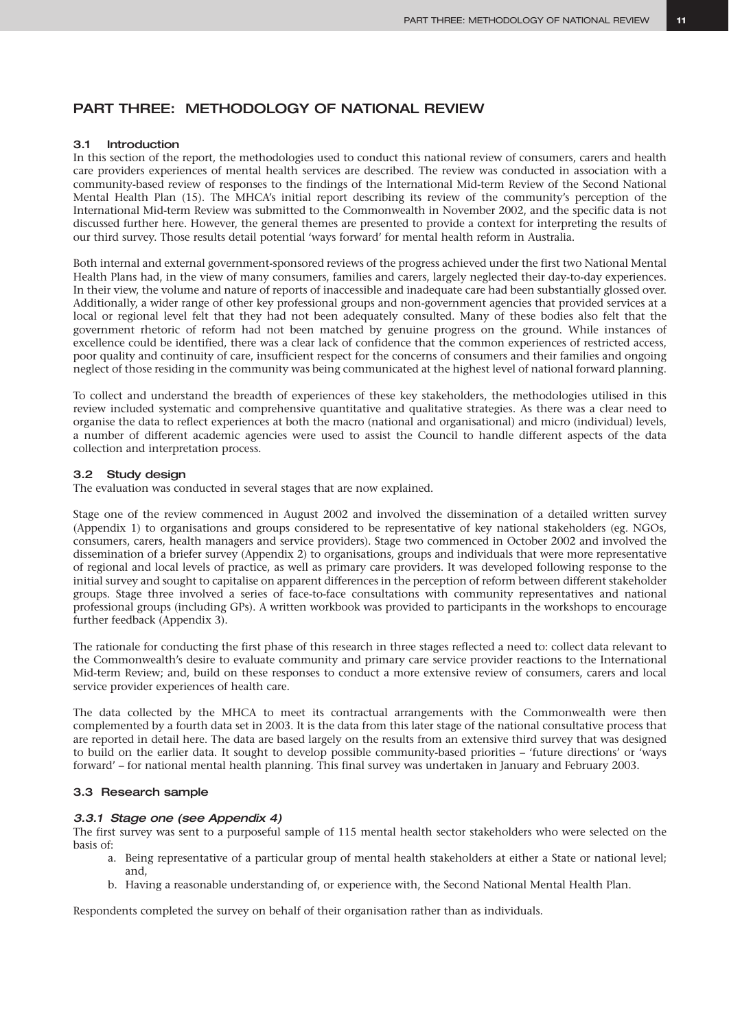# PART THREE: METHODOLOGY OF NATIONAL REVIEW

#### 3.1 Introduction

In this section of the report, the methodologies used to conduct this national review of consumers, carers and health care providers experiences of mental health services are described. The review was conducted in association with a community-based review of responses to the findings of the International Mid-term Review of the Second National Mental Health Plan (15). The MHCA's initial report describing its review of the community's perception of the International Mid-term Review was submitted to the Commonwealth in November 2002, and the specific data is not discussed further here. However, the general themes are presented to provide a context for interpreting the results of our third survey. Those results detail potential 'ways forward' for mental health reform in Australia.

Both internal and external government-sponsored reviews of the progress achieved under the first two National Mental Health Plans had, in the view of many consumers, families and carers, largely neglected their day-to-day experiences. In their view, the volume and nature of reports of inaccessible and inadequate care had been substantially glossed over. Additionally, a wider range of other key professional groups and non-government agencies that provided services at a local or regional level felt that they had not been adequately consulted. Many of these bodies also felt that the government rhetoric of reform had not been matched by genuine progress on the ground. While instances of excellence could be identified, there was a clear lack of confidence that the common experiences of restricted access, poor quality and continuity of care, insufficient respect for the concerns of consumers and their families and ongoing neglect of those residing in the community was being communicated at the highest level of national forward planning.

To collect and understand the breadth of experiences of these key stakeholders, the methodologies utilised in this review included systematic and comprehensive quantitative and qualitative strategies. As there was a clear need to organise the data to reflect experiences at both the macro (national and organisational) and micro (individual) levels, a number of different academic agencies were used to assist the Council to handle different aspects of the data collection and interpretation process.

#### 3.2 Study design

The evaluation was conducted in several stages that are now explained.

Stage one of the review commenced in August 2002 and involved the dissemination of a detailed written survey (Appendix 1) to organisations and groups considered to be representative of key national stakeholders (eg. NGOs, consumers, carers, health managers and service providers). Stage two commenced in October 2002 and involved the dissemination of a briefer survey (Appendix 2) to organisations, groups and individuals that were more representative of regional and local levels of practice, as well as primary care providers. It was developed following response to the initial survey and sought to capitalise on apparent differences in the perception of reform between different stakeholder groups. Stage three involved a series of face-to-face consultations with community representatives and national professional groups (including GPs). A written workbook was provided to participants in the workshops to encourage further feedback (Appendix 3).

The rationale for conducting the first phase of this research in three stages reflected a need to: collect data relevant to the Commonwealth's desire to evaluate community and primary care service provider reactions to the International Mid-term Review; and, build on these responses to conduct a more extensive review of consumers, carers and local service provider experiences of health care.

The data collected by the MHCA to meet its contractual arrangements with the Commonwealth were then complemented by a fourth data set in 2003. It is the data from this later stage of the national consultative process that are reported in detail here. The data are based largely on the results from an extensive third survey that was designed to build on the earlier data. It sought to develop possible community-based priorities – 'future directions' or 'ways forward' – for national mental health planning. This final survey was undertaken in January and February 2003.

#### 3.3 Research sample

#### *3.3.1 Stage one (see Appendix 4)*

The first survey was sent to a purposeful sample of 115 mental health sector stakeholders who were selected on the basis of:

- a. Being representative of a particular group of mental health stakeholders at either a State or national level; and,
- b. Having a reasonable understanding of, or experience with, the Second National Mental Health Plan.

Respondents completed the survey on behalf of their organisation rather than as individuals.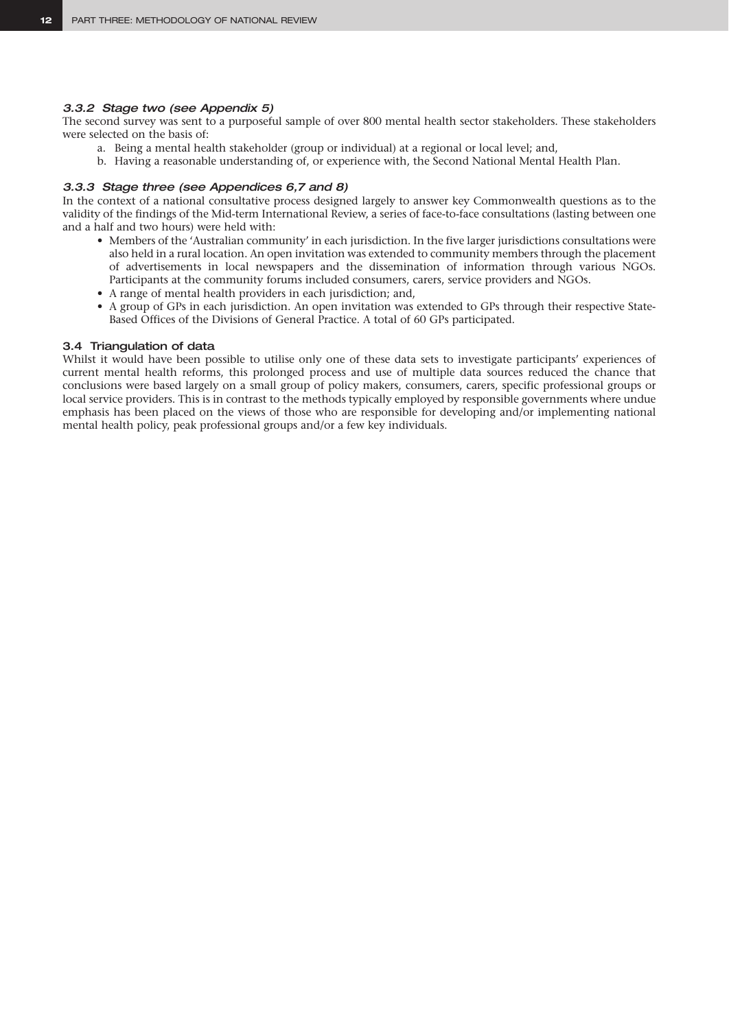#### *3.3.2 Stage two (see Appendix 5)*

The second survey was sent to a purposeful sample of over 800 mental health sector stakeholders. These stakeholders were selected on the basis of:

- a. Being a mental health stakeholder (group or individual) at a regional or local level; and,
- b. Having a reasonable understanding of, or experience with, the Second National Mental Health Plan.

## *3.3.3 Stage three (see Appendices 6,7 and 8)*

In the context of a national consultative process designed largely to answer key Commonwealth questions as to the validity of the findings of the Mid-term International Review, a series of face-to-face consultations (lasting between one and a half and two hours) were held with:

- Members of the 'Australian community' in each jurisdiction. In the five larger jurisdictions consultations were also held in a rural location. An open invitation was extended to community members through the placement of advertisements in local newspapers and the dissemination of information through various NGOs. Participants at the community forums included consumers, carers, service providers and NGOs.
- A range of mental health providers in each jurisdiction; and,
- A group of GPs in each jurisdiction. An open invitation was extended to GPs through their respective State-Based Offices of the Divisions of General Practice. A total of 60 GPs participated.

#### 3.4 Triangulation of data

Whilst it would have been possible to utilise only one of these data sets to investigate participants' experiences of current mental health reforms, this prolonged process and use of multiple data sources reduced the chance that conclusions were based largely on a small group of policy makers, consumers, carers, specific professional groups or local service providers. This is in contrast to the methods typically employed by responsible governments where undue emphasis has been placed on the views of those who are responsible for developing and/or implementing national mental health policy, peak professional groups and/or a few key individuals.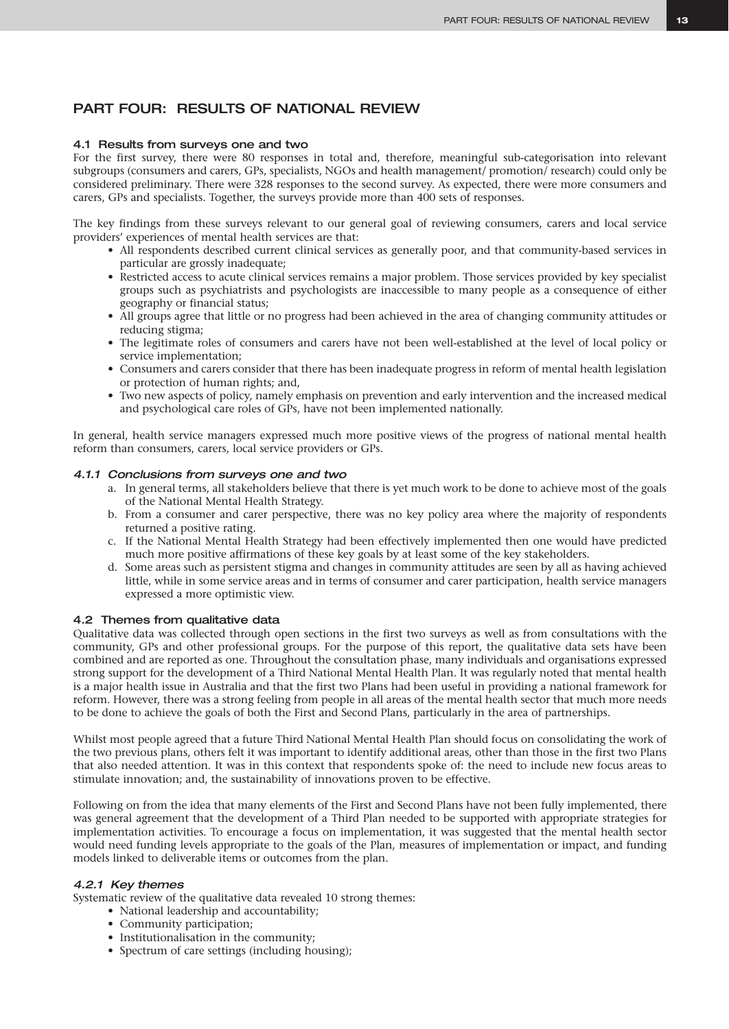# PART FOUR: RESULTS OF NATIONAL REVIEW

#### 4.1 Results from surveys one and two

For the first survey, there were 80 responses in total and, therefore, meaningful sub-categorisation into relevant subgroups (consumers and carers, GPs, specialists, NGOs and health management/ promotion/ research) could only be considered preliminary. There were 328 responses to the second survey. As expected, there were more consumers and carers, GPs and specialists. Together, the surveys provide more than 400 sets of responses.

The key findings from these surveys relevant to our general goal of reviewing consumers, carers and local service providers' experiences of mental health services are that:

- All respondents described current clinical services as generally poor, and that community-based services in particular are grossly inadequate;
- Restricted access to acute clinical services remains a major problem. Those services provided by key specialist groups such as psychiatrists and psychologists are inaccessible to many people as a consequence of either geography or financial status;
- All groups agree that little or no progress had been achieved in the area of changing community attitudes or reducing stigma;
- The legitimate roles of consumers and carers have not been well-established at the level of local policy or service implementation;
- Consumers and carers consider that there has been inadequate progress in reform of mental health legislation or protection of human rights; and,
- Two new aspects of policy, namely emphasis on prevention and early intervention and the increased medical and psychological care roles of GPs, have not been implemented nationally.

In general, health service managers expressed much more positive views of the progress of national mental health reform than consumers, carers, local service providers or GPs.

#### *4.1.1 Conclusions from surveys one and two*

- a. In general terms, all stakeholders believe that there is yet much work to be done to achieve most of the goals of the National Mental Health Strategy.
- b. From a consumer and carer perspective, there was no key policy area where the majority of respondents returned a positive rating.
- c. If the National Mental Health Strategy had been effectively implemented then one would have predicted much more positive affirmations of these key goals by at least some of the key stakeholders.
- d. Some areas such as persistent stigma and changes in community attitudes are seen by all as having achieved little, while in some service areas and in terms of consumer and carer participation, health service managers expressed a more optimistic view.

#### 4.2 Themes from qualitative data

Qualitative data was collected through open sections in the first two surveys as well as from consultations with the community, GPs and other professional groups. For the purpose of this report, the qualitative data sets have been combined and are reported as one. Throughout the consultation phase, many individuals and organisations expressed strong support for the development of a Third National Mental Health Plan. It was regularly noted that mental health is a major health issue in Australia and that the first two Plans had been useful in providing a national framework for reform. However, there was a strong feeling from people in all areas of the mental health sector that much more needs to be done to achieve the goals of both the First and Second Plans, particularly in the area of partnerships.

Whilst most people agreed that a future Third National Mental Health Plan should focus on consolidating the work of the two previous plans, others felt it was important to identify additional areas, other than those in the first two Plans that also needed attention. It was in this context that respondents spoke of: the need to include new focus areas to stimulate innovation; and, the sustainability of innovations proven to be effective.

Following on from the idea that many elements of the First and Second Plans have not been fully implemented, there was general agreement that the development of a Third Plan needed to be supported with appropriate strategies for implementation activities. To encourage a focus on implementation, it was suggested that the mental health sector would need funding levels appropriate to the goals of the Plan, measures of implementation or impact, and funding models linked to deliverable items or outcomes from the plan.

#### *4.2.1 Key themes*

Systematic review of the qualitative data revealed 10 strong themes:

- National leadership and accountability;
- Community participation;
- Institutionalisation in the community;
- Spectrum of care settings (including housing);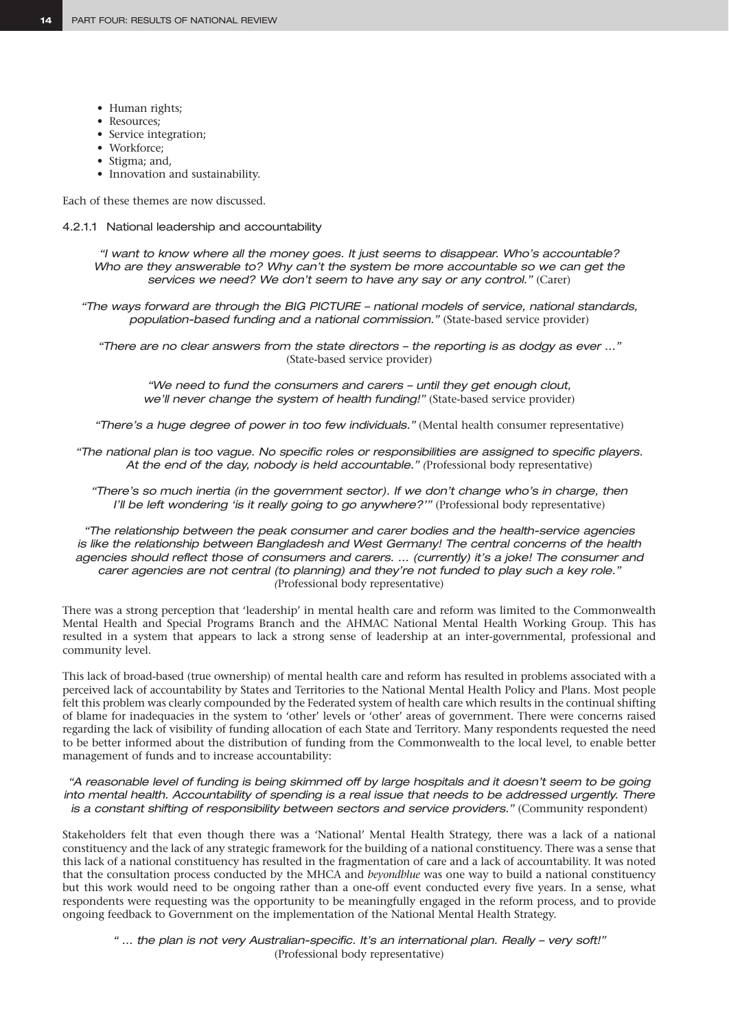- Human rights;
- Resources;
- Service integration;
- Workforce:
- Stigma; and,
- Innovation and sustainability.

Each of these themes are now discussed.

4.2.1.1 National leadership and accountability

*"I want to know where all the money goes. It just seems to disappear. Who's accountable? Who are they answerable to? Why can't the system be more accountable so we can get the services we need? We don't seem to have any say or any control."* (Carer)

*"The ways forward are through the BIG PICTURE – national models of service, national standards, population-based funding and a national commission."* (State-based service provider)

*"There are no clear answers from the state directors – the reporting is as dodgy as ever …"*  (State-based service provider)

*"We need to fund the consumers and carers – until they get enough clout, we'll never change the system of health funding!"* (State-based service provider)

*"There's a huge degree of power in too few individuals."* (Mental health consumer representative)

*"The national plan is too vague. No specific roles or responsibilities are assigned to specific players. At the end of the day, nobody is held accountable." (*Professional body representative)

*"There's so much inertia (in the government sector). If we don't change who's in charge, then I'll be left wondering 'is it really going to go anywhere?'"* (Professional body representative)

*"The relationship between the peak consumer and carer bodies and the health-service agencies is like the relationship between Bangladesh and West Germany! The central concerns of the health agencies should reflect those of consumers and carers. … (currently) it's a joke! The consumer and carer agencies are not central (to planning) and they're not funded to play such a key role." (*Professional body representative)

There was a strong perception that 'leadership' in mental health care and reform was limited to the Commonwealth Mental Health and Special Programs Branch and the AHMAC National Mental Health Working Group. This has resulted in a system that appears to lack a strong sense of leadership at an inter-governmental, professional and community level.

This lack of broad-based (true ownership) of mental health care and reform has resulted in problems associated with a perceived lack of accountability by States and Territories to the National Mental Health Policy and Plans. Most people felt this problem was clearly compounded by the Federated system of health care which results in the continual shifting of blame for inadequacies in the system to 'other' levels or 'other' areas of government. There were concerns raised regarding the lack of visibility of funding allocation of each State and Territory. Many respondents requested the need to be better informed about the distribution of funding from the Commonwealth to the local level, to enable better management of funds and to increase accountability:

*"A reasonable level of funding is being skimmed off by large hospitals and it doesn't seem to be going into mental health. Accountability of spending is a real issue that needs to be addressed urgently. There is a constant shifting of responsibility between sectors and service providers."* (Community respondent)

Stakeholders felt that even though there was a 'National' Mental Health Strategy, there was a lack of a national constituency and the lack of any strategic framework for the building of a national constituency. There was a sense that this lack of a national constituency has resulted in the fragmentation of care and a lack of accountability. It was noted that the consultation process conducted by the MHCA and *beyondblue* was one way to build a national constituency but this work would need to be ongoing rather than a one-off event conducted every five years. In a sense, what respondents were requesting was the opportunity to be meaningfully engaged in the reform process, and to provide ongoing feedback to Government on the implementation of the National Mental Health Strategy.

*" … the plan is not very Australian-specific. It's an international plan. Really – very soft!"*  (Professional body representative)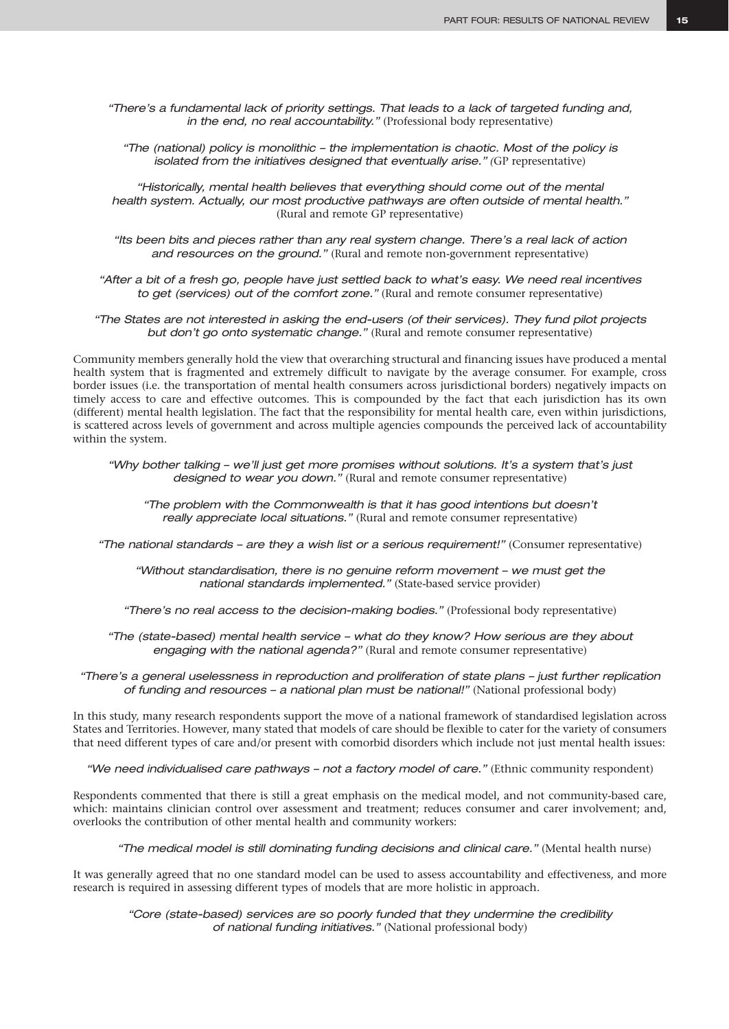*"There's a fundamental lack of priority settings. That leads to a lack of targeted funding and, in the end, no real accountability."* (Professional body representative)

*"The (national) policy is monolithic – the implementation is chaotic. Most of the policy is isolated from the initiatives designed that eventually arise."* (GP representative)

*"Historically, mental health believes that everything should come out of the mental health system. Actually, our most productive pathways are often outside of mental health."*  (Rural and remote GP representative)

*"Its been bits and pieces rather than any real system change. There's a real lack of action and resources on the ground."* (Rural and remote non-government representative)

*"After a bit of a fresh go, people have just settled back to what's easy. We need real incentives to get (services) out of the comfort zone."* (Rural and remote consumer representative)

*"The States are not interested in asking the end-users (of their services). They fund pilot projects but don't go onto systematic change."* (Rural and remote consumer representative)

Community members generally hold the view that overarching structural and financing issues have produced a mental health system that is fragmented and extremely difficult to navigate by the average consumer. For example, cross border issues (i.e. the transportation of mental health consumers across jurisdictional borders) negatively impacts on timely access to care and effective outcomes. This is compounded by the fact that each jurisdiction has its own (different) mental health legislation. The fact that the responsibility for mental health care, even within jurisdictions, is scattered across levels of government and across multiple agencies compounds the perceived lack of accountability within the system.

*"Why bother talking – we'll just get more promises without solutions. It's a system that's just designed to wear you down."* (Rural and remote consumer representative)

*"The problem with the Commonwealth is that it has good intentions but doesn't really appreciate local situations."* (Rural and remote consumer representative)

*"The national standards – are they a wish list or a serious requirement!" (Consumer representative)* 

*"Without standardisation, there is no genuine reform movement – we must get the national standards implemented."* (State-based service provider)

*"There's no real access to the decision-making bodies."* (Professional body representative)

*"The (state-based) mental health service – what do they know? How serious are they about engaging with the national agenda?"* (Rural and remote consumer representative)

*"There's a general uselessness in reproduction and proliferation of state plans – just further replication of funding and resources – a national plan must be national!"* (National professional body)

In this study, many research respondents support the move of a national framework of standardised legislation across States and Territories. However, many stated that models of care should be flexible to cater for the variety of consumers that need different types of care and/or present with comorbid disorders which include not just mental health issues:

*"We need individualised care pathways – not a factory model of care."* (Ethnic community respondent)

Respondents commented that there is still a great emphasis on the medical model, and not community-based care, which: maintains clinician control over assessment and treatment; reduces consumer and carer involvement; and, overlooks the contribution of other mental health and community workers:

*"The medical model is still dominating funding decisions and clinical care."* (Mental health nurse)

It was generally agreed that no one standard model can be used to assess accountability and effectiveness, and more research is required in assessing different types of models that are more holistic in approach.

*"Core (state-based) services are so poorly funded that they undermine the credibility of national funding initiatives."* (National professional body)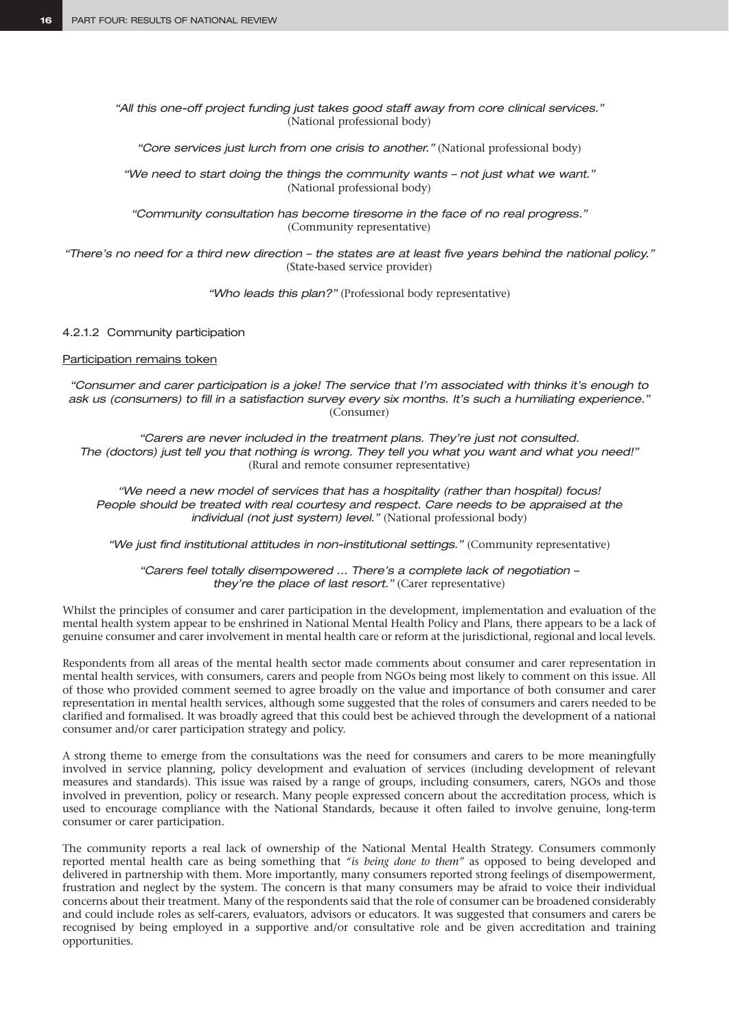*"All this one-off project funding just takes good staff away from core clinical services."*  (National professional body)

*"Core services just lurch from one crisis to another."* (National professional body)

*"We need to start doing the things the community wants – not just what we want."*  (National professional body)

*"Community consultation has become tiresome in the face of no real progress."*  (Community representative)

*"There's no need for a third new direction – the states are at least five years behind the national policy."* (State-based service provider)

*"Who leads this plan?"* (Professional body representative)

#### 4.2.1.2 Community participation

#### Participation remains token

*"Consumer and carer participation is a joke! The service that I'm associated with thinks it's enough to ask us (consumers) to fill in a satisfaction survey every six months. It's such a humiliating experience."* (Consumer)

*"Carers are never included in the treatment plans. They're just not consulted. The (doctors) just tell you that nothing is wrong. They tell you what you want and what you need!"*  (Rural and remote consumer representative)

*"We need a new model of services that has a hospitality (rather than hospital) focus! People should be treated with real courtesy and respect. Care needs to be appraised at the individual (not just system) level."* (National professional body)

*"We just find institutional attitudes in non-institutional settings."* (Community representative)

*"Carers feel totally disempowered … There's a complete lack of negotiation – they're the place of last resort."* (Carer representative)

Whilst the principles of consumer and carer participation in the development, implementation and evaluation of the mental health system appear to be enshrined in National Mental Health Policy and Plans, there appears to be a lack of genuine consumer and carer involvement in mental health care or reform at the jurisdictional, regional and local levels.

Respondents from all areas of the mental health sector made comments about consumer and carer representation in mental health services, with consumers, carers and people from NGOs being most likely to comment on this issue. All of those who provided comment seemed to agree broadly on the value and importance of both consumer and carer representation in mental health services, although some suggested that the roles of consumers and carers needed to be clarified and formalised. It was broadly agreed that this could best be achieved through the development of a national consumer and/or carer participation strategy and policy.

A strong theme to emerge from the consultations was the need for consumers and carers to be more meaningfully involved in service planning, policy development and evaluation of services (including development of relevant measures and standards). This issue was raised by a range of groups, including consumers, carers, NGOs and those involved in prevention, policy or research. Many people expressed concern about the accreditation process, which is used to encourage compliance with the National Standards, because it often failed to involve genuine, long-term consumer or carer participation.

The community reports a real lack of ownership of the National Mental Health Strategy. Consumers commonly reported mental health care as being something that *"is being done to them"* as opposed to being developed and delivered in partnership with them. More importantly, many consumers reported strong feelings of disempowerment, frustration and neglect by the system. The concern is that many consumers may be afraid to voice their individual concerns about their treatment. Many of the respondents said that the role of consumer can be broadened considerably and could include roles as self-carers, evaluators, advisors or educators. It was suggested that consumers and carers be recognised by being employed in a supportive and/or consultative role and be given accreditation and training opportunities.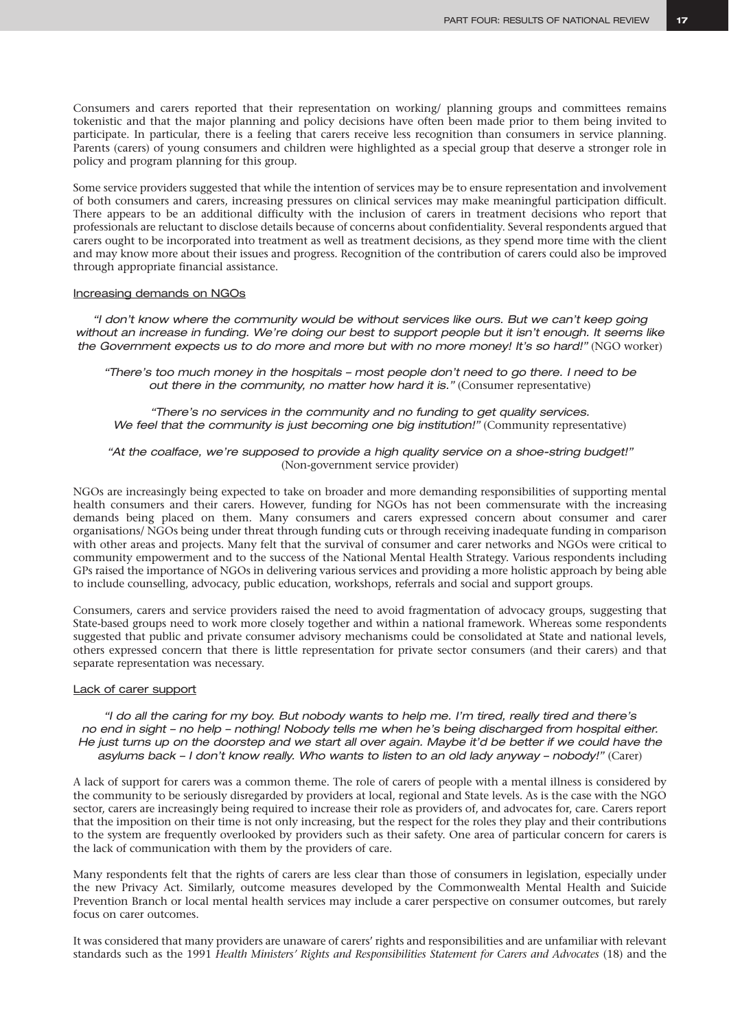Consumers and carers reported that their representation on working/ planning groups and committees remains tokenistic and that the major planning and policy decisions have often been made prior to them being invited to participate. In particular, there is a feeling that carers receive less recognition than consumers in service planning. Parents (carers) of young consumers and children were highlighted as a special group that deserve a stronger role in policy and program planning for this group.

Some service providers suggested that while the intention of services may be to ensure representation and involvement of both consumers and carers, increasing pressures on clinical services may make meaningful participation difficult. There appears to be an additional difficulty with the inclusion of carers in treatment decisions who report that professionals are reluctant to disclose details because of concerns about confidentiality. Several respondents argued that carers ought to be incorporated into treatment as well as treatment decisions, as they spend more time with the client and may know more about their issues and progress. Recognition of the contribution of carers could also be improved through appropriate financial assistance.

#### Increasing demands on NGOs

*"I don't know where the community would be without services like ours. But we can't keep going without an increase in funding. We're doing our best to support people but it isn't enough. It seems like the Government expects us to do more and more but with no more money! It's so hard!"* (NGO worker)

*"There's too much money in the hospitals – most people don't need to go there. I need to be out there in the community, no matter how hard it is."* (Consumer representative)

*"There's no services in the community and no funding to get quality services. We feel that the community is just becoming one big institution!"* (Community representative)

#### *"At the coalface, we're supposed to provide a high quality service on a shoe-string budget!"*  (Non-government service provider)

NGOs are increasingly being expected to take on broader and more demanding responsibilities of supporting mental health consumers and their carers. However, funding for NGOs has not been commensurate with the increasing demands being placed on them. Many consumers and carers expressed concern about consumer and carer organisations/ NGOs being under threat through funding cuts or through receiving inadequate funding in comparison with other areas and projects. Many felt that the survival of consumer and carer networks and NGOs were critical to community empowerment and to the success of the National Mental Health Strategy. Various respondents including GPs raised the importance of NGOs in delivering various services and providing a more holistic approach by being able to include counselling, advocacy, public education, workshops, referrals and social and support groups.

Consumers, carers and service providers raised the need to avoid fragmentation of advocacy groups, suggesting that State-based groups need to work more closely together and within a national framework. Whereas some respondents suggested that public and private consumer advisory mechanisms could be consolidated at State and national levels, others expressed concern that there is little representation for private sector consumers (and their carers) and that separate representation was necessary.

#### Lack of carer support

*"I do all the caring for my boy. But nobody wants to help me. I'm tired, really tired and there's no end in sight – no help – nothing! Nobody tells me when he's being discharged from hospital either. He just turns up on the doorstep and we start all over again. Maybe it'd be better if we could have the asylums back – I don't know really. Who wants to listen to an old lady anyway – nobody!"* (Carer)

A lack of support for carers was a common theme. The role of carers of people with a mental illness is considered by the community to be seriously disregarded by providers at local, regional and State levels. As is the case with the NGO sector, carers are increasingly being required to increase their role as providers of, and advocates for, care. Carers report that the imposition on their time is not only increasing, but the respect for the roles they play and their contributions to the system are frequently overlooked by providers such as their safety. One area of particular concern for carers is the lack of communication with them by the providers of care.

Many respondents felt that the rights of carers are less clear than those of consumers in legislation, especially under the new Privacy Act. Similarly, outcome measures developed by the Commonwealth Mental Health and Suicide Prevention Branch or local mental health services may include a carer perspective on consumer outcomes, but rarely focus on carer outcomes.

It was considered that many providers are unaware of carers' rights and responsibilities and are unfamiliar with relevant standards such as the 1991 *Health Ministers' Rights and Responsibilities Statement for Carers and Advocates* (18) and the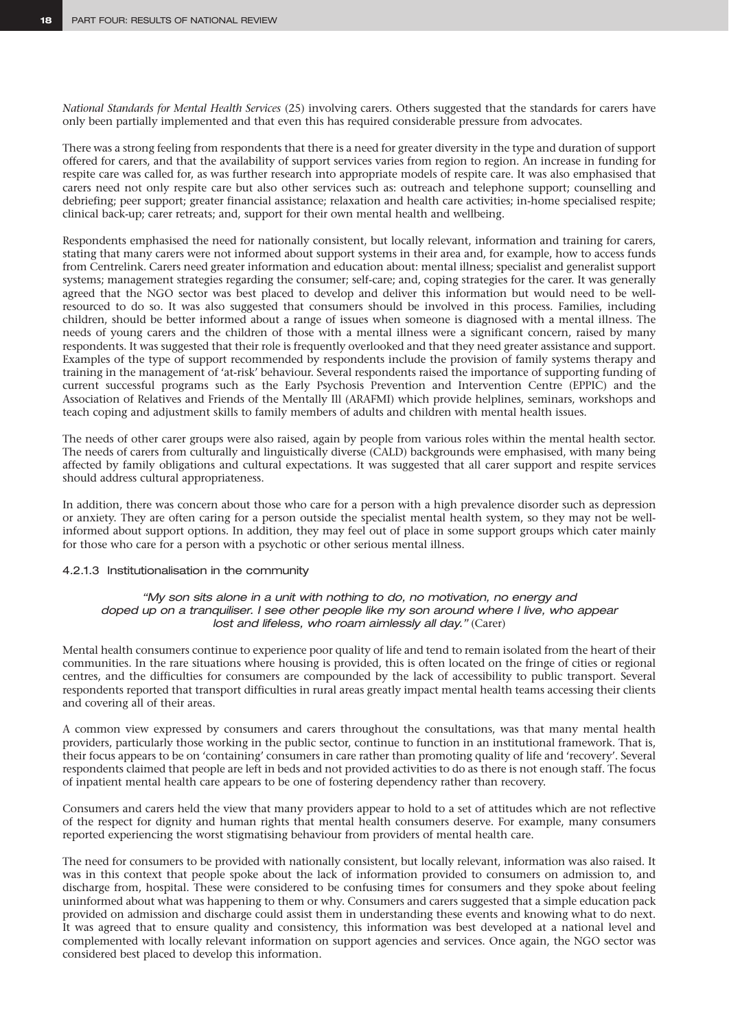*National Standards for Mental Health Services* (25) involving carers. Others suggested that the standards for carers have only been partially implemented and that even this has required considerable pressure from advocates.

There was a strong feeling from respondents that there is a need for greater diversity in the type and duration of support offered for carers, and that the availability of support services varies from region to region. An increase in funding for respite care was called for, as was further research into appropriate models of respite care. It was also emphasised that carers need not only respite care but also other services such as: outreach and telephone support; counselling and debriefing; peer support; greater financial assistance; relaxation and health care activities; in-home specialised respite; clinical back-up; carer retreats; and, support for their own mental health and wellbeing.

Respondents emphasised the need for nationally consistent, but locally relevant, information and training for carers, stating that many carers were not informed about support systems in their area and, for example, how to access funds from Centrelink. Carers need greater information and education about: mental illness; specialist and generalist support systems; management strategies regarding the consumer; self-care; and, coping strategies for the carer. It was generally agreed that the NGO sector was best placed to develop and deliver this information but would need to be wellresourced to do so. It was also suggested that consumers should be involved in this process. Families, including children, should be better informed about a range of issues when someone is diagnosed with a mental illness. The needs of young carers and the children of those with a mental illness were a significant concern, raised by many respondents. It was suggested that their role is frequently overlooked and that they need greater assistance and support. Examples of the type of support recommended by respondents include the provision of family systems therapy and training in the management of 'at-risk' behaviour. Several respondents raised the importance of supporting funding of current successful programs such as the Early Psychosis Prevention and Intervention Centre (EPPIC) and the Association of Relatives and Friends of the Mentally Ill (ARAFMI) which provide helplines, seminars, workshops and teach coping and adjustment skills to family members of adults and children with mental health issues.

The needs of other carer groups were also raised, again by people from various roles within the mental health sector. The needs of carers from culturally and linguistically diverse (CALD) backgrounds were emphasised, with many being affected by family obligations and cultural expectations. It was suggested that all carer support and respite services should address cultural appropriateness.

In addition, there was concern about those who care for a person with a high prevalence disorder such as depression or anxiety. They are often caring for a person outside the specialist mental health system, so they may not be wellinformed about support options. In addition, they may feel out of place in some support groups which cater mainly for those who care for a person with a psychotic or other serious mental illness.

#### 4.2.1.3 Institutionalisation in the community

*"My son sits alone in a unit with nothing to do, no motivation, no energy and doped up on a tranquiliser. I see other people like my son around where I live, who appear lost and lifeless, who roam aimlessly all day."* (Carer)

Mental health consumers continue to experience poor quality of life and tend to remain isolated from the heart of their communities. In the rare situations where housing is provided, this is often located on the fringe of cities or regional centres, and the difficulties for consumers are compounded by the lack of accessibility to public transport. Several respondents reported that transport difficulties in rural areas greatly impact mental health teams accessing their clients and covering all of their areas.

A common view expressed by consumers and carers throughout the consultations, was that many mental health providers, particularly those working in the public sector, continue to function in an institutional framework. That is, their focus appears to be on 'containing' consumers in care rather than promoting quality of life and 'recovery'. Several respondents claimed that people are left in beds and not provided activities to do as there is not enough staff. The focus of inpatient mental health care appears to be one of fostering dependency rather than recovery.

Consumers and carers held the view that many providers appear to hold to a set of attitudes which are not reflective of the respect for dignity and human rights that mental health consumers deserve. For example, many consumers reported experiencing the worst stigmatising behaviour from providers of mental health care.

The need for consumers to be provided with nationally consistent, but locally relevant, information was also raised. It was in this context that people spoke about the lack of information provided to consumers on admission to, and discharge from, hospital. These were considered to be confusing times for consumers and they spoke about feeling uninformed about what was happening to them or why. Consumers and carers suggested that a simple education pack provided on admission and discharge could assist them in understanding these events and knowing what to do next. It was agreed that to ensure quality and consistency, this information was best developed at a national level and complemented with locally relevant information on support agencies and services. Once again, the NGO sector was considered best placed to develop this information.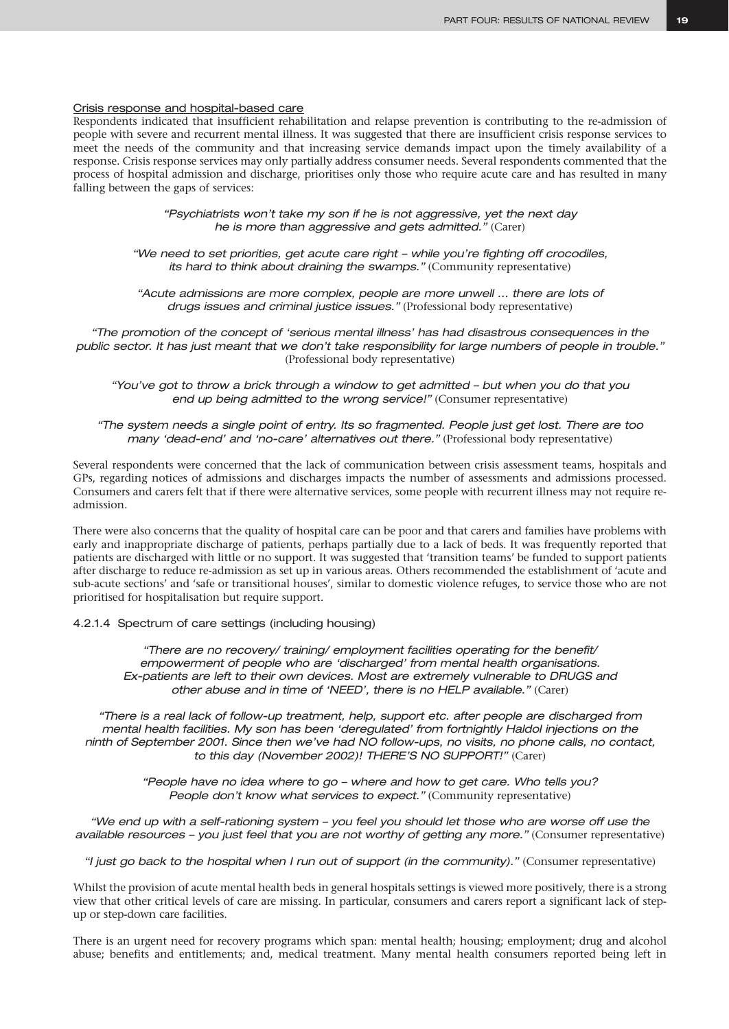#### Crisis response and hospital-based care

Respondents indicated that insufficient rehabilitation and relapse prevention is contributing to the re-admission of people with severe and recurrent mental illness. It was suggested that there are insufficient crisis response services to meet the needs of the community and that increasing service demands impact upon the timely availability of a response. Crisis response services may only partially address consumer needs. Several respondents commented that the process of hospital admission and discharge, prioritises only those who require acute care and has resulted in many falling between the gaps of services:

> *"Psychiatrists won't take my son if he is not aggressive, yet the next day he is more than aggressive and gets admitted."* (Carer)

*"We need to set priorities, get acute care right – while you're fighting off crocodiles, its hard to think about draining the swamps."* (Community representative)

*"Acute admissions are more complex, people are more unwell … there are lots of drugs issues and criminal justice issues."* (Professional body representative)

*"The promotion of the concept of 'serious mental illness' has had disastrous consequences in the public sector. It has just meant that we don't take responsibility for large numbers of people in trouble."* (Professional body representative)

*"You've got to throw a brick through a window to get admitted – but when you do that you end up being admitted to the wrong service!"* (Consumer representative)

*"The system needs a single point of entry. Its so fragmented. People just get lost. There are too many 'dead-end' and 'no-care' alternatives out there."* (Professional body representative)

Several respondents were concerned that the lack of communication between crisis assessment teams, hospitals and GPs, regarding notices of admissions and discharges impacts the number of assessments and admissions processed. Consumers and carers felt that if there were alternative services, some people with recurrent illness may not require readmission.

There were also concerns that the quality of hospital care can be poor and that carers and families have problems with early and inappropriate discharge of patients, perhaps partially due to a lack of beds. It was frequently reported that patients are discharged with little or no support. It was suggested that 'transition teams' be funded to support patients after discharge to reduce re-admission as set up in various areas. Others recommended the establishment of 'acute and sub-acute sections' and 'safe or transitional houses', similar to domestic violence refuges, to service those who are not prioritised for hospitalisation but require support.

4.2.1.4 Spectrum of care settings (including housing)

*"There are no recovery/ training/ employment facilities operating for the benefit/ empowerment of people who are 'discharged' from mental health organisations. Ex-patients are left to their own devices. Most are extremely vulnerable to DRUGS and other abuse and in time of 'NEED', there is no HELP available."* (Carer)

*"There is a real lack of follow-up treatment, help, support etc. after people are discharged from mental health facilities. My son has been 'deregulated' from fortnightly Haldol injections on the ninth of September 2001. Since then we've had NO follow-ups, no visits, no phone calls, no contact, to this day (November 2002)! THERE'S NO SUPPORT!"* (Carer)

> *"People have no idea where to go – where and how to get care. Who tells you? People don't know what services to expect."* (Community representative)

*"We end up with a self-rationing system – you feel you should let those who are worse off use the available resources – you just feel that you are not worthy of getting any more."* (Consumer representative)

*"I just go back to the hospital when I run out of support (in the community)."* (Consumer representative)

Whilst the provision of acute mental health beds in general hospitals settings is viewed more positively, there is a strong view that other critical levels of care are missing. In particular, consumers and carers report a significant lack of stepup or step-down care facilities.

There is an urgent need for recovery programs which span: mental health; housing; employment; drug and alcohol abuse; benefits and entitlements; and, medical treatment. Many mental health consumers reported being left in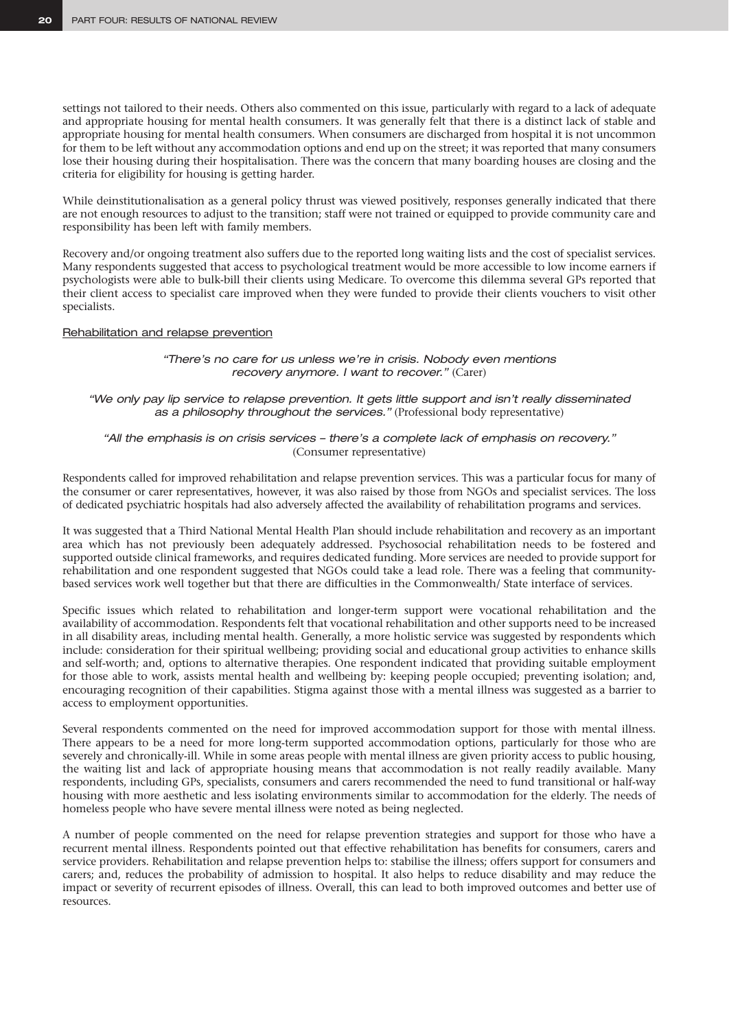settings not tailored to their needs. Others also commented on this issue, particularly with regard to a lack of adequate and appropriate housing for mental health consumers. It was generally felt that there is a distinct lack of stable and appropriate housing for mental health consumers. When consumers are discharged from hospital it is not uncommon for them to be left without any accommodation options and end up on the street; it was reported that many consumers lose their housing during their hospitalisation. There was the concern that many boarding houses are closing and the criteria for eligibility for housing is getting harder.

While deinstitutionalisation as a general policy thrust was viewed positively, responses generally indicated that there are not enough resources to adjust to the transition; staff were not trained or equipped to provide community care and responsibility has been left with family members.

Recovery and/or ongoing treatment also suffers due to the reported long waiting lists and the cost of specialist services. Many respondents suggested that access to psychological treatment would be more accessible to low income earners if psychologists were able to bulk-bill their clients using Medicare. To overcome this dilemma several GPs reported that their client access to specialist care improved when they were funded to provide their clients vouchers to visit other specialists.

#### Rehabilitation and relapse prevention

*"There's no care for us unless we're in crisis. Nobody even mentions recovery anymore. I want to recover."* (Carer)

*"We only pay lip service to relapse prevention. It gets little support and isn't really disseminated as a philosophy throughout the services."* (Professional body representative)

#### *"All the emphasis is on crisis services – there's a complete lack of emphasis on recovery."* (Consumer representative)

Respondents called for improved rehabilitation and relapse prevention services. This was a particular focus for many of the consumer or carer representatives, however, it was also raised by those from NGOs and specialist services. The loss of dedicated psychiatric hospitals had also adversely affected the availability of rehabilitation programs and services.

It was suggested that a Third National Mental Health Plan should include rehabilitation and recovery as an important area which has not previously been adequately addressed. Psychosocial rehabilitation needs to be fostered and supported outside clinical frameworks, and requires dedicated funding. More services are needed to provide support for rehabilitation and one respondent suggested that NGOs could take a lead role. There was a feeling that communitybased services work well together but that there are difficulties in the Commonwealth/ State interface of services.

Specific issues which related to rehabilitation and longer-term support were vocational rehabilitation and the availability of accommodation. Respondents felt that vocational rehabilitation and other supports need to be increased in all disability areas, including mental health. Generally, a more holistic service was suggested by respondents which include: consideration for their spiritual wellbeing; providing social and educational group activities to enhance skills and self-worth; and, options to alternative therapies. One respondent indicated that providing suitable employment for those able to work, assists mental health and wellbeing by: keeping people occupied; preventing isolation; and, encouraging recognition of their capabilities. Stigma against those with a mental illness was suggested as a barrier to access to employment opportunities.

Several respondents commented on the need for improved accommodation support for those with mental illness. There appears to be a need for more long-term supported accommodation options, particularly for those who are severely and chronically-ill. While in some areas people with mental illness are given priority access to public housing, the waiting list and lack of appropriate housing means that accommodation is not really readily available. Many respondents, including GPs, specialists, consumers and carers recommended the need to fund transitional or half-way housing with more aesthetic and less isolating environments similar to accommodation for the elderly. The needs of homeless people who have severe mental illness were noted as being neglected.

A number of people commented on the need for relapse prevention strategies and support for those who have a recurrent mental illness. Respondents pointed out that effective rehabilitation has benefits for consumers, carers and service providers. Rehabilitation and relapse prevention helps to: stabilise the illness; offers support for consumers and carers; and, reduces the probability of admission to hospital. It also helps to reduce disability and may reduce the impact or severity of recurrent episodes of illness. Overall, this can lead to both improved outcomes and better use of resources.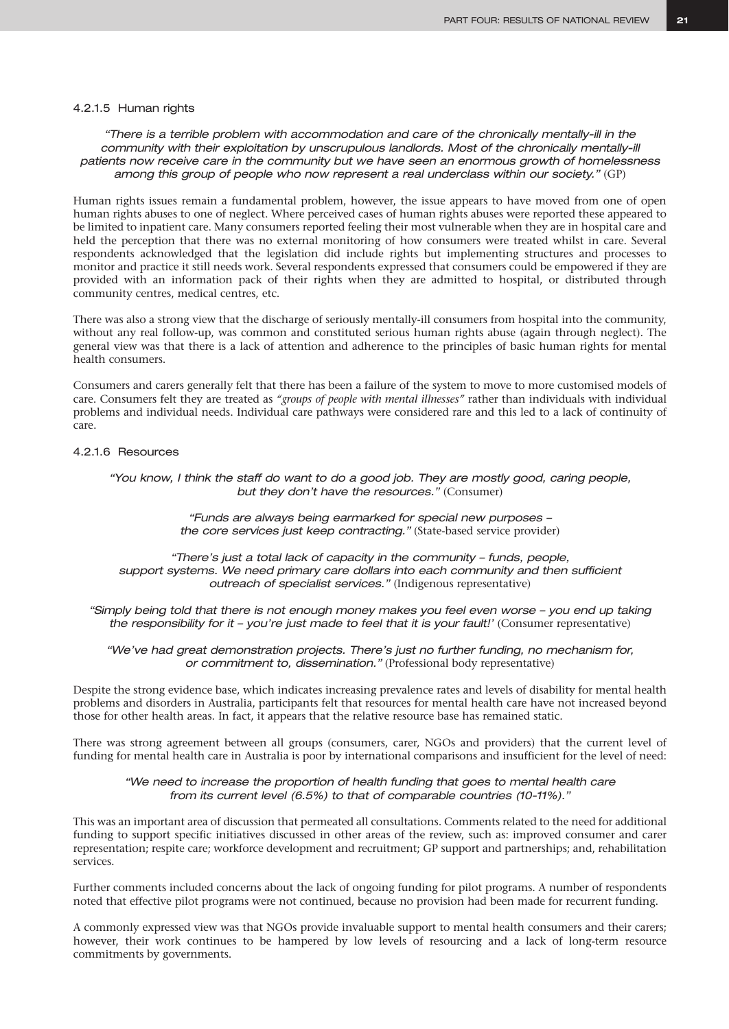#### 4.2.1.5 Human rights

*"There is a terrible problem with accommodation and care of the chronically mentally-ill in the community with their exploitation by unscrupulous landlords. Most of the chronically mentally-ill patients now receive care in the community but we have seen an enormous growth of homelessness among this group of people who now represent a real underclass within our society."* (GP)

Human rights issues remain a fundamental problem, however, the issue appears to have moved from one of open human rights abuses to one of neglect. Where perceived cases of human rights abuses were reported these appeared to be limited to inpatient care. Many consumers reported feeling their most vulnerable when they are in hospital care and held the perception that there was no external monitoring of how consumers were treated whilst in care. Several respondents acknowledged that the legislation did include rights but implementing structures and processes to monitor and practice it still needs work. Several respondents expressed that consumers could be empowered if they are provided with an information pack of their rights when they are admitted to hospital, or distributed through community centres, medical centres, etc.

There was also a strong view that the discharge of seriously mentally-ill consumers from hospital into the community, without any real follow-up, was common and constituted serious human rights abuse (again through neglect). The general view was that there is a lack of attention and adherence to the principles of basic human rights for mental health consumers.

Consumers and carers generally felt that there has been a failure of the system to move to more customised models of care. Consumers felt they are treated as *"groups of people with mental illnesses"* rather than individuals with individual problems and individual needs. Individual care pathways were considered rare and this led to a lack of continuity of care.

#### 4.2.1.6 Resources

*"You know, I think the staff do want to do a good job. They are mostly good, caring people, but they don't have the resources."* (Consumer)

> *"Funds are always being earmarked for special new purposes – the core services just keep contracting."* (State-based service provider)

*"There's just a total lack of capacity in the community – funds, people,*  support systems. We need primary care dollars into each community and then sufficient *outreach of specialist services."* (Indigenous representative)

*"Simply being told that there is not enough money makes you feel even worse – you end up taking the responsibility for it - you're just made to feel that it is your fault!'* (Consumer representative)

*"We've had great demonstration projects. There's just no further funding, no mechanism for, or commitment to, dissemination."* (Professional body representative)

Despite the strong evidence base, which indicates increasing prevalence rates and levels of disability for mental health problems and disorders in Australia, participants felt that resources for mental health care have not increased beyond those for other health areas. In fact, it appears that the relative resource base has remained static.

There was strong agreement between all groups (consumers, carer, NGOs and providers) that the current level of funding for mental health care in Australia is poor by international comparisons and insufficient for the level of need:

*"We need to increase the proportion of health funding that goes to mental health care from its current level (6.5%) to that of comparable countries (10-11%)."*

This was an important area of discussion that permeated all consultations. Comments related to the need for additional funding to support specific initiatives discussed in other areas of the review, such as: improved consumer and carer representation; respite care; workforce development and recruitment; GP support and partnerships; and, rehabilitation services.

Further comments included concerns about the lack of ongoing funding for pilot programs. A number of respondents noted that effective pilot programs were not continued, because no provision had been made for recurrent funding.

A commonly expressed view was that NGOs provide invaluable support to mental health consumers and their carers; however, their work continues to be hampered by low levels of resourcing and a lack of long-term resource commitments by governments.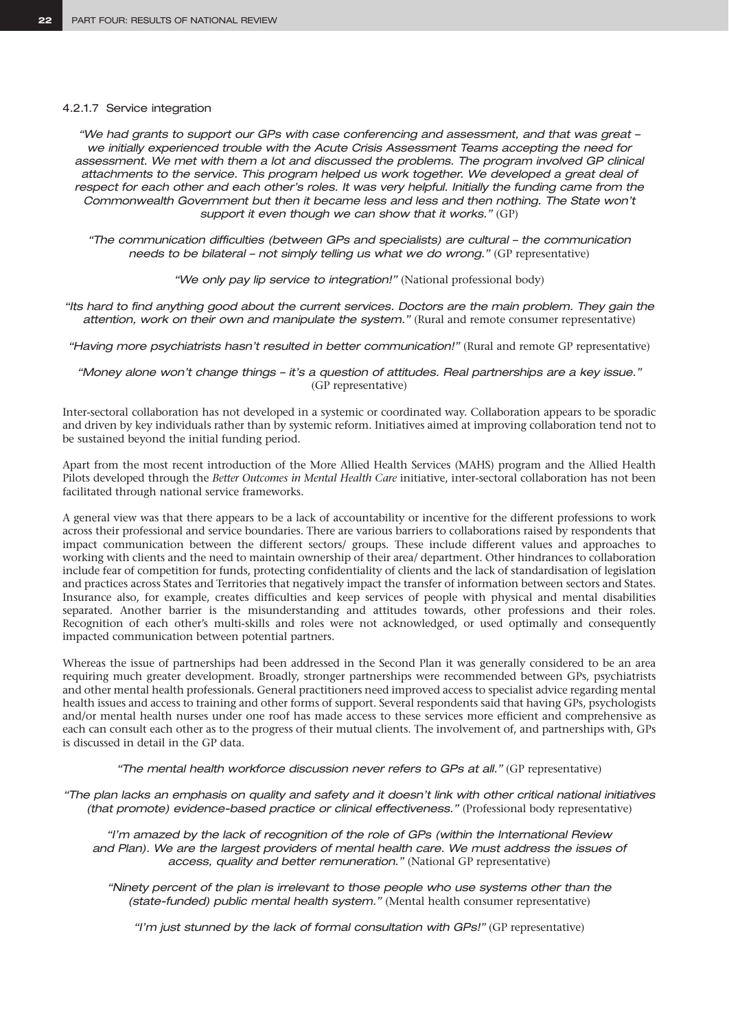#### 4.2.1.7 Service integration

*"We had grants to support our GPs with case conferencing and assessment, and that was great – we initially experienced trouble with the Acute Crisis Assessment Teams accepting the need for assessment. We met with them a lot and discussed the problems. The program involved GP clinical attachments to the service. This program helped us work together. We developed a great deal of respect for each other and each other's roles. It was very helpful. Initially the funding came from the Commonwealth Government but then it became less and less and then nothing. The State won't support it even though we can show that it works."* (GP)

*"The communication difficulties (between GPs and specialists) are cultural – the communication needs to be bilateral – not simply telling us what we do wrong."* (GP representative)

"We only pay lip service to integration!" (National professional body)

*"Its hard to find anything good about the current services. Doctors are the main problem. They gain the attention, work on their own and manipulate the system."* (Rural and remote consumer representative)

*"Having more psychiatrists hasn't resulted in better communication!"* (Rural and remote GP representative)

*"Money alone won't change things – it's a question of attitudes. Real partnerships are a key issue."*  (GP representative)

Inter-sectoral collaboration has not developed in a systemic or coordinated way. Collaboration appears to be sporadic and driven by key individuals rather than by systemic reform. Initiatives aimed at improving collaboration tend not to be sustained beyond the initial funding period.

Apart from the most recent introduction of the More Allied Health Services (MAHS) program and the Allied Health Pilots developed through the *Better Outcomes in Mental Health Care* initiative, inter-sectoral collaboration has not been facilitated through national service frameworks.

A general view was that there appears to be a lack of accountability or incentive for the different professions to work across their professional and service boundaries. There are various barriers to collaborations raised by respondents that impact communication between the different sectors/ groups. These include different values and approaches to working with clients and the need to maintain ownership of their area/ department. Other hindrances to collaboration include fear of competition for funds, protecting confidentiality of clients and the lack of standardisation of legislation and practices across States and Territories that negatively impact the transfer of information between sectors and States. Insurance also, for example, creates difficulties and keep services of people with physical and mental disabilities separated. Another barrier is the misunderstanding and attitudes towards, other professions and their roles. Recognition of each other's multi-skills and roles were not acknowledged, or used optimally and consequently impacted communication between potential partners.

Whereas the issue of partnerships had been addressed in the Second Plan it was generally considered to be an area requiring much greater development. Broadly, stronger partnerships were recommended between GPs, psychiatrists and other mental health professionals. General practitioners need improved access to specialist advice regarding mental health issues and access to training and other forms of support. Several respondents said that having GPs, psychologists and/or mental health nurses under one roof has made access to these services more efficient and comprehensive as each can consult each other as to the progress of their mutual clients. The involvement of, and partnerships with, GPs is discussed in detail in the GP data.

*"The mental health workforce discussion never refers to GPs at all."* (GP representative)

*"The plan lacks an emphasis on quality and safety and it doesn't link with other critical national initiatives (that promote) evidence-based practice or clinical effectiveness." (Professional body representative)* 

*"I'm amazed by the lack of recognition of the role of GPs (within the International Review and Plan). We are the largest providers of mental health care. We must address the issues of access, quality and better remuneration."* (National GP representative)

*"Ninety percent of the plan is irrelevant to those people who use systems other than the (state-funded) public mental health system."* (Mental health consumer representative)

*"I'm just stunned by the lack of formal consultation with GPs!"* (GP representative)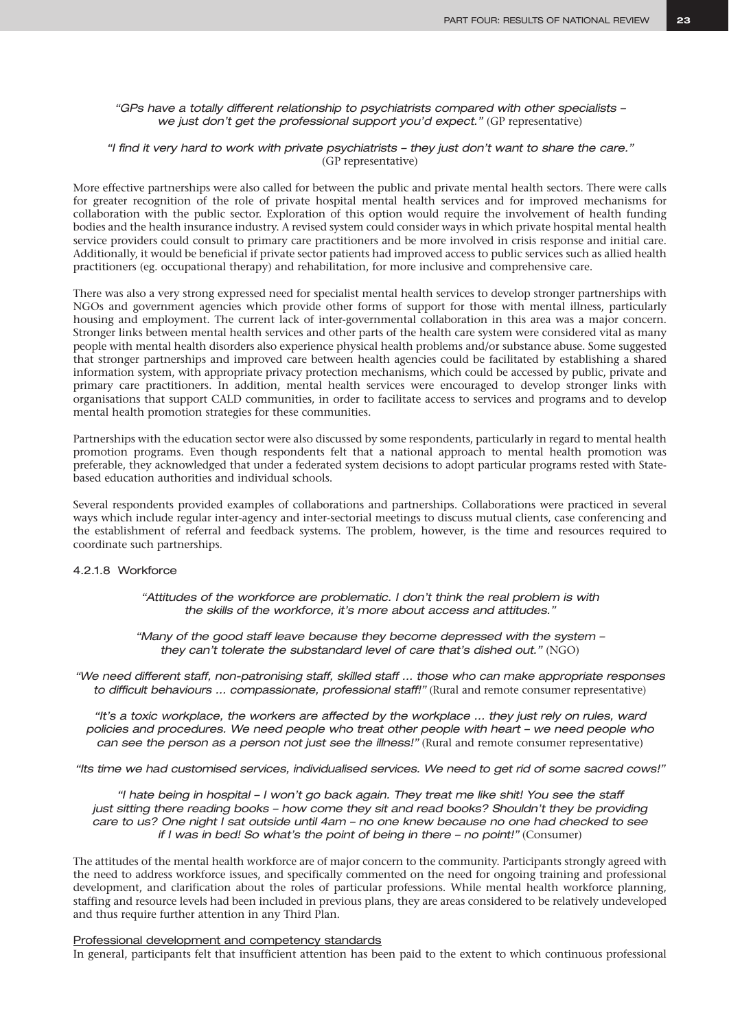#### *"GPs have a totally different relationship to psychiatrists compared with other specialists –*  we just don't get the professional support you'd expect." (GP representative)

#### *"I find it very hard to work with private psychiatrists – they just don't want to share the care."*  (GP representative)

More effective partnerships were also called for between the public and private mental health sectors. There were calls for greater recognition of the role of private hospital mental health services and for improved mechanisms for collaboration with the public sector. Exploration of this option would require the involvement of health funding bodies and the health insurance industry. A revised system could consider ways in which private hospital mental health service providers could consult to primary care practitioners and be more involved in crisis response and initial care. Additionally, it would be beneficial if private sector patients had improved access to public services such as allied health practitioners (eg. occupational therapy) and rehabilitation, for more inclusive and comprehensive care.

There was also a very strong expressed need for specialist mental health services to develop stronger partnerships with NGOs and government agencies which provide other forms of support for those with mental illness, particularly housing and employment. The current lack of inter-governmental collaboration in this area was a major concern. Stronger links between mental health services and other parts of the health care system were considered vital as many people with mental health disorders also experience physical health problems and/or substance abuse. Some suggested that stronger partnerships and improved care between health agencies could be facilitated by establishing a shared information system, with appropriate privacy protection mechanisms, which could be accessed by public, private and primary care practitioners. In addition, mental health services were encouraged to develop stronger links with organisations that support CALD communities, in order to facilitate access to services and programs and to develop mental health promotion strategies for these communities.

Partnerships with the education sector were also discussed by some respondents, particularly in regard to mental health promotion programs. Even though respondents felt that a national approach to mental health promotion was preferable, they acknowledged that under a federated system decisions to adopt particular programs rested with Statebased education authorities and individual schools.

Several respondents provided examples of collaborations and partnerships. Collaborations were practiced in several ways which include regular inter-agency and inter-sectorial meetings to discuss mutual clients, case conferencing and the establishment of referral and feedback systems. The problem, however, is the time and resources required to coordinate such partnerships.

#### 4.2.1.8 Workforce

*"Attitudes of the workforce are problematic. I don't think the real problem is with the skills of the workforce, it's more about access and attitudes."*

*"Many of the good staff leave because they become depressed with the system – they can't tolerate the substandard level of care that's dished out."* (NGO)

*"We need different staff, non-patronising staff, skilled staff … those who can make appropriate responses to difficult behaviours … compassionate, professional staff!"* (Rural and remote consumer representative)

*"It's a toxic workplace, the workers are affected by the workplace … they just rely on rules, ward policies and procedures. We need people who treat other people with heart – we need people who can see the person as a person not just see the illness!"* (Rural and remote consumer representative)

*"Its time we had customised services, individualised services. We need to get rid of some sacred cows!"*

*"I hate being in hospital – I won't go back again. They treat me like shit! You see the staff*  just sitting there reading books - how come they sit and read books? Shouldn't they be providing *care to us? One night I sat outside until 4am – no one knew because no one had checked to see if I was in bed! So what's the point of being in there – no point!"* (Consumer)

The attitudes of the mental health workforce are of major concern to the community. Participants strongly agreed with the need to address workforce issues, and specifically commented on the need for ongoing training and professional development, and clarification about the roles of particular professions. While mental health workforce planning, staffing and resource levels had been included in previous plans, they are areas considered to be relatively undeveloped and thus require further attention in any Third Plan.

#### Professional development and competency standards

In general, participants felt that insufficient attention has been paid to the extent to which continuous professional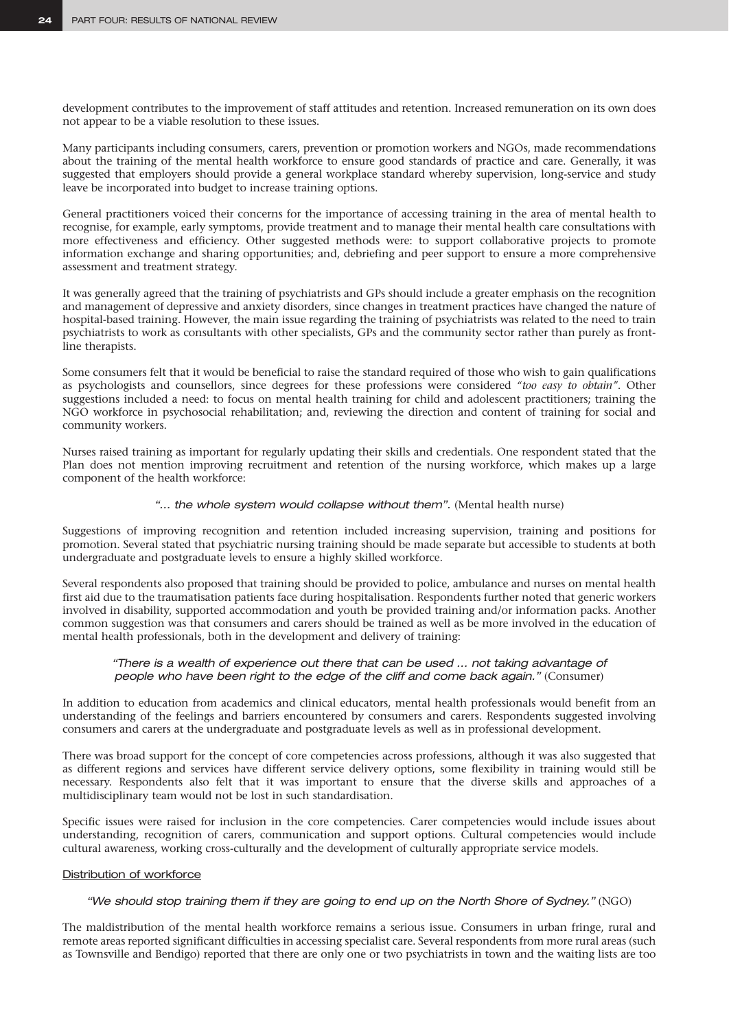development contributes to the improvement of staff attitudes and retention. Increased remuneration on its own does not appear to be a viable resolution to these issues.

Many participants including consumers, carers, prevention or promotion workers and NGOs, made recommendations about the training of the mental health workforce to ensure good standards of practice and care. Generally, it was suggested that employers should provide a general workplace standard whereby supervision, long-service and study leave be incorporated into budget to increase training options.

General practitioners voiced their concerns for the importance of accessing training in the area of mental health to recognise, for example, early symptoms, provide treatment and to manage their mental health care consultations with more effectiveness and efficiency. Other suggested methods were: to support collaborative projects to promote information exchange and sharing opportunities; and, debriefing and peer support to ensure a more comprehensive assessment and treatment strategy.

It was generally agreed that the training of psychiatrists and GPs should include a greater emphasis on the recognition and management of depressive and anxiety disorders, since changes in treatment practices have changed the nature of hospital-based training. However, the main issue regarding the training of psychiatrists was related to the need to train psychiatrists to work as consultants with other specialists, GPs and the community sector rather than purely as frontline therapists.

Some consumers felt that it would be beneficial to raise the standard required of those who wish to gain qualifications as psychologists and counsellors, since degrees for these professions were considered *"too easy to obtain"*. Other suggestions included a need: to focus on mental health training for child and adolescent practitioners; training the NGO workforce in psychosocial rehabilitation; and, reviewing the direction and content of training for social and community workers.

Nurses raised training as important for regularly updating their skills and credentials. One respondent stated that the Plan does not mention improving recruitment and retention of the nursing workforce, which makes up a large component of the health workforce:

#### "... the whole system would collapse without them". (Mental health nurse)

Suggestions of improving recognition and retention included increasing supervision, training and positions for promotion. Several stated that psychiatric nursing training should be made separate but accessible to students at both undergraduate and postgraduate levels to ensure a highly skilled workforce.

Several respondents also proposed that training should be provided to police, ambulance and nurses on mental health first aid due to the traumatisation patients face during hospitalisation. Respondents further noted that generic workers involved in disability, supported accommodation and youth be provided training and/or information packs. Another common suggestion was that consumers and carers should be trained as well as be more involved in the education of mental health professionals, both in the development and delivery of training:

#### *"There is a wealth of experience out there that can be used … not taking advantage of people who have been right to the edge of the cliff and come back again."* (Consumer)

In addition to education from academics and clinical educators, mental health professionals would benefit from an understanding of the feelings and barriers encountered by consumers and carers. Respondents suggested involving consumers and carers at the undergraduate and postgraduate levels as well as in professional development.

There was broad support for the concept of core competencies across professions, although it was also suggested that as different regions and services have different service delivery options, some flexibility in training would still be necessary. Respondents also felt that it was important to ensure that the diverse skills and approaches of a multidisciplinary team would not be lost in such standardisation.

Specific issues were raised for inclusion in the core competencies. Carer competencies would include issues about understanding, recognition of carers, communication and support options. Cultural competencies would include cultural awareness, working cross-culturally and the development of culturally appropriate service models.

#### Distribution of workforce

#### *"We should stop training them if they are going to end up on the North Shore of Sydney."* (NGO)

The maldistribution of the mental health workforce remains a serious issue. Consumers in urban fringe, rural and remote areas reported significant difficulties in accessing specialist care. Several respondents from more rural areas (such as Townsville and Bendigo) reported that there are only one or two psychiatrists in town and the waiting lists are too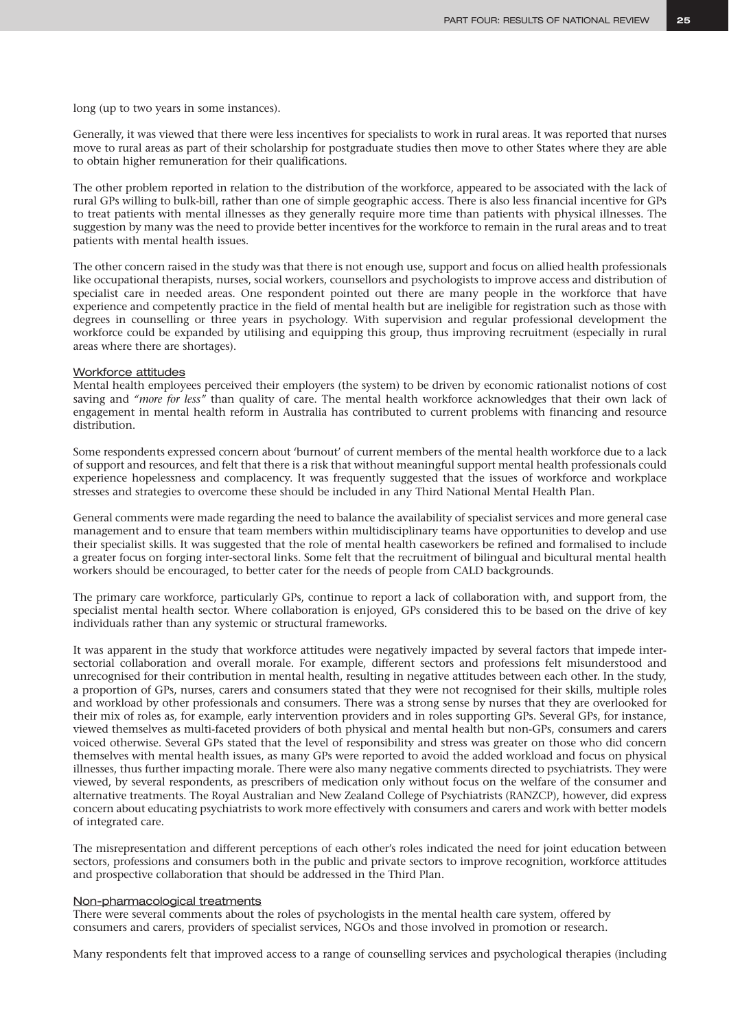long (up to two years in some instances).

Generally, it was viewed that there were less incentives for specialists to work in rural areas. It was reported that nurses move to rural areas as part of their scholarship for postgraduate studies then move to other States where they are able to obtain higher remuneration for their qualifications.

The other problem reported in relation to the distribution of the workforce, appeared to be associated with the lack of rural GPs willing to bulk-bill, rather than one of simple geographic access. There is also less financial incentive for GPs to treat patients with mental illnesses as they generally require more time than patients with physical illnesses. The suggestion by many was the need to provide better incentives for the workforce to remain in the rural areas and to treat patients with mental health issues.

The other concern raised in the study was that there is not enough use, support and focus on allied health professionals like occupational therapists, nurses, social workers, counsellors and psychologists to improve access and distribution of specialist care in needed areas. One respondent pointed out there are many people in the workforce that have experience and competently practice in the field of mental health but are ineligible for registration such as those with degrees in counselling or three years in psychology. With supervision and regular professional development the workforce could be expanded by utilising and equipping this group, thus improving recruitment (especially in rural areas where there are shortages).

#### Workforce attitudes

Mental health employees perceived their employers (the system) to be driven by economic rationalist notions of cost saving and *"more for less"* than quality of care. The mental health workforce acknowledges that their own lack of engagement in mental health reform in Australia has contributed to current problems with financing and resource distribution.

Some respondents expressed concern about 'burnout' of current members of the mental health workforce due to a lack of support and resources, and felt that there is a risk that without meaningful support mental health professionals could experience hopelessness and complacency. It was frequently suggested that the issues of workforce and workplace stresses and strategies to overcome these should be included in any Third National Mental Health Plan.

General comments were made regarding the need to balance the availability of specialist services and more general case management and to ensure that team members within multidisciplinary teams have opportunities to develop and use their specialist skills. It was suggested that the role of mental health caseworkers be refined and formalised to include a greater focus on forging inter-sectoral links. Some felt that the recruitment of bilingual and bicultural mental health workers should be encouraged, to better cater for the needs of people from CALD backgrounds.

The primary care workforce, particularly GPs, continue to report a lack of collaboration with, and support from, the specialist mental health sector. Where collaboration is enjoyed, GPs considered this to be based on the drive of key individuals rather than any systemic or structural frameworks.

It was apparent in the study that workforce attitudes were negatively impacted by several factors that impede intersectorial collaboration and overall morale. For example, different sectors and professions felt misunderstood and unrecognised for their contribution in mental health, resulting in negative attitudes between each other. In the study, a proportion of GPs, nurses, carers and consumers stated that they were not recognised for their skills, multiple roles and workload by other professionals and consumers. There was a strong sense by nurses that they are overlooked for their mix of roles as, for example, early intervention providers and in roles supporting GPs. Several GPs, for instance, viewed themselves as multi-faceted providers of both physical and mental health but non-GPs, consumers and carers voiced otherwise. Several GPs stated that the level of responsibility and stress was greater on those who did concern themselves with mental health issues, as many GPs were reported to avoid the added workload and focus on physical illnesses, thus further impacting morale. There were also many negative comments directed to psychiatrists. They were viewed, by several respondents, as prescribers of medication only without focus on the welfare of the consumer and alternative treatments. The Royal Australian and New Zealand College of Psychiatrists (RANZCP), however, did express concern about educating psychiatrists to work more effectively with consumers and carers and work with better models of integrated care.

The misrepresentation and different perceptions of each other's roles indicated the need for joint education between sectors, professions and consumers both in the public and private sectors to improve recognition, workforce attitudes and prospective collaboration that should be addressed in the Third Plan.

#### Non-pharmacological treatments

There were several comments about the roles of psychologists in the mental health care system, offered by consumers and carers, providers of specialist services, NGOs and those involved in promotion or research.

Many respondents felt that improved access to a range of counselling services and psychological therapies (including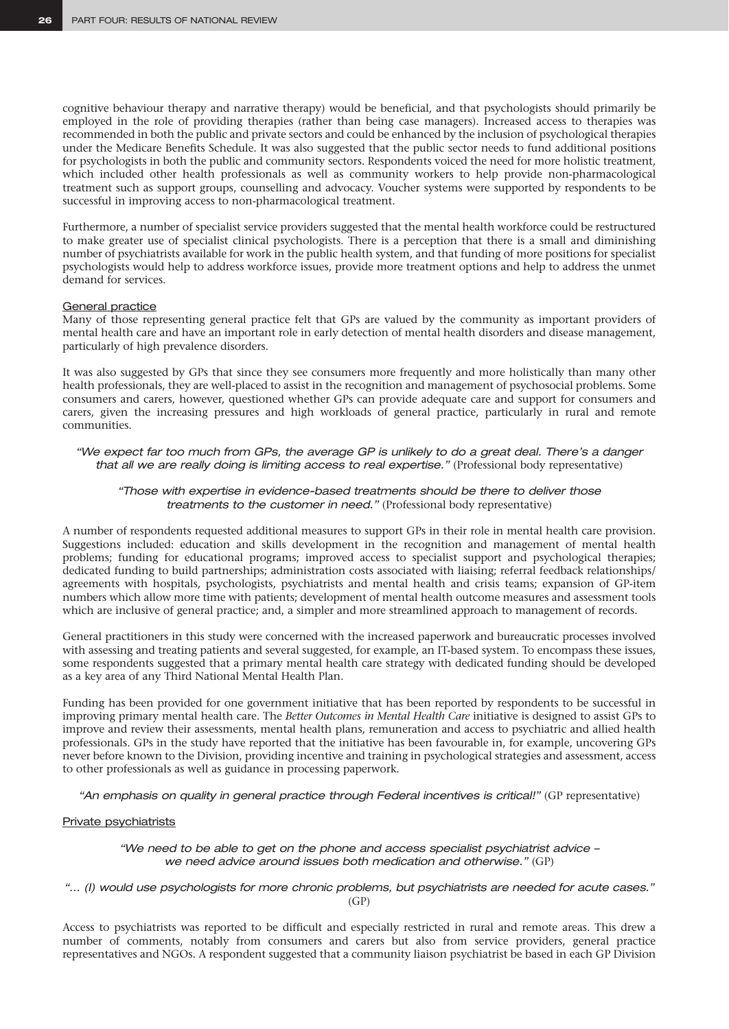cognitive behaviour therapy and narrative therapy) would be beneficial, and that psychologists should primarily be employed in the role of providing therapies (rather than being case managers). Increased access to therapies was recommended in both the public and private sectors and could be enhanced by the inclusion of psychological therapies under the Medicare Benefits Schedule. It was also suggested that the public sector needs to fund additional positions for psychologists in both the public and community sectors. Respondents voiced the need for more holistic treatment, which included other health professionals as well as community workers to help provide non-pharmacological treatment such as support groups, counselling and advocacy. Voucher systems were supported by respondents to be successful in improving access to non-pharmacological treatment.

Furthermore, a number of specialist service providers suggested that the mental health workforce could be restructured to make greater use of specialist clinical psychologists. There is a perception that there is a small and diminishing number of psychiatrists available for work in the public health system, and that funding of more positions for specialist psychologists would help to address workforce issues, provide more treatment options and help to address the unmet demand for services.

#### General practice

Many of those representing general practice felt that GPs are valued by the community as important providers of mental health care and have an important role in early detection of mental health disorders and disease management, particularly of high prevalence disorders.

It was also suggested by GPs that since they see consumers more frequently and more holistically than many other health professionals, they are well-placed to assist in the recognition and management of psychosocial problems. Some consumers and carers, however, questioned whether GPs can provide adequate care and support for consumers and carers, given the increasing pressures and high workloads of general practice, particularly in rural and remote communities.

#### *"We expect far too much from GPs, the average GP is unlikely to do a great deal. There's a danger*  that all we are really doing is limiting access to real expertise." (Professional body representative)

#### *"Those with expertise in evidence-based treatments should be there to deliver those treatments to the customer in need."* (Professional body representative)

A number of respondents requested additional measures to support GPs in their role in mental health care provision. Suggestions included: education and skills development in the recognition and management of mental health problems; funding for educational programs; improved access to specialist support and psychological therapies; dedicated funding to build partnerships; administration costs associated with liaising; referral feedback relationships/ agreements with hospitals, psychologists, psychiatrists and mental health and crisis teams; expansion of GP-item numbers which allow more time with patients; development of mental health outcome measures and assessment tools which are inclusive of general practice; and, a simpler and more streamlined approach to management of records.

General practitioners in this study were concerned with the increased paperwork and bureaucratic processes involved with assessing and treating patients and several suggested, for example, an IT-based system. To encompass these issues, some respondents suggested that a primary mental health care strategy with dedicated funding should be developed as a key area of any Third National Mental Health Plan.

Funding has been provided for one government initiative that has been reported by respondents to be successful in improving primary mental health care. The *Better Outcomes in Mental Health Care* initiative is designed to assist GPs to improve and review their assessments, mental health plans, remuneration and access to psychiatric and allied health professionals. GPs in the study have reported that the initiative has been favourable in, for example, uncovering GPs never before known to the Division, providing incentive and training in psychological strategies and assessment, access to other professionals as well as guidance in processing paperwork.

*"An emphasis on quality in general practice through Federal incentives is critical!"* (GP representative)

#### Private psychiatrists

#### *"We need to be able to get on the phone and access specialist psychiatrist advice – we need advice around issues both medication and otherwise."* (GP)

*"… (I) would use psychologists for more chronic problems, but psychiatrists are needed for acute cases."* (GP)

Access to psychiatrists was reported to be difficult and especially restricted in rural and remote areas. This drew a number of comments, notably from consumers and carers but also from service providers, general practice representatives and NGOs. A respondent suggested that a community liaison psychiatrist be based in each GP Division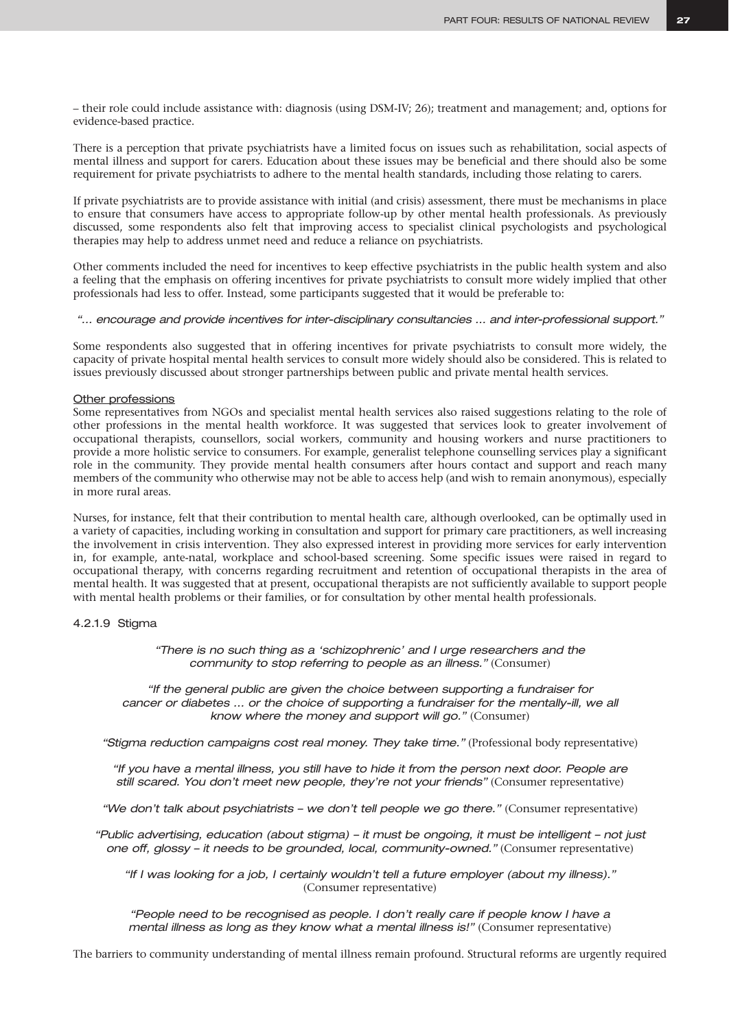– their role could include assistance with: diagnosis (using DSM-IV; 26); treatment and management; and, options for evidence-based practice.

There is a perception that private psychiatrists have a limited focus on issues such as rehabilitation, social aspects of mental illness and support for carers. Education about these issues may be beneficial and there should also be some requirement for private psychiatrists to adhere to the mental health standards, including those relating to carers.

If private psychiatrists are to provide assistance with initial (and crisis) assessment, there must be mechanisms in place to ensure that consumers have access to appropriate follow-up by other mental health professionals. As previously discussed, some respondents also felt that improving access to specialist clinical psychologists and psychological therapies may help to address unmet need and reduce a reliance on psychiatrists.

Other comments included the need for incentives to keep effective psychiatrists in the public health system and also a feeling that the emphasis on offering incentives for private psychiatrists to consult more widely implied that other professionals had less to offer. Instead, some participants suggested that it would be preferable to:

### *"… encourage and provide incentives for inter-disciplinary consultancies … and inter-professional support."*

Some respondents also suggested that in offering incentives for private psychiatrists to consult more widely, the capacity of private hospital mental health services to consult more widely should also be considered. This is related to issues previously discussed about stronger partnerships between public and private mental health services.

### Other professions

Some representatives from NGOs and specialist mental health services also raised suggestions relating to the role of other professions in the mental health workforce. It was suggested that services look to greater involvement of occupational therapists, counsellors, social workers, community and housing workers and nurse practitioners to provide a more holistic service to consumers. For example, generalist telephone counselling services play a significant role in the community. They provide mental health consumers after hours contact and support and reach many members of the community who otherwise may not be able to access help (and wish to remain anonymous), especially in more rural areas.

Nurses, for instance, felt that their contribution to mental health care, although overlooked, can be optimally used in a variety of capacities, including working in consultation and support for primary care practitioners, as well increasing the involvement in crisis intervention. They also expressed interest in providing more services for early intervention in, for example, ante-natal, workplace and school-based screening. Some specific issues were raised in regard to occupational therapy, with concerns regarding recruitment and retention of occupational therapists in the area of mental health. It was suggested that at present, occupational therapists are not sufficiently available to support people with mental health problems or their families, or for consultation by other mental health professionals.

### 4.2.1.9 Stigma

*"There is no such thing as a 'schizophrenic' and I urge researchers and the community to stop referring to people as an illness."* (Consumer)

*"If the general public are given the choice between supporting a fundraiser for cancer or diabetes ... or the choice of supporting a fundraiser for the mentally-ill, we all know where the money and support will go."* (Consumer)

*"Stigma reduction campaigns cost real money. They take time."* (Professional body representative)

*"If you have a mental illness, you still have to hide it from the person next door. People are still scared. You don't meet new people, they're not your friends"* (Consumer representative)

*"We don't talk about psychiatrists - we don't tell people we go there."* (Consumer representative)

*"Public advertising, education (about stigma) – it must be ongoing, it must be intelligent – not just one off, glossy – it needs to be grounded, local, community-owned."* (Consumer representative)

*"If I was looking for a job, I certainly wouldn't tell a future employer (about my illness)."* (Consumer representative)

*"People need to be recognised as people. I don't really care if people know I have a mental illness as long as they know what a mental illness is!"* (Consumer representative)

The barriers to community understanding of mental illness remain profound. Structural reforms are urgently required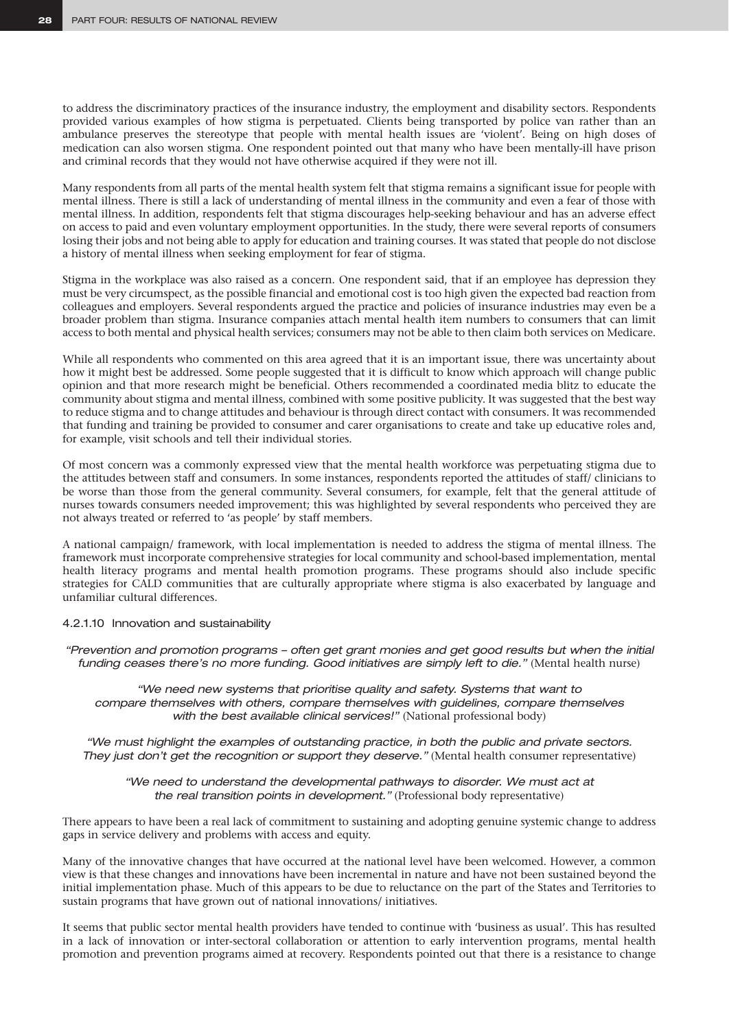to address the discriminatory practices of the insurance industry, the employment and disability sectors. Respondents provided various examples of how stigma is perpetuated. Clients being transported by police van rather than an ambulance preserves the stereotype that people with mental health issues are 'violent'. Being on high doses of medication can also worsen stigma. One respondent pointed out that many who have been mentally-ill have prison and criminal records that they would not have otherwise acquired if they were not ill.

Many respondents from all parts of the mental health system felt that stigma remains a significant issue for people with mental illness. There is still a lack of understanding of mental illness in the community and even a fear of those with mental illness. In addition, respondents felt that stigma discourages help-seeking behaviour and has an adverse effect on access to paid and even voluntary employment opportunities. In the study, there were several reports of consumers losing their jobs and not being able to apply for education and training courses. It was stated that people do not disclose a history of mental illness when seeking employment for fear of stigma.

Stigma in the workplace was also raised as a concern. One respondent said, that if an employee has depression they must be very circumspect, as the possible financial and emotional cost is too high given the expected bad reaction from colleagues and employers. Several respondents argued the practice and policies of insurance industries may even be a broader problem than stigma. Insurance companies attach mental health item numbers to consumers that can limit access to both mental and physical health services; consumers may not be able to then claim both services on Medicare.

While all respondents who commented on this area agreed that it is an important issue, there was uncertainty about how it might best be addressed. Some people suggested that it is difficult to know which approach will change public opinion and that more research might be beneficial. Others recommended a coordinated media blitz to educate the community about stigma and mental illness, combined with some positive publicity. It was suggested that the best way to reduce stigma and to change attitudes and behaviour is through direct contact with consumers. It was recommended that funding and training be provided to consumer and carer organisations to create and take up educative roles and, for example, visit schools and tell their individual stories.

Of most concern was a commonly expressed view that the mental health workforce was perpetuating stigma due to the attitudes between staff and consumers. In some instances, respondents reported the attitudes of staff/ clinicians to be worse than those from the general community. Several consumers, for example, felt that the general attitude of nurses towards consumers needed improvement; this was highlighted by several respondents who perceived they are not always treated or referred to 'as people' by staff members.

A national campaign/ framework, with local implementation is needed to address the stigma of mental illness. The framework must incorporate comprehensive strategies for local community and school-based implementation, mental health literacy programs and mental health promotion programs. These programs should also include specific strategies for CALD communities that are culturally appropriate where stigma is also exacerbated by language and unfamiliar cultural differences.

### 4.2.1.10 Innovation and sustainability

*"Prevention and promotion programs – often get grant monies and get good results but when the initial funding ceases there's no more funding. Good initiatives are simply left to die."* (Mental health nurse)

*"We need new systems that prioritise quality and safety. Systems that want to compare themselves with others, compare themselves with guidelines, compare themselves*  with the best available clinical services!" (National professional body)

*"We must highlight the examples of outstanding practice, in both the public and private sectors. They just don't get the recognition or support they deserve."* (Mental health consumer representative)

*"We need to understand the developmental pathways to disorder. We must act at the real transition points in development."* (Professional body representative)

There appears to have been a real lack of commitment to sustaining and adopting genuine systemic change to address gaps in service delivery and problems with access and equity.

Many of the innovative changes that have occurred at the national level have been welcomed. However, a common view is that these changes and innovations have been incremental in nature and have not been sustained beyond the initial implementation phase. Much of this appears to be due to reluctance on the part of the States and Territories to sustain programs that have grown out of national innovations/ initiatives.

It seems that public sector mental health providers have tended to continue with 'business as usual'. This has resulted in a lack of innovation or inter-sectoral collaboration or attention to early intervention programs, mental health promotion and prevention programs aimed at recovery. Respondents pointed out that there is a resistance to change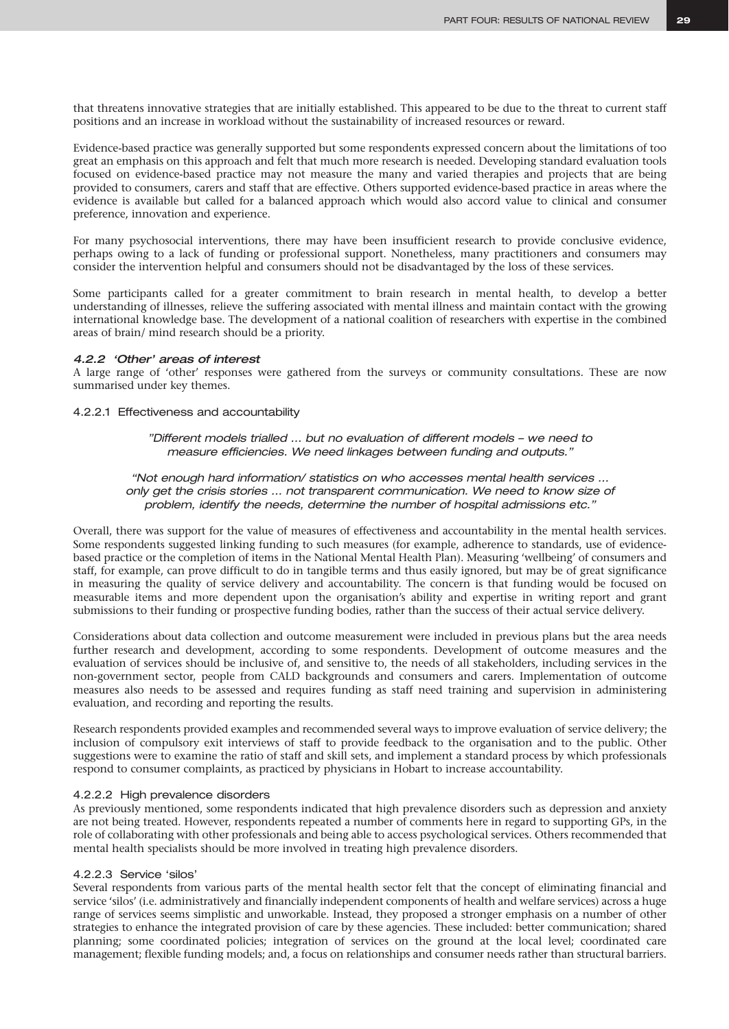that threatens innovative strategies that are initially established. This appeared to be due to the threat to current staff positions and an increase in workload without the sustainability of increased resources or reward.

Evidence-based practice was generally supported but some respondents expressed concern about the limitations of too great an emphasis on this approach and felt that much more research is needed. Developing standard evaluation tools focused on evidence-based practice may not measure the many and varied therapies and projects that are being provided to consumers, carers and staff that are effective. Others supported evidence-based practice in areas where the evidence is available but called for a balanced approach which would also accord value to clinical and consumer preference, innovation and experience.

For many psychosocial interventions, there may have been insufficient research to provide conclusive evidence, perhaps owing to a lack of funding or professional support. Nonetheless, many practitioners and consumers may consider the intervention helpful and consumers should not be disadvantaged by the loss of these services.

Some participants called for a greater commitment to brain research in mental health, to develop a better understanding of illnesses, relieve the suffering associated with mental illness and maintain contact with the growing international knowledge base. The development of a national coalition of researchers with expertise in the combined areas of brain/ mind research should be a priority.

### *4.2.2 'Other' areas of interest*

A large range of 'other' responses were gathered from the surveys or community consultations. These are now summarised under key themes.

4.2.2.1 Effectiveness and accountability

*"Different models trialled … but no evaluation of different models – we need to measure efficiencies. We need linkages between funding and outputs."*

*"Not enough hard information/ statistics on who accesses mental health services … only get the crisis stories … not transparent communication. We need to know size of problem, identify the needs, determine the number of hospital admissions etc."*

Overall, there was support for the value of measures of effectiveness and accountability in the mental health services. Some respondents suggested linking funding to such measures (for example, adherence to standards, use of evidencebased practice or the completion of items in the National Mental Health Plan). Measuring 'wellbeing' of consumers and staff, for example, can prove difficult to do in tangible terms and thus easily ignored, but may be of great significance in measuring the quality of service delivery and accountability. The concern is that funding would be focused on measurable items and more dependent upon the organisation's ability and expertise in writing report and grant submissions to their funding or prospective funding bodies, rather than the success of their actual service delivery.

Considerations about data collection and outcome measurement were included in previous plans but the area needs further research and development, according to some respondents. Development of outcome measures and the evaluation of services should be inclusive of, and sensitive to, the needs of all stakeholders, including services in the non-government sector, people from CALD backgrounds and consumers and carers. Implementation of outcome measures also needs to be assessed and requires funding as staff need training and supervision in administering evaluation, and recording and reporting the results.

Research respondents provided examples and recommended several ways to improve evaluation of service delivery; the inclusion of compulsory exit interviews of staff to provide feedback to the organisation and to the public. Other suggestions were to examine the ratio of staff and skill sets, and implement a standard process by which professionals respond to consumer complaints, as practiced by physicians in Hobart to increase accountability.

### 4.2.2.2 High prevalence disorders

As previously mentioned, some respondents indicated that high prevalence disorders such as depression and anxiety are not being treated. However, respondents repeated a number of comments here in regard to supporting GPs, in the role of collaborating with other professionals and being able to access psychological services*.* Others recommended that mental health specialists should be more involved in treating high prevalence disorders.

### 4.2.2.3 Service 'silos'

Several respondents from various parts of the mental health sector felt that the concept of eliminating financial and service 'silos' (i.e. administratively and financially independent components of health and welfare services) across a huge range of services seems simplistic and unworkable. Instead, they proposed a stronger emphasis on a number of other strategies to enhance the integrated provision of care by these agencies. These included: better communication; shared planning; some coordinated policies; integration of services on the ground at the local level; coordinated care management; flexible funding models; and, a focus on relationships and consumer needs rather than structural barriers.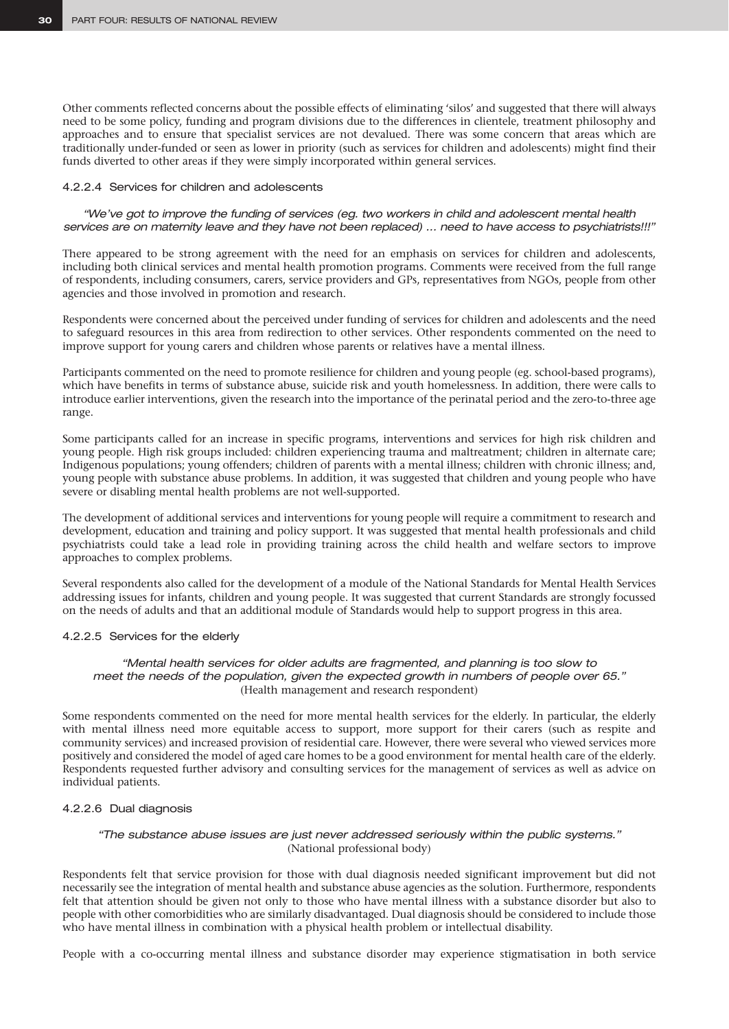Other comments reflected concerns about the possible effects of eliminating 'silos' and suggested that there will always need to be some policy, funding and program divisions due to the differences in clientele, treatment philosophy and approaches and to ensure that specialist services are not devalued. There was some concern that areas which are traditionally under-funded or seen as lower in priority (such as services for children and adolescents) might find their funds diverted to other areas if they were simply incorporated within general services.

### 4.2.2.4 Services for children and adolescents

*"We've got to improve the funding of services (eg. two workers in child and adolescent mental health services are on maternity leave and they have not been replaced) … need to have access to psychiatrists!!!"*

There appeared to be strong agreement with the need for an emphasis on services for children and adolescents, including both clinical services and mental health promotion programs. Comments were received from the full range of respondents, including consumers, carers, service providers and GPs, representatives from NGOs, people from other agencies and those involved in promotion and research.

Respondents were concerned about the perceived under funding of services for children and adolescents and the need to safeguard resources in this area from redirection to other services. Other respondents commented on the need to improve support for young carers and children whose parents or relatives have a mental illness.

Participants commented on the need to promote resilience for children and young people (eg. school-based programs), which have benefits in terms of substance abuse, suicide risk and youth homelessness. In addition, there were calls to introduce earlier interventions, given the research into the importance of the perinatal period and the zero-to-three age range.

Some participants called for an increase in specific programs, interventions and services for high risk children and young people. High risk groups included: children experiencing trauma and maltreatment; children in alternate care; Indigenous populations; young offenders; children of parents with a mental illness; children with chronic illness; and, young people with substance abuse problems. In addition, it was suggested that children and young people who have severe or disabling mental health problems are not well-supported.

The development of additional services and interventions for young people will require a commitment to research and development, education and training and policy support. It was suggested that mental health professionals and child psychiatrists could take a lead role in providing training across the child health and welfare sectors to improve approaches to complex problems.

Several respondents also called for the development of a module of the National Standards for Mental Health Services addressing issues for infants, children and young people. It was suggested that current Standards are strongly focussed on the needs of adults and that an additional module of Standards would help to support progress in this area.

### 4.2.2.5 Services for the elderly

### *"Mental health services for older adults are fragmented, and planning is too slow to meet the needs of the population, given the expected growth in numbers of people over 65."* (Health management and research respondent)

Some respondents commented on the need for more mental health services for the elderly. In particular, the elderly with mental illness need more equitable access to support, more support for their carers (such as respite and community services) and increased provision of residential care. However, there were several who viewed services more positively and considered the model of aged care homes to be a good environment for mental health care of the elderly. Respondents requested further advisory and consulting services for the management of services as well as advice on individual patients.

### 4.2.2.6 Dual diagnosis

### *"The substance abuse issues are just never addressed seriously within the public systems."* (National professional body)

Respondents felt that service provision for those with dual diagnosis needed significant improvement but did not necessarily see the integration of mental health and substance abuse agencies as the solution. Furthermore, respondents felt that attention should be given not only to those who have mental illness with a substance disorder but also to people with other comorbidities who are similarly disadvantaged. Dual diagnosis should be considered to include those who have mental illness in combination with a physical health problem or intellectual disability.

People with a co-occurring mental illness and substance disorder may experience stigmatisation in both service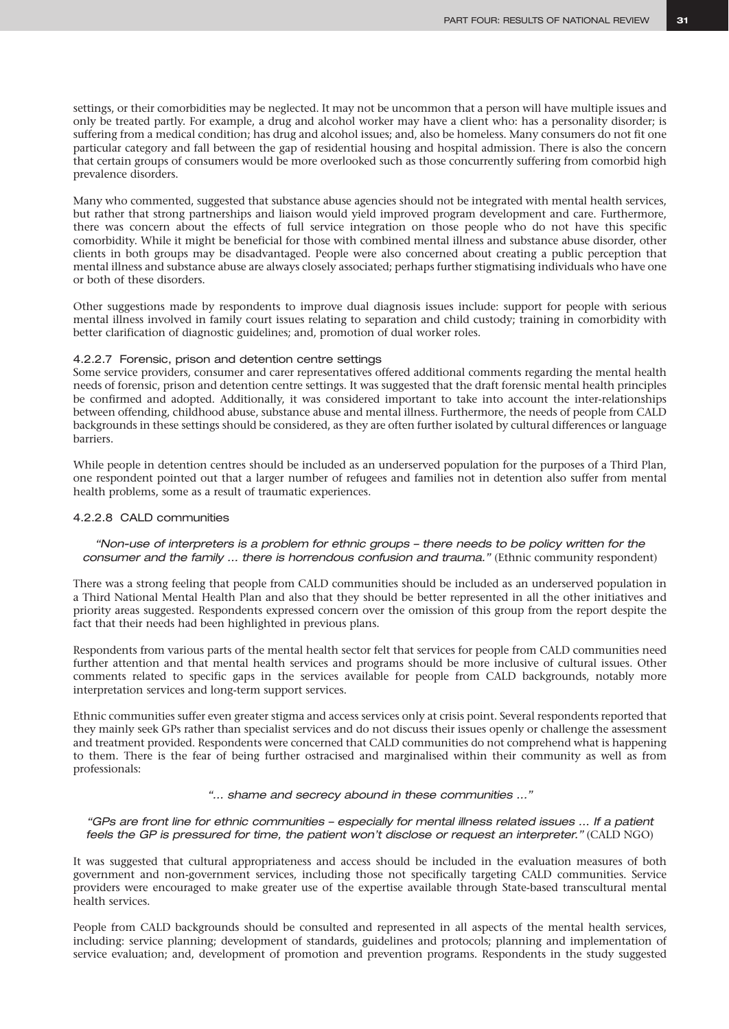settings, or their comorbidities may be neglected. It may not be uncommon that a person will have multiple issues and only be treated partly. For example, a drug and alcohol worker may have a client who: has a personality disorder; is suffering from a medical condition; has drug and alcohol issues; and, also be homeless. Many consumers do not fit one particular category and fall between the gap of residential housing and hospital admission. There is also the concern that certain groups of consumers would be more overlooked such as those concurrently suffering from comorbid high prevalence disorders.

Many who commented, suggested that substance abuse agencies should not be integrated with mental health services, but rather that strong partnerships and liaison would yield improved program development and care. Furthermore, there was concern about the effects of full service integration on those people who do not have this specific comorbidity. While it might be beneficial for those with combined mental illness and substance abuse disorder, other clients in both groups may be disadvantaged. People were also concerned about creating a public perception that mental illness and substance abuse are always closely associated; perhaps further stigmatising individuals who have one or both of these disorders.

Other suggestions made by respondents to improve dual diagnosis issues include: support for people with serious mental illness involved in family court issues relating to separation and child custody; training in comorbidity with better clarification of diagnostic guidelines; and, promotion of dual worker roles.

### 4.2.2.7 Forensic, prison and detention centre settings

Some service providers, consumer and carer representatives offered additional comments regarding the mental health needs of forensic, prison and detention centre settings. It was suggested that the draft forensic mental health principles be confirmed and adopted. Additionally, it was considered important to take into account the inter-relationships between offending, childhood abuse, substance abuse and mental illness. Furthermore, the needs of people from CALD backgrounds in these settings should be considered, as they are often further isolated by cultural differences or language barriers.

While people in detention centres should be included as an underserved population for the purposes of a Third Plan, one respondent pointed out that a larger number of refugees and families not in detention also suffer from mental health problems, some as a result of traumatic experiences.

### 4.2.2.8 CALD communities

### *"Non-use of interpreters is a problem for ethnic groups – there needs to be policy written for the consumer and the family … there is horrendous confusion and trauma."* (Ethnic community respondent)

There was a strong feeling that people from CALD communities should be included as an underserved population in a Third National Mental Health Plan and also that they should be better represented in all the other initiatives and priority areas suggested. Respondents expressed concern over the omission of this group from the report despite the fact that their needs had been highlighted in previous plans.

Respondents from various parts of the mental health sector felt that services for people from CALD communities need further attention and that mental health services and programs should be more inclusive of cultural issues. Other comments related to specific gaps in the services available for people from CALD backgrounds, notably more interpretation services and long-term support services.

Ethnic communities suffer even greater stigma and access services only at crisis point. Several respondents reported that they mainly seek GPs rather than specialist services and do not discuss their issues openly or challenge the assessment and treatment provided. Respondents were concerned that CALD communities do not comprehend what is happening to them. There is the fear of being further ostracised and marginalised within their community as well as from professionals:

*"… shame and secrecy abound in these communities …"*

### *"GPs are front line for ethnic communities – especially for mental illness related issues … If a patient feels the GP is pressured for time, the patient won't disclose or request an interpreter."* (CALD NGO)

It was suggested that cultural appropriateness and access should be included in the evaluation measures of both government and non-government services, including those not specifically targeting CALD communities. Service providers were encouraged to make greater use of the expertise available through State-based transcultural mental health services.

People from CALD backgrounds should be consulted and represented in all aspects of the mental health services, including: service planning; development of standards, guidelines and protocols; planning and implementation of service evaluation; and, development of promotion and prevention programs. Respondents in the study suggested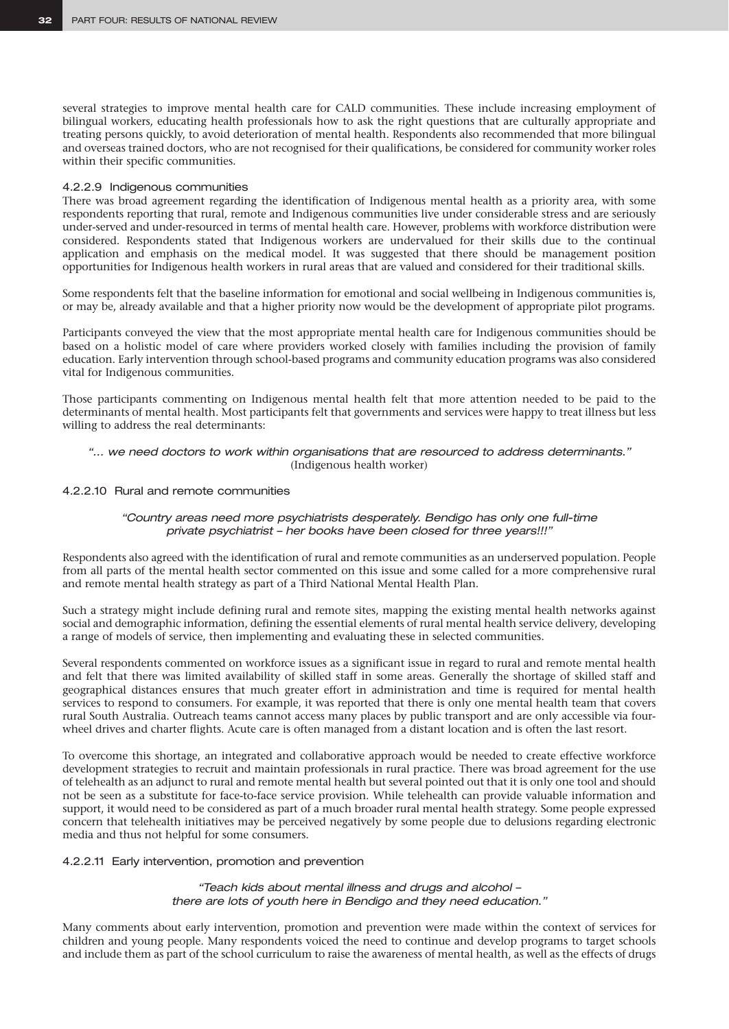several strategies to improve mental health care for CALD communities. These include increasing employment of bilingual workers, educating health professionals how to ask the right questions that are culturally appropriate and treating persons quickly, to avoid deterioration of mental health. Respondents also recommended that more bilingual and overseas trained doctors, who are not recognised for their qualifications, be considered for community worker roles within their specific communities.

### 4.2.2.9 Indigenous communities

There was broad agreement regarding the identification of Indigenous mental health as a priority area, with some respondents reporting that rural, remote and Indigenous communities live under considerable stress and are seriously under-served and under-resourced in terms of mental health care. However, problems with workforce distribution were considered. Respondents stated that Indigenous workers are undervalued for their skills due to the continual application and emphasis on the medical model. It was suggested that there should be management position opportunities for Indigenous health workers in rural areas that are valued and considered for their traditional skills.

Some respondents felt that the baseline information for emotional and social wellbeing in Indigenous communities is, or may be, already available and that a higher priority now would be the development of appropriate pilot programs.

Participants conveyed the view that the most appropriate mental health care for Indigenous communities should be based on a holistic model of care where providers worked closely with families including the provision of family education. Early intervention through school-based programs and community education programs was also considered vital for Indigenous communities.

Those participants commenting on Indigenous mental health felt that more attention needed to be paid to the determinants of mental health. Most participants felt that governments and services were happy to treat illness but less willing to address the real determinants:

### *"… we need doctors to work within organisations that are resourced to address determinants."*  (Indigenous health worker)

### 4.2.2.10 Rural and remote communities

### *"Country areas need more psychiatrists desperately. Bendigo has only one full-time private psychiatrist – her books have been closed for three years!!!"*

Respondents also agreed with the identification of rural and remote communities as an underserved population. People from all parts of the mental health sector commented on this issue and some called for a more comprehensive rural and remote mental health strategy as part of a Third National Mental Health Plan.

Such a strategy might include defining rural and remote sites, mapping the existing mental health networks against social and demographic information, defining the essential elements of rural mental health service delivery, developing a range of models of service, then implementing and evaluating these in selected communities.

Several respondents commented on workforce issues as a significant issue in regard to rural and remote mental health and felt that there was limited availability of skilled staff in some areas. Generally the shortage of skilled staff and geographical distances ensures that much greater effort in administration and time is required for mental health services to respond to consumers. For example, it was reported that there is only one mental health team that covers rural South Australia. Outreach teams cannot access many places by public transport and are only accessible via fourwheel drives and charter flights. Acute care is often managed from a distant location and is often the last resort.

To overcome this shortage, an integrated and collaborative approach would be needed to create effective workforce development strategies to recruit and maintain professionals in rural practice. There was broad agreement for the use of telehealth as an adjunct to rural and remote mental health but several pointed out that it is only one tool and should not be seen as a substitute for face-to-face service provision. While telehealth can provide valuable information and support, it would need to be considered as part of a much broader rural mental health strategy. Some people expressed concern that telehealth initiatives may be perceived negatively by some people due to delusions regarding electronic media and thus not helpful for some consumers.

### 4.2.2.11 Early intervention, promotion and prevention

*"Teach kids about mental illness and drugs and alcohol – there are lots of youth here in Bendigo and they need education."*

Many comments about early intervention, promotion and prevention were made within the context of services for children and young people. Many respondents voiced the need to continue and develop programs to target schools and include them as part of the school curriculum to raise the awareness of mental health, as well as the effects of drugs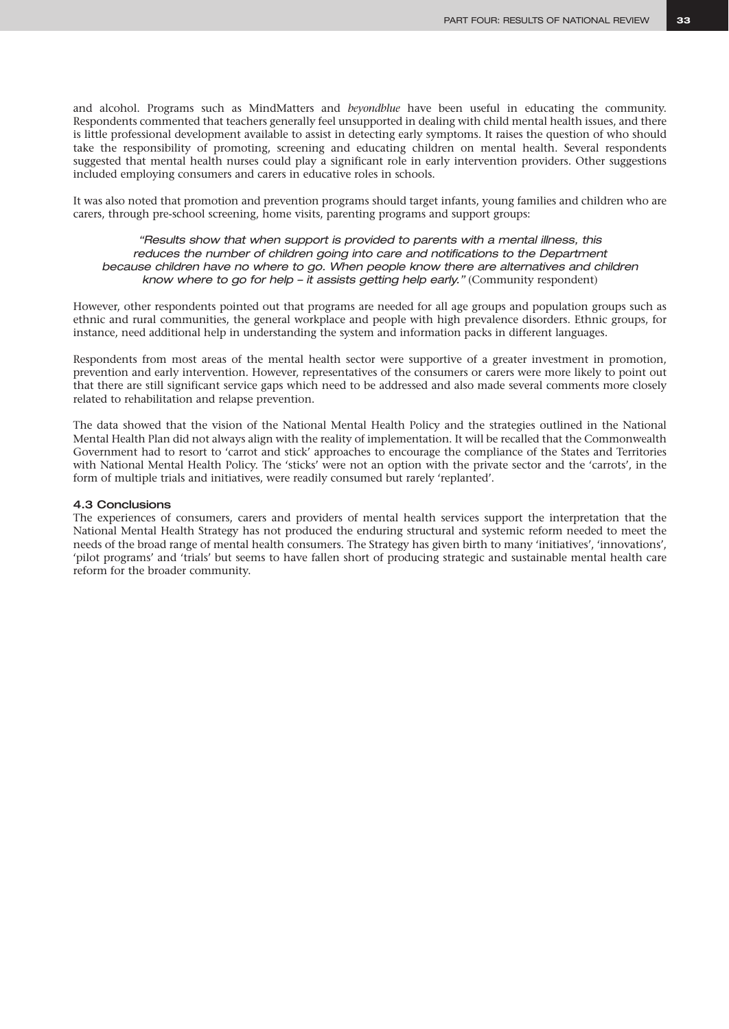and alcohol. Programs such as MindMatters and *beyondblue* have been useful in educating the community. Respondents commented that teachers generally feel unsupported in dealing with child mental health issues, and there is little professional development available to assist in detecting early symptoms. It raises the question of who should take the responsibility of promoting, screening and educating children on mental health. Several respondents suggested that mental health nurses could play a significant role in early intervention providers. Other suggestions included employing consumers and carers in educative roles in schools.

It was also noted that promotion and prevention programs should target infants, young families and children who are carers, through pre-school screening, home visits, parenting programs and support groups:

### *"Results show that when support is provided to parents with a mental illness, this*  reduces the number of children going into care and notifications to the Department *because children have no where to go. When people know there are alternatives and children know where to go for help – it assists getting help early."* (Community respondent)

However, other respondents pointed out that programs are needed for all age groups and population groups such as ethnic and rural communities, the general workplace and people with high prevalence disorders. Ethnic groups, for instance, need additional help in understanding the system and information packs in different languages.

Respondents from most areas of the mental health sector were supportive of a greater investment in promotion, prevention and early intervention. However, representatives of the consumers or carers were more likely to point out that there are still significant service gaps which need to be addressed and also made several comments more closely related to rehabilitation and relapse prevention.

The data showed that the vision of the National Mental Health Policy and the strategies outlined in the National Mental Health Plan did not always align with the reality of implementation. It will be recalled that the Commonwealth Government had to resort to 'carrot and stick' approaches to encourage the compliance of the States and Territories with National Mental Health Policy. The 'sticks' were not an option with the private sector and the 'carrots', in the form of multiple trials and initiatives, were readily consumed but rarely 'replanted'.

### 4.3 Conclusions

The experiences of consumers, carers and providers of mental health services support the interpretation that the National Mental Health Strategy has not produced the enduring structural and systemic reform needed to meet the needs of the broad range of mental health consumers. The Strategy has given birth to many 'initiatives', 'innovations', 'pilot programs' and 'trials' but seems to have fallen short of producing strategic and sustainable mental health care reform for the broader community.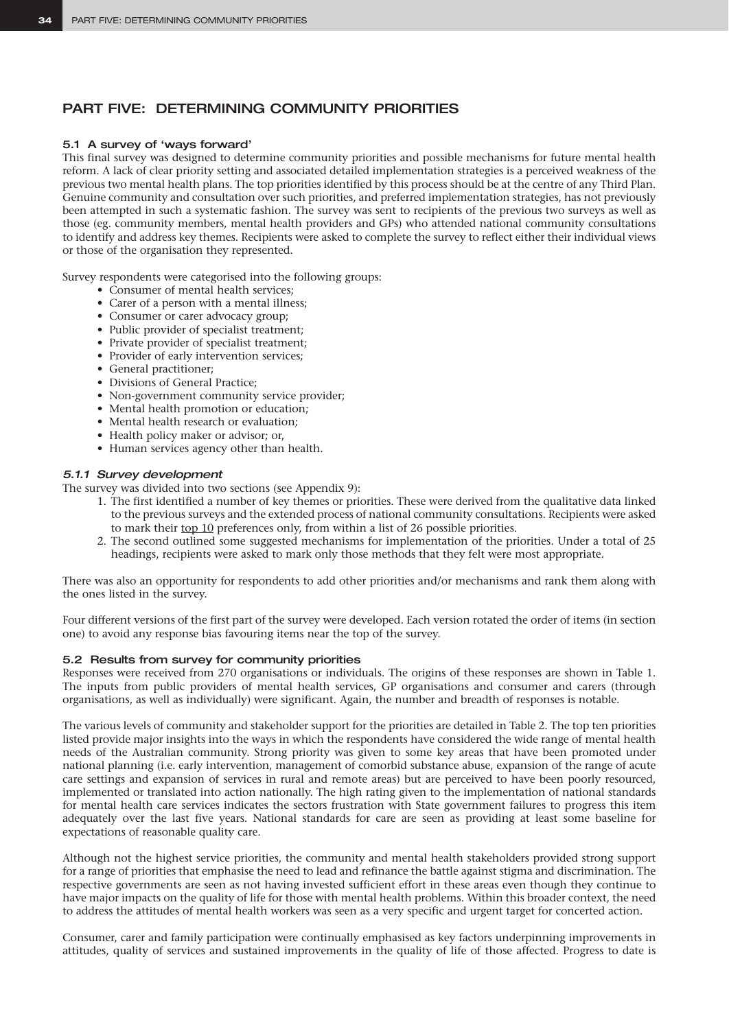# PART FIVE: DETERMINING COMMUNITY PRIORITIES

### 5.1 A survey of 'ways forward'

This final survey was designed to determine community priorities and possible mechanisms for future mental health reform. A lack of clear priority setting and associated detailed implementation strategies is a perceived weakness of the previous two mental health plans. The top priorities identified by this process should be at the centre of any Third Plan. Genuine community and consultation over such priorities, and preferred implementation strategies, has not previously been attempted in such a systematic fashion. The survey was sent to recipients of the previous two surveys as well as those (eg. community members, mental health providers and GPs) who attended national community consultations to identify and address key themes. Recipients were asked to complete the survey to reflect either their individual views or those of the organisation they represented.

Survey respondents were categorised into the following groups:

- Consumer of mental health services;
- Carer of a person with a mental illness;
- Consumer or carer advocacy group;
- Public provider of specialist treatment;
- Private provider of specialist treatment;
- Provider of early intervention services;
- General practitioner;
- Divisions of General Practice;
- Non-government community service provider;
- Mental health promotion or education;
- Mental health research or evaluation;
- Health policy maker or advisor; or,
- Human services agency other than health.

### *5.1.1 Survey development*

The survey was divided into two sections (see Appendix 9):

- 1. The first identified a number of key themes or priorities. These were derived from the qualitative data linked to the previous surveys and the extended process of national community consultations. Recipients were asked to mark their top 10 preferences only, from within a list of 26 possible priorities.
- 2. The second outlined some suggested mechanisms for implementation of the priorities. Under a total of 25 headings, recipients were asked to mark only those methods that they felt were most appropriate.

There was also an opportunity for respondents to add other priorities and/or mechanisms and rank them along with the ones listed in the survey.

Four different versions of the first part of the survey were developed. Each version rotated the order of items (in section one) to avoid any response bias favouring items near the top of the survey.

### 5.2 Results from survey for community priorities

Responses were received from 270 organisations or individuals. The origins of these responses are shown in Table 1. The inputs from public providers of mental health services, GP organisations and consumer and carers (through organisations, as well as individually) were significant. Again, the number and breadth of responses is notable.

The various levels of community and stakeholder support for the priorities are detailed in Table 2. The top ten priorities listed provide major insights into the ways in which the respondents have considered the wide range of mental health needs of the Australian community. Strong priority was given to some key areas that have been promoted under national planning (i.e. early intervention, management of comorbid substance abuse, expansion of the range of acute care settings and expansion of services in rural and remote areas) but are perceived to have been poorly resourced, implemented or translated into action nationally. The high rating given to the implementation of national standards for mental health care services indicates the sectors frustration with State government failures to progress this item adequately over the last five years. National standards for care are seen as providing at least some baseline for expectations of reasonable quality care.

Although not the highest service priorities, the community and mental health stakeholders provided strong support for a range of priorities that emphasise the need to lead and refinance the battle against stigma and discrimination. The respective governments are seen as not having invested sufficient effort in these areas even though they continue to have major impacts on the quality of life for those with mental health problems. Within this broader context, the need to address the attitudes of mental health workers was seen as a very specific and urgent target for concerted action.

Consumer, carer and family participation were continually emphasised as key factors underpinning improvements in attitudes, quality of services and sustained improvements in the quality of life of those affected. Progress to date is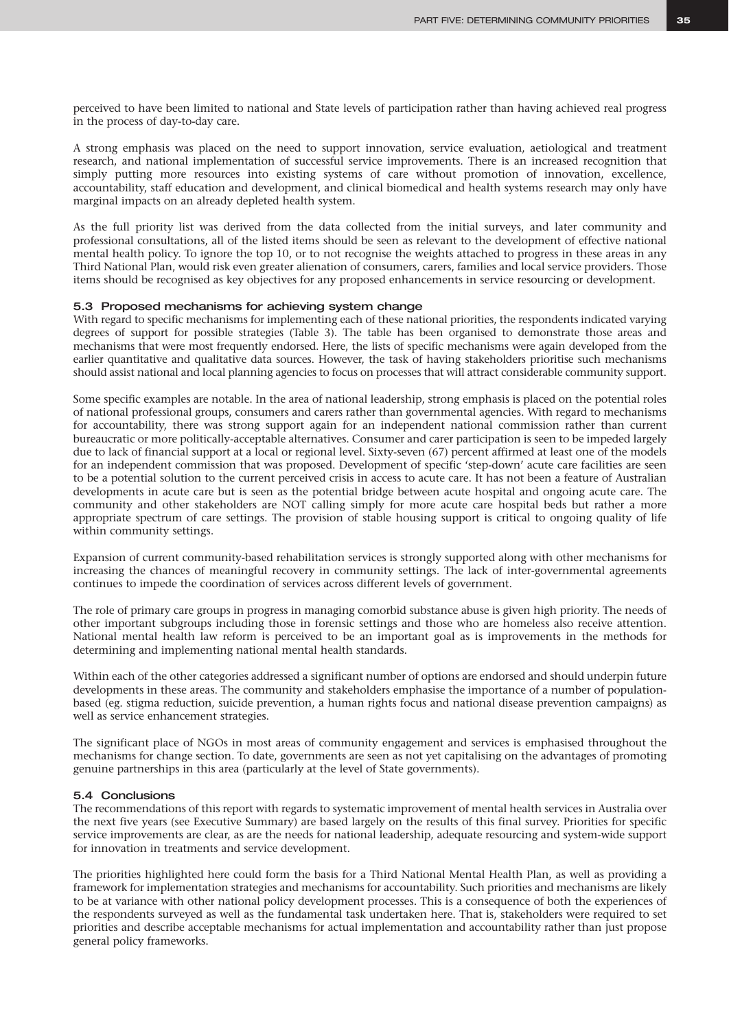perceived to have been limited to national and State levels of participation rather than having achieved real progress in the process of day-to-day care.

A strong emphasis was placed on the need to support innovation, service evaluation, aetiological and treatment research, and national implementation of successful service improvements. There is an increased recognition that simply putting more resources into existing systems of care without promotion of innovation, excellence, accountability, staff education and development, and clinical biomedical and health systems research may only have marginal impacts on an already depleted health system.

As the full priority list was derived from the data collected from the initial surveys, and later community and professional consultations, all of the listed items should be seen as relevant to the development of effective national mental health policy. To ignore the top 10, or to not recognise the weights attached to progress in these areas in any Third National Plan, would risk even greater alienation of consumers, carers, families and local service providers. Those items should be recognised as key objectives for any proposed enhancements in service resourcing or development.

### 5.3 Proposed mechanisms for achieving system change

With regard to specific mechanisms for implementing each of these national priorities, the respondents indicated varying degrees of support for possible strategies (Table 3). The table has been organised to demonstrate those areas and mechanisms that were most frequently endorsed. Here, the lists of specific mechanisms were again developed from the earlier quantitative and qualitative data sources. However, the task of having stakeholders prioritise such mechanisms should assist national and local planning agencies to focus on processes that will attract considerable community support.

Some specific examples are notable. In the area of national leadership, strong emphasis is placed on the potential roles of national professional groups, consumers and carers rather than governmental agencies. With regard to mechanisms for accountability, there was strong support again for an independent national commission rather than current bureaucratic or more politically-acceptable alternatives. Consumer and carer participation is seen to be impeded largely due to lack of financial support at a local or regional level. Sixty-seven (67) percent affirmed at least one of the models for an independent commission that was proposed. Development of specific 'step-down' acute care facilities are seen to be a potential solution to the current perceived crisis in access to acute care. It has not been a feature of Australian developments in acute care but is seen as the potential bridge between acute hospital and ongoing acute care. The community and other stakeholders are NOT calling simply for more acute care hospital beds but rather a more appropriate spectrum of care settings. The provision of stable housing support is critical to ongoing quality of life within community settings.

Expansion of current community-based rehabilitation services is strongly supported along with other mechanisms for increasing the chances of meaningful recovery in community settings. The lack of inter-governmental agreements continues to impede the coordination of services across different levels of government.

The role of primary care groups in progress in managing comorbid substance abuse is given high priority. The needs of other important subgroups including those in forensic settings and those who are homeless also receive attention. National mental health law reform is perceived to be an important goal as is improvements in the methods for determining and implementing national mental health standards.

Within each of the other categories addressed a significant number of options are endorsed and should underpin future developments in these areas. The community and stakeholders emphasise the importance of a number of populationbased (eg. stigma reduction, suicide prevention, a human rights focus and national disease prevention campaigns) as well as service enhancement strategies.

The significant place of NGOs in most areas of community engagement and services is emphasised throughout the mechanisms for change section. To date, governments are seen as not yet capitalising on the advantages of promoting genuine partnerships in this area (particularly at the level of State governments).

### 5.4 Conclusions

The recommendations of this report with regards to systematic improvement of mental health services in Australia over the next five years (see Executive Summary) are based largely on the results of this final survey. Priorities for specific service improvements are clear, as are the needs for national leadership, adequate resourcing and system-wide support for innovation in treatments and service development.

The priorities highlighted here could form the basis for a Third National Mental Health Plan, as well as providing a framework for implementation strategies and mechanisms for accountability. Such priorities and mechanisms are likely to be at variance with other national policy development processes. This is a consequence of both the experiences of the respondents surveyed as well as the fundamental task undertaken here. That is, stakeholders were required to set priorities and describe acceptable mechanisms for actual implementation and accountability rather than just propose general policy frameworks.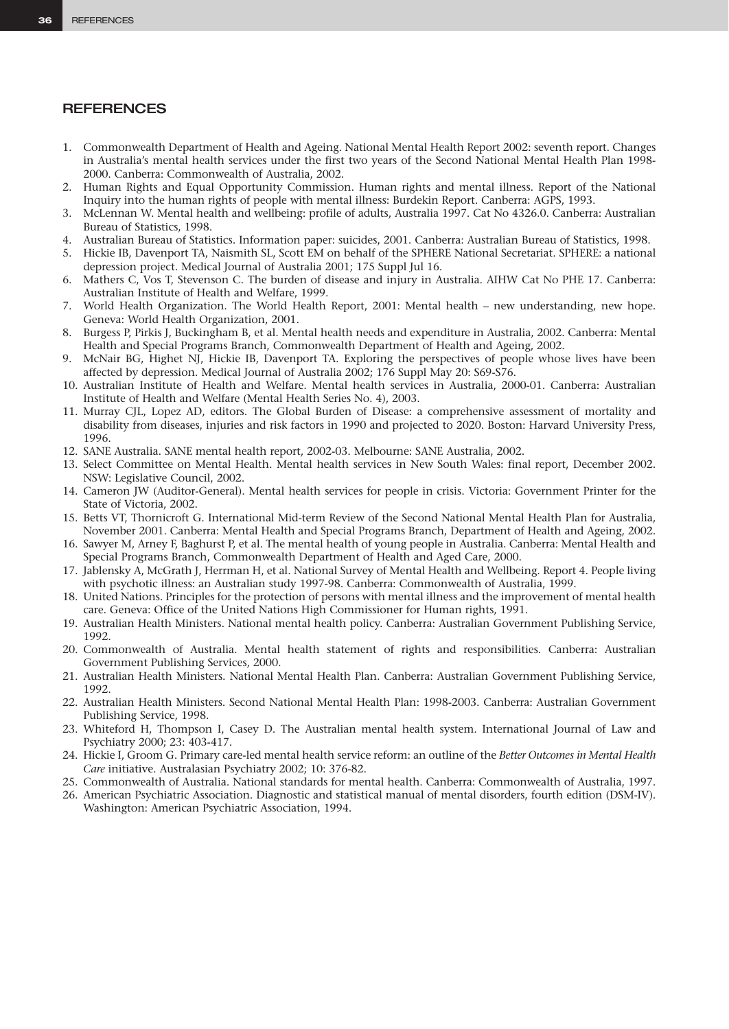# **REFERENCES**

- 1. Commonwealth Department of Health and Ageing. National Mental Health Report 2002: seventh report. Changes in Australia's mental health services under the first two years of the Second National Mental Health Plan 1998- 2000. Canberra: Commonwealth of Australia, 2002.
- 2. Human Rights and Equal Opportunity Commission. Human rights and mental illness. Report of the National Inquiry into the human rights of people with mental illness: Burdekin Report. Canberra: AGPS, 1993.
- 3. McLennan W. Mental health and wellbeing: profile of adults, Australia 1997. Cat No 4326.0. Canberra: Australian Bureau of Statistics, 1998.
- 4. Australian Bureau of Statistics. Information paper: suicides, 2001. Canberra: Australian Bureau of Statistics, 1998.
- 5. Hickie IB, Davenport TA, Naismith SL, Scott EM on behalf of the SPHERE National Secretariat. SPHERE: a national depression project. Medical Journal of Australia 2001; 175 Suppl Jul 16.
- 6. Mathers C, Vos T, Stevenson C. The burden of disease and injury in Australia. AIHW Cat No PHE 17. Canberra: Australian Institute of Health and Welfare, 1999.
- 7. World Health Organization. The World Health Report, 2001: Mental health new understanding, new hope. Geneva: World Health Organization, 2001.
- 8. Burgess P, Pirkis J, Buckingham B, et al. Mental health needs and expenditure in Australia, 2002. Canberra: Mental Health and Special Programs Branch, Commonwealth Department of Health and Ageing, 2002.
- 9. McNair BG, Highet NJ, Hickie IB, Davenport TA. Exploring the perspectives of people whose lives have been affected by depression. Medical Journal of Australia 2002; 176 Suppl May 20: S69-S76.
- 10. Australian Institute of Health and Welfare. Mental health services in Australia, 2000-01. Canberra: Australian Institute of Health and Welfare (Mental Health Series No. 4), 2003.
- 11. Murray CJL, Lopez AD, editors. The Global Burden of Disease: a comprehensive assessment of mortality and disability from diseases, injuries and risk factors in 1990 and projected to 2020. Boston: Harvard University Press, 1996.
- 12. SANE Australia. SANE mental health report, 2002-03. Melbourne: SANE Australia, 2002.
- 13. Select Committee on Mental Health. Mental health services in New South Wales: final report, December 2002. NSW: Legislative Council, 2002.
- 14. Cameron JW (Auditor-General). Mental health services for people in crisis. Victoria: Government Printer for the State of Victoria, 2002.
- 15. Betts VT, Thornicroft G. International Mid-term Review of the Second National Mental Health Plan for Australia, November 2001. Canberra: Mental Health and Special Programs Branch, Department of Health and Ageing, 2002.
- 16. Sawyer M, Arney F, Baghurst P, et al. The mental health of young people in Australia. Canberra: Mental Health and Special Programs Branch, Commonwealth Department of Health and Aged Care, 2000.
- 17. Jablensky A, McGrath J, Herrman H, et al. National Survey of Mental Health and Wellbeing. Report 4. People living with psychotic illness: an Australian study 1997-98. Canberra: Commonwealth of Australia, 1999.
- 18. United Nations. Principles for the protection of persons with mental illness and the improvement of mental health care. Geneva: Office of the United Nations High Commissioner for Human rights, 1991.
- 19. Australian Health Ministers. National mental health policy. Canberra: Australian Government Publishing Service, 1992.
- 20. Commonwealth of Australia. Mental health statement of rights and responsibilities. Canberra: Australian Government Publishing Services, 2000.
- 21. Australian Health Ministers. National Mental Health Plan. Canberra: Australian Government Publishing Service, 1992.
- 22. Australian Health Ministers. Second National Mental Health Plan: 1998-2003. Canberra: Australian Government Publishing Service, 1998.
- 23. Whiteford H, Thompson I, Casey D. The Australian mental health system. International Journal of Law and Psychiatry 2000; 23: 403-417.
- 24. Hickie I, Groom G. Primary care-led mental health service reform: an outline of the *Better Outcomes in Mental Health Care* initiative. Australasian Psychiatry 2002; 10: 376-82.
- 25. Commonwealth of Australia. National standards for mental health. Canberra: Commonwealth of Australia, 1997.
- 26. American Psychiatric Association. Diagnostic and statistical manual of mental disorders, fourth edition (DSM-IV). Washington: American Psychiatric Association, 1994.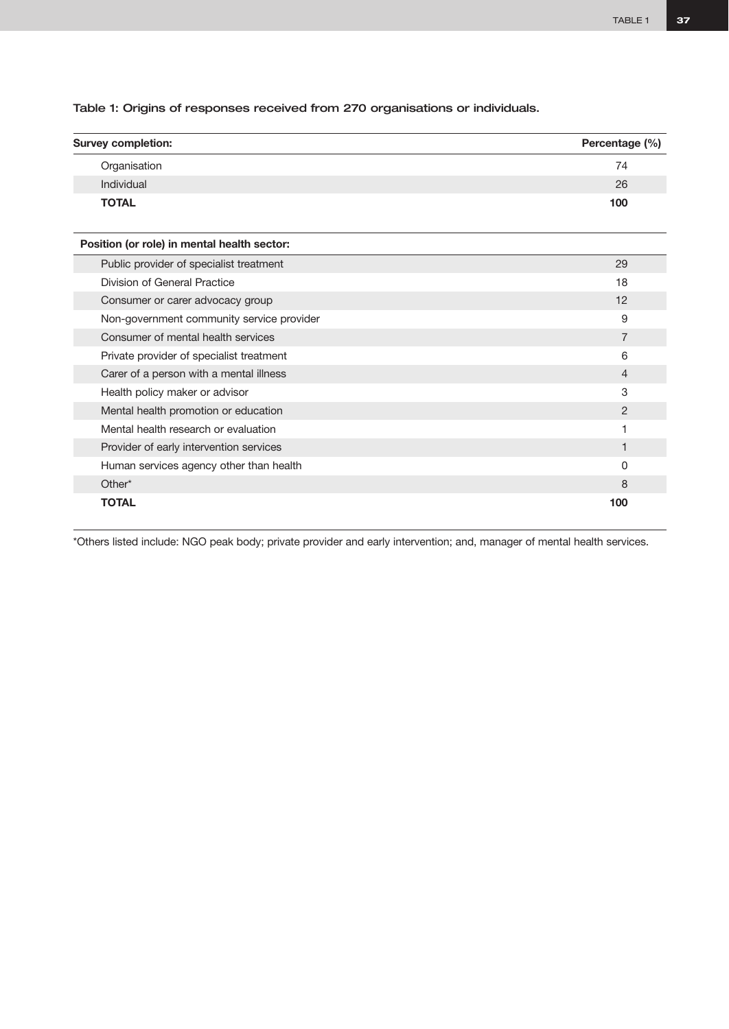Table 1: Origins of responses received from 270 organisations or individuals.

| <b>Survey completion:</b>                   | Percentage (%) |
|---------------------------------------------|----------------|
| Organisation                                | 74             |
| Individual                                  | 26             |
| <b>TOTAL</b>                                | 100            |
| Position (or role) in mental health sector: |                |
| Public provider of specialist treatment     | 29             |
| Division of General Practice                | 18             |
| Consumer or carer advocacy group            | 12             |
| Non-government community service provider   | 9              |
| Consumer of mental health services          | $\overline{7}$ |
| Private provider of specialist treatment    | 6              |
| Carer of a person with a mental illness     | 4              |
| Health policy maker or advisor              | 3              |
| Mental health promotion or education        | $\overline{2}$ |
| Mental health research or evaluation        | 1              |
| Provider of early intervention services     | 1              |
| Human services agency other than health     | 0              |
| Other*                                      | 8              |
| <b>TOTAL</b>                                | 100            |

\*Others listed include: NGO peak body; private provider and early intervention; and, manager of mental health services.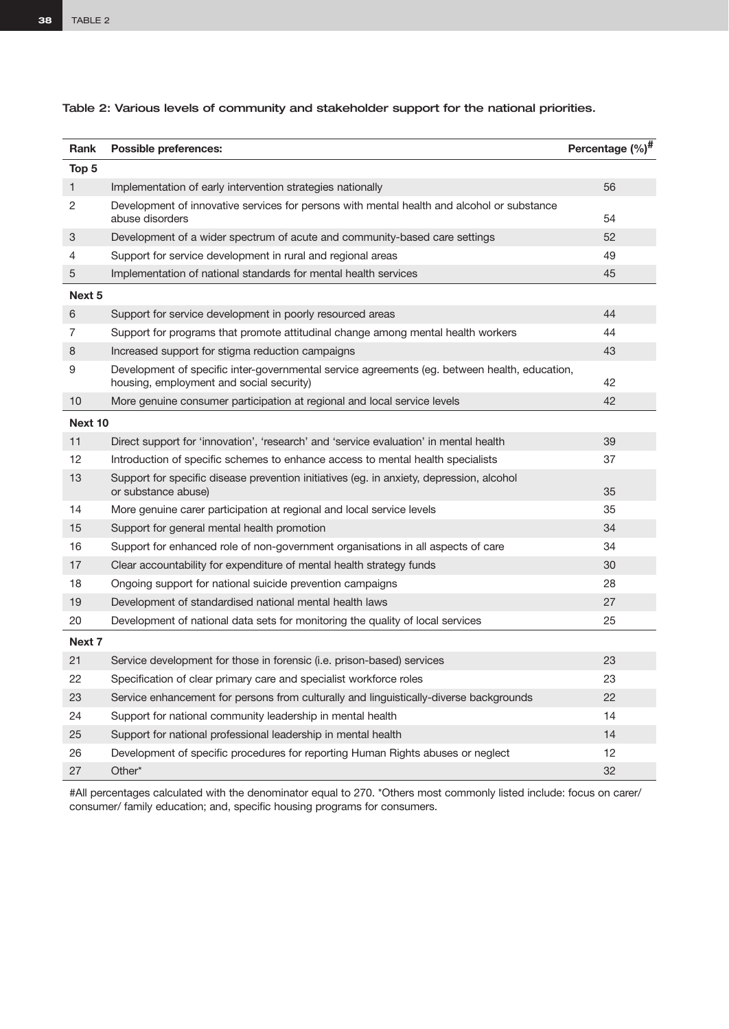| Rank           | Possible preferences:                                                                                                                     | Percentage (%) <sup>#</sup> |
|----------------|-------------------------------------------------------------------------------------------------------------------------------------------|-----------------------------|
| Top 5          |                                                                                                                                           |                             |
| $\mathbf{1}$   | Implementation of early intervention strategies nationally                                                                                | 56                          |
| $\overline{c}$ | Development of innovative services for persons with mental health and alcohol or substance<br>abuse disorders                             | 54                          |
| 3              | Development of a wider spectrum of acute and community-based care settings                                                                | 52                          |
| 4              | Support for service development in rural and regional areas                                                                               | 49                          |
| 5              | Implementation of national standards for mental health services                                                                           | 45                          |
| Next 5         |                                                                                                                                           |                             |
| 6              | Support for service development in poorly resourced areas                                                                                 | 44                          |
| 7              | Support for programs that promote attitudinal change among mental health workers                                                          | 44                          |
| 8              | Increased support for stigma reduction campaigns                                                                                          | 43                          |
| 9              | Development of specific inter-governmental service agreements (eg. between health, education,<br>housing, employment and social security) | 42                          |
| 10             | More genuine consumer participation at regional and local service levels                                                                  | 42                          |
| Next 10        |                                                                                                                                           |                             |
| 11             | Direct support for 'innovation', 'research' and 'service evaluation' in mental health                                                     | 39                          |
| 12             | Introduction of specific schemes to enhance access to mental health specialists                                                           | 37                          |
| 13             | Support for specific disease prevention initiatives (eg. in anxiety, depression, alcohol<br>or substance abuse)                           | 35                          |
| 14             | More genuine carer participation at regional and local service levels                                                                     | 35                          |
| 15             | Support for general mental health promotion                                                                                               | 34                          |
| 16             | Support for enhanced role of non-government organisations in all aspects of care                                                          | 34                          |
| 17             | Clear accountability for expenditure of mental health strategy funds                                                                      | 30                          |
| 18             | Ongoing support for national suicide prevention campaigns                                                                                 | 28                          |
| 19             | Development of standardised national mental health laws                                                                                   | 27                          |
| 20             | Development of national data sets for monitoring the quality of local services                                                            | 25                          |
| Next 7         |                                                                                                                                           |                             |
| 21             | Service development for those in forensic (i.e. prison-based) services                                                                    | 23                          |
| 22             | Specification of clear primary care and specialist workforce roles                                                                        | 23                          |
| 23             | Service enhancement for persons from culturally and linguistically-diverse backgrounds                                                    | 22                          |
| 24             | Support for national community leadership in mental health                                                                                | 14                          |
| 25             | Support for national professional leadership in mental health                                                                             | 14                          |
| 26             | Development of specific procedures for reporting Human Rights abuses or neglect                                                           | 12                          |
| 27             | Other*                                                                                                                                    | 32                          |
| <b>HAIL</b>    | $\frac{1}{2}$                                                                                                                             |                             |

Table 2: Various levels of community and stakeholder support for the national priorities.

#All percentages calculated with the denominator equal to 270. \*Others most commonly listed include: focus on carer/ consumer/ family education; and, specific housing programs for consumers.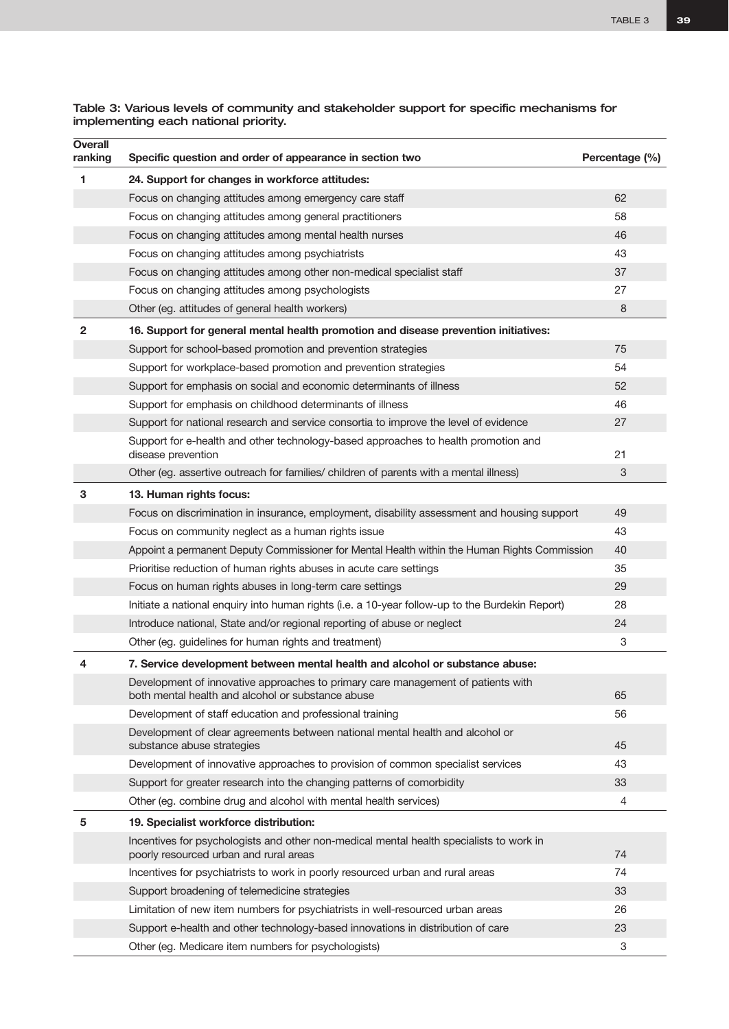| Table 3: Various levels of community and stakeholder support for specific mechanisms for |  |
|------------------------------------------------------------------------------------------|--|
| implementing each national priority.                                                     |  |

| <b>Overall</b><br>ranking | Specific question and order of appearance in section two                                                                              | Percentage (%) |
|---------------------------|---------------------------------------------------------------------------------------------------------------------------------------|----------------|
| 1                         | 24. Support for changes in workforce attitudes:                                                                                       |                |
|                           | Focus on changing attitudes among emergency care staff                                                                                | 62             |
|                           | Focus on changing attitudes among general practitioners                                                                               | 58             |
|                           | Focus on changing attitudes among mental health nurses                                                                                | 46             |
|                           | Focus on changing attitudes among psychiatrists                                                                                       | 43             |
|                           | Focus on changing attitudes among other non-medical specialist staff                                                                  | 37             |
|                           | Focus on changing attitudes among psychologists                                                                                       | 27             |
|                           | Other (eg. attitudes of general health workers)                                                                                       | 8              |
| 2                         | 16. Support for general mental health promotion and disease prevention initiatives:                                                   |                |
|                           | Support for school-based promotion and prevention strategies                                                                          | 75             |
|                           | Support for workplace-based promotion and prevention strategies                                                                       | 54             |
|                           | Support for emphasis on social and economic determinants of illness                                                                   | 52             |
|                           | Support for emphasis on childhood determinants of illness                                                                             | 46             |
|                           | Support for national research and service consortia to improve the level of evidence                                                  | 27             |
|                           | Support for e-health and other technology-based approaches to health promotion and<br>disease prevention                              | 21             |
|                           | Other (eg. assertive outreach for families/ children of parents with a mental illness)                                                | 3              |
| З                         | 13. Human rights focus:                                                                                                               |                |
|                           | Focus on discrimination in insurance, employment, disability assessment and housing support                                           | 49             |
|                           | Focus on community neglect as a human rights issue                                                                                    | 43             |
|                           | Appoint a permanent Deputy Commissioner for Mental Health within the Human Rights Commission                                          | 40             |
|                           | Prioritise reduction of human rights abuses in acute care settings                                                                    | 35             |
|                           | Focus on human rights abuses in long-term care settings                                                                               | 29             |
|                           | Initiate a national enquiry into human rights (i.e. a 10-year follow-up to the Burdekin Report)                                       | 28             |
|                           | Introduce national, State and/or regional reporting of abuse or neglect                                                               | 24             |
|                           | Other (eg. guidelines for human rights and treatment)                                                                                 | 3              |
| 4                         | 7. Service development between mental health and alcohol or substance abuse:                                                          |                |
|                           | Development of innovative approaches to primary care management of patients with<br>both mental health and alcohol or substance abuse | 65             |
|                           | Development of staff education and professional training                                                                              | 56             |
|                           | Development of clear agreements between national mental health and alcohol or<br>substance abuse strategies                           | 45             |
|                           | Development of innovative approaches to provision of common specialist services                                                       | 43             |
|                           | Support for greater research into the changing patterns of comorbidity                                                                | 33             |
|                           | Other (eg. combine drug and alcohol with mental health services)                                                                      | 4              |
| 5                         | 19. Specialist workforce distribution:                                                                                                |                |
|                           | Incentives for psychologists and other non-medical mental health specialists to work in<br>poorly resourced urban and rural areas     | 74             |
|                           | Incentives for psychiatrists to work in poorly resourced urban and rural areas                                                        | 74             |
|                           | Support broadening of telemedicine strategies                                                                                         | 33             |
|                           | Limitation of new item numbers for psychiatrists in well-resourced urban areas                                                        | 26             |
|                           | Support e-health and other technology-based innovations in distribution of care                                                       | 23             |
|                           | Other (eg. Medicare item numbers for psychologists)                                                                                   | 3              |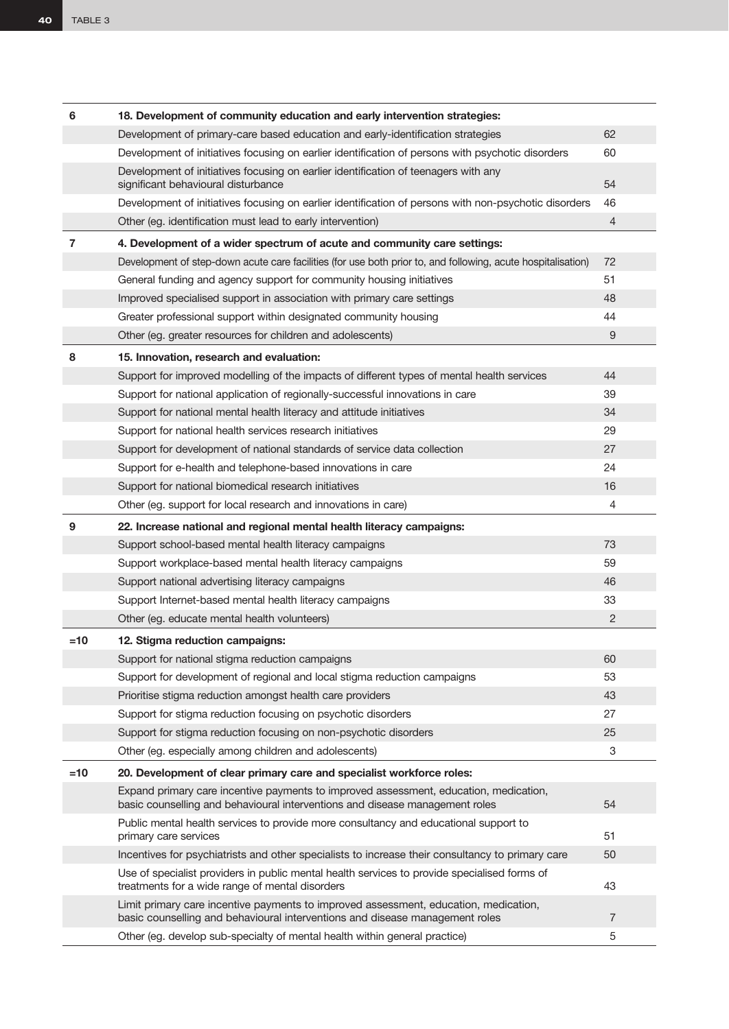| 6     | 18. Development of community education and early intervention strategies:                                                                                             |                |
|-------|-----------------------------------------------------------------------------------------------------------------------------------------------------------------------|----------------|
|       | Development of primary-care based education and early-identification strategies                                                                                       | 62             |
|       | Development of initiatives focusing on earlier identification of persons with psychotic disorders                                                                     | 60             |
|       | Development of initiatives focusing on earlier identification of teenagers with any<br>significant behavioural disturbance                                            | 54             |
|       | Development of initiatives focusing on earlier identification of persons with non-psychotic disorders                                                                 | 46             |
|       | Other (eg. identification must lead to early intervention)                                                                                                            | 4              |
| 7     | 4. Development of a wider spectrum of acute and community care settings:                                                                                              |                |
|       | Development of step-down acute care facilities (for use both prior to, and following, acute hospitalisation)                                                          | 72             |
|       | General funding and agency support for community housing initiatives                                                                                                  | 51             |
|       | Improved specialised support in association with primary care settings                                                                                                | 48             |
|       | Greater professional support within designated community housing                                                                                                      | 44             |
|       | Other (eg. greater resources for children and adolescents)                                                                                                            | 9              |
| 8     | 15. Innovation, research and evaluation:                                                                                                                              |                |
|       | Support for improved modelling of the impacts of different types of mental health services                                                                            | 44             |
|       | Support for national application of regionally-successful innovations in care                                                                                         | 39             |
|       | Support for national mental health literacy and attitude initiatives                                                                                                  | 34             |
|       | Support for national health services research initiatives                                                                                                             | 29             |
|       | Support for development of national standards of service data collection                                                                                              | 27             |
|       | Support for e-health and telephone-based innovations in care                                                                                                          | 24             |
|       | Support for national biomedical research initiatives                                                                                                                  | 16             |
|       | Other (eg. support for local research and innovations in care)                                                                                                        | 4              |
| 9     | 22. Increase national and regional mental health literacy campaigns:                                                                                                  |                |
|       | Support school-based mental health literacy campaigns                                                                                                                 | 73             |
|       | Support workplace-based mental health literacy campaigns                                                                                                              | 59             |
|       | Support national advertising literacy campaigns                                                                                                                       | 46             |
|       | Support Internet-based mental health literacy campaigns                                                                                                               | 33             |
|       | Other (eg. educate mental health volunteers)                                                                                                                          | 2              |
| $=10$ | 12. Stigma reduction campaigns:                                                                                                                                       |                |
|       | Support for national stigma reduction campaigns                                                                                                                       | 60             |
|       | Support for development of regional and local stigma reduction campaigns                                                                                              | 53             |
|       | Prioritise stigma reduction amongst health care providers                                                                                                             | 43             |
|       | Support for stigma reduction focusing on psychotic disorders                                                                                                          | 27             |
|       | Support for stigma reduction focusing on non-psychotic disorders                                                                                                      | 25             |
|       | Other (eg. especially among children and adolescents)                                                                                                                 | 3              |
| $=10$ | 20. Development of clear primary care and specialist workforce roles:                                                                                                 |                |
|       | Expand primary care incentive payments to improved assessment, education, medication,<br>basic counselling and behavioural interventions and disease management roles | 54             |
|       | Public mental health services to provide more consultancy and educational support to<br>primary care services                                                         | 51             |
|       | Incentives for psychiatrists and other specialists to increase their consultancy to primary care                                                                      | 50             |
|       | Use of specialist providers in public mental health services to provide specialised forms of<br>treatments for a wide range of mental disorders                       | 43             |
|       | Limit primary care incentive payments to improved assessment, education, medication,<br>basic counselling and behavioural interventions and disease management roles  | $\overline{7}$ |
|       | Other (eg. develop sub-specialty of mental health within general practice)                                                                                            | 5              |
|       |                                                                                                                                                                       |                |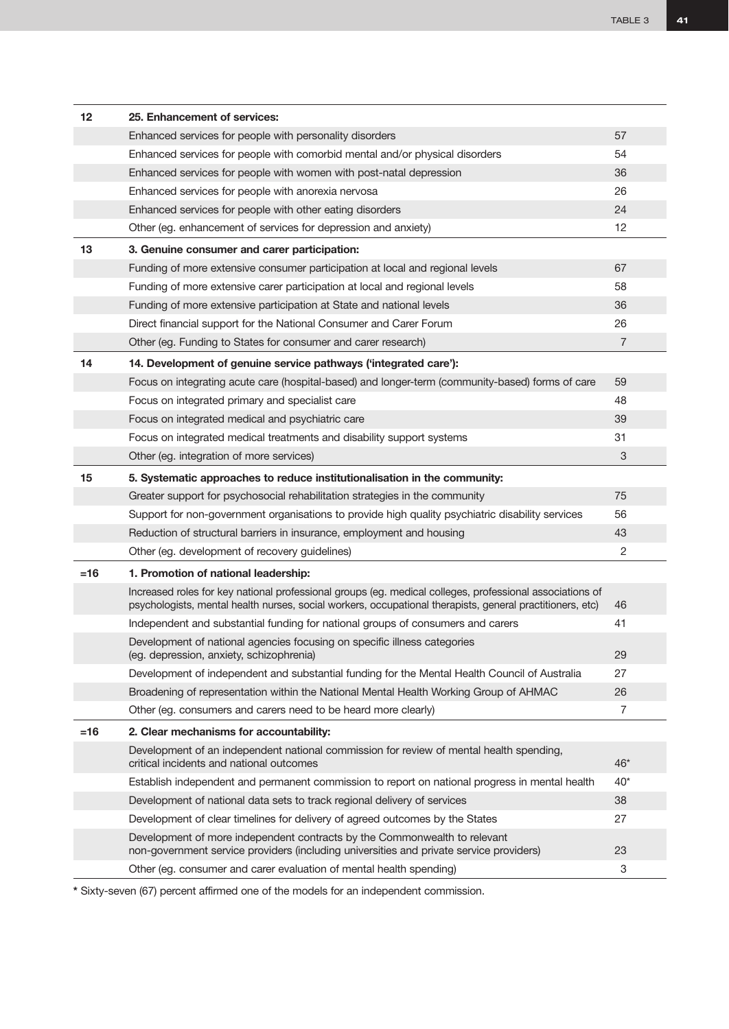| 12    | 25. Enhancement of services:                                                                                                                                                                                          |                |
|-------|-----------------------------------------------------------------------------------------------------------------------------------------------------------------------------------------------------------------------|----------------|
|       | Enhanced services for people with personality disorders                                                                                                                                                               | 57             |
|       | Enhanced services for people with comorbid mental and/or physical disorders                                                                                                                                           | 54             |
|       | Enhanced services for people with women with post-natal depression                                                                                                                                                    | 36             |
|       | Enhanced services for people with anorexia nervosa                                                                                                                                                                    | 26             |
|       | Enhanced services for people with other eating disorders                                                                                                                                                              | 24             |
|       | Other (eg. enhancement of services for depression and anxiety)                                                                                                                                                        | 12             |
| 13    | 3. Genuine consumer and carer participation:                                                                                                                                                                          |                |
|       | Funding of more extensive consumer participation at local and regional levels                                                                                                                                         | 67             |
|       | Funding of more extensive carer participation at local and regional levels                                                                                                                                            | 58             |
|       | Funding of more extensive participation at State and national levels                                                                                                                                                  | 36             |
|       | Direct financial support for the National Consumer and Carer Forum                                                                                                                                                    | 26             |
|       | Other (eg. Funding to States for consumer and carer research)                                                                                                                                                         | $\overline{7}$ |
| 14    | 14. Development of genuine service pathways ('integrated care'):                                                                                                                                                      |                |
|       | Focus on integrating acute care (hospital-based) and longer-term (community-based) forms of care                                                                                                                      | 59             |
|       | Focus on integrated primary and specialist care                                                                                                                                                                       | 48             |
|       | Focus on integrated medical and psychiatric care                                                                                                                                                                      | 39             |
|       | Focus on integrated medical treatments and disability support systems                                                                                                                                                 | 31             |
|       | Other (eg. integration of more services)                                                                                                                                                                              | 3              |
| 15    | 5. Systematic approaches to reduce institutionalisation in the community:                                                                                                                                             |                |
|       | Greater support for psychosocial rehabilitation strategies in the community                                                                                                                                           | 75             |
|       | Support for non-government organisations to provide high quality psychiatric disability services                                                                                                                      | 56             |
|       | Reduction of structural barriers in insurance, employment and housing                                                                                                                                                 | 43             |
|       | Other (eg. development of recovery guidelines)                                                                                                                                                                        | 2              |
| $=16$ | 1. Promotion of national leadership:                                                                                                                                                                                  |                |
|       | Increased roles for key national professional groups (eg. medical colleges, professional associations of<br>psychologists, mental health nurses, social workers, occupational therapists, general practitioners, etc) | 46             |
|       | Independent and substantial funding for national groups of consumers and carers                                                                                                                                       | 41             |
|       | Development of national agencies focusing on specific illness categories<br>(eg. depression, anxiety, schizophrenia)                                                                                                  | 29             |
|       | Development of independent and substantial funding for the Mental Health Council of Australia                                                                                                                         | 27             |
|       | Broadening of representation within the National Mental Health Working Group of AHMAC                                                                                                                                 | 26             |
|       | Other (eg. consumers and carers need to be heard more clearly)                                                                                                                                                        | 7              |
| $=16$ | 2. Clear mechanisms for accountability:                                                                                                                                                                               |                |
|       | Development of an independent national commission for review of mental health spending,<br>critical incidents and national outcomes                                                                                   | $46*$          |
|       | Establish independent and permanent commission to report on national progress in mental health                                                                                                                        | $40^*$         |
|       | Development of national data sets to track regional delivery of services                                                                                                                                              | 38             |
|       | Development of clear timelines for delivery of agreed outcomes by the States                                                                                                                                          | 27             |
|       | Development of more independent contracts by the Commonwealth to relevant<br>non-government service providers (including universities and private service providers)                                                  | 23             |
|       | Other (eg. consumer and carer evaluation of mental health spending)                                                                                                                                                   | 3              |

**\*** Sixty-seven (67) percent affirmed one of the models for an independent commission.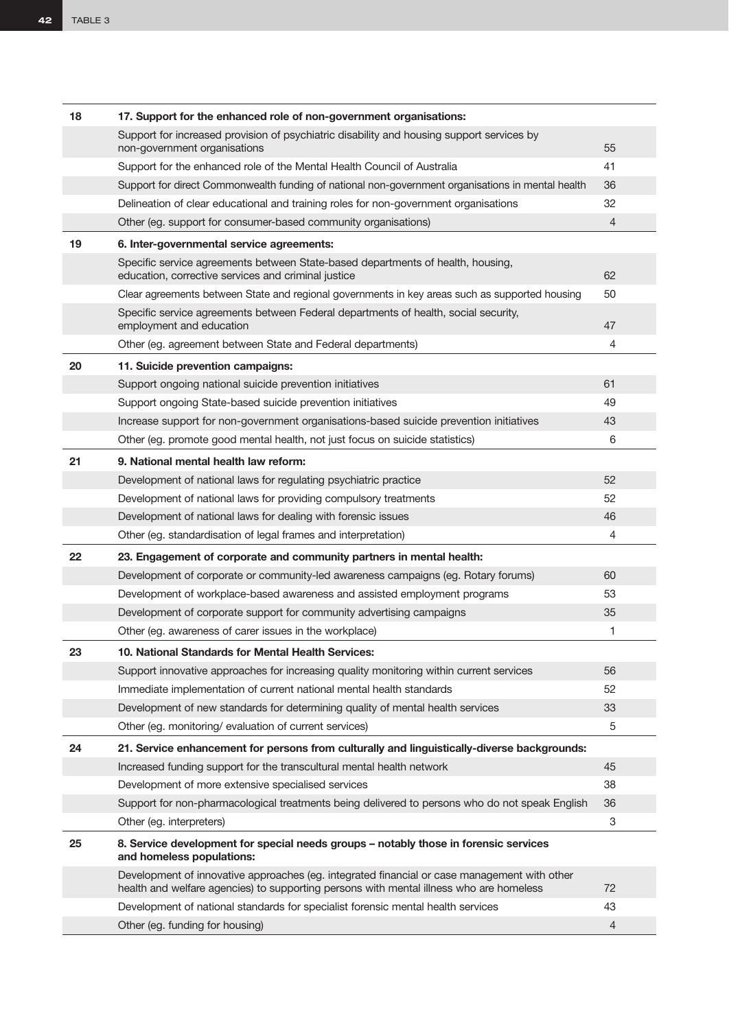| 18 | 17. Support for the enhanced role of non-government organisations:                                                                                                                      |                |
|----|-----------------------------------------------------------------------------------------------------------------------------------------------------------------------------------------|----------------|
|    | Support for increased provision of psychiatric disability and housing support services by<br>non-government organisations                                                               | 55             |
|    | Support for the enhanced role of the Mental Health Council of Australia                                                                                                                 | 41             |
|    | Support for direct Commonwealth funding of national non-government organisations in mental health                                                                                       | 36             |
|    | Delineation of clear educational and training roles for non-government organisations                                                                                                    | 32             |
|    | Other (eg. support for consumer-based community organisations)                                                                                                                          | $\overline{4}$ |
| 19 | 6. Inter-governmental service agreements:                                                                                                                                               |                |
|    | Specific service agreements between State-based departments of health, housing,<br>education, corrective services and criminal justice                                                  | 62             |
|    | Clear agreements between State and regional governments in key areas such as supported housing                                                                                          | 50             |
|    | Specific service agreements between Federal departments of health, social security,<br>employment and education                                                                         | 47             |
|    | Other (eg. agreement between State and Federal departments)                                                                                                                             | 4              |
| 20 | 11. Suicide prevention campaigns:                                                                                                                                                       |                |
|    | Support ongoing national suicide prevention initiatives                                                                                                                                 | 61             |
|    | Support ongoing State-based suicide prevention initiatives                                                                                                                              | 49             |
|    | Increase support for non-government organisations-based suicide prevention initiatives                                                                                                  | 43             |
|    | Other (eg. promote good mental health, not just focus on suicide statistics)                                                                                                            | 6              |
| 21 | 9. National mental health law reform:                                                                                                                                                   |                |
|    | Development of national laws for regulating psychiatric practice                                                                                                                        | 52             |
|    | Development of national laws for providing compulsory treatments                                                                                                                        | 52             |
|    | Development of national laws for dealing with forensic issues                                                                                                                           | 46             |
|    | Other (eg. standardisation of legal frames and interpretation)                                                                                                                          | 4              |
| 22 | 23. Engagement of corporate and community partners in mental health:                                                                                                                    |                |
|    | Development of corporate or community-led awareness campaigns (eg. Rotary forums)                                                                                                       | 60             |
|    | Development of workplace-based awareness and assisted employment programs                                                                                                               | 53             |
|    | Development of corporate support for community advertising campaigns                                                                                                                    | 35             |
|    | Other (eg. awareness of carer issues in the workplace)                                                                                                                                  | 1              |
| 23 |                                                                                                                                                                                         |                |
|    | 10. National Standards for Mental Health Services:                                                                                                                                      |                |
|    | Support innovative approaches for increasing quality monitoring within current services                                                                                                 | 56             |
|    | Immediate implementation of current national mental health standards                                                                                                                    | 52             |
|    | Development of new standards for determining quality of mental health services                                                                                                          | 33             |
|    | Other (eg. monitoring/ evaluation of current services)                                                                                                                                  | 5              |
| 24 | 21. Service enhancement for persons from culturally and linguistically-diverse backgrounds:                                                                                             |                |
|    | Increased funding support for the transcultural mental health network                                                                                                                   | 45             |
|    | Development of more extensive specialised services                                                                                                                                      | 38             |
|    | Support for non-pharmacological treatments being delivered to persons who do not speak English                                                                                          | 36             |
|    | Other (eg. interpreters)                                                                                                                                                                | 3              |
| 25 | 8. Service development for special needs groups - notably those in forensic services<br>and homeless populations:                                                                       |                |
|    | Development of innovative approaches (eg. integrated financial or case management with other<br>health and welfare agencies) to supporting persons with mental illness who are homeless | 72             |
|    | Development of national standards for specialist forensic mental health services                                                                                                        | 43             |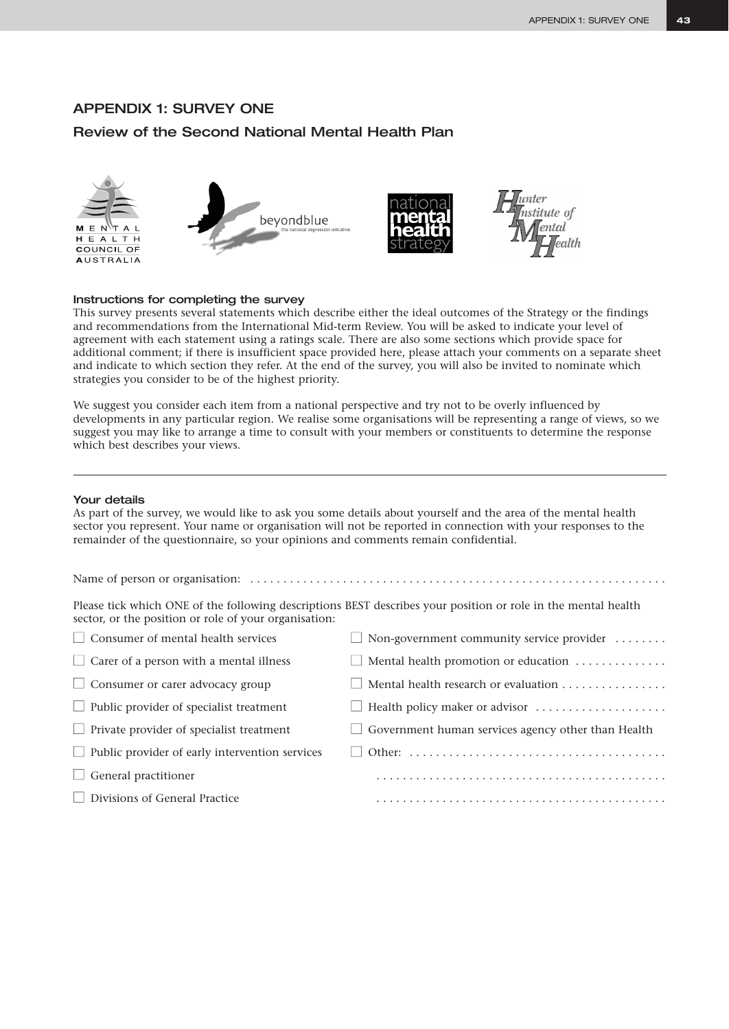### APPENDIX 1: SURVEY ONE

# Review of the Second National Mental Health Plan



### Instructions for completing the survey

This survey presents several statements which describe either the ideal outcomes of the Strategy or the findings and recommendations from the International Mid-term Review. You will be asked to indicate your level of agreement with each statement using a ratings scale. There are also some sections which provide space for additional comment; if there is insufficient space provided here, please attach your comments on a separate sheet and indicate to which section they refer. At the end of the survey, you will also be invited to nominate which strategies you consider to be of the highest priority.

We suggest you consider each item from a national perspective and try not to be overly influenced by developments in any particular region. We realise some organisations will be representing a range of views, so we suggest you may like to arrange a time to consult with your members or constituents to determine the response which best describes your views.

### Your details

As part of the survey, we would like to ask you some details about yourself and the area of the mental health sector you represent. Your name or organisation will not be reported in connection with your responses to the remainder of the questionnaire, so your opinions and comments remain confidential.

Please tick which ONE of the following descriptions BEST describes your position or role in the mental health sector, or the position or role of your organisation:

Name of person or organisation: . . . . . . . . . . . . . . . . . . . . . . . . . . . . . . . . . . . . . . . . . . . . . . . . . . . . . . . . . . . . . . .

| $\Box$ Consumer of mental health services             | $\Box$ Non-government community service provider $\dots\dots$              |
|-------------------------------------------------------|----------------------------------------------------------------------------|
| $\Box$ Carer of a person with a mental illness        | Mental health promotion or education                                       |
| $\Box$ Consumer or carer advocacy group               | Mental health research or evaluation                                       |
| $\Box$ Public provider of specialist treatment        | $\Box$ Health policy maker or advisor $\ldots \ldots \ldots \ldots \ldots$ |
| $\Box$ Private provider of specialist treatment       | $\Box$ Government human services agency other than Health                  |
| $\Box$ Public provider of early intervention services |                                                                            |
| $\Box$ General practitioner                           |                                                                            |
| Divisions of General Practice                         |                                                                            |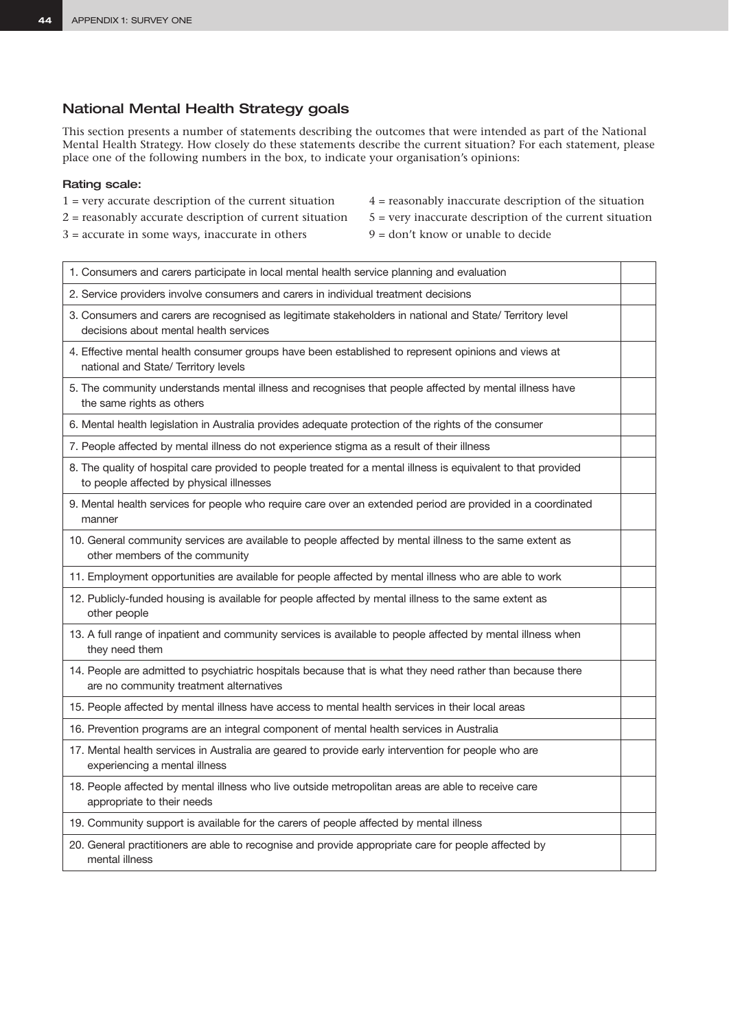# National Mental Health Strategy goals

This section presents a number of statements describing the outcomes that were intended as part of the National Mental Health Strategy. How closely do these statements describe the current situation? For each statement, please place one of the following numbers in the box, to indicate your organisation's opinions:

### Rating scale:

- $1$  = very accurate description of the current situation  $4$  = reasonably inaccurate description of the situation
	-
- $2$  = reasonably accurate description of current situation  $5$  = very inaccurate description of the current situation
- $3 =$  accurate in some ways, inaccurate in others  $9 =$  don't know or unable to decide
- -

| 1. Consumers and carers participate in local mental health service planning and evaluation                                                                 |  |
|------------------------------------------------------------------------------------------------------------------------------------------------------------|--|
| 2. Service providers involve consumers and carers in individual treatment decisions                                                                        |  |
| 3. Consumers and carers are recognised as legitimate stakeholders in national and State/ Territory level<br>decisions about mental health services         |  |
| 4. Effective mental health consumer groups have been established to represent opinions and views at<br>national and State/ Territory levels                |  |
| 5. The community understands mental illness and recognises that people affected by mental illness have<br>the same rights as others                        |  |
| 6. Mental health legislation in Australia provides adequate protection of the rights of the consumer                                                       |  |
| 7. People affected by mental illness do not experience stigma as a result of their illness                                                                 |  |
| 8. The quality of hospital care provided to people treated for a mental illness is equivalent to that provided<br>to people affected by physical illnesses |  |
| 9. Mental health services for people who require care over an extended period are provided in a coordinated<br>manner                                      |  |
| 10. General community services are available to people affected by mental illness to the same extent as<br>other members of the community                  |  |
| 11. Employment opportunities are available for people affected by mental illness who are able to work                                                      |  |
| 12. Publicly-funded housing is available for people affected by mental illness to the same extent as<br>other people                                       |  |
| 13. A full range of inpatient and community services is available to people affected by mental illness when<br>they need them                              |  |
| 14. People are admitted to psychiatric hospitals because that is what they need rather than because there<br>are no community treatment alternatives       |  |
| 15. People affected by mental illness have access to mental health services in their local areas                                                           |  |
| 16. Prevention programs are an integral component of mental health services in Australia                                                                   |  |
| 17. Mental health services in Australia are geared to provide early intervention for people who are<br>experiencing a mental illness                       |  |
| 18. People affected by mental illness who live outside metropolitan areas are able to receive care<br>appropriate to their needs                           |  |
| 19. Community support is available for the carers of people affected by mental illness                                                                     |  |
| 20. General practitioners are able to recognise and provide appropriate care for people affected by<br>mental illness                                      |  |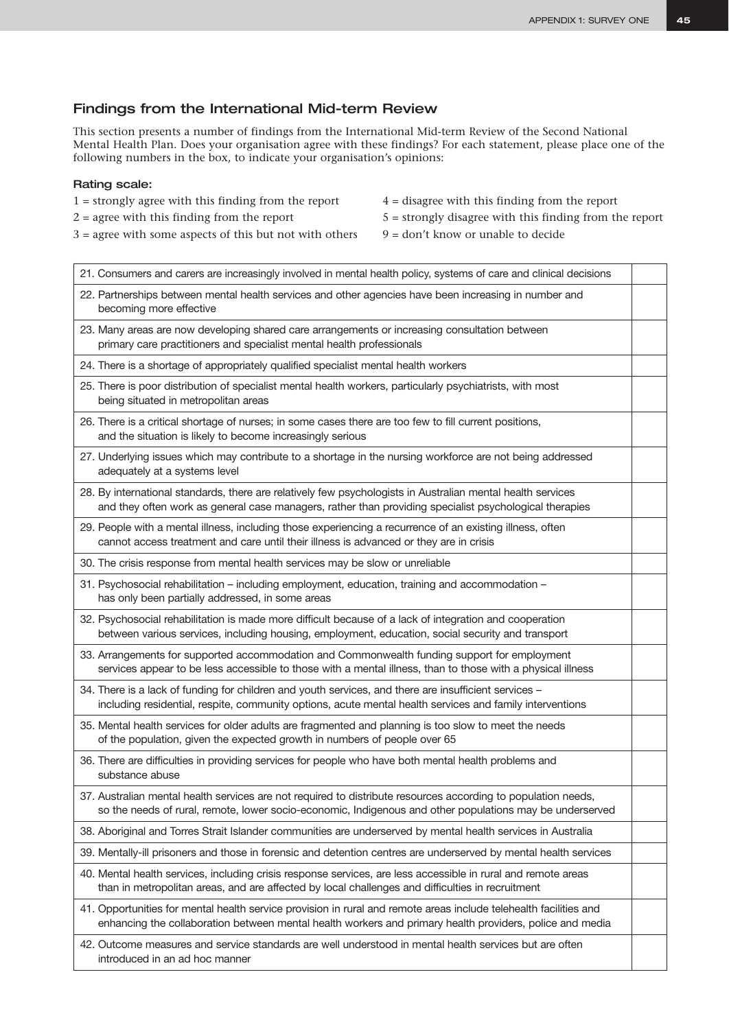# Findings from the International Mid-term Review

This section presents a number of findings from the International Mid-term Review of the Second National Mental Health Plan. Does your organisation agree with these findings? For each statement, please place one of the following numbers in the box, to indicate your organisation's opinions:

### Rating scale:

- $1 =$  strongly agree with this finding from the report  $4 =$  disagree with this finding from the report
- 
- $3 =$  agree with some aspects of this but not with others  $9 =$  don't know or unable to decide
- 
- $2 =$  agree with this finding from the report  $5 =$  strongly disagree with this finding from the report
	-

| 21. Consumers and carers are increasingly involved in mental health policy, systems of care and clinical decisions                                                                                                            |  |
|-------------------------------------------------------------------------------------------------------------------------------------------------------------------------------------------------------------------------------|--|
| 22. Partnerships between mental health services and other agencies have been increasing in number and<br>becoming more effective                                                                                              |  |
| 23. Many areas are now developing shared care arrangements or increasing consultation between<br>primary care practitioners and specialist mental health professionals                                                        |  |
| 24. There is a shortage of appropriately qualified specialist mental health workers                                                                                                                                           |  |
| 25. There is poor distribution of specialist mental health workers, particularly psychiatrists, with most<br>being situated in metropolitan areas                                                                             |  |
| 26. There is a critical shortage of nurses; in some cases there are too few to fill current positions,<br>and the situation is likely to become increasingly serious                                                          |  |
| 27. Underlying issues which may contribute to a shortage in the nursing workforce are not being addressed<br>adequately at a systems level                                                                                    |  |
| 28. By international standards, there are relatively few psychologists in Australian mental health services<br>and they often work as general case managers, rather than providing specialist psychological therapies         |  |
| 29. People with a mental illness, including those experiencing a recurrence of an existing illness, often<br>cannot access treatment and care until their illness is advanced or they are in crisis                           |  |
| 30. The crisis response from mental health services may be slow or unreliable                                                                                                                                                 |  |
| 31. Psychosocial rehabilitation - including employment, education, training and accommodation -<br>has only been partially addressed, in some areas                                                                           |  |
| 32. Psychosocial rehabilitation is made more difficult because of a lack of integration and cooperation<br>between various services, including housing, employment, education, social security and transport                  |  |
| 33. Arrangements for supported accommodation and Commonwealth funding support for employment<br>services appear to be less accessible to those with a mental illness, than to those with a physical illness                   |  |
| 34. There is a lack of funding for children and youth services, and there are insufficient services -<br>including residential, respite, community options, acute mental health services and family interventions             |  |
| 35. Mental health services for older adults are fragmented and planning is too slow to meet the needs<br>of the population, given the expected growth in numbers of people over 65                                            |  |
| 36. There are difficulties in providing services for people who have both mental health problems and<br>substance abuse                                                                                                       |  |
| 37. Australian mental health services are not required to distribute resources according to population needs,<br>so the needs of rural, remote, lower socio-economic, Indigenous and other populations may be underserved     |  |
| 38. Aboriginal and Torres Strait Islander communities are underserved by mental health services in Australia                                                                                                                  |  |
| 39. Mentally-ill prisoners and those in forensic and detention centres are underserved by mental health services                                                                                                              |  |
| 40. Mental health services, including crisis response services, are less accessible in rural and remote areas<br>than in metropolitan areas, and are affected by local challenges and difficulties in recruitment             |  |
| 41. Opportunities for mental health service provision in rural and remote areas include telehealth facilities and<br>enhancing the collaboration between mental health workers and primary health providers, police and media |  |
| 42. Outcome measures and service standards are well understood in mental health services but are often<br>introduced in an ad hoc manner                                                                                      |  |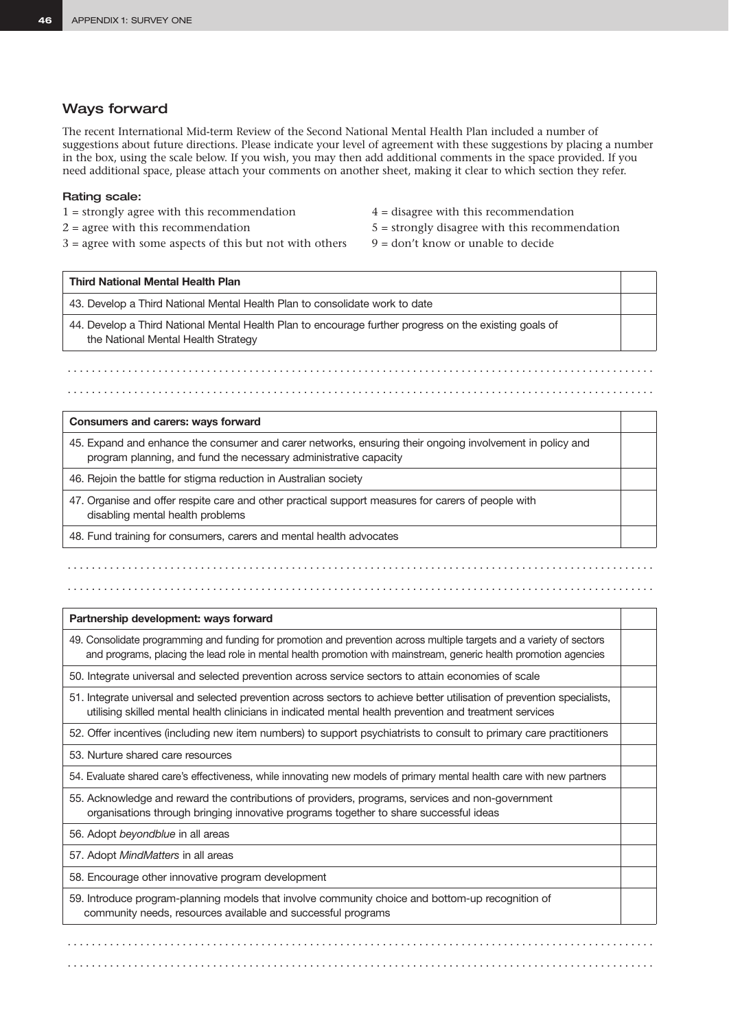### Ways forward

The recent International Mid-term Review of the Second National Mental Health Plan included a number of suggestions about future directions. Please indicate your level of agreement with these suggestions by placing a number in the box, using the scale below. If you wish, you may then add additional comments in the space provided. If you need additional space, please attach your comments on another sheet, making it clear to which section they refer.

### Rating scale:

- $1 =$  strongly agree with this recommendation  $4 =$  disagree with this recommendation
- 

**Third National Mental Health Plan**

- $3 =$  agree with some aspects of this but not with others  $9 =$  don't know or unable to decide
- 
- $2 = \text{agree with this recommendation}$   $5 = \text{strongly disagree with this recommendation}$

 $\mathcal{L}^{\mathcal{L}}_{\mathcal{L}}$ 

43. Develop a Third National Mental Health Plan to consolidate work to date

44. Develop a Third National Mental Health Plan to encourage further progress on the existing goals of the National Mental Health Strategy

### **Consumers and carers: ways forward**

45. Expand and enhance the consumer and carer networks, ensuring their ongoing involvement in policy and program planning, and fund the necessary administrative capacity

. . . . . . . . . . . . . . . . . . . . . . . . . . . . . . . . . . . . . . . . . . . . . . . . . . . . . . . . . . . . . . . . . . . . . . . . . . . . . . . . . . . . . . . . . . . . . . . . .

. . . . . . . . . . . . . . . . . . . . . . . . . . . . . . . . . . . . . . . . . . . . . . . . . . . . . . . . . . . . . . . . . . . . . . . . . . . . . . . . . . . . . . . . . . . . . . . . .

46. Rejoin the battle for stigma reduction in Australian society

. . . . . . . . . . . . . . . . . . . . . . . . . . . . . . . . . . . . . . . . . . . . . . . . . . . . . . . . . . . . . . . . . . . . . . . . . . . . . . . . . . . . . . . . . . . . . . . . .

47. Organise and offer respite care and other practical support measures for carers of people with disabling mental health problems

48. Fund training for consumers, carers and mental health advocates

### **Partnership development: ways forward**

49. Consolidate programming and funding for promotion and prevention across multiple targets and a variety of sectors and programs, placing the lead role in mental health promotion with mainstream, generic health promotion agencies

50. Integrate universal and selected prevention across service sectors to attain economies of scale

51. Integrate universal and selected prevention across sectors to achieve better utilisation of prevention specialists, utilising skilled mental health clinicians in indicated mental health prevention and treatment services

52. Offer incentives (including new item numbers) to support psychiatrists to consult to primary care practitioners

53. Nurture shared care resources

54. Evaluate shared care's effectiveness, while innovating new models of primary mental health care with new partners

55. Acknowledge and reward the contributions of providers, programs, services and non-government organisations through bringing innovative programs together to share successful ideas

56. Adopt *beyondblue* in all areas

57. Adopt *MindMatters* in all areas

58. Encourage other innovative program development

59. Introduce program-planning models that involve community choice and bottom-up recognition of community needs, resources available and successful programs

. . . . . . . . . . . . . . . . . . . . . . . . . . . . . . . . . . . . . . . . . . . . . . . . . . . . . . . . . . . . . . . . . . . . . . . . . . . . . . . . . . . . . . . . . . . . . . . . .

. . . . . . . . . . . . . . . . . . . . . . . . . . . . . . . . . . . . . . . . . . . . . . . . . . . . . . . . . . . . . . . . . . . . . . . . . . . . . . . . . . . . . . . . . . . . . . . . .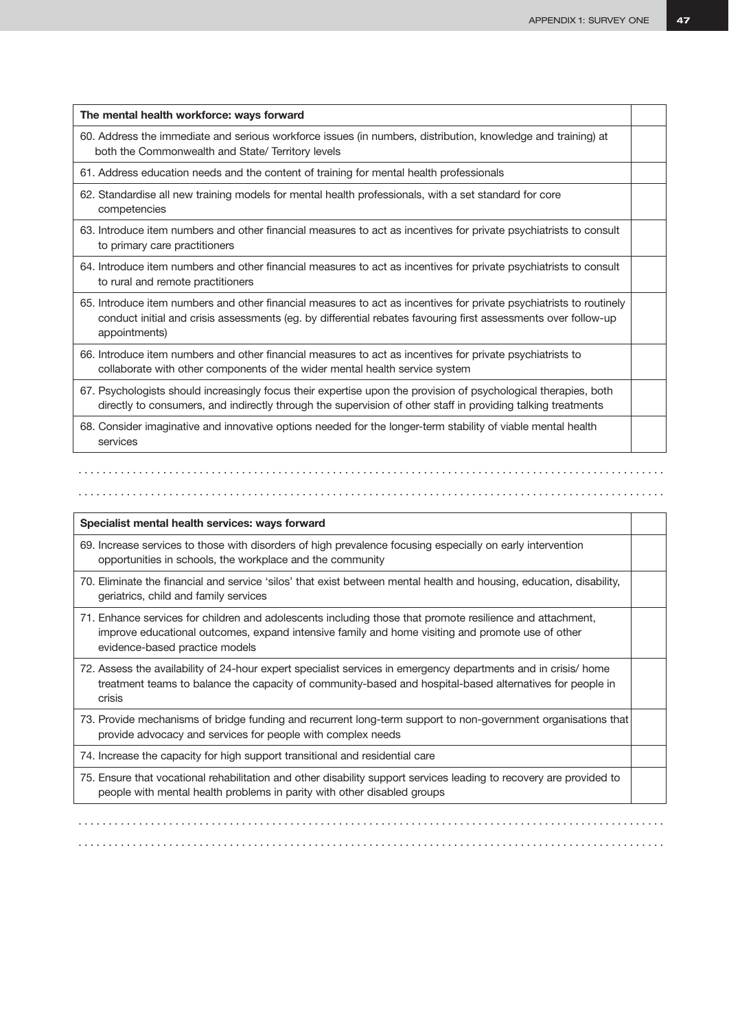| The mental health workforce: ways forward                                                                                                                                                                                                              |  |
|--------------------------------------------------------------------------------------------------------------------------------------------------------------------------------------------------------------------------------------------------------|--|
| 60. Address the immediate and serious workforce issues (in numbers, distribution, knowledge and training) at<br>both the Commonwealth and State/ Territory levels                                                                                      |  |
| 61. Address education needs and the content of training for mental health professionals                                                                                                                                                                |  |
| 62. Standardise all new training models for mental health professionals, with a set standard for core<br>competencies                                                                                                                                  |  |
| 63. Introduce item numbers and other financial measures to act as incentives for private psychiatrists to consult<br>to primary care practitioners                                                                                                     |  |
| 64. Introduce item numbers and other financial measures to act as incentives for private psychiatrists to consult<br>to rural and remote practitioners                                                                                                 |  |
| 65. Introduce item numbers and other financial measures to act as incentives for private psychiatrists to routinely<br>conduct initial and crisis assessments (eg. by differential rebates favouring first assessments over follow-up<br>appointments) |  |
| 66. Introduce item numbers and other financial measures to act as incentives for private psychiatrists to<br>collaborate with other components of the wider mental health service system                                                               |  |
| 67. Psychologists should increasingly focus their expertise upon the provision of psychological therapies, both<br>directly to consumers, and indirectly through the supervision of other staff in providing talking treatments                        |  |
| 68. Consider imaginative and innovative options needed for the longer-term stability of viable mental health<br>services                                                                                                                               |  |

. . . . . . . . . . . . . . . . . . . . . . . . . . . . . . . . . . . . . . . . . . . . . . . . . . . . . . . . . . . . . . . . . . . . . . . . . . . . . . . . . . . . . . . . . . . . . . . . .

### **Specialist mental health services: ways forward**

69. Increase services to those with disorders of high prevalence focusing especially on early intervention opportunities in schools, the workplace and the community

- 70. Eliminate the financial and service 'silos' that exist between mental health and housing, education, disability, geriatrics, child and family services
- 71. Enhance services for children and adolescents including those that promote resilience and attachment, improve educational outcomes, expand intensive family and home visiting and promote use of other evidence-based practice models
- 72. Assess the availability of 24-hour expert specialist services in emergency departments and in crisis/ home treatment teams to balance the capacity of community-based and hospital-based alternatives for people in crisis
- 73. Provide mechanisms of bridge funding and recurrent long-term support to non-government organisations that provide advocacy and services for people with complex needs

74. Increase the capacity for high support transitional and residential care

. . . . . . . . . . . . . . . . . . . . . . . . . . . . . . . . . . . . . . . . . . . . . . . . . . . . . . . . . . . . . . . . . . . . . . . . . . . . . . . . . . . . . . . . . . . . . . . . .

75. Ensure that vocational rehabilitation and other disability support services leading to recovery are provided to people with mental health problems in parity with other disabled groups

. . . . . . . . . . . . . . . . . . . . . . . . . . . . . . . . . . . . . . . . . . . . . . . . . . . . . . . . . . . . . . . . . . . . . . . . . . . . . . . . . . . . . . . . . . . . . . . . . . . . . . . . . . . . . . . . . . . . . . . . . . . . . . . . . . . . . . . . . . . . . . . . . . . . . . . . . . . . . . . . . . . . . . . . . . . . . . . . . . . . . . . . . . . . . . . . . .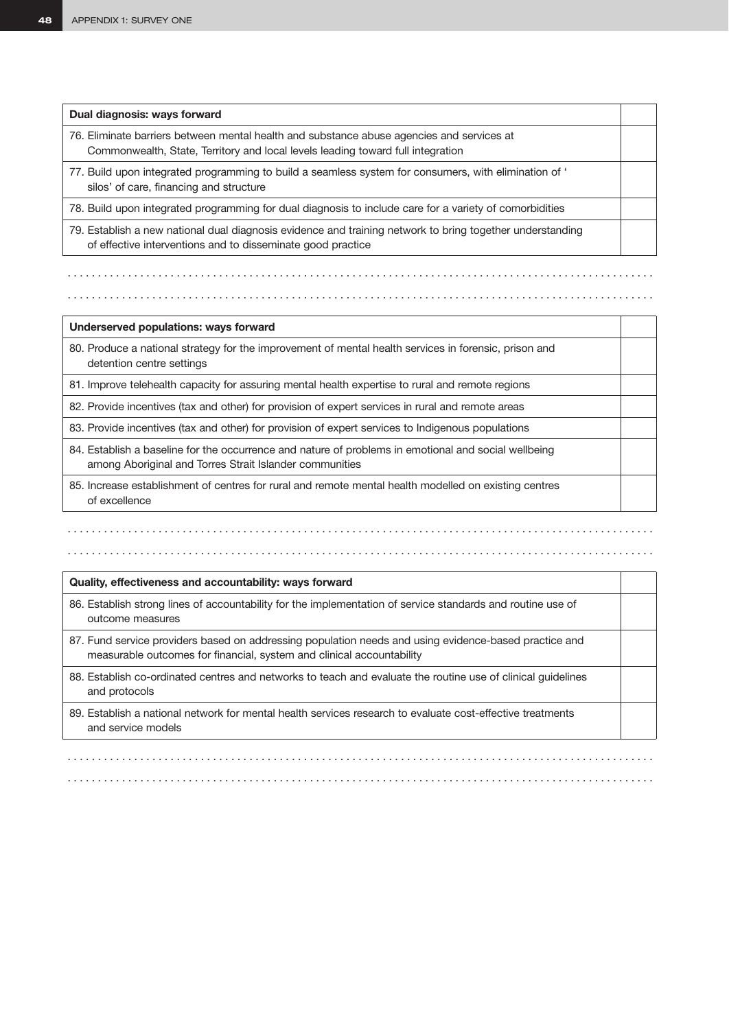| Dual diagnosis: ways forward                                                                                                                                                 |  |
|------------------------------------------------------------------------------------------------------------------------------------------------------------------------------|--|
| 76. Eliminate barriers between mental health and substance abuse agencies and services at<br>Commonwealth, State, Territory and local levels leading toward full integration |  |
| 77. Build upon integrated programming to build a seamless system for consumers, with elimination of '<br>silos' of care, financing and structure                             |  |
| 78. Build upon integrated programming for dual diagnosis to include care for a variety of comorbidities                                                                      |  |
| 79. Establish a new national dual diagnosis evidence and training network to bring together understanding<br>of effective interventions and to disseminate good practice     |  |
|                                                                                                                                                                              |  |

. . . . . . . . . . . . . . . . . . . . . . . . . . . . . . . . . . . . . . . . . . . . . . . . . . . . . . . . . . . . . . . . . . . . . . . . . . . . . . . . . . . . . . . . . . . . . . . . .

. . . . . . . . . . . . . . . . . . . . . . . . . . . . . . . . . . . . . . . . . . . . . . . . . . . . . . . . . . . . . . . . . . . . . . . . . . . . . . . . . . . . . . . . . . . . . . . . .

**Underserved populations: ways forward**

80. Produce a national strategy for the improvement of mental health services in forensic, prison and detention centre settings

81. Improve telehealth capacity for assuring mental health expertise to rural and remote regions

82. Provide incentives (tax and other) for provision of expert services in rural and remote areas

83. Provide incentives (tax and other) for provision of expert services to Indigenous populations

84. Establish a baseline for the occurrence and nature of problems in emotional and social wellbeing among Aboriginal and Torres Strait Islander communities

85. Increase establishment of centres for rural and remote mental health modelled on existing centres of excellence

### **Quality, effectiveness and accountability: ways forward**

. . . . . . . . . . . . . . . . . . . . . . . . . . . . . . . . . . . . . . . . . . . . . . . . . . . . . . . . . . . . . . . . . . . . . . . . . . . . . . . . . . . . . . . . . . . . . . . . .

86. Establish strong lines of accountability for the implementation of service standards and routine use of outcome measures

87. Fund service providers based on addressing population needs and using evidence-based practice and measurable outcomes for financial, system and clinical accountability

88. Establish co-ordinated centres and networks to teach and evaluate the routine use of clinical guidelines and protocols

89. Establish a national network for mental health services research to evaluate cost-effective treatments and service models

. . . . . . . . . . . . . . . . . . . . . . . . . . . . . . . . . . . . . . . . . . . . . . . . . . . . . . . . . . . . . . . . . . . . . . . . . . . . . . . . . . . . . . . . . . . . . . . . . . . . . . . . . . . . . . . . . . . . . . . . . . . . . . . . . . . . . . . . . . . . . . . . . . . . . . . . . . . . . . . . . . . . . . . . . . . . . . . . . . . . . . . . . . . . . . . . . .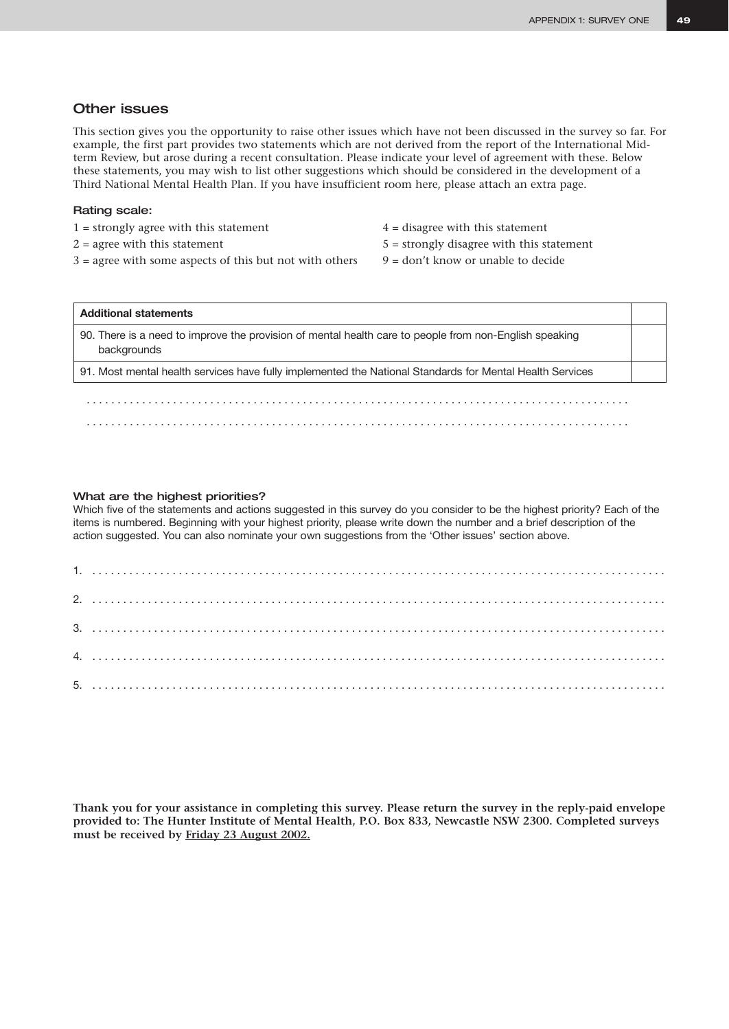### Other issues

This section gives you the opportunity to raise other issues which have not been discussed in the survey so far. For example, the first part provides two statements which are not derived from the report of the International Midterm Review, but arose during a recent consultation. Please indicate your level of agreement with these. Below these statements, you may wish to list other suggestions which should be considered in the development of a Third National Mental Health Plan. If you have insufficient room here, please attach an extra page.

### Rating scale:

- $1 =$  strongly agree with this statement  $4 =$  disagree with this statement
- 
- $3 =$  agree with some aspects of this but not with others  $9 =$  don't know or unable to decide
- 
- $2 = \text{agree with this statement}$   $5 = \text{strongly disagree with this statement}$ 
	-

| <b>Additional statements</b>                                                                                          |  |
|-----------------------------------------------------------------------------------------------------------------------|--|
| 90. There is a need to improve the provision of mental health care to people from non-English speaking<br>backgrounds |  |
| 91. Most mental health services have fully implemented the National Standards for Mental Health Services              |  |
|                                                                                                                       |  |

### What are the highest priorities?

Which five of the statements and actions suggested in this survey do you consider to be the highest priority? Each of the items is numbered. Beginning with your highest priority, please write down the number and a brief description of the action suggested. You can also nominate your own suggestions from the 'Other issues' section above.

**Thank you for your assistance in completing this survey. Please return the survey in the reply-paid envelope provided to: The Hunter Institute of Mental Health, P.O. Box 833, Newcastle NSW 2300. Completed surveys must be received by Friday 23 August 2002.**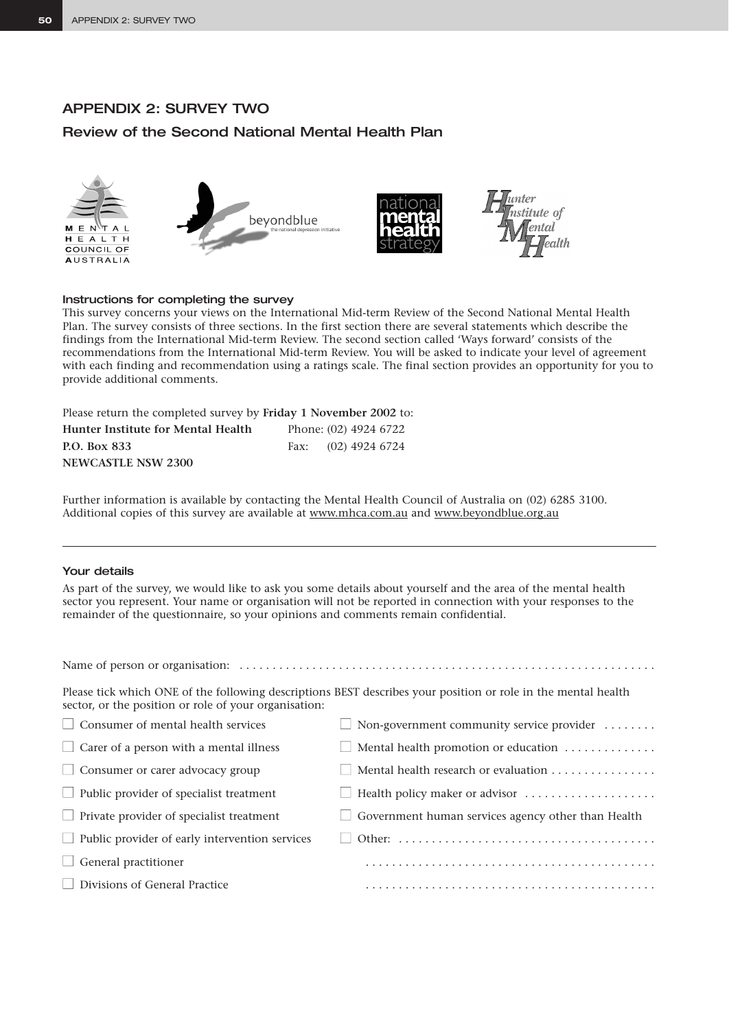# APPENDIX 2: SURVEY TWO

# Review of the Second National Mental Health Plan



### Instructions for completing the survey

This survey concerns your views on the International Mid-term Review of the Second National Mental Health Plan. The survey consists of three sections. In the first section there are several statements which describe the findings from the International Mid-term Review. The second section called 'Ways forward' consists of the recommendations from the International Mid-term Review. You will be asked to indicate your level of agreement with each finding and recommendation using a ratings scale. The final section provides an opportunity for you to provide additional comments.

Please return the completed survey by **Friday 1 November 2002** to:

| <b>Hunter Institute for Mental Health</b> | Phone: (02) 4924 6722 |  |  |
|-------------------------------------------|-----------------------|--|--|
| P.O. Box 833                              | Fax: $(02)$ 4924 6724 |  |  |
| <b>NEWCASTLE NSW 2300</b>                 |                       |  |  |

Further information is available by contacting the Mental Health Council of Australia on (02) 6285 3100. Additional copies of this survey are available at www.mhca.com.au and www.beyondblue.org.au

### Your details

As part of the survey, we would like to ask you some details about yourself and the area of the mental health sector you represent. Your name or organisation will not be reported in connection with your responses to the remainder of the questionnaire, so your opinions and comments remain confidential.

Name of person or organisation: . . . . . . . . . . . . . . . . . . . . . . . . . . . . . . . . . . . . . . . . . . . . . . . . . . . . . . . . . . . . . . .

| sector, or the position or role of your organisation: | Please tick which ONE of the following descriptions BEST describes your position or role in the mental health |
|-------------------------------------------------------|---------------------------------------------------------------------------------------------------------------|
| $\Box$ Consumer of mental health services             | $\Box$ Non-government community service provider $\dots\dots$                                                 |
| $\Box$ Carer of a person with a mental illness        | $\Box$ Mental health promotion or education                                                                   |
| $\Box$ Consumer or carer advocacy group               | Mental health research or evaluation                                                                          |
| $\Box$ Public provider of specialist treatment        | Health policy maker or advisor                                                                                |
| $\Box$ Private provider of specialist treatment       | $\Box$ Government human services agency other than Health                                                     |
| $\Box$ Public provider of early intervention services |                                                                                                               |
| $\Box$ General practitioner                           |                                                                                                               |
| Divisions of General Practice                         |                                                                                                               |
|                                                       |                                                                                                               |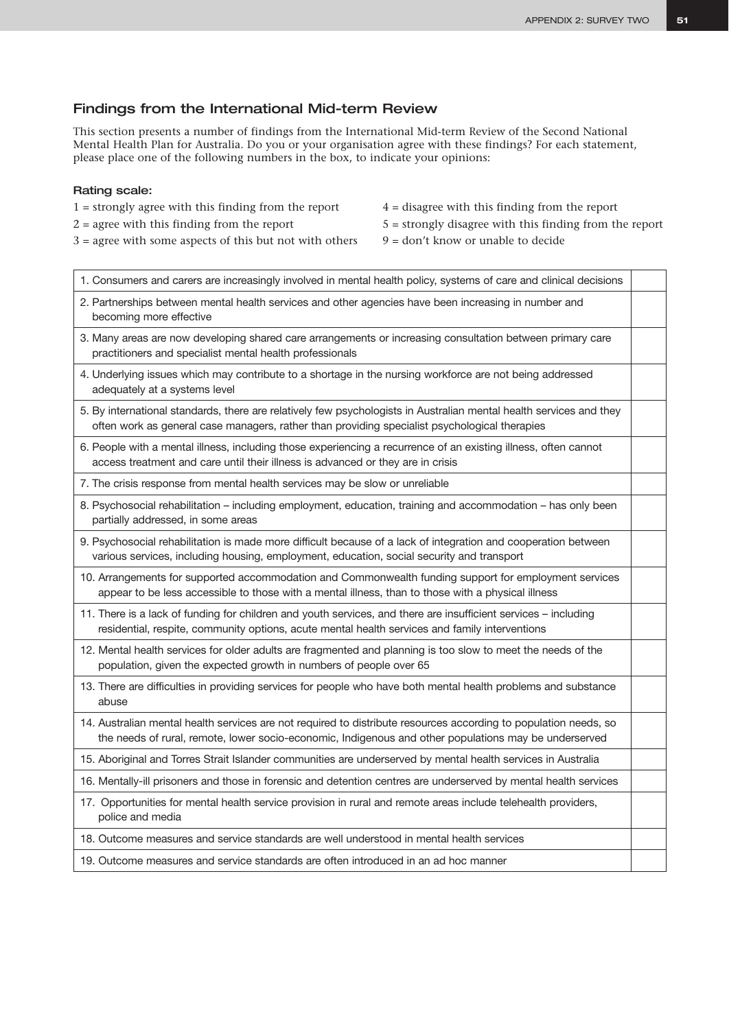## Findings from the International Mid-term Review

This section presents a number of findings from the International Mid-term Review of the Second National Mental Health Plan for Australia. Do you or your organisation agree with these findings? For each statement, please place one of the following numbers in the box, to indicate your opinions:

### Rating scale:

- $1 =$  strongly agree with this finding from the report  $4 =$  disagree with this finding from the report
- 
- $3 =$  agree with some aspects of this but not with others  $9 =$  don't know or unable to decide
- 
- $2 =$  agree with this finding from the report  $5 =$  strongly disagree with this finding from the report
	-

| 1. Consumers and carers are increasingly involved in mental health policy, systems of care and clinical decisions                                                                                                         |  |
|---------------------------------------------------------------------------------------------------------------------------------------------------------------------------------------------------------------------------|--|
| 2. Partnerships between mental health services and other agencies have been increasing in number and<br>becoming more effective                                                                                           |  |
| 3. Many areas are now developing shared care arrangements or increasing consultation between primary care<br>practitioners and specialist mental health professionals                                                     |  |
| 4. Underlying issues which may contribute to a shortage in the nursing workforce are not being addressed<br>adequately at a systems level                                                                                 |  |
| 5. By international standards, there are relatively few psychologists in Australian mental health services and they<br>often work as general case managers, rather than providing specialist psychological therapies      |  |
| 6. People with a mental illness, including those experiencing a recurrence of an existing illness, often cannot<br>access treatment and care until their illness is advanced or they are in crisis                        |  |
| 7. The crisis response from mental health services may be slow or unreliable                                                                                                                                              |  |
| 8. Psychosocial rehabilitation - including employment, education, training and accommodation - has only been<br>partially addressed, in some areas                                                                        |  |
| 9. Psychosocial rehabilitation is made more difficult because of a lack of integration and cooperation between<br>various services, including housing, employment, education, social security and transport               |  |
| 10. Arrangements for supported accommodation and Commonwealth funding support for employment services<br>appear to be less accessible to those with a mental illness, than to those with a physical illness               |  |
| 11. There is a lack of funding for children and youth services, and there are insufficient services - including<br>residential, respite, community options, acute mental health services and family interventions         |  |
| 12. Mental health services for older adults are fragmented and planning is too slow to meet the needs of the<br>population, given the expected growth in numbers of people over 65                                        |  |
| 13. There are difficulties in providing services for people who have both mental health problems and substance<br>abuse                                                                                                   |  |
| 14. Australian mental health services are not required to distribute resources according to population needs, so<br>the needs of rural, remote, lower socio-economic, Indigenous and other populations may be underserved |  |
| 15. Aboriginal and Torres Strait Islander communities are underserved by mental health services in Australia                                                                                                              |  |
| 16. Mentally-ill prisoners and those in forensic and detention centres are underserved by mental health services                                                                                                          |  |
| 17. Opportunities for mental health service provision in rural and remote areas include telehealth providers,<br>police and media                                                                                         |  |
| 18. Outcome measures and service standards are well understood in mental health services                                                                                                                                  |  |
| 19. Outcome measures and service standards are often introduced in an ad hoc manner                                                                                                                                       |  |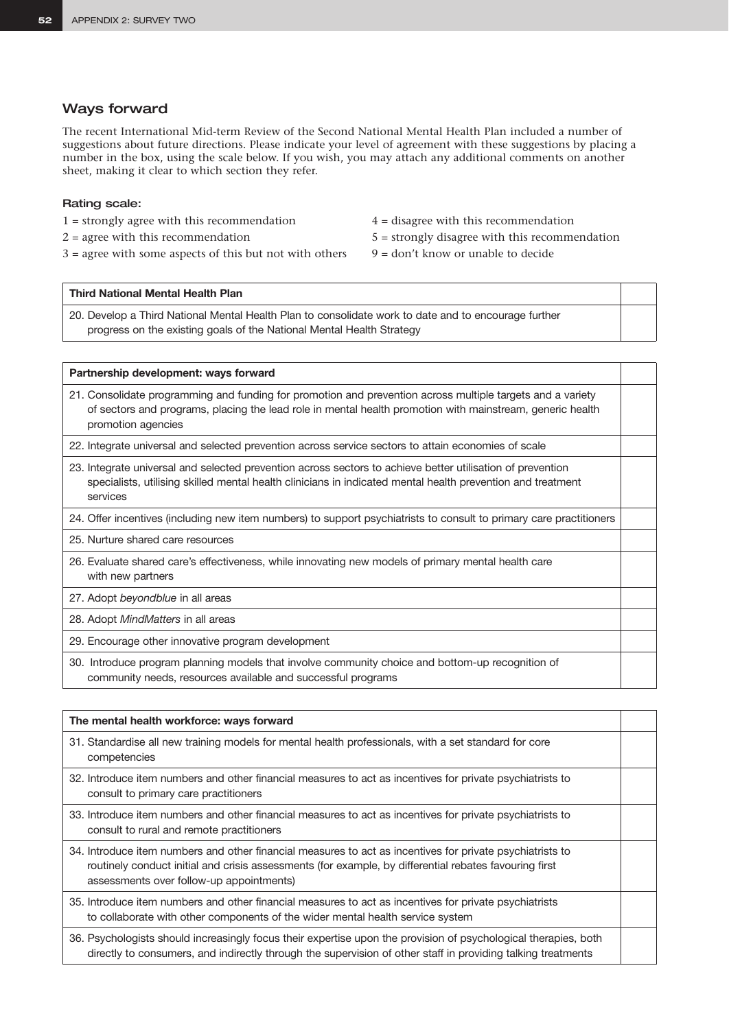### Ways forward

The recent International Mid-term Review of the Second National Mental Health Plan included a number of suggestions about future directions. Please indicate your level of agreement with these suggestions by placing a number in the box, using the scale below. If you wish, you may attach any additional comments on another sheet, making it clear to which section they refer.

### Rating scale:

- 1 = strongly agree with this recommendation 4 = disagree with this recommendation
- 
- $3 =$  agree with some aspects of this but not with others  $9 =$  don't know or unable to decide
- 
- $2 = \text{agree with this recommendation}$   $5 = \text{strongly disagree with this recommendation}$ 
	-

### **Third National Mental Health Plan**

20. Develop a Third National Mental Health Plan to consolidate work to date and to encourage further progress on the existing goals of the National Mental Health Strategy

### **Partnership development: ways forward**

21. Consolidate programming and funding for promotion and prevention across multiple targets and a variety of sectors and programs, placing the lead role in mental health promotion with mainstream, generic health promotion agencies

22. Integrate universal and selected prevention across service sectors to attain economies of scale

- 23. Integrate universal and selected prevention across sectors to achieve better utilisation of prevention specialists, utilising skilled mental health clinicians in indicated mental health prevention and treatment services
- 24. Offer incentives (including new item numbers) to support psychiatrists to consult to primary care practitioners
- 25. Nurture shared care resources
- 26. Evaluate shared care's effectiveness, while innovating new models of primary mental health care with new partners
- 27. Adopt *beyondblue* in all areas

28. Adopt *MindMatters* in all areas

29. Encourage other innovative program development

30. Introduce program planning models that involve community choice and bottom-up recognition of community needs, resources available and successful programs

# **The mental health workforce: ways forward** 31. Standardise all new training models for mental health professionals, with a set standard for core competencies 32. Introduce item numbers and other financial measures to act as incentives for private psychiatrists to consult to primary care practitioners 33. Introduce item numbers and other financial measures to act as incentives for private psychiatrists to consult to rural and remote practitioners 34. Introduce item numbers and other financial measures to act as incentives for private psychiatrists to routinely conduct initial and crisis assessments (for example, by differential rebates favouring first assessments over follow-up appointments) 35. Introduce item numbers and other financial measures to act as incentives for private psychiatrists to collaborate with other components of the wider mental health service system

36. Psychologists should increasingly focus their expertise upon the provision of psychological therapies, both directly to consumers, and indirectly through the supervision of other staff in providing talking treatments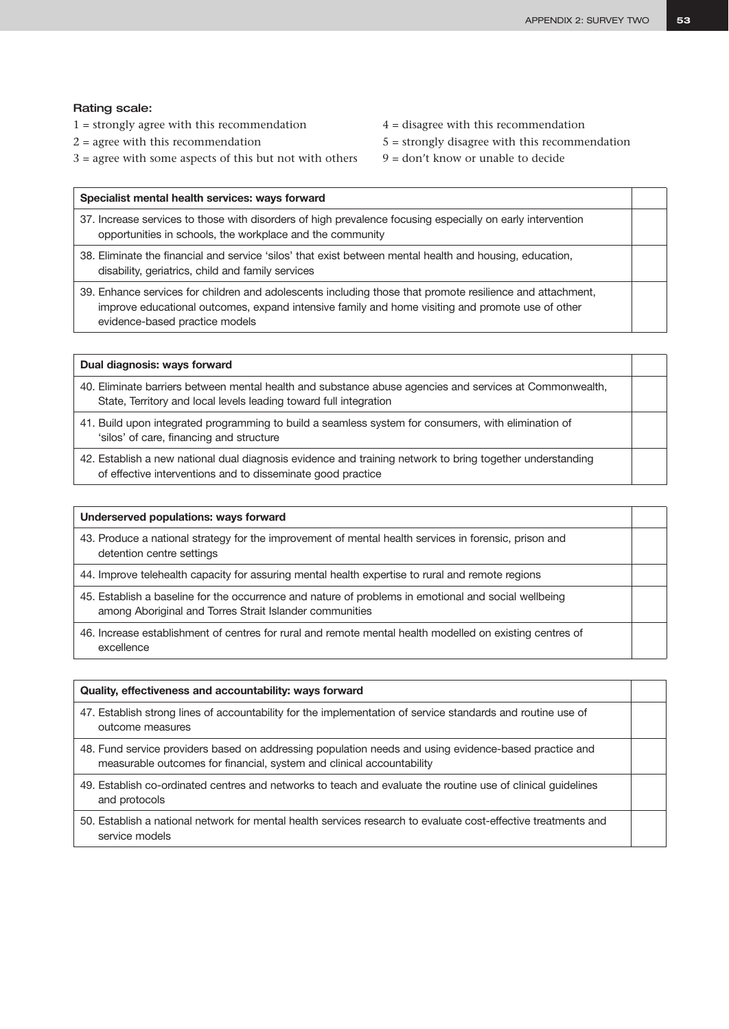### Rating scale:

- $1 =$  strongly agree with this recommendation  $4 =$  disagree with this recommendation
- 
- $3 =$  agree with some aspects of this but not with others  $9 =$  don't know or unable to decide
- 
- $2 =$  agree with this recommendation  $5 =$  strongly disagree with this recommendation
	-

| Specialist mental health services: ways forward                                                                                                                                                                                                 |  |
|-------------------------------------------------------------------------------------------------------------------------------------------------------------------------------------------------------------------------------------------------|--|
| 37. Increase services to those with disorders of high prevalence focusing especially on early intervention<br>opportunities in schools, the workplace and the community                                                                         |  |
| 38. Eliminate the financial and service 'silos' that exist between mental health and housing, education,<br>disability, geriatrics, child and family services                                                                                   |  |
| 39. Enhance services for children and adolescents including those that promote resilience and attachment,<br>improve educational outcomes, expand intensive family and home visiting and promote use of other<br>evidence-based practice models |  |

| Dual diagnosis: ways forward                                                                                                                                                 |  |
|------------------------------------------------------------------------------------------------------------------------------------------------------------------------------|--|
| 40. Eliminate barriers between mental health and substance abuse agencies and services at Commonwealth,<br>State, Territory and local levels leading toward full integration |  |
| 41. Build upon integrated programming to build a seamless system for consumers, with elimination of<br>'silos' of care, financing and structure                              |  |
|                                                                                                                                                                              |  |

42. Establish a new national dual diagnosis evidence and training network to bring together understanding of effective interventions and to disseminate good practice

| Underserved populations: ways forward                                                                                                                           |  |
|-----------------------------------------------------------------------------------------------------------------------------------------------------------------|--|
| 43. Produce a national strategy for the improvement of mental health services in forensic, prison and<br>detention centre settings                              |  |
| 44. Improve telehealth capacity for assuring mental health expertise to rural and remote regions                                                                |  |
| 45. Establish a baseline for the occurrence and nature of problems in emotional and social wellbeing<br>among Aboriginal and Torres Strait Islander communities |  |
| 46. Increase establishment of centres for rural and remote mental health modelled on existing centres of<br>excellence                                          |  |

| Quality, effectiveness and accountability: ways forward                                                                                                                        |  |
|--------------------------------------------------------------------------------------------------------------------------------------------------------------------------------|--|
| 47. Establish strong lines of accountability for the implementation of service standards and routine use of<br>outcome measures                                                |  |
| 48. Fund service providers based on addressing population needs and using evidence-based practice and<br>measurable outcomes for financial, system and clinical accountability |  |
| 49. Establish co-ordinated centres and networks to teach and evaluate the routine use of clinical quidelines<br>and protocols                                                  |  |
| 50. Establish a national network for mental health services research to evaluate cost-effective treatments and<br>service models                                               |  |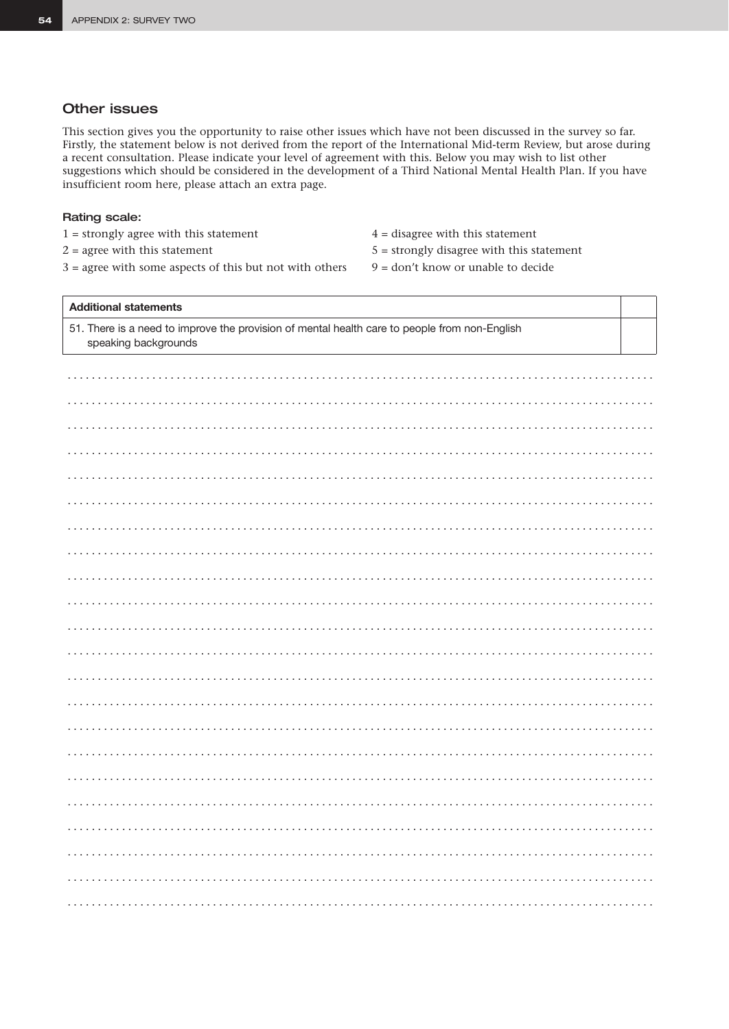### **Other issues**

This section gives you the opportunity to raise other issues which have not been discussed in the survey so far. Firstly, the statement below is not derived from the report of the International Mid-term Review, but arose during a recent consultation. Please indicate your level of agreement with this. Below you may wish to list other suggestions which should be considered in the development of a Third National Mental Health Plan. If you have insufficient room here, please attach an extra page.

### Rating scale:

- $1 =$  strongly agree with this statement
- $2 =$  agree with this statement
- $3 =$  agree with some aspects of this but not with others
- $4 =$  disagree with this statement  $5 =$  strongly disagree with this statement
- $9 =$  don't know or unable to decide

# **Additional statements** 51. There is a need to improve the provision of mental health care to people from non-English speaking backgrounds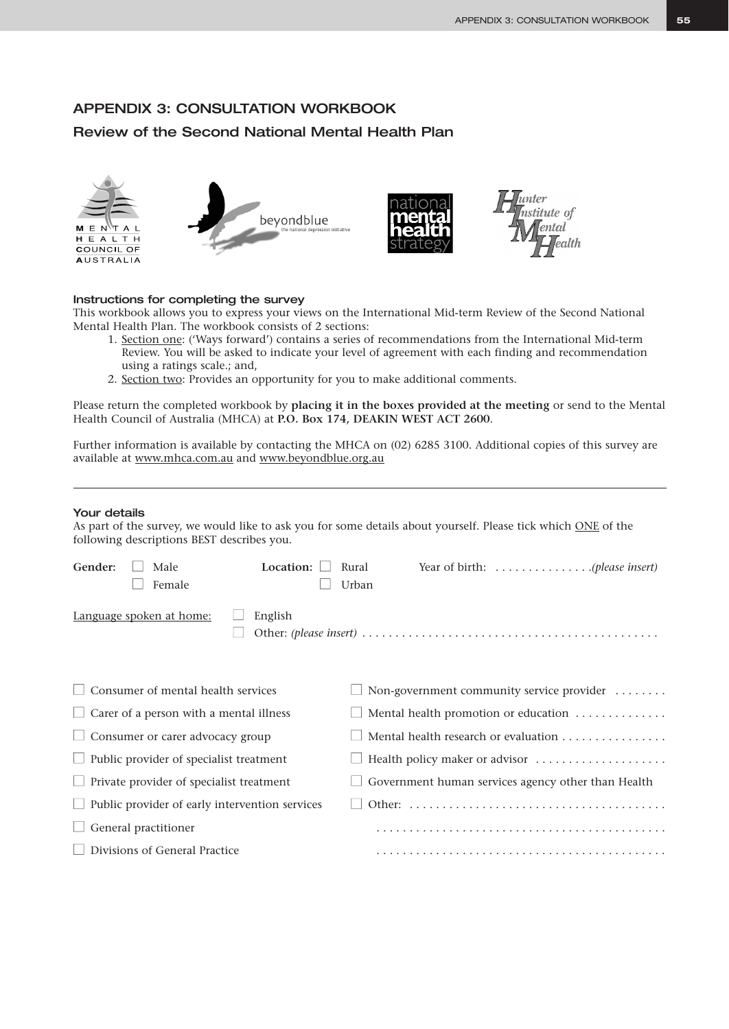# APPENDIX 3: CONSULTATION WORKBOOK

# Review of the Second National Mental Health Plan



### Instructions for completing the survey

This workbook allows you to express your views on the International Mid-term Review of the Second National Mental Health Plan. The workbook consists of 2 sections:

- 1. Section one: ('Ways forward') contains a series of recommendations from the International Mid-term Review. You will be asked to indicate your level of agreement with each finding and recommendation using a ratings scale.; and,
- 2. Section two: Provides an opportunity for you to make additional comments.

Please return the completed workbook by **placing it in the boxes provided at the meeting** or send to the Mental Health Council of Australia (MHCA) at **P.O. Box 174, DEAKIN WEST ACT 2600**.

Further information is available by contacting the MHCA on (02) 6285 3100. Additional copies of this survey are available at www.mhca.com.au and www.beyondblue.org.au

### Your details

As part of the survey, we would like to ask you for some details about yourself. Please tick which ONE of the following descriptions BEST describes you.

| Gender: | Male                                                  | Location: | Rural |                                                    |  |
|---------|-------------------------------------------------------|-----------|-------|----------------------------------------------------|--|
|         | Female                                                |           | Urban |                                                    |  |
|         | Language spoken at home:                              | English   |       |                                                    |  |
|         | Consumer of mental health services                    |           |       | Non-government community service provider          |  |
|         | $\Box$ Carer of a person with a mental illness        |           |       | Mental health promotion or education               |  |
|         | $\Box$ Consumer or carer advocacy group               |           |       | Mental health research or evaluation               |  |
|         | $\Box$ Public provider of specialist treatment        |           |       | Health policy maker or advisor                     |  |
|         | Private provider of specialist treatment              |           |       | Government human services agency other than Health |  |
|         | $\Box$ Public provider of early intervention services |           |       |                                                    |  |
|         | General practitioner                                  |           |       |                                                    |  |
|         | Divisions of General Practice                         |           |       |                                                    |  |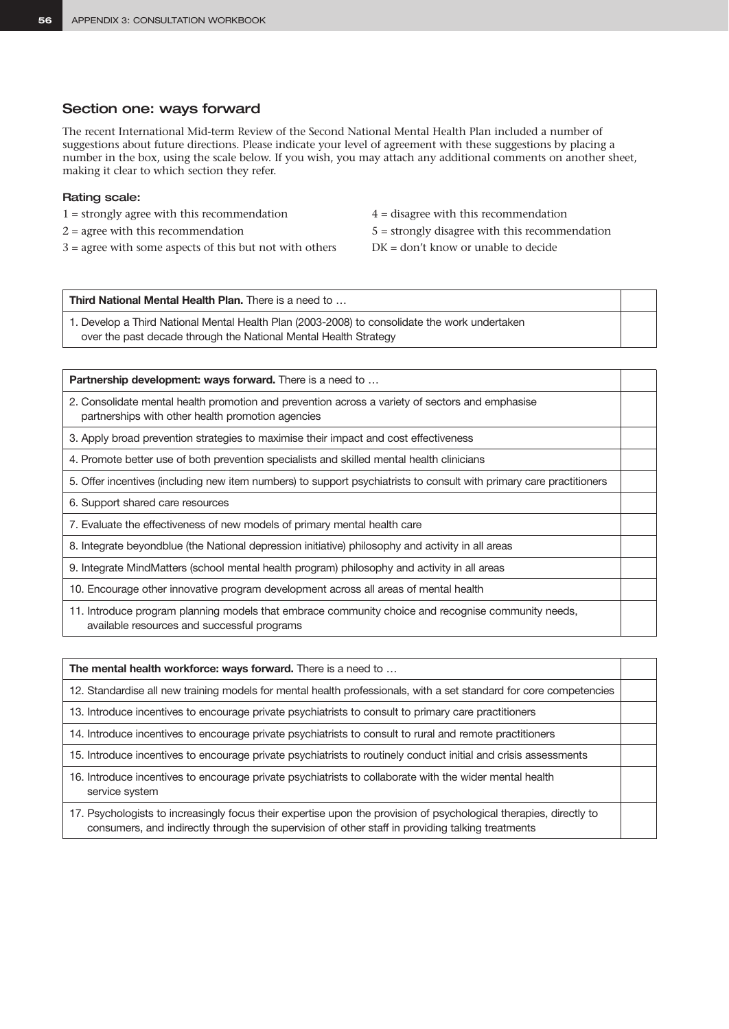### Section one: ways forward

The recent International Mid-term Review of the Second National Mental Health Plan included a number of suggestions about future directions. Please indicate your level of agreement with these suggestions by placing a number in the box, using the scale below. If you wish, you may attach any additional comments on another sheet, making it clear to which section they refer.

### Rating scale:

- 1 = strongly agree with this recommendation 4 = disagree with this recommendation
- 
- $3 =$  agree with some aspects of this but not with others  $DK = don't$  know or unable to decide
- 
- $2 = \text{agree with this recommendation}$   $5 = \text{strongly disagree with this recommendation}$ 
	-

**Third National Mental Health Plan.** There is a need to … 1. Develop a Third National Mental Health Plan (2003-2008) to consolidate the work undertaken

over the past decade through the National Mental Health Strategy

**Partnership development: ways forward.** There is a need to ...

- 2. Consolidate mental health promotion and prevention across a variety of sectors and emphasise partnerships with other health promotion agencies
- 3. Apply broad prevention strategies to maximise their impact and cost effectiveness
- 4. Promote better use of both prevention specialists and skilled mental health clinicians
- 5. Offer incentives (including new item numbers) to support psychiatrists to consult with primary care practitioners
- 6. Support shared care resources
- 7. Evaluate the effectiveness of new models of primary mental health care
- 8. Integrate beyondblue (the National depression initiative) philosophy and activity in all areas
- 9. Integrate MindMatters (school mental health program) philosophy and activity in all areas
- 10. Encourage other innovative program development across all areas of mental health
- 11. Introduce program planning models that embrace community choice and recognise community needs, available resources and successful programs

**The mental health workforce: ways forward.** There is a need to …

12. Standardise all new training models for mental health professionals, with a set standard for core competencies

13. Introduce incentives to encourage private psychiatrists to consult to primary care practitioners

14. Introduce incentives to encourage private psychiatrists to consult to rural and remote practitioners

15. Introduce incentives to encourage private psychiatrists to routinely conduct initial and crisis assessments

16. Introduce incentives to encourage private psychiatrists to collaborate with the wider mental health service system

17. Psychologists to increasingly focus their expertise upon the provision of psychological therapies, directly to consumers, and indirectly through the supervision of other staff in providing talking treatments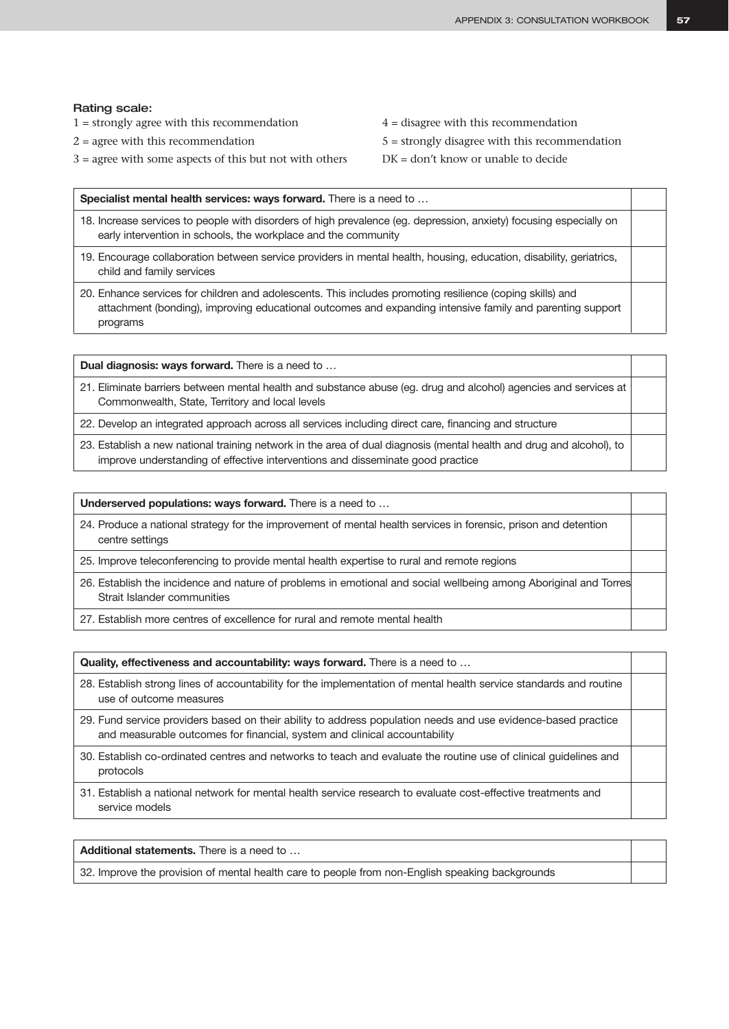### Rating scale:

- $1 =$  strongly agree with this recommendation  $4 =$  disagree with this recommendation
- 
- 3 = agree with some aspects of this but not with others DK = don't know or unable to decide
- 
- $2 = \text{agree with this recommendation}$   $5 = \text{strongly disagree with this recommendation}$ 
	-

| Specialist mental health services: ways forward. There is a need to                                                                                                                                                                |  |
|------------------------------------------------------------------------------------------------------------------------------------------------------------------------------------------------------------------------------------|--|
| 18. Increase services to people with disorders of high prevalence (eg. depression, anxiety) focusing especially on<br>early intervention in schools, the workplace and the community                                               |  |
| 19. Encourage collaboration between service providers in mental health, housing, education, disability, geriatrics,<br>child and family services                                                                                   |  |
| 20. Enhance services for children and adolescents. This includes promoting resilience (coping skills) and<br>attachment (bonding), improving educational outcomes and expanding intensive family and parenting support<br>programs |  |

**Dual diagnosis: ways forward.** There is a need to …

- 21. Eliminate barriers between mental health and substance abuse (eg. drug and alcohol) agencies and services at Commonwealth, State, Territory and local levels
- 22. Develop an integrated approach across all services including direct care, financing and structure
- 23. Establish a new national training network in the area of dual diagnosis (mental health and drug and alcohol), to improve understanding of effective interventions and disseminate good practice

**Underserved populations: ways forward.** There is a need to …

24. Produce a national strategy for the improvement of mental health services in forensic, prison and detention centre settings

25. Improve teleconferencing to provide mental health expertise to rural and remote regions

- 26. Establish the incidence and nature of problems in emotional and social wellbeing among Aboriginal and Torres Strait Islander communities
- 27. Establish more centres of excellence for rural and remote mental health

**Quality, effectiveness and accountability: ways forward.** There is a need to … 28. Establish strong lines of accountability for the implementation of mental health service standards and routine

- use of outcome measures
- 29. Fund service providers based on their ability to address population needs and use evidence-based practice and measurable outcomes for financial, system and clinical accountability
- 30. Establish co-ordinated centres and networks to teach and evaluate the routine use of clinical guidelines and protocols
- 31. Establish a national network for mental health service research to evaluate cost-effective treatments and service models

**Additional statements.** There is a need to …

32. Improve the provision of mental health care to people from non-English speaking backgrounds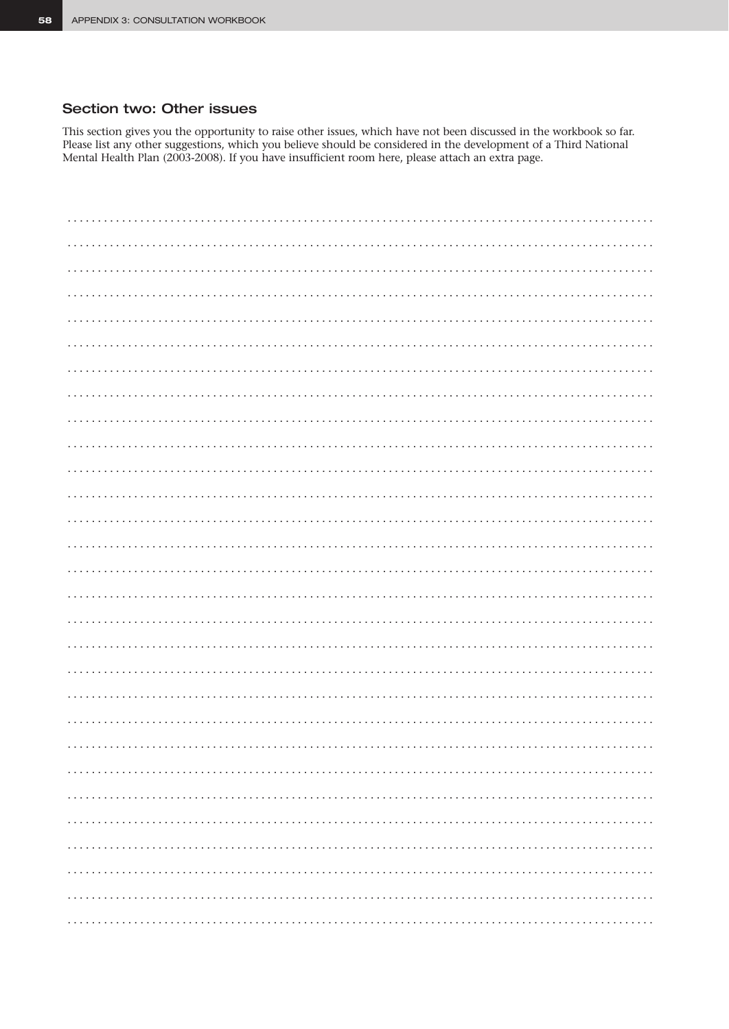# Section two: Other issues

This section gives you the opportunity to raise other issues, which have not been discussed in the workbook so far. Please list any other suggestions, which you believe should be considered in the development of a Third National Mental Health Plan (2003-2008). If you have insufficient room here, please attach an extra page.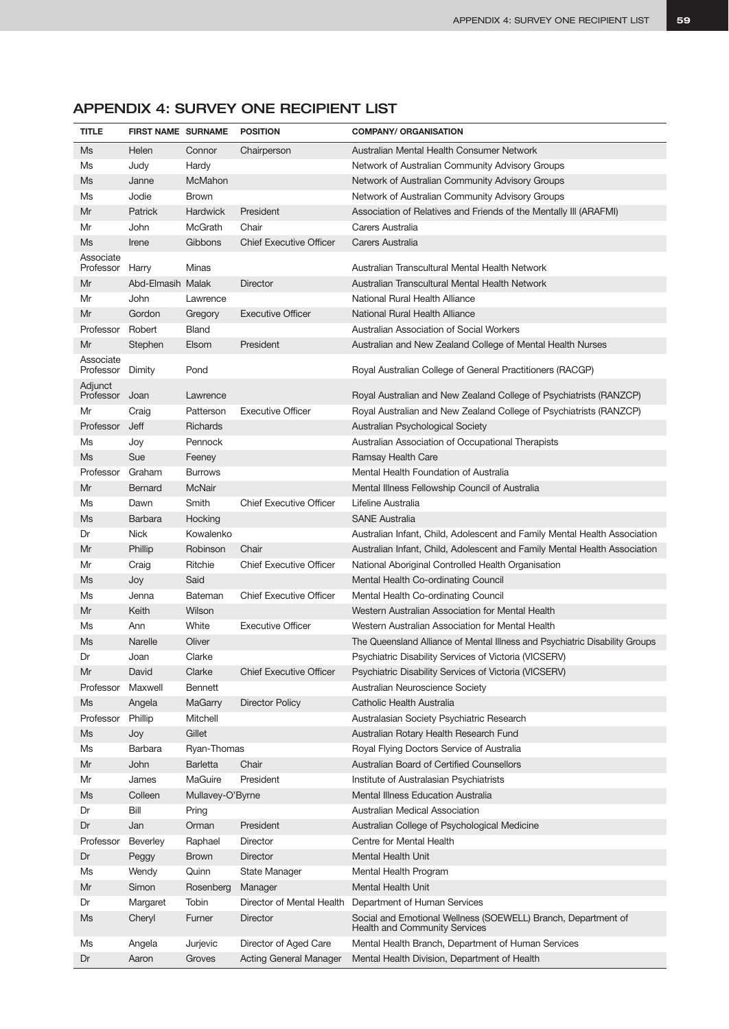| Ms<br>Helen<br>Connor<br>Chairperson<br>Australian Mental Health Consumer Network<br>Ms<br>Judy<br>Hardy<br>Network of Australian Community Advisory Groups<br>McMahon<br>Ms<br>Network of Australian Community Advisory Groups<br>Janne<br>Jodie<br><b>Brown</b><br>Network of Australian Community Advisory Groups<br>Ms<br><b>Hardwick</b><br>President<br>Mr<br>Patrick<br>Association of Relatives and Friends of the Mentally III (ARAFMI)<br>McGrath<br>Chair<br>Carers Australia<br>Mr<br>John<br>Gibbons<br><b>Chief Executive Officer</b><br>Ms<br>Irene<br>Carers Australia<br>Associate<br>Australian Transcultural Mental Health Network<br>Professor<br>Harry<br>Minas<br>Abd-Elmasih Malak<br>Australian Transcultural Mental Health Network<br>Mr<br><b>Director</b><br>National Rural Health Alliance<br>Mr<br>John<br>Lawrence<br><b>Executive Officer</b><br>National Rural Health Alliance<br>Mr<br>Gordon<br>Gregory<br>Australian Association of Social Workers<br>Robert<br>Bland<br>Professor<br>President<br>Mr<br>Stephen<br>Elsom<br>Australian and New Zealand College of Mental Health Nurses<br>Associate<br>Professor<br>Dimity<br>Pond<br>Royal Australian College of General Practitioners (RACGP)<br>Adjunct<br>Professor Joan<br>Royal Australian and New Zealand College of Psychiatrists (RANZCP)<br>Lawrence<br><b>Executive Officer</b><br>Mr<br>Patterson<br>Royal Australian and New Zealand College of Psychiatrists (RANZCP)<br>Craig<br>Jeff<br>Professor<br><b>Richards</b><br>Australian Psychological Society<br>Ms<br>Pennock<br>Australian Association of Occupational Therapists<br>Joy<br>Sue<br>Ms<br>Feeney<br>Ramsay Health Care<br>Professor<br>Graham<br>Mental Health Foundation of Australia<br><b>Burrows</b><br>Mr<br><b>Bernard</b><br>McNair<br>Mental Illness Fellowship Council of Australia<br>Smith<br><b>Chief Executive Officer</b><br>Ms<br>Lifeline Australia<br>Dawn<br><b>SANE Australia</b><br>Ms<br><b>Barbara</b><br>Hocking<br>Kowalenko<br><b>Nick</b><br>Australian Infant, Child, Adolescent and Family Mental Health Association<br>Dr<br>Phillip<br>Chair<br>Australian Infant, Child, Adolescent and Family Mental Health Association<br>Mr<br>Robinson<br>Ritchie<br><b>Chief Executive Officer</b><br>Mr<br>Craig<br>National Aboriginal Controlled Health Organisation<br>Said<br>Ms<br>Mental Health Co-ordinating Council<br>Joy<br><b>Chief Executive Officer</b><br>Ms<br>Bateman<br>Mental Health Co-ordinating Council<br>Jenna<br>Wilson<br>Mr<br>Keith<br>Western Australian Association for Mental Health<br>White<br><b>Executive Officer</b><br>Western Australian Association for Mental Health<br>Ms<br>Ann<br>Oliver<br>Ms<br>Narelle<br>The Queensland Alliance of Mental Illness and Psychiatric Disability Groups<br>Clarke<br>Dr<br>Joan<br>Psychiatric Disability Services of Victoria (VICSERV)<br>Mr<br>David<br>Clarke<br><b>Chief Executive Officer</b><br>Psychiatric Disability Services of Victoria (VICSERV)<br>Professor<br>Maxwell<br><b>Bennett</b><br>Australian Neuroscience Society<br><b>Director Policy</b><br>Catholic Health Australia<br>Ms<br>Angela<br>MaGarry<br>Professor<br>Phillip<br>Mitchell<br>Australasian Society Psychiatric Research<br>Gillet<br>Ms<br>Joy<br>Australian Rotary Health Research Fund<br>Barbara<br>Ryan-Thomas<br>Royal Flying Doctors Service of Australia<br>Ms<br>Chair<br>Australian Board of Certified Counsellors<br>Mr<br>John<br><b>Barletta</b><br>MaGuire<br>President<br>Mr<br>James<br>Institute of Australasian Psychiatrists<br>Colleen<br>Mental Illness Education Australia<br>Ms<br>Mullavey-O'Byrne<br>Bill<br>Australian Medical Association<br>Dr<br>Pring<br>President<br>Australian College of Psychological Medicine<br>Dr<br>Jan<br>Orman<br>Raphael<br>Centre for Mental Health<br>Professor<br><b>Beverley</b><br>Director<br>Dr<br>Peggy<br><b>Brown</b><br><b>Director</b><br>Mental Health Unit<br>Ms<br>Quinn<br>State Manager<br>Mental Health Program<br>Wendy<br><b>Mental Health Unit</b><br>Mr<br>Simon<br>Rosenberg<br>Manager<br>Tobin<br>Director of Mental Health<br>Department of Human Services<br>Dr<br>Margaret<br>Ms<br>Cheryl<br>Furner<br><b>Director</b><br>Social and Emotional Wellness (SOEWELL) Branch, Department of<br><b>Health and Community Services</b><br>Mental Health Branch, Department of Human Services<br>Jurjevic<br>Director of Aged Care<br>Ms<br>Angela | <b>TITLE</b> | <b>FIRST NAME SURNAME</b> |        | <b>POSITION</b>               | <b>COMPANY/ ORGANISATION</b>                 |
|--------------------------------------------------------------------------------------------------------------------------------------------------------------------------------------------------------------------------------------------------------------------------------------------------------------------------------------------------------------------------------------------------------------------------------------------------------------------------------------------------------------------------------------------------------------------------------------------------------------------------------------------------------------------------------------------------------------------------------------------------------------------------------------------------------------------------------------------------------------------------------------------------------------------------------------------------------------------------------------------------------------------------------------------------------------------------------------------------------------------------------------------------------------------------------------------------------------------------------------------------------------------------------------------------------------------------------------------------------------------------------------------------------------------------------------------------------------------------------------------------------------------------------------------------------------------------------------------------------------------------------------------------------------------------------------------------------------------------------------------------------------------------------------------------------------------------------------------------------------------------------------------------------------------------------------------------------------------------------------------------------------------------------------------------------------------------------------------------------------------------------------------------------------------------------------------------------------------------------------------------------------------------------------------------------------------------------------------------------------------------------------------------------------------------------------------------------------------------------------------------------------------------------------------------------------------------------------------------------------------------------------------------------------------------------------------------------------------------------------------------------------------------------------------------------------------------------------------------------------------------------------------------------------------------------------------------------------------------------------------------------------------------------------------------------------------------------------------------------------------------------------------------------------------------------------------------------------------------------------------------------------------------------------------------------------------------------------------------------------------------------------------------------------------------------------------------------------------------------------------------------------------------------------------------------------------------------------------------------------------------------------------------------------------------------------------------------------------------------------------------------------------------------------------------------------------------------------------------------------------------------------------------------------------------------------------------------------------------------------------------------------------------------------------------------------------------------------------------------------------------------------------------------------------------------------------------------------------------------------------------------------------------------------------------------------------------------------------------------------------------------------------------------------------------------------------------------------------------------------|--------------|---------------------------|--------|-------------------------------|----------------------------------------------|
|                                                                                                                                                                                                                                                                                                                                                                                                                                                                                                                                                                                                                                                                                                                                                                                                                                                                                                                                                                                                                                                                                                                                                                                                                                                                                                                                                                                                                                                                                                                                                                                                                                                                                                                                                                                                                                                                                                                                                                                                                                                                                                                                                                                                                                                                                                                                                                                                                                                                                                                                                                                                                                                                                                                                                                                                                                                                                                                                                                                                                                                                                                                                                                                                                                                                                                                                                                                                                                                                                                                                                                                                                                                                                                                                                                                                                                                                                                                                                                                                                                                                                                                                                                                                                                                                                                                                                                                                                                                                                      |              |                           |        |                               |                                              |
|                                                                                                                                                                                                                                                                                                                                                                                                                                                                                                                                                                                                                                                                                                                                                                                                                                                                                                                                                                                                                                                                                                                                                                                                                                                                                                                                                                                                                                                                                                                                                                                                                                                                                                                                                                                                                                                                                                                                                                                                                                                                                                                                                                                                                                                                                                                                                                                                                                                                                                                                                                                                                                                                                                                                                                                                                                                                                                                                                                                                                                                                                                                                                                                                                                                                                                                                                                                                                                                                                                                                                                                                                                                                                                                                                                                                                                                                                                                                                                                                                                                                                                                                                                                                                                                                                                                                                                                                                                                                                      |              |                           |        |                               |                                              |
|                                                                                                                                                                                                                                                                                                                                                                                                                                                                                                                                                                                                                                                                                                                                                                                                                                                                                                                                                                                                                                                                                                                                                                                                                                                                                                                                                                                                                                                                                                                                                                                                                                                                                                                                                                                                                                                                                                                                                                                                                                                                                                                                                                                                                                                                                                                                                                                                                                                                                                                                                                                                                                                                                                                                                                                                                                                                                                                                                                                                                                                                                                                                                                                                                                                                                                                                                                                                                                                                                                                                                                                                                                                                                                                                                                                                                                                                                                                                                                                                                                                                                                                                                                                                                                                                                                                                                                                                                                                                                      |              |                           |        |                               |                                              |
|                                                                                                                                                                                                                                                                                                                                                                                                                                                                                                                                                                                                                                                                                                                                                                                                                                                                                                                                                                                                                                                                                                                                                                                                                                                                                                                                                                                                                                                                                                                                                                                                                                                                                                                                                                                                                                                                                                                                                                                                                                                                                                                                                                                                                                                                                                                                                                                                                                                                                                                                                                                                                                                                                                                                                                                                                                                                                                                                                                                                                                                                                                                                                                                                                                                                                                                                                                                                                                                                                                                                                                                                                                                                                                                                                                                                                                                                                                                                                                                                                                                                                                                                                                                                                                                                                                                                                                                                                                                                                      |              |                           |        |                               |                                              |
|                                                                                                                                                                                                                                                                                                                                                                                                                                                                                                                                                                                                                                                                                                                                                                                                                                                                                                                                                                                                                                                                                                                                                                                                                                                                                                                                                                                                                                                                                                                                                                                                                                                                                                                                                                                                                                                                                                                                                                                                                                                                                                                                                                                                                                                                                                                                                                                                                                                                                                                                                                                                                                                                                                                                                                                                                                                                                                                                                                                                                                                                                                                                                                                                                                                                                                                                                                                                                                                                                                                                                                                                                                                                                                                                                                                                                                                                                                                                                                                                                                                                                                                                                                                                                                                                                                                                                                                                                                                                                      |              |                           |        |                               |                                              |
|                                                                                                                                                                                                                                                                                                                                                                                                                                                                                                                                                                                                                                                                                                                                                                                                                                                                                                                                                                                                                                                                                                                                                                                                                                                                                                                                                                                                                                                                                                                                                                                                                                                                                                                                                                                                                                                                                                                                                                                                                                                                                                                                                                                                                                                                                                                                                                                                                                                                                                                                                                                                                                                                                                                                                                                                                                                                                                                                                                                                                                                                                                                                                                                                                                                                                                                                                                                                                                                                                                                                                                                                                                                                                                                                                                                                                                                                                                                                                                                                                                                                                                                                                                                                                                                                                                                                                                                                                                                                                      |              |                           |        |                               |                                              |
|                                                                                                                                                                                                                                                                                                                                                                                                                                                                                                                                                                                                                                                                                                                                                                                                                                                                                                                                                                                                                                                                                                                                                                                                                                                                                                                                                                                                                                                                                                                                                                                                                                                                                                                                                                                                                                                                                                                                                                                                                                                                                                                                                                                                                                                                                                                                                                                                                                                                                                                                                                                                                                                                                                                                                                                                                                                                                                                                                                                                                                                                                                                                                                                                                                                                                                                                                                                                                                                                                                                                                                                                                                                                                                                                                                                                                                                                                                                                                                                                                                                                                                                                                                                                                                                                                                                                                                                                                                                                                      |              |                           |        |                               |                                              |
|                                                                                                                                                                                                                                                                                                                                                                                                                                                                                                                                                                                                                                                                                                                                                                                                                                                                                                                                                                                                                                                                                                                                                                                                                                                                                                                                                                                                                                                                                                                                                                                                                                                                                                                                                                                                                                                                                                                                                                                                                                                                                                                                                                                                                                                                                                                                                                                                                                                                                                                                                                                                                                                                                                                                                                                                                                                                                                                                                                                                                                                                                                                                                                                                                                                                                                                                                                                                                                                                                                                                                                                                                                                                                                                                                                                                                                                                                                                                                                                                                                                                                                                                                                                                                                                                                                                                                                                                                                                                                      |              |                           |        |                               |                                              |
|                                                                                                                                                                                                                                                                                                                                                                                                                                                                                                                                                                                                                                                                                                                                                                                                                                                                                                                                                                                                                                                                                                                                                                                                                                                                                                                                                                                                                                                                                                                                                                                                                                                                                                                                                                                                                                                                                                                                                                                                                                                                                                                                                                                                                                                                                                                                                                                                                                                                                                                                                                                                                                                                                                                                                                                                                                                                                                                                                                                                                                                                                                                                                                                                                                                                                                                                                                                                                                                                                                                                                                                                                                                                                                                                                                                                                                                                                                                                                                                                                                                                                                                                                                                                                                                                                                                                                                                                                                                                                      |              |                           |        |                               |                                              |
|                                                                                                                                                                                                                                                                                                                                                                                                                                                                                                                                                                                                                                                                                                                                                                                                                                                                                                                                                                                                                                                                                                                                                                                                                                                                                                                                                                                                                                                                                                                                                                                                                                                                                                                                                                                                                                                                                                                                                                                                                                                                                                                                                                                                                                                                                                                                                                                                                                                                                                                                                                                                                                                                                                                                                                                                                                                                                                                                                                                                                                                                                                                                                                                                                                                                                                                                                                                                                                                                                                                                                                                                                                                                                                                                                                                                                                                                                                                                                                                                                                                                                                                                                                                                                                                                                                                                                                                                                                                                                      |              |                           |        |                               |                                              |
|                                                                                                                                                                                                                                                                                                                                                                                                                                                                                                                                                                                                                                                                                                                                                                                                                                                                                                                                                                                                                                                                                                                                                                                                                                                                                                                                                                                                                                                                                                                                                                                                                                                                                                                                                                                                                                                                                                                                                                                                                                                                                                                                                                                                                                                                                                                                                                                                                                                                                                                                                                                                                                                                                                                                                                                                                                                                                                                                                                                                                                                                                                                                                                                                                                                                                                                                                                                                                                                                                                                                                                                                                                                                                                                                                                                                                                                                                                                                                                                                                                                                                                                                                                                                                                                                                                                                                                                                                                                                                      |              |                           |        |                               |                                              |
|                                                                                                                                                                                                                                                                                                                                                                                                                                                                                                                                                                                                                                                                                                                                                                                                                                                                                                                                                                                                                                                                                                                                                                                                                                                                                                                                                                                                                                                                                                                                                                                                                                                                                                                                                                                                                                                                                                                                                                                                                                                                                                                                                                                                                                                                                                                                                                                                                                                                                                                                                                                                                                                                                                                                                                                                                                                                                                                                                                                                                                                                                                                                                                                                                                                                                                                                                                                                                                                                                                                                                                                                                                                                                                                                                                                                                                                                                                                                                                                                                                                                                                                                                                                                                                                                                                                                                                                                                                                                                      |              |                           |        |                               |                                              |
|                                                                                                                                                                                                                                                                                                                                                                                                                                                                                                                                                                                                                                                                                                                                                                                                                                                                                                                                                                                                                                                                                                                                                                                                                                                                                                                                                                                                                                                                                                                                                                                                                                                                                                                                                                                                                                                                                                                                                                                                                                                                                                                                                                                                                                                                                                                                                                                                                                                                                                                                                                                                                                                                                                                                                                                                                                                                                                                                                                                                                                                                                                                                                                                                                                                                                                                                                                                                                                                                                                                                                                                                                                                                                                                                                                                                                                                                                                                                                                                                                                                                                                                                                                                                                                                                                                                                                                                                                                                                                      |              |                           |        |                               |                                              |
|                                                                                                                                                                                                                                                                                                                                                                                                                                                                                                                                                                                                                                                                                                                                                                                                                                                                                                                                                                                                                                                                                                                                                                                                                                                                                                                                                                                                                                                                                                                                                                                                                                                                                                                                                                                                                                                                                                                                                                                                                                                                                                                                                                                                                                                                                                                                                                                                                                                                                                                                                                                                                                                                                                                                                                                                                                                                                                                                                                                                                                                                                                                                                                                                                                                                                                                                                                                                                                                                                                                                                                                                                                                                                                                                                                                                                                                                                                                                                                                                                                                                                                                                                                                                                                                                                                                                                                                                                                                                                      |              |                           |        |                               |                                              |
|                                                                                                                                                                                                                                                                                                                                                                                                                                                                                                                                                                                                                                                                                                                                                                                                                                                                                                                                                                                                                                                                                                                                                                                                                                                                                                                                                                                                                                                                                                                                                                                                                                                                                                                                                                                                                                                                                                                                                                                                                                                                                                                                                                                                                                                                                                                                                                                                                                                                                                                                                                                                                                                                                                                                                                                                                                                                                                                                                                                                                                                                                                                                                                                                                                                                                                                                                                                                                                                                                                                                                                                                                                                                                                                                                                                                                                                                                                                                                                                                                                                                                                                                                                                                                                                                                                                                                                                                                                                                                      |              |                           |        |                               |                                              |
|                                                                                                                                                                                                                                                                                                                                                                                                                                                                                                                                                                                                                                                                                                                                                                                                                                                                                                                                                                                                                                                                                                                                                                                                                                                                                                                                                                                                                                                                                                                                                                                                                                                                                                                                                                                                                                                                                                                                                                                                                                                                                                                                                                                                                                                                                                                                                                                                                                                                                                                                                                                                                                                                                                                                                                                                                                                                                                                                                                                                                                                                                                                                                                                                                                                                                                                                                                                                                                                                                                                                                                                                                                                                                                                                                                                                                                                                                                                                                                                                                                                                                                                                                                                                                                                                                                                                                                                                                                                                                      |              |                           |        |                               |                                              |
|                                                                                                                                                                                                                                                                                                                                                                                                                                                                                                                                                                                                                                                                                                                                                                                                                                                                                                                                                                                                                                                                                                                                                                                                                                                                                                                                                                                                                                                                                                                                                                                                                                                                                                                                                                                                                                                                                                                                                                                                                                                                                                                                                                                                                                                                                                                                                                                                                                                                                                                                                                                                                                                                                                                                                                                                                                                                                                                                                                                                                                                                                                                                                                                                                                                                                                                                                                                                                                                                                                                                                                                                                                                                                                                                                                                                                                                                                                                                                                                                                                                                                                                                                                                                                                                                                                                                                                                                                                                                                      |              |                           |        |                               |                                              |
|                                                                                                                                                                                                                                                                                                                                                                                                                                                                                                                                                                                                                                                                                                                                                                                                                                                                                                                                                                                                                                                                                                                                                                                                                                                                                                                                                                                                                                                                                                                                                                                                                                                                                                                                                                                                                                                                                                                                                                                                                                                                                                                                                                                                                                                                                                                                                                                                                                                                                                                                                                                                                                                                                                                                                                                                                                                                                                                                                                                                                                                                                                                                                                                                                                                                                                                                                                                                                                                                                                                                                                                                                                                                                                                                                                                                                                                                                                                                                                                                                                                                                                                                                                                                                                                                                                                                                                                                                                                                                      |              |                           |        |                               |                                              |
|                                                                                                                                                                                                                                                                                                                                                                                                                                                                                                                                                                                                                                                                                                                                                                                                                                                                                                                                                                                                                                                                                                                                                                                                                                                                                                                                                                                                                                                                                                                                                                                                                                                                                                                                                                                                                                                                                                                                                                                                                                                                                                                                                                                                                                                                                                                                                                                                                                                                                                                                                                                                                                                                                                                                                                                                                                                                                                                                                                                                                                                                                                                                                                                                                                                                                                                                                                                                                                                                                                                                                                                                                                                                                                                                                                                                                                                                                                                                                                                                                                                                                                                                                                                                                                                                                                                                                                                                                                                                                      |              |                           |        |                               |                                              |
|                                                                                                                                                                                                                                                                                                                                                                                                                                                                                                                                                                                                                                                                                                                                                                                                                                                                                                                                                                                                                                                                                                                                                                                                                                                                                                                                                                                                                                                                                                                                                                                                                                                                                                                                                                                                                                                                                                                                                                                                                                                                                                                                                                                                                                                                                                                                                                                                                                                                                                                                                                                                                                                                                                                                                                                                                                                                                                                                                                                                                                                                                                                                                                                                                                                                                                                                                                                                                                                                                                                                                                                                                                                                                                                                                                                                                                                                                                                                                                                                                                                                                                                                                                                                                                                                                                                                                                                                                                                                                      |              |                           |        |                               |                                              |
|                                                                                                                                                                                                                                                                                                                                                                                                                                                                                                                                                                                                                                                                                                                                                                                                                                                                                                                                                                                                                                                                                                                                                                                                                                                                                                                                                                                                                                                                                                                                                                                                                                                                                                                                                                                                                                                                                                                                                                                                                                                                                                                                                                                                                                                                                                                                                                                                                                                                                                                                                                                                                                                                                                                                                                                                                                                                                                                                                                                                                                                                                                                                                                                                                                                                                                                                                                                                                                                                                                                                                                                                                                                                                                                                                                                                                                                                                                                                                                                                                                                                                                                                                                                                                                                                                                                                                                                                                                                                                      |              |                           |        |                               |                                              |
|                                                                                                                                                                                                                                                                                                                                                                                                                                                                                                                                                                                                                                                                                                                                                                                                                                                                                                                                                                                                                                                                                                                                                                                                                                                                                                                                                                                                                                                                                                                                                                                                                                                                                                                                                                                                                                                                                                                                                                                                                                                                                                                                                                                                                                                                                                                                                                                                                                                                                                                                                                                                                                                                                                                                                                                                                                                                                                                                                                                                                                                                                                                                                                                                                                                                                                                                                                                                                                                                                                                                                                                                                                                                                                                                                                                                                                                                                                                                                                                                                                                                                                                                                                                                                                                                                                                                                                                                                                                                                      |              |                           |        |                               |                                              |
|                                                                                                                                                                                                                                                                                                                                                                                                                                                                                                                                                                                                                                                                                                                                                                                                                                                                                                                                                                                                                                                                                                                                                                                                                                                                                                                                                                                                                                                                                                                                                                                                                                                                                                                                                                                                                                                                                                                                                                                                                                                                                                                                                                                                                                                                                                                                                                                                                                                                                                                                                                                                                                                                                                                                                                                                                                                                                                                                                                                                                                                                                                                                                                                                                                                                                                                                                                                                                                                                                                                                                                                                                                                                                                                                                                                                                                                                                                                                                                                                                                                                                                                                                                                                                                                                                                                                                                                                                                                                                      |              |                           |        |                               |                                              |
|                                                                                                                                                                                                                                                                                                                                                                                                                                                                                                                                                                                                                                                                                                                                                                                                                                                                                                                                                                                                                                                                                                                                                                                                                                                                                                                                                                                                                                                                                                                                                                                                                                                                                                                                                                                                                                                                                                                                                                                                                                                                                                                                                                                                                                                                                                                                                                                                                                                                                                                                                                                                                                                                                                                                                                                                                                                                                                                                                                                                                                                                                                                                                                                                                                                                                                                                                                                                                                                                                                                                                                                                                                                                                                                                                                                                                                                                                                                                                                                                                                                                                                                                                                                                                                                                                                                                                                                                                                                                                      |              |                           |        |                               |                                              |
|                                                                                                                                                                                                                                                                                                                                                                                                                                                                                                                                                                                                                                                                                                                                                                                                                                                                                                                                                                                                                                                                                                                                                                                                                                                                                                                                                                                                                                                                                                                                                                                                                                                                                                                                                                                                                                                                                                                                                                                                                                                                                                                                                                                                                                                                                                                                                                                                                                                                                                                                                                                                                                                                                                                                                                                                                                                                                                                                                                                                                                                                                                                                                                                                                                                                                                                                                                                                                                                                                                                                                                                                                                                                                                                                                                                                                                                                                                                                                                                                                                                                                                                                                                                                                                                                                                                                                                                                                                                                                      |              |                           |        |                               |                                              |
|                                                                                                                                                                                                                                                                                                                                                                                                                                                                                                                                                                                                                                                                                                                                                                                                                                                                                                                                                                                                                                                                                                                                                                                                                                                                                                                                                                                                                                                                                                                                                                                                                                                                                                                                                                                                                                                                                                                                                                                                                                                                                                                                                                                                                                                                                                                                                                                                                                                                                                                                                                                                                                                                                                                                                                                                                                                                                                                                                                                                                                                                                                                                                                                                                                                                                                                                                                                                                                                                                                                                                                                                                                                                                                                                                                                                                                                                                                                                                                                                                                                                                                                                                                                                                                                                                                                                                                                                                                                                                      |              |                           |        |                               |                                              |
|                                                                                                                                                                                                                                                                                                                                                                                                                                                                                                                                                                                                                                                                                                                                                                                                                                                                                                                                                                                                                                                                                                                                                                                                                                                                                                                                                                                                                                                                                                                                                                                                                                                                                                                                                                                                                                                                                                                                                                                                                                                                                                                                                                                                                                                                                                                                                                                                                                                                                                                                                                                                                                                                                                                                                                                                                                                                                                                                                                                                                                                                                                                                                                                                                                                                                                                                                                                                                                                                                                                                                                                                                                                                                                                                                                                                                                                                                                                                                                                                                                                                                                                                                                                                                                                                                                                                                                                                                                                                                      |              |                           |        |                               |                                              |
|                                                                                                                                                                                                                                                                                                                                                                                                                                                                                                                                                                                                                                                                                                                                                                                                                                                                                                                                                                                                                                                                                                                                                                                                                                                                                                                                                                                                                                                                                                                                                                                                                                                                                                                                                                                                                                                                                                                                                                                                                                                                                                                                                                                                                                                                                                                                                                                                                                                                                                                                                                                                                                                                                                                                                                                                                                                                                                                                                                                                                                                                                                                                                                                                                                                                                                                                                                                                                                                                                                                                                                                                                                                                                                                                                                                                                                                                                                                                                                                                                                                                                                                                                                                                                                                                                                                                                                                                                                                                                      |              |                           |        |                               |                                              |
|                                                                                                                                                                                                                                                                                                                                                                                                                                                                                                                                                                                                                                                                                                                                                                                                                                                                                                                                                                                                                                                                                                                                                                                                                                                                                                                                                                                                                                                                                                                                                                                                                                                                                                                                                                                                                                                                                                                                                                                                                                                                                                                                                                                                                                                                                                                                                                                                                                                                                                                                                                                                                                                                                                                                                                                                                                                                                                                                                                                                                                                                                                                                                                                                                                                                                                                                                                                                                                                                                                                                                                                                                                                                                                                                                                                                                                                                                                                                                                                                                                                                                                                                                                                                                                                                                                                                                                                                                                                                                      |              |                           |        |                               |                                              |
|                                                                                                                                                                                                                                                                                                                                                                                                                                                                                                                                                                                                                                                                                                                                                                                                                                                                                                                                                                                                                                                                                                                                                                                                                                                                                                                                                                                                                                                                                                                                                                                                                                                                                                                                                                                                                                                                                                                                                                                                                                                                                                                                                                                                                                                                                                                                                                                                                                                                                                                                                                                                                                                                                                                                                                                                                                                                                                                                                                                                                                                                                                                                                                                                                                                                                                                                                                                                                                                                                                                                                                                                                                                                                                                                                                                                                                                                                                                                                                                                                                                                                                                                                                                                                                                                                                                                                                                                                                                                                      |              |                           |        |                               |                                              |
|                                                                                                                                                                                                                                                                                                                                                                                                                                                                                                                                                                                                                                                                                                                                                                                                                                                                                                                                                                                                                                                                                                                                                                                                                                                                                                                                                                                                                                                                                                                                                                                                                                                                                                                                                                                                                                                                                                                                                                                                                                                                                                                                                                                                                                                                                                                                                                                                                                                                                                                                                                                                                                                                                                                                                                                                                                                                                                                                                                                                                                                                                                                                                                                                                                                                                                                                                                                                                                                                                                                                                                                                                                                                                                                                                                                                                                                                                                                                                                                                                                                                                                                                                                                                                                                                                                                                                                                                                                                                                      |              |                           |        |                               |                                              |
|                                                                                                                                                                                                                                                                                                                                                                                                                                                                                                                                                                                                                                                                                                                                                                                                                                                                                                                                                                                                                                                                                                                                                                                                                                                                                                                                                                                                                                                                                                                                                                                                                                                                                                                                                                                                                                                                                                                                                                                                                                                                                                                                                                                                                                                                                                                                                                                                                                                                                                                                                                                                                                                                                                                                                                                                                                                                                                                                                                                                                                                                                                                                                                                                                                                                                                                                                                                                                                                                                                                                                                                                                                                                                                                                                                                                                                                                                                                                                                                                                                                                                                                                                                                                                                                                                                                                                                                                                                                                                      |              |                           |        |                               |                                              |
|                                                                                                                                                                                                                                                                                                                                                                                                                                                                                                                                                                                                                                                                                                                                                                                                                                                                                                                                                                                                                                                                                                                                                                                                                                                                                                                                                                                                                                                                                                                                                                                                                                                                                                                                                                                                                                                                                                                                                                                                                                                                                                                                                                                                                                                                                                                                                                                                                                                                                                                                                                                                                                                                                                                                                                                                                                                                                                                                                                                                                                                                                                                                                                                                                                                                                                                                                                                                                                                                                                                                                                                                                                                                                                                                                                                                                                                                                                                                                                                                                                                                                                                                                                                                                                                                                                                                                                                                                                                                                      |              |                           |        |                               |                                              |
|                                                                                                                                                                                                                                                                                                                                                                                                                                                                                                                                                                                                                                                                                                                                                                                                                                                                                                                                                                                                                                                                                                                                                                                                                                                                                                                                                                                                                                                                                                                                                                                                                                                                                                                                                                                                                                                                                                                                                                                                                                                                                                                                                                                                                                                                                                                                                                                                                                                                                                                                                                                                                                                                                                                                                                                                                                                                                                                                                                                                                                                                                                                                                                                                                                                                                                                                                                                                                                                                                                                                                                                                                                                                                                                                                                                                                                                                                                                                                                                                                                                                                                                                                                                                                                                                                                                                                                                                                                                                                      |              |                           |        |                               |                                              |
|                                                                                                                                                                                                                                                                                                                                                                                                                                                                                                                                                                                                                                                                                                                                                                                                                                                                                                                                                                                                                                                                                                                                                                                                                                                                                                                                                                                                                                                                                                                                                                                                                                                                                                                                                                                                                                                                                                                                                                                                                                                                                                                                                                                                                                                                                                                                                                                                                                                                                                                                                                                                                                                                                                                                                                                                                                                                                                                                                                                                                                                                                                                                                                                                                                                                                                                                                                                                                                                                                                                                                                                                                                                                                                                                                                                                                                                                                                                                                                                                                                                                                                                                                                                                                                                                                                                                                                                                                                                                                      |              |                           |        |                               |                                              |
|                                                                                                                                                                                                                                                                                                                                                                                                                                                                                                                                                                                                                                                                                                                                                                                                                                                                                                                                                                                                                                                                                                                                                                                                                                                                                                                                                                                                                                                                                                                                                                                                                                                                                                                                                                                                                                                                                                                                                                                                                                                                                                                                                                                                                                                                                                                                                                                                                                                                                                                                                                                                                                                                                                                                                                                                                                                                                                                                                                                                                                                                                                                                                                                                                                                                                                                                                                                                                                                                                                                                                                                                                                                                                                                                                                                                                                                                                                                                                                                                                                                                                                                                                                                                                                                                                                                                                                                                                                                                                      |              |                           |        |                               |                                              |
|                                                                                                                                                                                                                                                                                                                                                                                                                                                                                                                                                                                                                                                                                                                                                                                                                                                                                                                                                                                                                                                                                                                                                                                                                                                                                                                                                                                                                                                                                                                                                                                                                                                                                                                                                                                                                                                                                                                                                                                                                                                                                                                                                                                                                                                                                                                                                                                                                                                                                                                                                                                                                                                                                                                                                                                                                                                                                                                                                                                                                                                                                                                                                                                                                                                                                                                                                                                                                                                                                                                                                                                                                                                                                                                                                                                                                                                                                                                                                                                                                                                                                                                                                                                                                                                                                                                                                                                                                                                                                      |              |                           |        |                               |                                              |
|                                                                                                                                                                                                                                                                                                                                                                                                                                                                                                                                                                                                                                                                                                                                                                                                                                                                                                                                                                                                                                                                                                                                                                                                                                                                                                                                                                                                                                                                                                                                                                                                                                                                                                                                                                                                                                                                                                                                                                                                                                                                                                                                                                                                                                                                                                                                                                                                                                                                                                                                                                                                                                                                                                                                                                                                                                                                                                                                                                                                                                                                                                                                                                                                                                                                                                                                                                                                                                                                                                                                                                                                                                                                                                                                                                                                                                                                                                                                                                                                                                                                                                                                                                                                                                                                                                                                                                                                                                                                                      |              |                           |        |                               |                                              |
|                                                                                                                                                                                                                                                                                                                                                                                                                                                                                                                                                                                                                                                                                                                                                                                                                                                                                                                                                                                                                                                                                                                                                                                                                                                                                                                                                                                                                                                                                                                                                                                                                                                                                                                                                                                                                                                                                                                                                                                                                                                                                                                                                                                                                                                                                                                                                                                                                                                                                                                                                                                                                                                                                                                                                                                                                                                                                                                                                                                                                                                                                                                                                                                                                                                                                                                                                                                                                                                                                                                                                                                                                                                                                                                                                                                                                                                                                                                                                                                                                                                                                                                                                                                                                                                                                                                                                                                                                                                                                      |              |                           |        |                               |                                              |
|                                                                                                                                                                                                                                                                                                                                                                                                                                                                                                                                                                                                                                                                                                                                                                                                                                                                                                                                                                                                                                                                                                                                                                                                                                                                                                                                                                                                                                                                                                                                                                                                                                                                                                                                                                                                                                                                                                                                                                                                                                                                                                                                                                                                                                                                                                                                                                                                                                                                                                                                                                                                                                                                                                                                                                                                                                                                                                                                                                                                                                                                                                                                                                                                                                                                                                                                                                                                                                                                                                                                                                                                                                                                                                                                                                                                                                                                                                                                                                                                                                                                                                                                                                                                                                                                                                                                                                                                                                                                                      |              |                           |        |                               |                                              |
|                                                                                                                                                                                                                                                                                                                                                                                                                                                                                                                                                                                                                                                                                                                                                                                                                                                                                                                                                                                                                                                                                                                                                                                                                                                                                                                                                                                                                                                                                                                                                                                                                                                                                                                                                                                                                                                                                                                                                                                                                                                                                                                                                                                                                                                                                                                                                                                                                                                                                                                                                                                                                                                                                                                                                                                                                                                                                                                                                                                                                                                                                                                                                                                                                                                                                                                                                                                                                                                                                                                                                                                                                                                                                                                                                                                                                                                                                                                                                                                                                                                                                                                                                                                                                                                                                                                                                                                                                                                                                      |              |                           |        |                               |                                              |
|                                                                                                                                                                                                                                                                                                                                                                                                                                                                                                                                                                                                                                                                                                                                                                                                                                                                                                                                                                                                                                                                                                                                                                                                                                                                                                                                                                                                                                                                                                                                                                                                                                                                                                                                                                                                                                                                                                                                                                                                                                                                                                                                                                                                                                                                                                                                                                                                                                                                                                                                                                                                                                                                                                                                                                                                                                                                                                                                                                                                                                                                                                                                                                                                                                                                                                                                                                                                                                                                                                                                                                                                                                                                                                                                                                                                                                                                                                                                                                                                                                                                                                                                                                                                                                                                                                                                                                                                                                                                                      |              |                           |        |                               |                                              |
|                                                                                                                                                                                                                                                                                                                                                                                                                                                                                                                                                                                                                                                                                                                                                                                                                                                                                                                                                                                                                                                                                                                                                                                                                                                                                                                                                                                                                                                                                                                                                                                                                                                                                                                                                                                                                                                                                                                                                                                                                                                                                                                                                                                                                                                                                                                                                                                                                                                                                                                                                                                                                                                                                                                                                                                                                                                                                                                                                                                                                                                                                                                                                                                                                                                                                                                                                                                                                                                                                                                                                                                                                                                                                                                                                                                                                                                                                                                                                                                                                                                                                                                                                                                                                                                                                                                                                                                                                                                                                      |              |                           |        |                               |                                              |
|                                                                                                                                                                                                                                                                                                                                                                                                                                                                                                                                                                                                                                                                                                                                                                                                                                                                                                                                                                                                                                                                                                                                                                                                                                                                                                                                                                                                                                                                                                                                                                                                                                                                                                                                                                                                                                                                                                                                                                                                                                                                                                                                                                                                                                                                                                                                                                                                                                                                                                                                                                                                                                                                                                                                                                                                                                                                                                                                                                                                                                                                                                                                                                                                                                                                                                                                                                                                                                                                                                                                                                                                                                                                                                                                                                                                                                                                                                                                                                                                                                                                                                                                                                                                                                                                                                                                                                                                                                                                                      |              |                           |        |                               |                                              |
|                                                                                                                                                                                                                                                                                                                                                                                                                                                                                                                                                                                                                                                                                                                                                                                                                                                                                                                                                                                                                                                                                                                                                                                                                                                                                                                                                                                                                                                                                                                                                                                                                                                                                                                                                                                                                                                                                                                                                                                                                                                                                                                                                                                                                                                                                                                                                                                                                                                                                                                                                                                                                                                                                                                                                                                                                                                                                                                                                                                                                                                                                                                                                                                                                                                                                                                                                                                                                                                                                                                                                                                                                                                                                                                                                                                                                                                                                                                                                                                                                                                                                                                                                                                                                                                                                                                                                                                                                                                                                      |              |                           |        |                               |                                              |
|                                                                                                                                                                                                                                                                                                                                                                                                                                                                                                                                                                                                                                                                                                                                                                                                                                                                                                                                                                                                                                                                                                                                                                                                                                                                                                                                                                                                                                                                                                                                                                                                                                                                                                                                                                                                                                                                                                                                                                                                                                                                                                                                                                                                                                                                                                                                                                                                                                                                                                                                                                                                                                                                                                                                                                                                                                                                                                                                                                                                                                                                                                                                                                                                                                                                                                                                                                                                                                                                                                                                                                                                                                                                                                                                                                                                                                                                                                                                                                                                                                                                                                                                                                                                                                                                                                                                                                                                                                                                                      |              |                           |        |                               |                                              |
|                                                                                                                                                                                                                                                                                                                                                                                                                                                                                                                                                                                                                                                                                                                                                                                                                                                                                                                                                                                                                                                                                                                                                                                                                                                                                                                                                                                                                                                                                                                                                                                                                                                                                                                                                                                                                                                                                                                                                                                                                                                                                                                                                                                                                                                                                                                                                                                                                                                                                                                                                                                                                                                                                                                                                                                                                                                                                                                                                                                                                                                                                                                                                                                                                                                                                                                                                                                                                                                                                                                                                                                                                                                                                                                                                                                                                                                                                                                                                                                                                                                                                                                                                                                                                                                                                                                                                                                                                                                                                      |              |                           |        |                               |                                              |
|                                                                                                                                                                                                                                                                                                                                                                                                                                                                                                                                                                                                                                                                                                                                                                                                                                                                                                                                                                                                                                                                                                                                                                                                                                                                                                                                                                                                                                                                                                                                                                                                                                                                                                                                                                                                                                                                                                                                                                                                                                                                                                                                                                                                                                                                                                                                                                                                                                                                                                                                                                                                                                                                                                                                                                                                                                                                                                                                                                                                                                                                                                                                                                                                                                                                                                                                                                                                                                                                                                                                                                                                                                                                                                                                                                                                                                                                                                                                                                                                                                                                                                                                                                                                                                                                                                                                                                                                                                                                                      |              |                           |        |                               |                                              |
|                                                                                                                                                                                                                                                                                                                                                                                                                                                                                                                                                                                                                                                                                                                                                                                                                                                                                                                                                                                                                                                                                                                                                                                                                                                                                                                                                                                                                                                                                                                                                                                                                                                                                                                                                                                                                                                                                                                                                                                                                                                                                                                                                                                                                                                                                                                                                                                                                                                                                                                                                                                                                                                                                                                                                                                                                                                                                                                                                                                                                                                                                                                                                                                                                                                                                                                                                                                                                                                                                                                                                                                                                                                                                                                                                                                                                                                                                                                                                                                                                                                                                                                                                                                                                                                                                                                                                                                                                                                                                      |              |                           |        |                               |                                              |
|                                                                                                                                                                                                                                                                                                                                                                                                                                                                                                                                                                                                                                                                                                                                                                                                                                                                                                                                                                                                                                                                                                                                                                                                                                                                                                                                                                                                                                                                                                                                                                                                                                                                                                                                                                                                                                                                                                                                                                                                                                                                                                                                                                                                                                                                                                                                                                                                                                                                                                                                                                                                                                                                                                                                                                                                                                                                                                                                                                                                                                                                                                                                                                                                                                                                                                                                                                                                                                                                                                                                                                                                                                                                                                                                                                                                                                                                                                                                                                                                                                                                                                                                                                                                                                                                                                                                                                                                                                                                                      |              |                           |        |                               |                                              |
|                                                                                                                                                                                                                                                                                                                                                                                                                                                                                                                                                                                                                                                                                                                                                                                                                                                                                                                                                                                                                                                                                                                                                                                                                                                                                                                                                                                                                                                                                                                                                                                                                                                                                                                                                                                                                                                                                                                                                                                                                                                                                                                                                                                                                                                                                                                                                                                                                                                                                                                                                                                                                                                                                                                                                                                                                                                                                                                                                                                                                                                                                                                                                                                                                                                                                                                                                                                                                                                                                                                                                                                                                                                                                                                                                                                                                                                                                                                                                                                                                                                                                                                                                                                                                                                                                                                                                                                                                                                                                      |              |                           |        |                               |                                              |
|                                                                                                                                                                                                                                                                                                                                                                                                                                                                                                                                                                                                                                                                                                                                                                                                                                                                                                                                                                                                                                                                                                                                                                                                                                                                                                                                                                                                                                                                                                                                                                                                                                                                                                                                                                                                                                                                                                                                                                                                                                                                                                                                                                                                                                                                                                                                                                                                                                                                                                                                                                                                                                                                                                                                                                                                                                                                                                                                                                                                                                                                                                                                                                                                                                                                                                                                                                                                                                                                                                                                                                                                                                                                                                                                                                                                                                                                                                                                                                                                                                                                                                                                                                                                                                                                                                                                                                                                                                                                                      |              |                           |        |                               |                                              |
|                                                                                                                                                                                                                                                                                                                                                                                                                                                                                                                                                                                                                                                                                                                                                                                                                                                                                                                                                                                                                                                                                                                                                                                                                                                                                                                                                                                                                                                                                                                                                                                                                                                                                                                                                                                                                                                                                                                                                                                                                                                                                                                                                                                                                                                                                                                                                                                                                                                                                                                                                                                                                                                                                                                                                                                                                                                                                                                                                                                                                                                                                                                                                                                                                                                                                                                                                                                                                                                                                                                                                                                                                                                                                                                                                                                                                                                                                                                                                                                                                                                                                                                                                                                                                                                                                                                                                                                                                                                                                      | Dr           | Aaron                     | Groves | <b>Acting General Manager</b> | Mental Health Division, Department of Health |

# APPENDIX 4: SURVEY ONE RECIPIENT LIST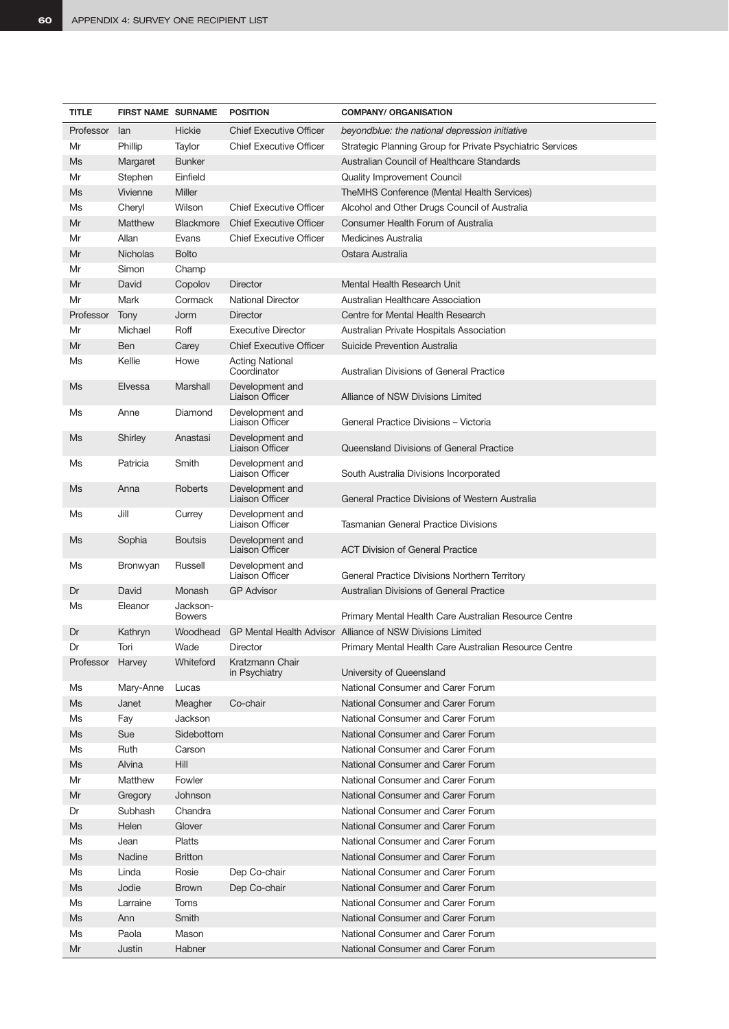| <b>TITLE</b>     | <b>FIRST NAME SURNAME</b> |                           | <b>POSITION</b>                           | <b>COMPANY/ ORGANISATION</b>                               |
|------------------|---------------------------|---------------------------|-------------------------------------------|------------------------------------------------------------|
| Professor        | lan                       | Hickie                    | <b>Chief Executive Officer</b>            | beyondblue: the national depression initiative             |
| Mr               | Phillip                   | Taylor                    | <b>Chief Executive Officer</b>            | Strategic Planning Group for Private Psychiatric Services  |
| Ms               | Margaret                  | <b>Bunker</b>             |                                           | Australian Council of Healthcare Standards                 |
| Mr               | Stephen                   | Einfield                  |                                           | Quality Improvement Council                                |
| Ms               | Vivienne                  | Miller                    |                                           | TheMHS Conference (Mental Health Services)                 |
| Ms               | Cheryl                    | Wilson                    | <b>Chief Executive Officer</b>            | Alcohol and Other Drugs Council of Australia               |
| Mr               | Matthew                   | Blackmore                 | <b>Chief Executive Officer</b>            | Consumer Health Forum of Australia                         |
| Mr               | Allan                     | Evans                     | <b>Chief Executive Officer</b>            | Medicines Australia                                        |
| Mr               | <b>Nicholas</b>           | <b>Bolto</b>              |                                           | Ostara Australia                                           |
| Mr               | Simon                     | Champ                     |                                           |                                                            |
| Mr               | David                     | Copolov                   | <b>Director</b>                           | Mental Health Research Unit                                |
| Mr               | Mark                      | Cormack                   | <b>National Director</b>                  | <b>Australian Healthcare Association</b>                   |
| Professor        | Tony                      | Jorm                      | <b>Director</b>                           | Centre for Mental Health Research                          |
| Mr               | Michael                   | Roff                      | <b>Executive Director</b>                 | Australian Private Hospitals Association                   |
| Mr               | <b>Ben</b>                | Carey                     | <b>Chief Executive Officer</b>            | Suicide Prevention Australia                               |
| Ms               | Kellie                    | Howe                      | <b>Acting National</b><br>Coordinator     | Australian Divisions of General Practice                   |
| Ms               | Elvessa                   | Marshall                  | Development and<br><b>Liaison Officer</b> | Alliance of NSW Divisions Limited                          |
| Ms               | Anne                      | Diamond                   | Development and<br><b>Liaison Officer</b> | General Practice Divisions - Victoria                      |
| Ms               | Shirley                   | Anastasi                  | Development and<br>Liaison Officer        | Queensland Divisions of General Practice                   |
| Ms               | Patricia                  | Smith                     | Development and<br>Liaison Officer        | South Australia Divisions Incorporated                     |
| Ms               | Anna                      | Roberts                   | Development and<br><b>Liaison Officer</b> | General Practice Divisions of Western Australia            |
| Ms               | Jill                      | Currey                    | Development and<br><b>Liaison Officer</b> | Tasmanian General Practice Divisions                       |
| Ms               | Sophia                    | <b>Boutsis</b>            | Development and<br><b>Liaison Officer</b> | ACT Division of General Practice                           |
| Ms               | Bronwyan                  | Russell                   | Development and<br>Liaison Officer        | General Practice Divisions Northern Territory              |
| Dr               | David                     | Monash                    | <b>GP Advisor</b>                         | <b>Australian Divisions of General Practice</b>            |
| Ms               | Eleanor                   | Jackson-<br><b>Bowers</b> |                                           | Primary Mental Health Care Australian Resource Centre      |
| Dr               | Kathryn                   | Woodhead                  |                                           | GP Mental Health Advisor Alliance of NSW Divisions Limited |
| Dr               | Tori                      | Wade                      | Director                                  | Primary Mental Health Care Australian Resource Centre      |
| Professor Harvey |                           | Whiteford                 | Kratzmann Chair<br>in Psychiatry          | University of Queensland                                   |
| Ms               | Mary-Anne                 | Lucas                     |                                           | National Consumer and Carer Forum                          |
| Ms               | Janet                     | Meagher                   | Co-chair                                  | National Consumer and Carer Forum                          |
| Ms               | Fay                       | Jackson                   |                                           | National Consumer and Carer Forum                          |
| Ms               | Sue                       | Sidebottom                |                                           | National Consumer and Carer Forum                          |
| Ms               | Ruth                      | Carson                    |                                           | National Consumer and Carer Forum                          |
| Ms               | Alvina                    | Hill                      |                                           | National Consumer and Carer Forum                          |
| Mr               | Matthew                   | Fowler                    |                                           | National Consumer and Carer Forum                          |
| Mr               | Gregory                   | Johnson                   |                                           | National Consumer and Carer Forum                          |
| Dr               | Subhash                   | Chandra                   |                                           | National Consumer and Carer Forum                          |
| Ms               | Helen                     | Glover                    |                                           | National Consumer and Carer Forum                          |
| Ms               | Jean                      | Platts                    |                                           | National Consumer and Carer Forum                          |
| Ms               | Nadine                    | <b>Britton</b>            |                                           | National Consumer and Carer Forum                          |
| Ms               | Linda                     | Rosie                     | Dep Co-chair                              | National Consumer and Carer Forum                          |
| Ms               | Jodie                     | <b>Brown</b>              | Dep Co-chair                              | National Consumer and Carer Forum                          |
| Ms               | Larraine                  | Toms                      |                                           | National Consumer and Carer Forum                          |
| Ms               | Ann                       | Smith                     |                                           | National Consumer and Carer Forum                          |
| Ms               | Paola                     | Mason                     |                                           | National Consumer and Carer Forum                          |
| Mr               | Justin                    | Habner                    |                                           | National Consumer and Carer Forum                          |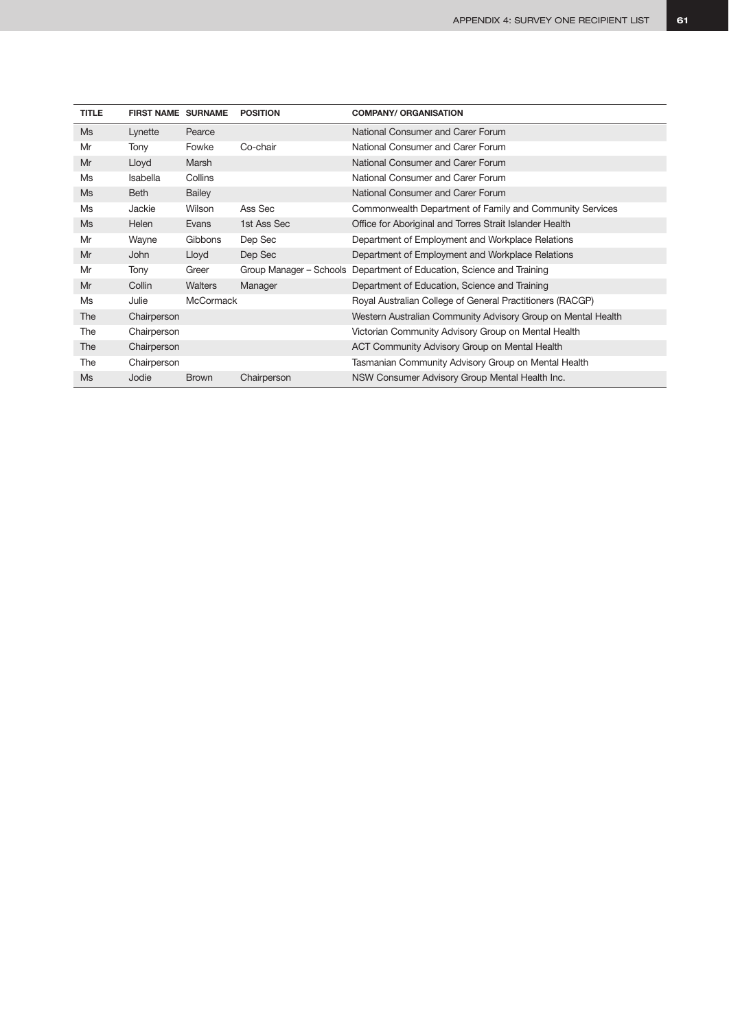| <b>TITLE</b> | <b>FIRST NAME SURNAME</b> |                  | <b>POSITION</b> | <b>COMPANY/ ORGANISATION</b>                                          |
|--------------|---------------------------|------------------|-----------------|-----------------------------------------------------------------------|
| <b>Ms</b>    | Lynette                   | Pearce           |                 | National Consumer and Carer Forum                                     |
| Mr           | Tony                      | Fowke            | Co-chair        | National Consumer and Carer Forum                                     |
| Mr           | Lloyd                     | Marsh            |                 | National Consumer and Carer Forum                                     |
| Ms           | <b>Isabella</b>           | Collins          |                 | National Consumer and Carer Forum                                     |
| Ms           | Beth                      | <b>Bailey</b>    |                 | National Consumer and Carer Forum                                     |
| Ms           | Jackie                    | Wilson           | Ass Sec         | Commonwealth Department of Family and Community Services              |
| Ms           | Helen                     | Evans            | 1st Ass Sec     | Office for Aboriginal and Torres Strait Islander Health               |
| Mr           | Wayne                     | Gibbons          | Dep Sec         | Department of Employment and Workplace Relations                      |
| Mr           | John                      | Lloyd            | Dep Sec         | Department of Employment and Workplace Relations                      |
| Mr           | Tony                      | Greer            |                 | Group Manager – Schools Department of Education, Science and Training |
| Mr           | Collin                    | <b>Walters</b>   | Manager         | Department of Education, Science and Training                         |
| Ms           | Julie                     | <b>McCormack</b> |                 | Royal Australian College of General Practitioners (RACGP)             |
| The          | Chairperson               |                  |                 | Western Australian Community Advisory Group on Mental Health          |
| The          | Chairperson               |                  |                 | Victorian Community Advisory Group on Mental Health                   |
| The          | Chairperson               |                  |                 | ACT Community Advisory Group on Mental Health                         |
| The          | Chairperson               |                  |                 | Tasmanian Community Advisory Group on Mental Health                   |
| Ms           | Jodie                     | <b>Brown</b>     | Chairperson     | NSW Consumer Advisory Group Mental Health Inc.                        |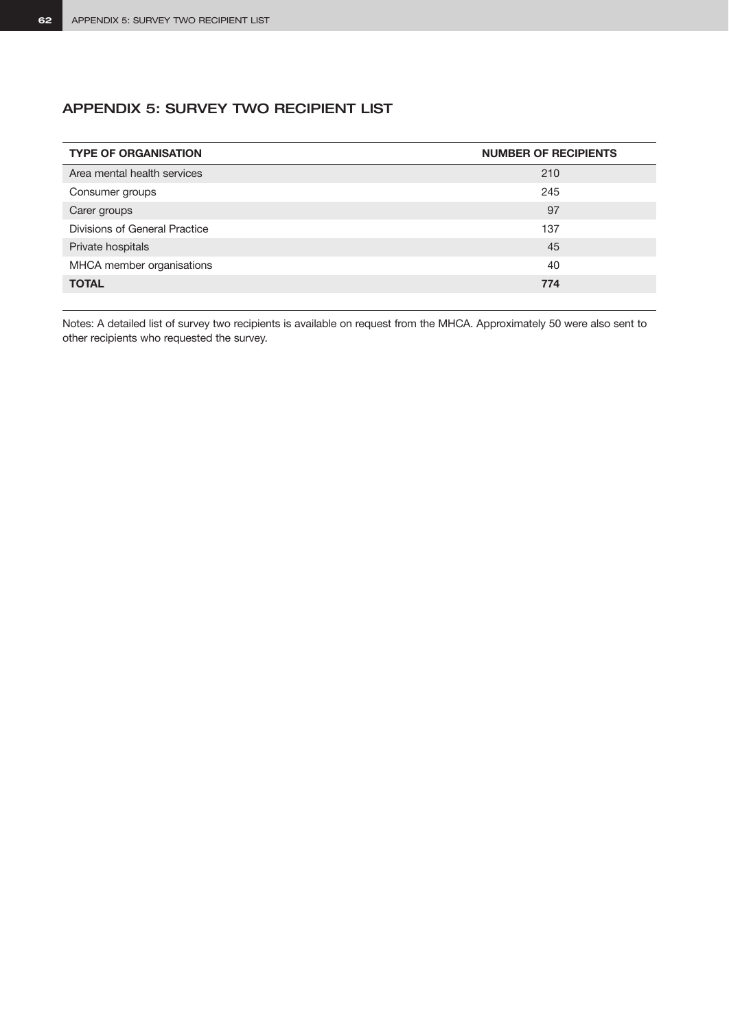# APPENDIX 5: SURVEY TWO RECIPIENT LIST

| <b>TYPE OF ORGANISATION</b>   | <b>NUMBER OF RECIPIENTS</b> |
|-------------------------------|-----------------------------|
| Area mental health services   | 210                         |
| Consumer groups               | 245                         |
| Carer groups                  | 97                          |
| Divisions of General Practice | 137                         |
| Private hospitals             | 45                          |
| MHCA member organisations     | 40                          |
| <b>TOTAL</b>                  | 774                         |

Notes: A detailed list of survey two recipients is available on request from the MHCA. Approximately 50 were also sent to other recipients who requested the survey.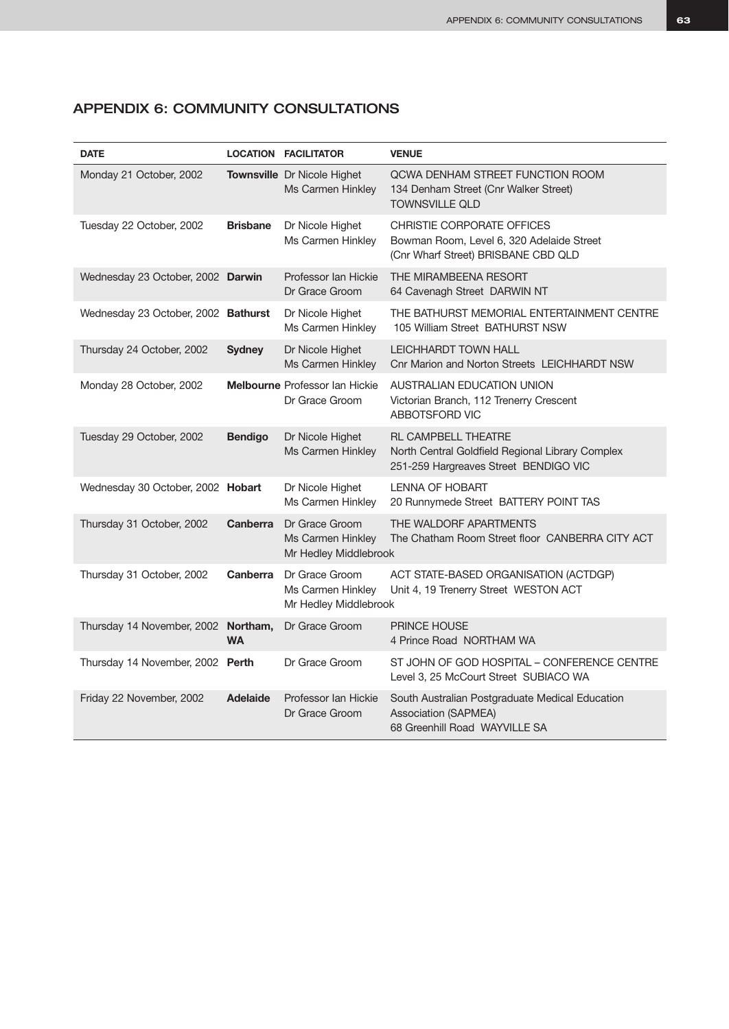| <b>DATE</b>                         |                       | <b>LOCATION FACILITATOR</b>                                  | <b>VENUE</b>                                                                                                            |
|-------------------------------------|-----------------------|--------------------------------------------------------------|-------------------------------------------------------------------------------------------------------------------------|
| Monday 21 October, 2002             |                       | Townsville Dr Nicole Highet<br>Ms Carmen Hinkley             | QCWA DENHAM STREET FUNCTION ROOM<br>134 Denham Street (Cnr Walker Street)<br><b>TOWNSVILLE QLD</b>                      |
| Tuesday 22 October, 2002            | <b>Brisbane</b>       | Dr Nicole Highet<br>Ms Carmen Hinkley                        | CHRISTIE CORPORATE OFFICES<br>Bowman Room, Level 6, 320 Adelaide Street<br>(Cnr Wharf Street) BRISBANE CBD QLD          |
| Wednesday 23 October, 2002 Darwin   |                       | Professor Ian Hickie<br>Dr Grace Groom                       | THE MIRAMBEENA RESORT<br>64 Cavenagh Street DARWIN NT                                                                   |
| Wednesday 23 October, 2002 Bathurst |                       | Dr Nicole Highet<br>Ms Carmen Hinkley                        | THE BATHURST MEMORIAL ENTERTAINMENT CENTRE<br>105 William Street BATHURST NSW                                           |
| Thursday 24 October, 2002           | <b>Sydney</b>         | Dr Nicole Highet<br>Ms Carmen Hinkley                        | <b>LEICHHARDT TOWN HALL</b><br>Cnr Marion and Norton Streets LEICHHARDT NSW                                             |
| Monday 28 October, 2002             |                       | <b>Melbourne</b> Professor Ian Hickie<br>Dr Grace Groom      | AUSTRALIAN EDUCATION UNION<br>Victorian Branch, 112 Trenerry Crescent<br>ABBOTSFORD VIC                                 |
| Tuesday 29 October, 2002            | <b>Bendigo</b>        | Dr Nicole Highet<br>Ms Carmen Hinkley                        | <b>RL CAMPBELL THEATRE</b><br>North Central Goldfield Regional Library Complex<br>251-259 Hargreaves Street BENDIGO VIC |
| Wednesday 30 October, 2002 Hobart   |                       | Dr Nicole Highet<br>Ms Carmen Hinkley                        | <b>LENNA OF HOBART</b><br>20 Runnymede Street BATTERY POINT TAS                                                         |
| Thursday 31 October, 2002           | <b>Canberra</b>       | Dr Grace Groom<br>Ms Carmen Hinkley<br>Mr Hedley Middlebrook | THE WALDORF APARTMENTS<br>The Chatham Room Street floor CANBERRA CITY ACT                                               |
| Thursday 31 October, 2002           | Canberra              | Dr Grace Groom<br>Ms Carmen Hinkley<br>Mr Hedley Middlebrook | ACT STATE-BASED ORGANISATION (ACTDGP)<br>Unit 4, 19 Trenerry Street WESTON ACT                                          |
| Thursday 14 November, 2002          | Northam,<br><b>WA</b> | Dr Grace Groom                                               | <b>PRINCE HOUSE</b><br>4 Prince Road NORTHAM WA                                                                         |
| Thursday 14 November, 2002 Perth    |                       | Dr Grace Groom                                               | ST JOHN OF GOD HOSPITAL - CONFERENCE CENTRE<br>Level 3, 25 McCourt Street SUBIACO WA                                    |
| Friday 22 November, 2002            | <b>Adelaide</b>       | Professor Ian Hickie<br>Dr Grace Groom                       | South Australian Postgraduate Medical Education<br><b>Association (SAPMEA)</b><br>68 Greenhill Road WAYVILLE SA         |

# APPENDIX 6: COMMUNITY CONSULTATIONS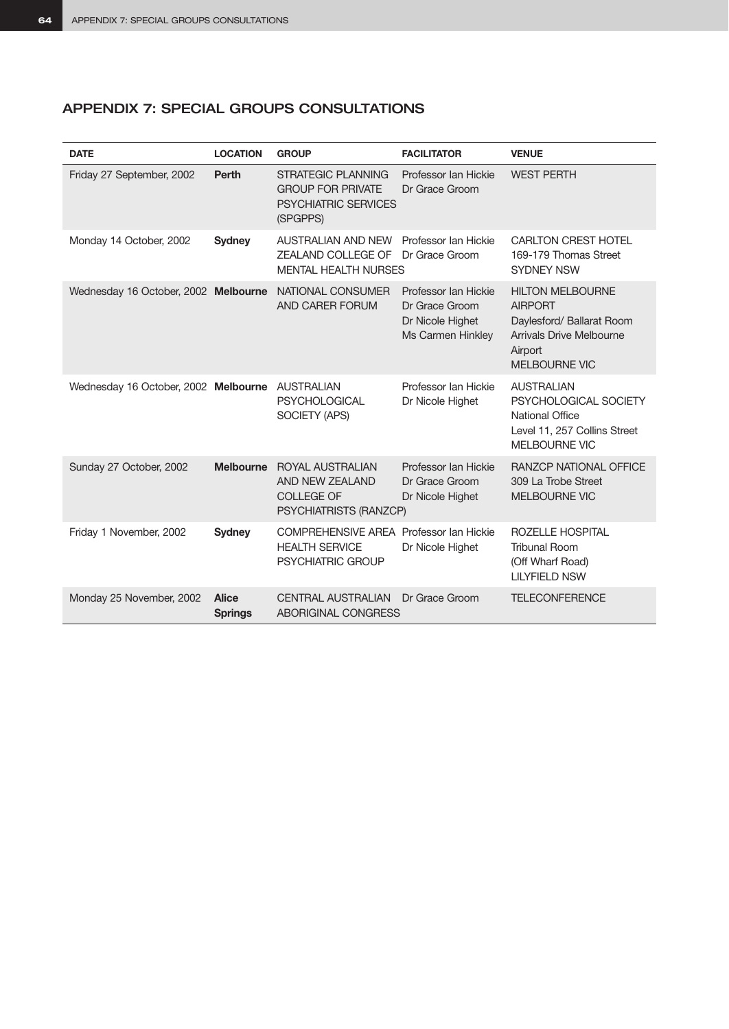# APPENDIX 7: SPECIAL GROUPS CONSULTATIONS

| <b>DATE</b>                                     | <b>LOCATION</b>                | <b>GROUP</b>                                                                                     | <b>FACILITATOR</b>                                                              | <b>VENUE</b>                                                                                                                          |
|-------------------------------------------------|--------------------------------|--------------------------------------------------------------------------------------------------|---------------------------------------------------------------------------------|---------------------------------------------------------------------------------------------------------------------------------------|
| Friday 27 September, 2002                       | <b>Perth</b>                   | <b>STRATEGIC PLANNING</b><br><b>GROUP FOR PRIVATE</b><br><b>PSYCHIATRIC SERVICES</b><br>(SPGPPS) | Professor Ian Hickie<br>Dr Grace Groom                                          | <b>WEST PERTH</b>                                                                                                                     |
| Monday 14 October, 2002                         | <b>Sydney</b>                  | <b>AUSTRALIAN AND NEW</b><br>ZEALAND COLLEGE OF<br><b>MENTAL HEALTH NURSES</b>                   | Professor Ian Hickie<br>Dr Grace Groom                                          | <b>CARLTON CREST HOTEL</b><br>169-179 Thomas Street<br><b>SYDNEY NSW</b>                                                              |
| Wednesday 16 October, 2002 Melbourne            |                                | NATIONAL CONSUMER<br>AND CARER FORUM                                                             | Professor Ian Hickie<br>Dr Grace Groom<br>Dr Nicole Highet<br>Ms Carmen Hinkley | <b>HILTON MELBOURNE</b><br><b>AIRPORT</b><br>Daylesford/ Ballarat Room<br>Arrivals Drive Melbourne<br>Airport<br><b>MELBOURNE VIC</b> |
| Wednesday 16 October, 2002 Melbourne AUSTRALIAN |                                | <b>PSYCHOLOGICAL</b><br>SOCIETY (APS)                                                            | Professor Ian Hickie<br>Dr Nicole Highet                                        | <b>AUSTRALIAN</b><br>PSYCHOLOGICAL SOCIETY<br><b>National Office</b><br>Level 11, 257 Collins Street<br>MELBOURNE VIC                 |
| Sunday 27 October, 2002                         | <b>Melbourne</b>               | ROYAL AUSTRALIAN<br>AND NEW ZEALAND<br><b>COLLEGE OF</b><br>PSYCHIATRISTS (RANZCP)               | Professor Ian Hickie<br>Dr Grace Groom<br>Dr Nicole Highet                      | <b>RANZCP NATIONAL OFFICE</b><br>309 La Trobe Street<br><b>MELBOURNE VIC</b>                                                          |
| Friday 1 November, 2002                         | <b>Sydney</b>                  | COMPREHENSIVE AREA Professor Ian Hickie<br><b>HEALTH SERVICE</b><br><b>PSYCHIATRIC GROUP</b>     | Dr Nicole Highet                                                                | ROZELLE HOSPITAL<br><b>Tribunal Room</b><br>(Off Wharf Road)<br><b>LILYFIELD NSW</b>                                                  |
| Monday 25 November, 2002                        | <b>Alice</b><br><b>Springs</b> | <b>CENTRAL AUSTRALIAN</b><br>ABORIGINAL CONGRESS                                                 | Dr Grace Groom                                                                  | <b>TELECONFERENCE</b>                                                                                                                 |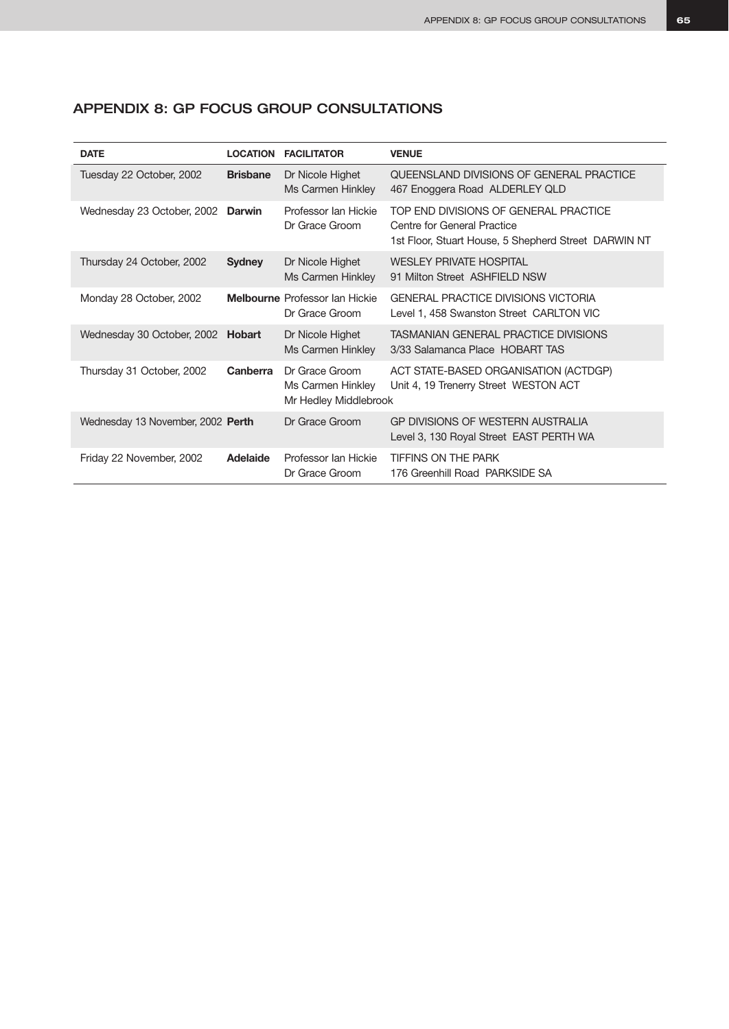| <b>DATE</b>                       | <b>LOCATION</b> | <b>FACILITATOR</b>                                           | <b>VENUE</b>                                                                                                                 |
|-----------------------------------|-----------------|--------------------------------------------------------------|------------------------------------------------------------------------------------------------------------------------------|
| Tuesday 22 October, 2002          | <b>Brisbane</b> | Dr Nicole Highet<br>Ms Carmen Hinkley                        | QUEENSLAND DIVISIONS OF GENERAL PRACTICE<br>467 Enoggera Road ALDERLEY QLD                                                   |
| Wednesday 23 October, 2002        | <b>Darwin</b>   | Professor Ian Hickie<br>Dr Grace Groom                       | TOP END DIVISIONS OF GENERAL PRACTICE<br>Centre for General Practice<br>1st Floor, Stuart House, 5 Shepherd Street DARWIN NT |
| Thursday 24 October, 2002         | <b>Sydney</b>   | Dr Nicole Highet<br>Ms Carmen Hinkley                        | <b>WESLEY PRIVATE HOSPITAL</b><br>91 Milton Street ASHFIELD NSW                                                              |
| Monday 28 October, 2002           |                 | <b>Melbourne</b> Professor Ian Hickie<br>Dr Grace Groom      | <b>GENERAL PRACTICE DIVISIONS VICTORIA</b><br>Level 1, 458 Swanston Street CARLTON VIC                                       |
| Wednesday 30 October, 2002 Hobart |                 | Dr Nicole Highet<br>Ms Carmen Hinkley                        | TASMANIAN GENERAL PRACTICE DIVISIONS<br>3/33 Salamanca Place HOBART TAS                                                      |
| Thursday 31 October, 2002         | Canberra        | Dr Grace Groom<br>Ms Carmen Hinkley<br>Mr Hedley Middlebrook | ACT STATE-BASED ORGANISATION (ACTDGP)<br>Unit 4, 19 Trenerry Street WESTON ACT                                               |
| Wednesday 13 November, 2002 Perth |                 | Dr Grace Groom                                               | GP DIVISIONS OF WESTERN AUSTRALIA<br>Level 3, 130 Royal Street EAST PERTH WA                                                 |
| Friday 22 November, 2002          | Adelaide        | Professor Ian Hickie<br>Dr Grace Groom                       | <b>TIFFINS ON THE PARK</b><br>176 Greenhill Road PARKSIDE SA                                                                 |

# APPENDIX 8: GP FOCUS GROUP CONSULTATIONS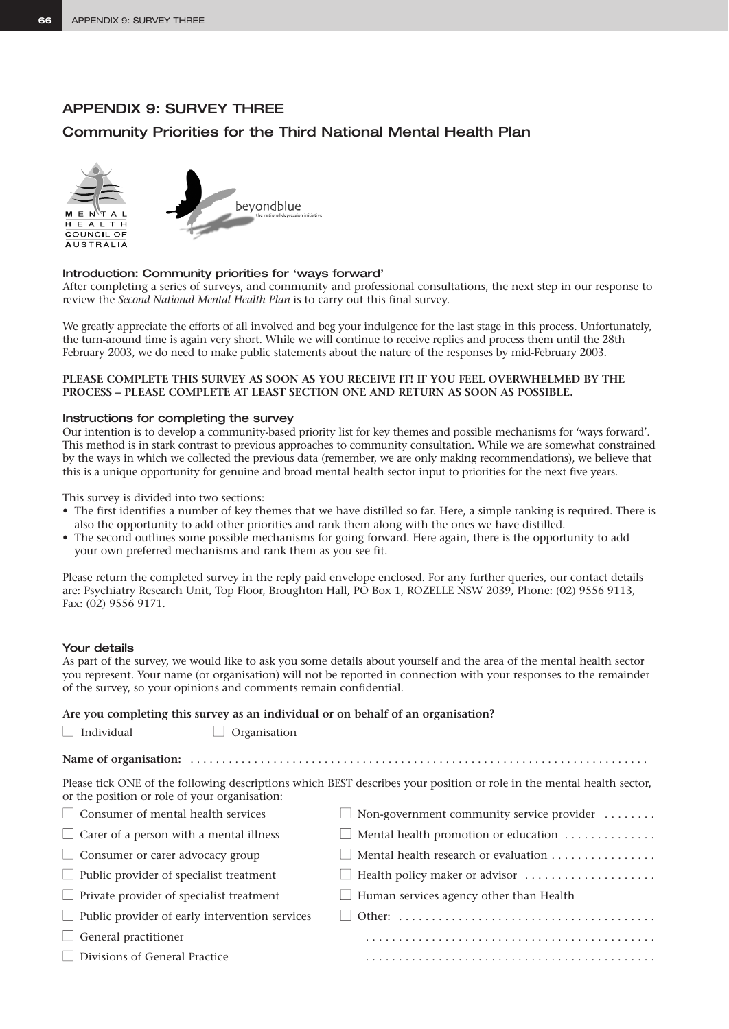# APPENDIX 9: SURVEY THREE

## Community Priorities for the Third National Mental Health Plan





#### Introduction: Community priorities for 'ways forward'

After completing a series of surveys, and community and professional consultations, the next step in our response to review the *Second National Mental Health Plan* is to carry out this final survey.

We greatly appreciate the efforts of all involved and beg your indulgence for the last stage in this process. Unfortunately, the turn-around time is again very short. While we will continue to receive replies and process them until the 28th February 2003, we do need to make public statements about the nature of the responses by mid-February 2003.

#### **PLEASE COMPLETE THIS SURVEY AS SOON AS YOU RECEIVE IT! IF YOU FEEL OVERWHELMED BY THE PROCESS – PLEASE COMPLETE AT LEAST SECTION ONE AND RETURN AS SOON AS POSSIBLE.**

#### Instructions for completing the survey

Our intention is to develop a community-based priority list for key themes and possible mechanisms for 'ways forward'. This method is in stark contrast to previous approaches to community consultation. While we are somewhat constrained by the ways in which we collected the previous data (remember, we are only making recommendations), we believe that this is a unique opportunity for genuine and broad mental health sector input to priorities for the next five years.

This survey is divided into two sections:

- The first identifies a number of key themes that we have distilled so far. Here, a simple ranking is required. There is also the opportunity to add other priorities and rank them along with the ones we have distilled.
- The second outlines some possible mechanisms for going forward. Here again, there is the opportunity to add your own preferred mechanisms and rank them as you see fit.

Please return the completed survey in the reply paid envelope enclosed. For any further queries, our contact details are: Psychiatry Research Unit, Top Floor, Broughton Hall, PO Box 1, ROZELLE NSW 2039, Phone: (02) 9556 9113, Fax: (02) 9556 9171.

#### Your details

As part of the survey, we would like to ask you some details about yourself and the area of the mental health sector you represent. Your name (or organisation) will not be reported in connection with your responses to the remainder of the survey, so your opinions and comments remain confidential.

**Are you completing this survey as an individual or on behalf of an organisation?**

| Individual |
|------------|
|------------|

 $\Box$  Organisation

| Please tick ONE of the following descriptions which BEST describes your position or role in the mental health sector, |  |  |  |  |
|-----------------------------------------------------------------------------------------------------------------------|--|--|--|--|

| or the position or role of your organisation:         |                                                                            |
|-------------------------------------------------------|----------------------------------------------------------------------------|
| $\Box$ Consumer of mental health services             | $\Box$ Non-government community service provider $\dots\dots$              |
| $\Box$ Carer of a person with a mental illness        | $\Box$ Mental health promotion or education                                |
| $\Box$ Consumer or carer advocacy group               | Mental health research or evaluation                                       |
| $\Box$ Public provider of specialist treatment        | $\Box$ Health policy maker or advisor $\ldots \ldots \ldots \ldots \ldots$ |
| $\Box$ Private provider of specialist treatment       | $\Box$ Human services agency other than Health                             |
| $\Box$ Public provider of early intervention services |                                                                            |
| $\Box$ General practitioner                           |                                                                            |
| $\Box$ Divisions of General Practice                  |                                                                            |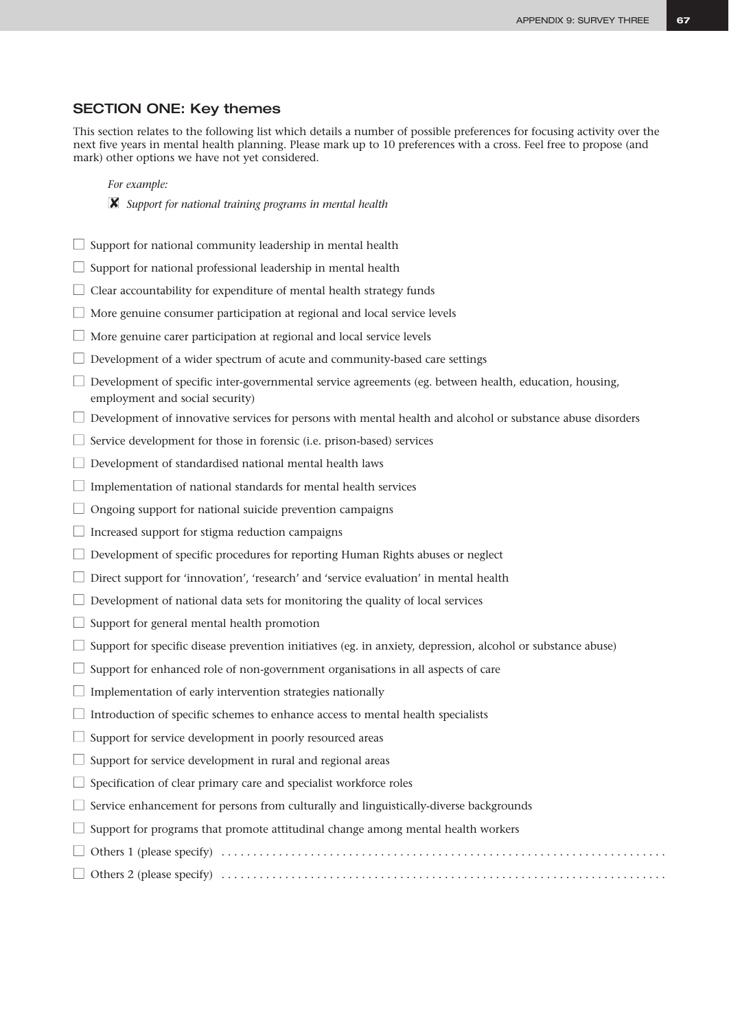## SECTION ONE: Key themes

This section relates to the following list which details a number of possible preferences for focusing activity over the next five years in mental health planning. Please mark up to 10 preferences with a cross. Feel free to propose (and mark) other options we have not yet considered.

#### *For example:*

- ■✘ *Support for national training programs in mental health*
- $\Box$  Support for national community leadership in mental health
- $\Box$  Support for national professional leadership in mental health
- $\Box$  Clear accountability for expenditure of mental health strategy funds
- $\Box$  More genuine consumer participation at regional and local service levels
- $\Box$  More genuine carer participation at regional and local service levels
- $\Box$  Development of a wider spectrum of acute and community-based care settings
- $\Box$  Development of specific inter-governmental service agreements (eg. between health, education, housing, employment and social security)
- $\Box$  Development of innovative services for persons with mental health and alcohol or substance abuse disorders
- $\Box$  Service development for those in forensic (i.e. prison-based) services
- $\Box$  Development of standardised national mental health laws
- $\Box$  Implementation of national standards for mental health services
- $\Box$  Ongoing support for national suicide prevention campaigns
- $\Box$  Increased support for stigma reduction campaigns
- $\Box$  Development of specific procedures for reporting Human Rights abuses or neglect
- $\Box$  Direct support for 'innovation', 'research' and 'service evaluation' in mental health
- $\Box$  Development of national data sets for monitoring the quality of local services
- $\Box$  Support for general mental health promotion
- $\Box$  Support for specific disease prevention initiatives (eg. in anxiety, depression, alcohol or substance abuse)
- $\Box$  Support for enhanced role of non-government organisations in all aspects of care
- $\Box$  Implementation of early intervention strategies nationally
- $\Box$  Introduction of specific schemes to enhance access to mental health specialists
- $\Box$  Support for service development in poorly resourced areas
- $\Box$  Support for service development in rural and regional areas
- $\Box$  Specification of clear primary care and specialist workforce roles
- $\Box$  Service enhancement for persons from culturally and linguistically-diverse backgrounds
- $\Box$  Support for programs that promote attitudinal change among mental health workers
- Others 1 (please specify) . . . . . . . . . . . . . . . . . . . . . . . . . . . . . . . . . . . . . . . . . . . . . . . . . . . . . . . . . . . . . . . . . . . . . .

### ■ Others 2 (please specify) . . . . . . . . . . . . . . . . . . . . . . . . . . . . . . . . . . . . . . . . . . . . . . . . . . . . . . . . . . . . . . . . . . . . . .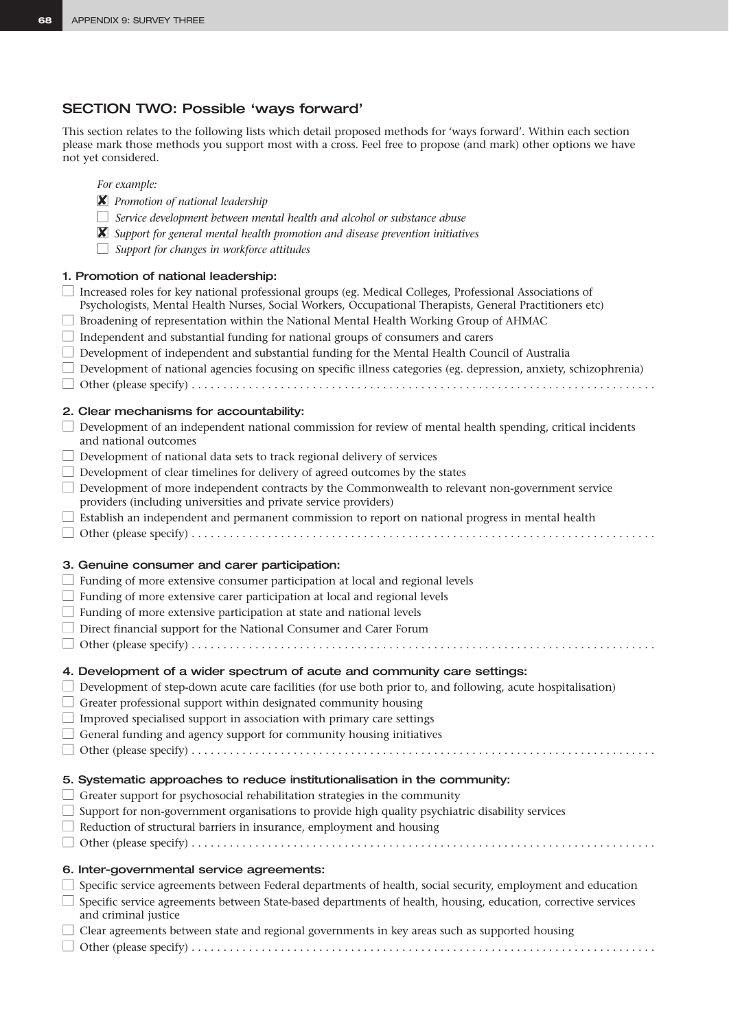## SECTION TWO: Possible 'ways forward'

This section relates to the following lists which detail proposed methods for 'ways forward'. Within each section please mark those methods you support most with a cross. Feel free to propose (and mark) other options we have not yet considered.

- *For example:*
- ■✘ *Promotion of national leadership*
- □ *Service development between mental health and alcohol or substance abuse*
- ■✘ *Support for general mental health promotion and disease prevention initiatives*
- *Support for changes in workforce attitudes*

## 1. Promotion of national leadership:

| □ Increased roles for key national professional groups (eg. Medical Colleges, Professional Associations of<br>Psychologists, Mental Health Nurses, Social Workers, Occupational Therapists, General Practitioners etc)<br>Broadening of representation within the National Mental Health Working Group of AHMAC<br>Independent and substantial funding for national groups of consumers and carers<br>Development of independent and substantial funding for the Mental Health Council of Australia<br>Development of national agencies focusing on specific illness categories (eg. depression, anxiety, schizophrenia)                       |
|------------------------------------------------------------------------------------------------------------------------------------------------------------------------------------------------------------------------------------------------------------------------------------------------------------------------------------------------------------------------------------------------------------------------------------------------------------------------------------------------------------------------------------------------------------------------------------------------------------------------------------------------|
| 2. Clear mechanisms for accountability:<br>$\Box$ Development of an independent national commission for review of mental health spending, critical incidents<br>and national outcomes<br>$\Box$ Development of national data sets to track regional delivery of services<br>$\Box$ Development of clear timelines for delivery of agreed outcomes by the states<br>Development of more independent contracts by the Commonwealth to relevant non-government service<br>providers (including universities and private service providers)<br>□ Establish an independent and permanent commission to report on national progress in mental health |
| 3. Genuine consumer and carer participation:<br>$\Box$ Funding of more extensive consumer participation at local and regional levels<br>$\Box$ Funding of more extensive carer participation at local and regional levels<br>$\Box$ Funding of more extensive participation at state and national levels<br>Direct financial support for the National Consumer and Carer Forum                                                                                                                                                                                                                                                                 |
| 4. Development of a wider spectrum of acute and community care settings:<br>$\Box$ Development of step-down acute care facilities (for use both prior to, and following, acute hospitalisation)<br>Greater professional support within designated community housing<br>Improved specialised support in association with primary care settings<br>$\Box$ General funding and agency support for community housing initiatives                                                                                                                                                                                                                   |
| 5. Systematic approaches to reduce institutionalisation in the community:<br>Greater support for psychosocial rehabilitation strategies in the community<br>Support for non-government organisations to provide high quality psychiatric disability services<br>Reduction of structural barriers in insurance, employment and housing                                                                                                                                                                                                                                                                                                          |
| 6. Inter-governmental service agreements:<br>Specific service agreements between Federal departments of health, social security, employment and education<br>Specific service agreements between State-based departments of health, housing, education, corrective services<br>and criminal justice<br>Clear agreements between state and regional governments in key areas such as supported housing                                                                                                                                                                                                                                          |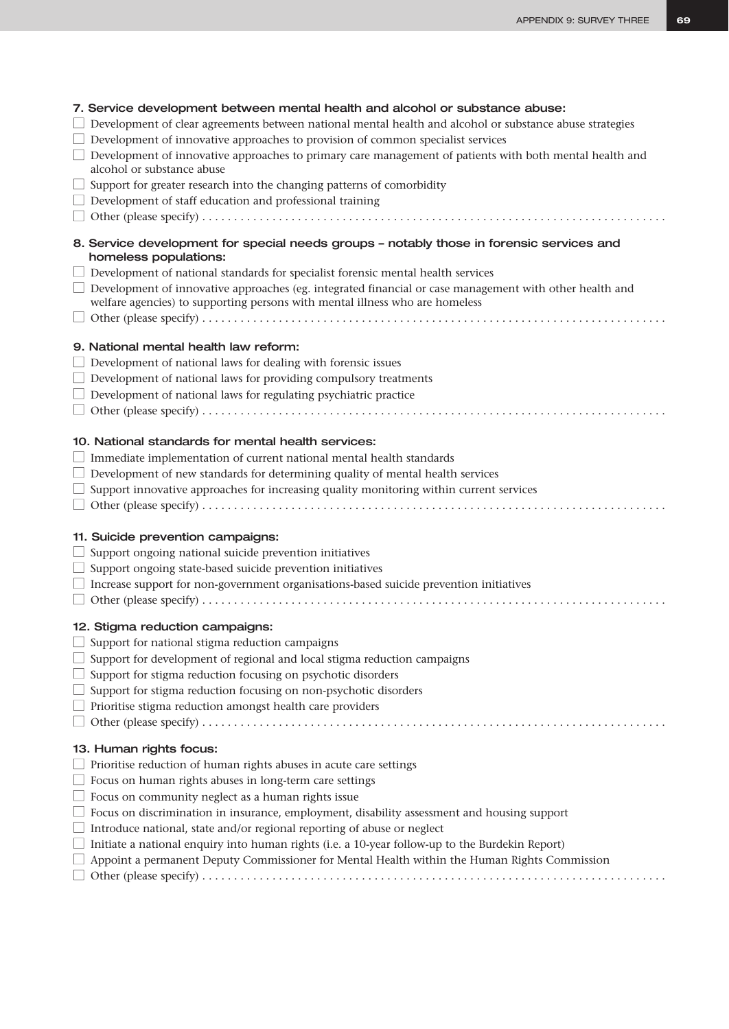| 7. Service development between mental health and alcohol or substance abuse:<br>Development of clear agreements between national mental health and alcohol or substance abuse strategies<br>Development of innovative approaches to provision of common specialist services<br>Development of innovative approaches to primary care management of patients with both mental health and<br>alcohol or substance abuse<br>Support for greater research into the changing patterns of comorbidity<br>Development of staff education and professional training                                  |
|---------------------------------------------------------------------------------------------------------------------------------------------------------------------------------------------------------------------------------------------------------------------------------------------------------------------------------------------------------------------------------------------------------------------------------------------------------------------------------------------------------------------------------------------------------------------------------------------|
| 8. Service development for special needs groups - notably those in forensic services and<br>homeless populations:<br>Development of national standards for specialist forensic mental health services<br>Development of innovative approaches (eg. integrated financial or case management with other health and<br>welfare agencies) to supporting persons with mental illness who are homeless                                                                                                                                                                                            |
| 9. National mental health law reform:<br>Development of national laws for dealing with forensic issues<br>Development of national laws for providing compulsory treatments<br>Development of national laws for regulating psychiatric practice                                                                                                                                                                                                                                                                                                                                              |
| 10. National standards for mental health services:<br>Immediate implementation of current national mental health standards<br>Development of new standards for determining quality of mental health services<br>Support innovative approaches for increasing quality monitoring within current services                                                                                                                                                                                                                                                                                     |
| 11. Suicide prevention campaigns:<br>Support ongoing national suicide prevention initiatives<br>Support ongoing state-based suicide prevention initiatives<br>Increase support for non-government organisations-based suicide prevention initiatives                                                                                                                                                                                                                                                                                                                                        |
| 12. Stigma reduction campaigns:<br>$\Box$ Support for national stigma reduction campaigns<br>Support for development of regional and local stigma reduction campaigns<br>Support for stigma reduction focusing on psychotic disorders<br>Support for stigma reduction focusing on non-psychotic disorders<br>Prioritise stigma reduction amongst health care providers                                                                                                                                                                                                                      |
| 13. Human rights focus:<br>Prioritise reduction of human rights abuses in acute care settings<br>Focus on human rights abuses in long-term care settings<br>Focus on community neglect as a human rights issue<br>Focus on discrimination in insurance, employment, disability assessment and housing support<br>Introduce national, state and/or regional reporting of abuse or neglect<br>Initiate a national enquiry into human rights (i.e. a 10-year follow-up to the Burdekin Report)<br>Appoint a permanent Deputy Commissioner for Mental Health within the Human Rights Commission |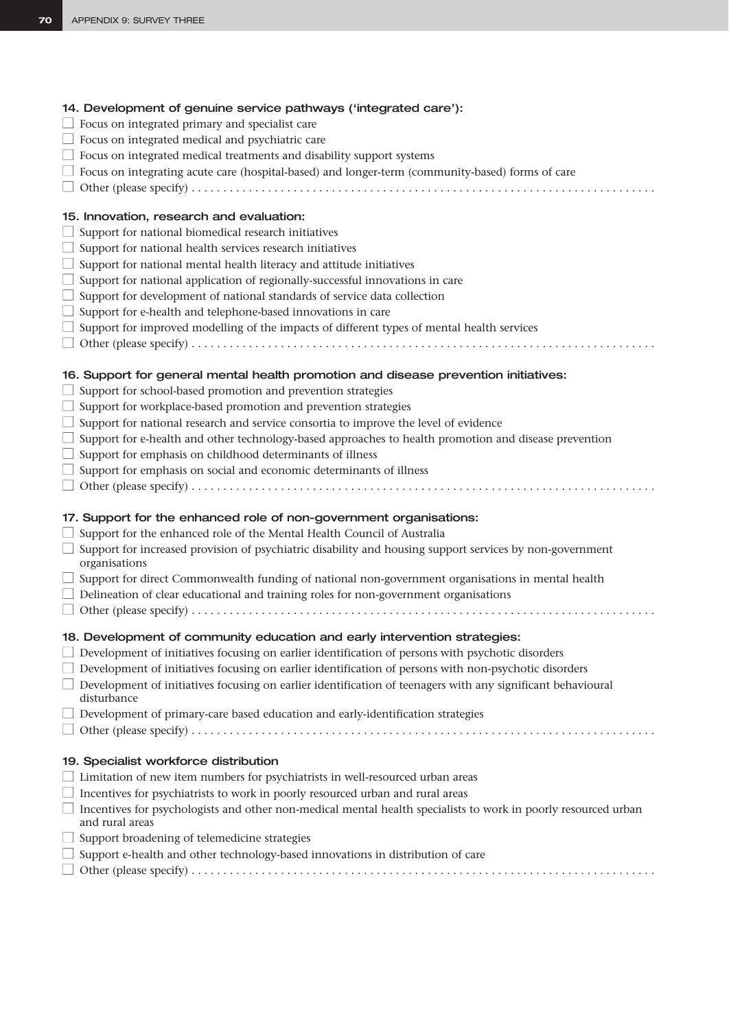| 14. Development of genuine service pathways ('integrated care'):                                                                  |
|-----------------------------------------------------------------------------------------------------------------------------------|
| $\Box$ Focus on integrated primary and specialist care                                                                            |
| $\Box$ Focus on integrated medical and psychiatric care                                                                           |
| $\Box$ Focus on integrated medical treatments and disability support systems                                                      |
| $\Box$ Focus on integrating acute care (hospital-based) and longer-term (community-based) forms of care                           |
|                                                                                                                                   |
| 15. Innovation, research and evaluation:                                                                                          |
| $\Box$ Support for national biomedical research initiatives                                                                       |
| $\Box$ Support for national health services research initiatives                                                                  |
| Support for national mental health literacy and attitude initiatives                                                              |
| $\Box$ Support for national application of regionally-successful innovations in care                                              |
| $\Box$ Support for development of national standards of service data collection                                                   |
| $\Box$ Support for e-health and telephone-based innovations in care                                                               |
| $\Box$ Support for improved modelling of the impacts of different types of mental health services                                 |
|                                                                                                                                   |
| 16. Support for general mental health promotion and disease prevention initiatives:                                               |
| Support for school-based promotion and prevention strategies                                                                      |
| $\Box$ Support for workplace-based promotion and prevention strategies                                                            |
| $\Box$ Support for national research and service consortia to improve the level of evidence                                       |
| $\Box$ Support for e-health and other technology-based approaches to health promotion and disease prevention                      |
| $\Box$ Support for emphasis on childhood determinants of illness                                                                  |
| Support for emphasis on social and economic determinants of illness                                                               |
|                                                                                                                                   |
| 17. Support for the enhanced role of non-government organisations:                                                                |
| $\Box$ Support for the enhanced role of the Mental Health Council of Australia                                                    |
| Support for increased provision of psychiatric disability and housing support services by non-government<br>organisations         |
| $\Box$ Support for direct Commonwealth funding of national non-government organisations in mental health                          |
| $\Box$ Delineation of clear educational and training roles for non-government organisations                                       |
|                                                                                                                                   |
| 18. Development of community education and early intervention strategies:                                                         |
| Development of initiatives focusing on earlier identification of persons with psychotic disorders                                 |
| Development of initiatives focusing on earlier identification of persons with non-psychotic disorders                             |
| $\Box$ Development of initiatives focusing on earlier identification of teenagers with any significant behavioural<br>disturbance |
| $\Box$ Development of primary-care based education and early-identification strategies                                            |
|                                                                                                                                   |
| 19. Specialist workforce distribution                                                                                             |
| $\perp$ Limitation of new item numbers for psychiatrists in well-resourced urban areas                                            |
| Incentives for psychiatrists to work in poorly resourced urban and rural areas                                                    |
| Incentives for psychologists and other non-medical mental health specialists to work in poorly resourced urban<br>and rural areas |
| Support broadening of telemedicine strategies                                                                                     |
| Support e-health and other technology-based innovations in distribution of care                                                   |
|                                                                                                                                   |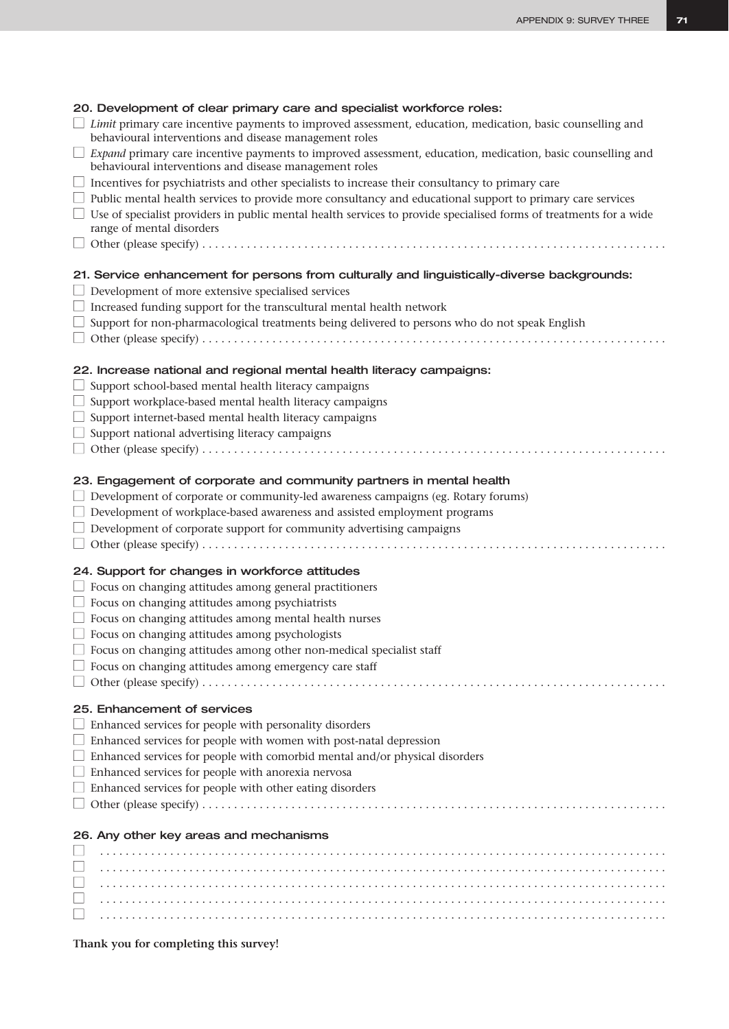| 20. Development of clear primary care and specialist workforce roles:<br>$\Box$ Limit primary care incentive payments to improved assessment, education, medication, basic counselling and<br>behavioural interventions and disease management roles<br>Expand primary care incentive payments to improved assessment, education, medication, basic counselling and<br>behavioural interventions and disease management roles<br>$\Box$ Incentives for psychiatrists and other specialists to increase their consultancy to primary care<br>$\Box$ Public mental health services to provide more consultancy and educational support to primary care services<br>Use of specialist providers in public mental health services to provide specialised forms of treatments for a wide<br>range of mental disorders<br>21. Service enhancement for persons from culturally and linguistically-diverse backgrounds:<br>Development of more extensive specialised services<br>Increased funding support for the transcultural mental health network<br>Support for non-pharmacological treatments being delivered to persons who do not speak English |  |
|--------------------------------------------------------------------------------------------------------------------------------------------------------------------------------------------------------------------------------------------------------------------------------------------------------------------------------------------------------------------------------------------------------------------------------------------------------------------------------------------------------------------------------------------------------------------------------------------------------------------------------------------------------------------------------------------------------------------------------------------------------------------------------------------------------------------------------------------------------------------------------------------------------------------------------------------------------------------------------------------------------------------------------------------------------------------------------------------------------------------------------------------------|--|
| 22. Increase national and regional mental health literacy campaigns:<br>Support school-based mental health literacy campaigns<br>Support workplace-based mental health literacy campaigns<br>$\Box$ Support internet-based mental health literacy campaigns<br>Support national advertising literacy campaigns                                                                                                                                                                                                                                                                                                                                                                                                                                                                                                                                                                                                                                                                                                                                                                                                                                   |  |
| 23. Engagement of corporate and community partners in mental health<br>$\Box$ Development of corporate or community-led awareness campaigns (eg. Rotary forums)<br>Development of workplace-based awareness and assisted employment programs<br>$\Box$ Development of corporate support for community advertising campaigns                                                                                                                                                                                                                                                                                                                                                                                                                                                                                                                                                                                                                                                                                                                                                                                                                      |  |
| 24. Support for changes in workforce attitudes<br>$\Box$ Focus on changing attitudes among general practitioners<br>$\Box$ Focus on changing attitudes among psychiatrists<br>$\Box$ Focus on changing attitudes among mental health nurses<br>$\Box$ Focus on changing attitudes among psychologists<br>$\Box~$ Focus on changing attitudes among other non-medical specialist staff<br>Focus on changing attitudes among emergency care staff                                                                                                                                                                                                                                                                                                                                                                                                                                                                                                                                                                                                                                                                                                  |  |
| 25. Enhancement of services<br>$\Box$ Enhanced services for people with personality disorders<br>$\Box$ Enhanced services for people with women with post-natal depression<br>$\Box$ Enhanced services for people with comorbid mental and/or physical disorders<br>$\Box$ Enhanced services for people with anorexia nervosa<br>Enhanced services for people with other eating disorders                                                                                                                                                                                                                                                                                                                                                                                                                                                                                                                                                                                                                                                                                                                                                        |  |
| 26. Any other key areas and mechanisms                                                                                                                                                                                                                                                                                                                                                                                                                                                                                                                                                                                                                                                                                                                                                                                                                                                                                                                                                                                                                                                                                                           |  |

**Thank you for completing this survey!**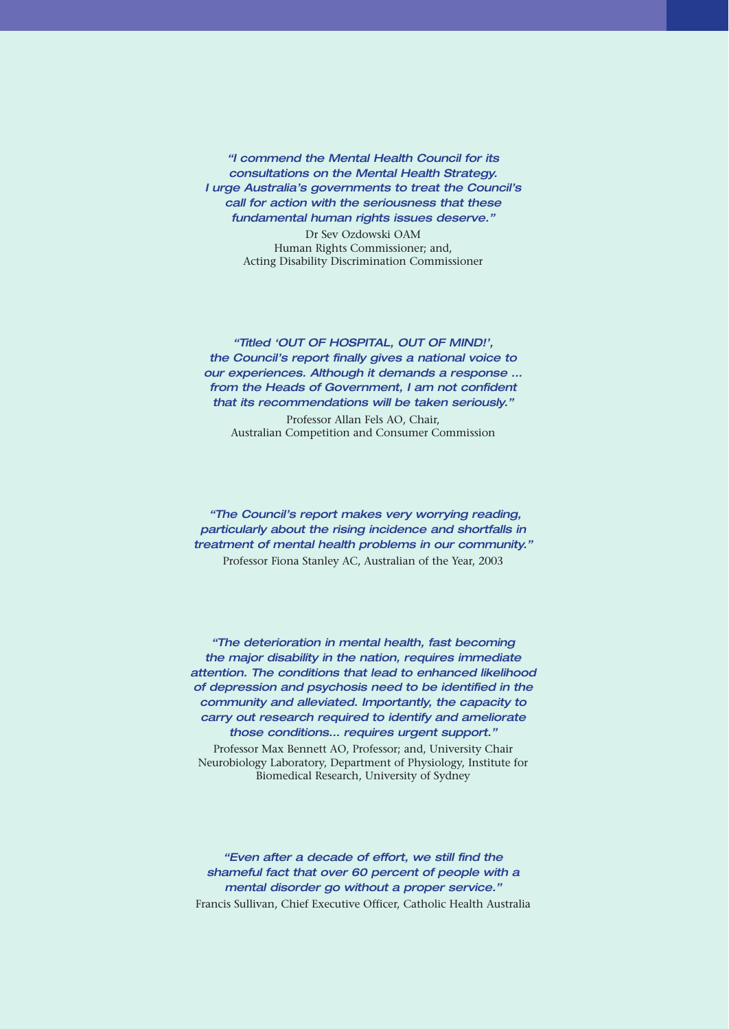*"I commend the Mental Health Council for its consultations on the Mental Health Strategy. I urge Australia's governments to treat the Council's call for action with the seriousness that these fundamental human rights issues deserve."*

> Dr Sev Ozdowski OAM Human Rights Commissioner; and, Acting Disability Discrimination Commissioner

*"Titled 'OUT OF HOSPITAL, OUT OF MIND!', the Council's report finally gives a national voice to our experiences. Although it demands a response ... from the Heads of Government, I am not confident that its recommendations will be taken seriously."*

Professor Allan Fels AO, Chair, Australian Competition and Consumer Commission

*"The Council's report makes very worrying reading, particularly about the rising incidence and shortfalls in treatment of mental health problems in our community."* Professor Fiona Stanley AC, Australian of the Year, 2003

*"The deterioration in mental health, fast becoming the major disability in the nation, requires immediate attention. The conditions that lead to enhanced likelihood of depression and psychosis need to be identified in the community and alleviated. Importantly, the capacity to carry out research required to identify and ameliorate those conditions… requires urgent support."* Professor Max Bennett AO, Professor; and, University Chair Neurobiology Laboratory, Department of Physiology, Institute for Biomedical Research, University of Sydney

*"Even after a decade of effort, we still find the shameful fact that over 60 percent of people with a mental disorder go without a proper service."* Francis Sullivan, Chief Executive Officer, Catholic Health Australia